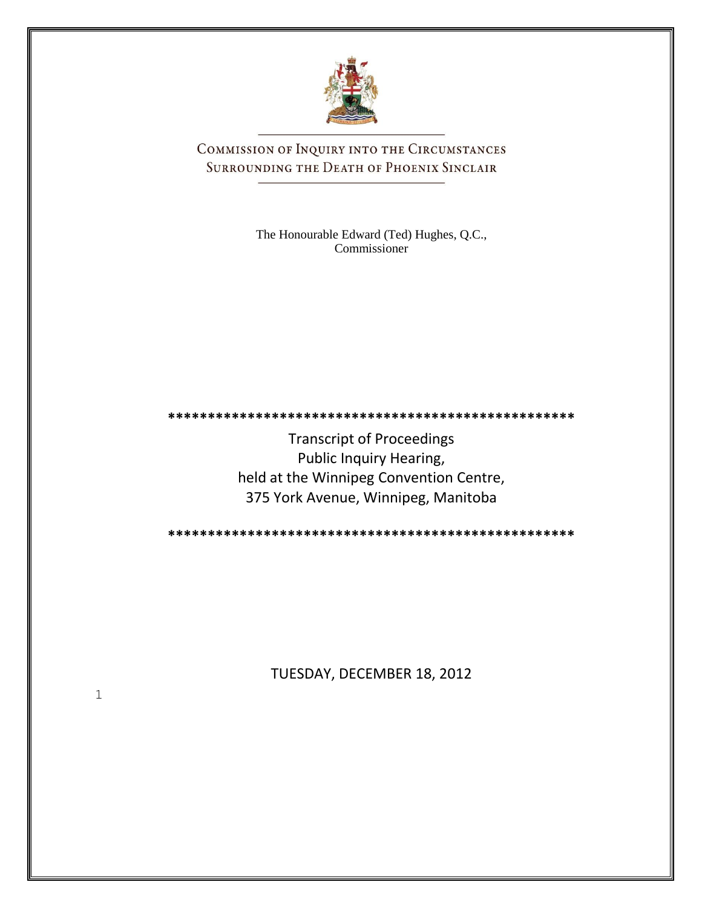

COMMISSION OF INQUIRY INTO THE CIRCUMSTANCES SURROUNDING THE DEATH OF PHOENIX SINCLAIR

> The Honourable Edward (Ted) Hughes, Q.C., Commissioner

**\*\*\*\*\*\*\*\*\*\*\*\*\*\*\*\*\*\*\*\*\*\*\*\*\*\*\*\*\*\*\*\*\*\*\*\*\*\*\*\*\*\*\*\*\*\*\*\*\*\*\***

Transcript of Proceedings Public Inquiry Hearing, held at the Winnipeg Convention Centre, 375 York Avenue, Winnipeg, Manitoba

**\*\*\*\*\*\*\*\*\*\*\*\*\*\*\*\*\*\*\*\*\*\*\*\*\*\*\*\*\*\*\*\*\*\*\*\*\*\*\*\*\*\*\*\*\*\*\*\*\*\*\***

TUESDAY, DECEMBER 18, 2012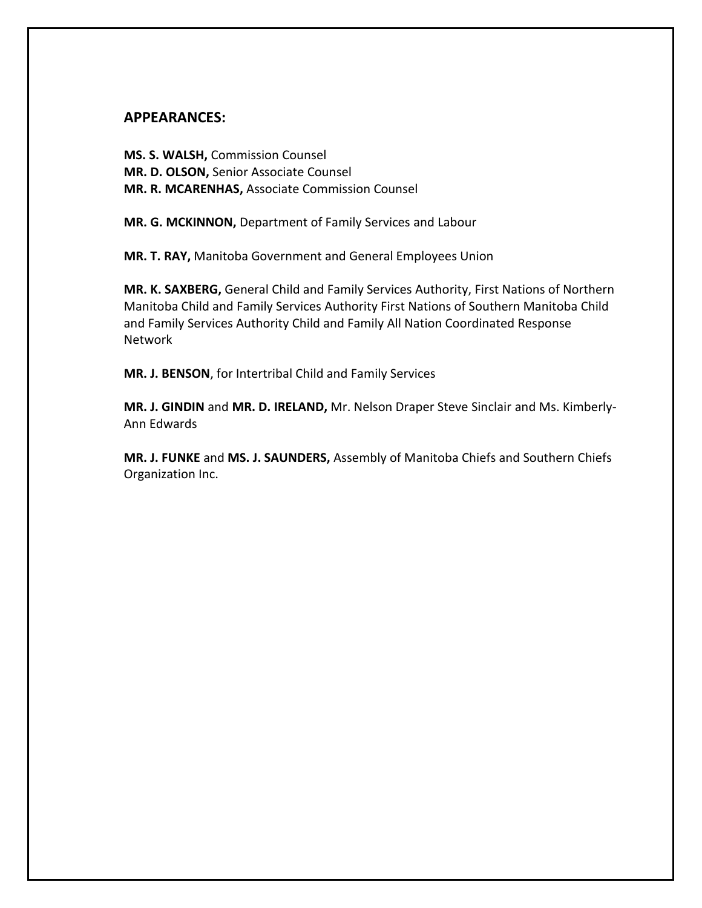#### **APPEARANCES:**

**MS. S. WALSH,** Commission Counsel **MR. D. OLSON,** Senior Associate Counsel **MR. R. MCARENHAS,** Associate Commission Counsel

**MR. G. MCKINNON,** Department of Family Services and Labour

**MR. T. RAY,** Manitoba Government and General Employees Union

**MR. K. SAXBERG,** General Child and Family Services Authority, First Nations of Northern Manitoba Child and Family Services Authority First Nations of Southern Manitoba Child and Family Services Authority Child and Family All Nation Coordinated Response Network

**MR. J. BENSON**, for Intertribal Child and Family Services

**MR. J. GINDIN** and **MR. D. IRELAND,** Mr. Nelson Draper Steve Sinclair and Ms. Kimberly-Ann Edwards

**MR. J. FUNKE** and **MS. J. SAUNDERS,** Assembly of Manitoba Chiefs and Southern Chiefs Organization Inc.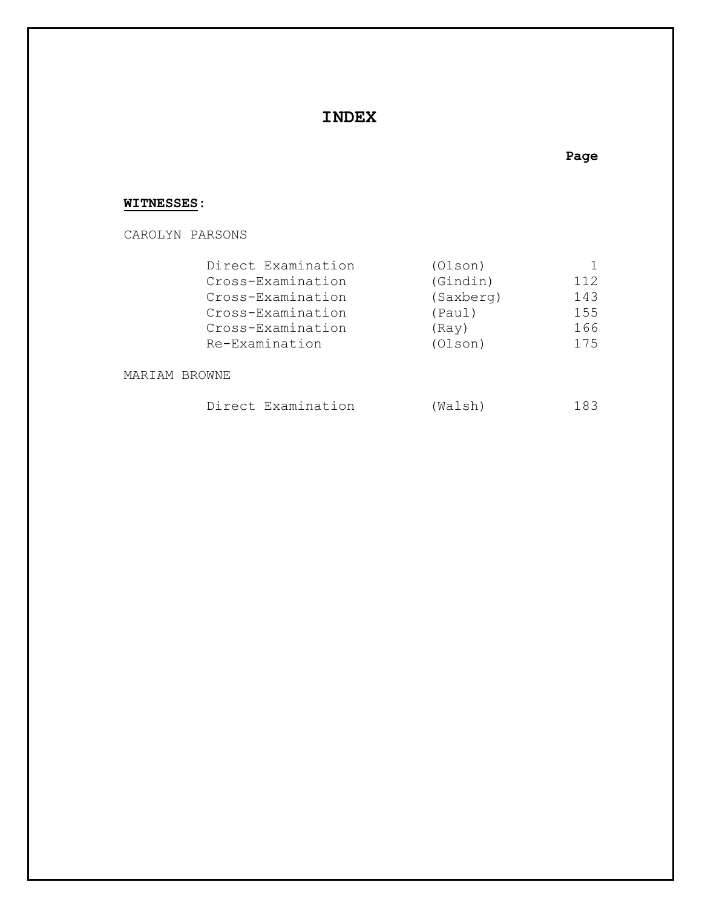# **INDEX**

### **Page**

### **WITNESSES:**

CAROLYN PARSONS

| Direct Examination | (Olson)   |     |
|--------------------|-----------|-----|
| Cross-Examination  | (Gindin)  | 112 |
| Cross-Examination  | (Saxberg) | 143 |
| Cross-Examination  | (Paul)    | 155 |
| Cross-Examination  | (Ray)     | 166 |
| Re-Examination     | (Olson)   | 175 |
|                    |           |     |

MARIAM BROWNE

| 183 |
|-----|
|     |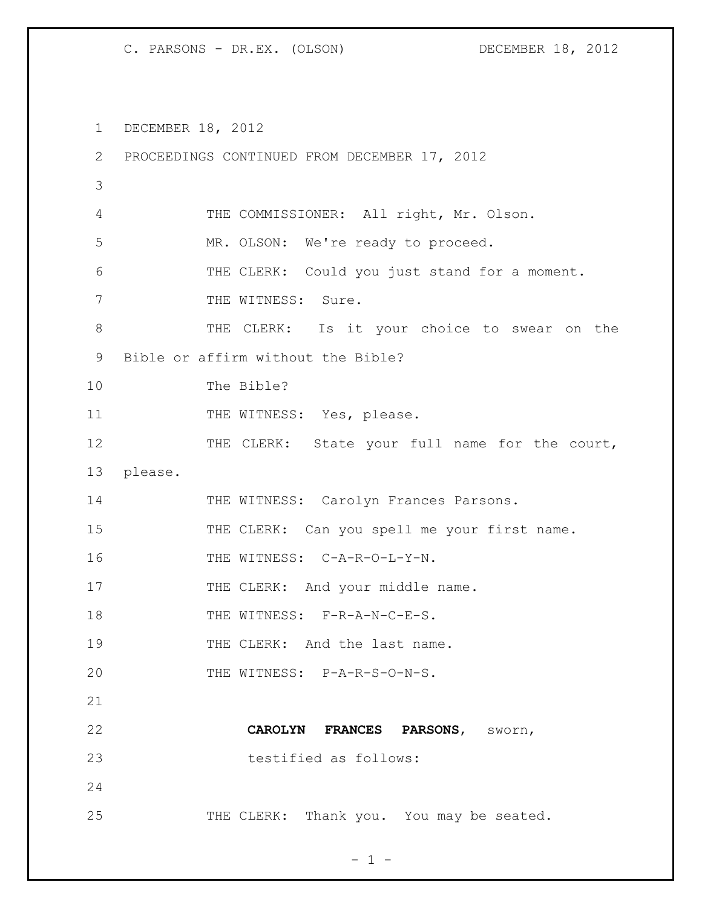1 DECEMBER 18, 2012

| $\overline{2}$ | PROCEEDINGS CONTINUED FROM DECEMBER 17, 2012   |
|----------------|------------------------------------------------|
| 3              |                                                |
| $\overline{4}$ | THE COMMISSIONER: All right, Mr. Olson.        |
| 5              | MR. OLSON: We're ready to proceed.             |
| 6              | THE CLERK: Could you just stand for a moment.  |
| 7              | THE WITNESS: Sure.                             |
| 8              | THE CLERK: Is it your choice to swear on the   |
| 9              | Bible or affirm without the Bible?             |
| 10             | The Bible?                                     |
| 11             | THE WITNESS: Yes, please.                      |
| 12             | THE CLERK: State your full name for the court, |
| 13             | please.                                        |
| 14             | THE WITNESS: Carolyn Frances Parsons.          |
| 15             | THE CLERK: Can you spell me your first name.   |
| 16             | THE WITNESS: C-A-R-O-L-Y-N.                    |
| 17             | THE CLERK: And your middle name.               |
| 18             | THE WITNESS: F-R-A-N-C-E-S.                    |
| 19             | THE CLERK: And the last name.                  |
| 20             | THE WITNESS: P-A-R-S-O-N-S.                    |
| 21             |                                                |
| 22             | CAROLYN FRANCES PARSONS, SWOrn,                |
| 23             | testified as follows:                          |
| 24             |                                                |
| 25             | THE CLERK: Thank you. You may be seated.       |

 $- 1 -$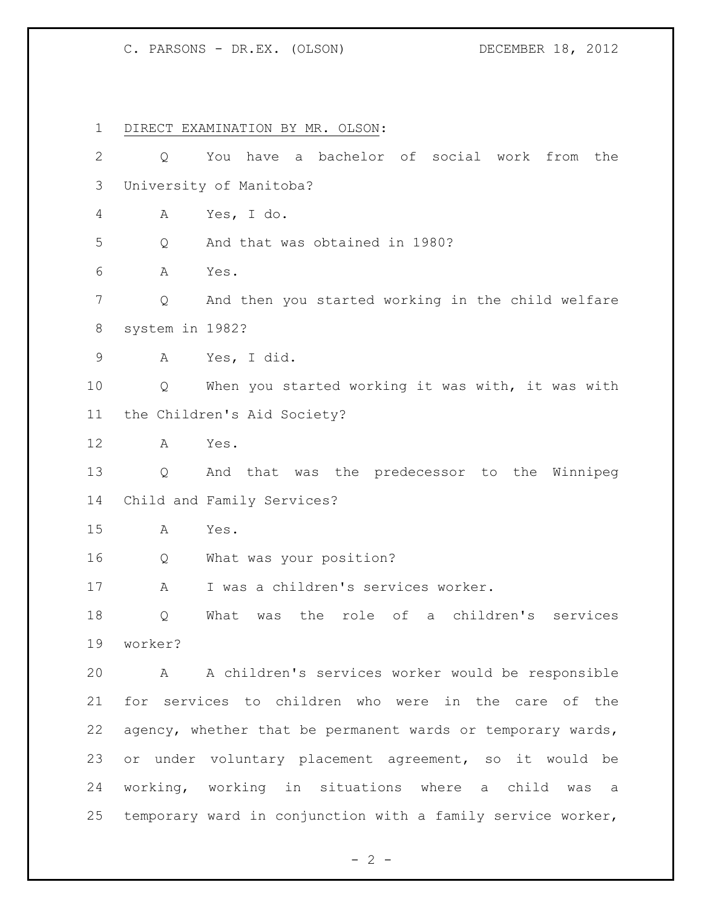DIRECT EXAMINATION BY MR. OLSON: Q You have a bachelor of social work from the University of Manitoba? A Yes, I do. Q And that was obtained in 1980? A Yes. Q And then you started working in the child welfare system in 1982? A Yes, I did. Q When you started working it was with, it was with the Children's Aid Society? A Yes. Q And that was the predecessor to the Winnipeg Child and Family Services? A Yes. Q What was your position? A I was a children's services worker. Q What was the role of a children's services worker? A A children's services worker would be responsible for services to children who were in the care of the agency, whether that be permanent wards or temporary wards, or under voluntary placement agreement, so it would be working, working in situations where a child was a temporary ward in conjunction with a family service worker,

 $- 2 -$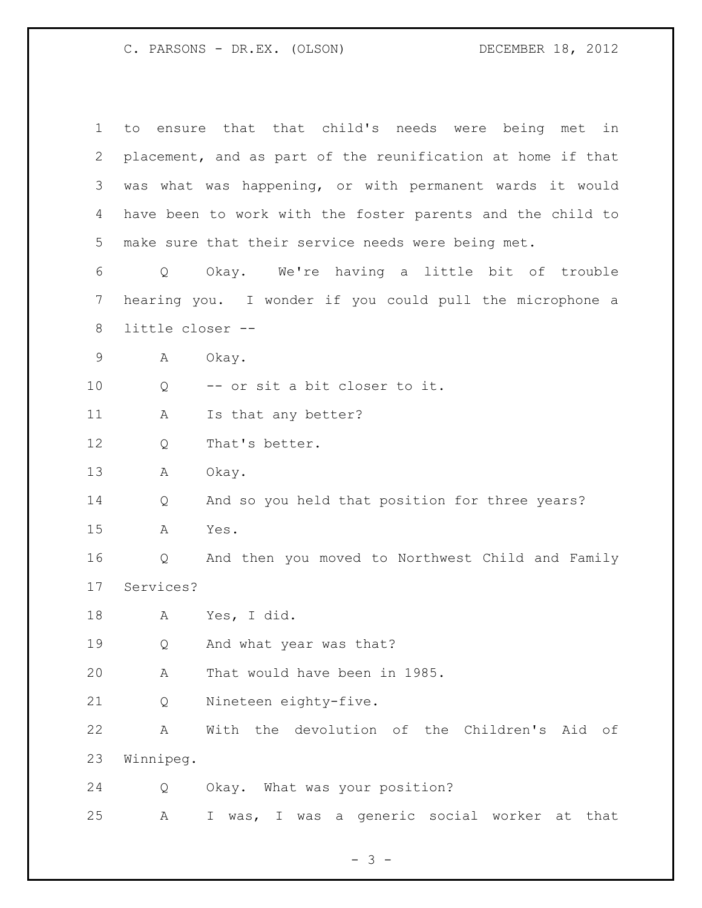to ensure that that child's needs were being met in placement, and as part of the reunification at home if that was what was happening, or with permanent wards it would have been to work with the foster parents and the child to make sure that their service needs were being met. Q Okay. We're having a little bit of trouble hearing you. I wonder if you could pull the microphone a little closer -- A Okay. Q -- or sit a bit closer to it. 11 A Is that any better? Q That's better. A Okay. Q And so you held that position for three years? A Yes. Q And then you moved to Northwest Child and Family Services? A Yes, I did. Q And what year was that? A That would have been in 1985. Q Nineteen eighty-five. A With the devolution of the Children's Aid of Winnipeg. Q Okay. What was your position? A I was, I was a generic social worker at that

- 3 -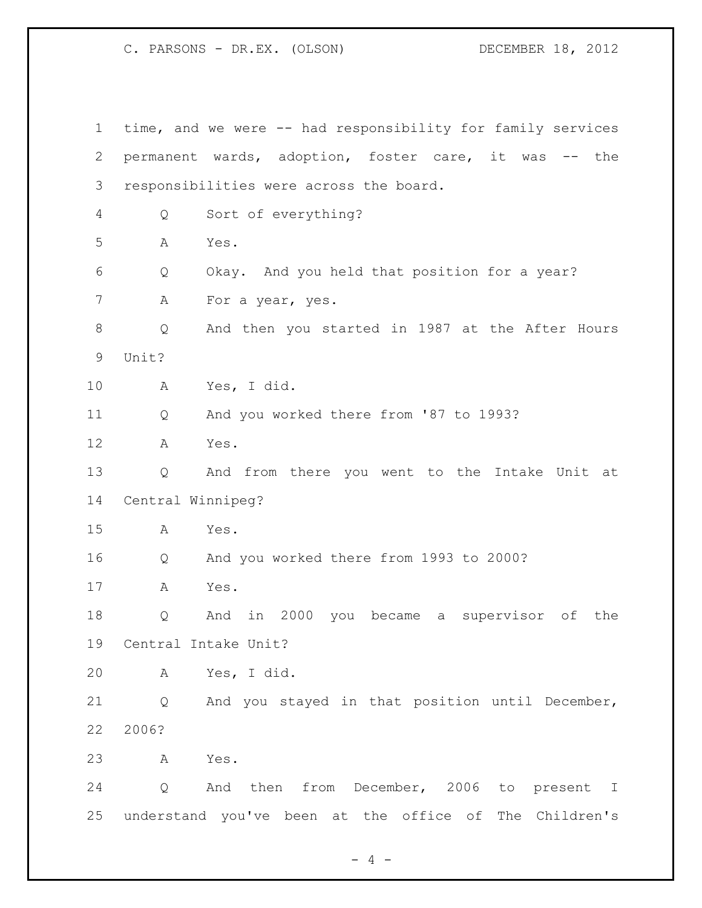time, and we were -- had responsibility for family services permanent wards, adoption, foster care, it was -- the responsibilities were across the board. Q Sort of everything? A Yes. Q Okay. And you held that position for a year? 7 A For a year, yes. Q And then you started in 1987 at the After Hours Unit? A Yes, I did. Q And you worked there from '87 to 1993? A Yes. Q And from there you went to the Intake Unit at Central Winnipeg? A Yes. Q And you worked there from 1993 to 2000? A Yes. Q And in 2000 you became a supervisor of the Central Intake Unit? A Yes, I did. Q And you stayed in that position until December, 2006? A Yes. Q And then from December, 2006 to present I understand you've been at the office of The Children's

 $- 4 -$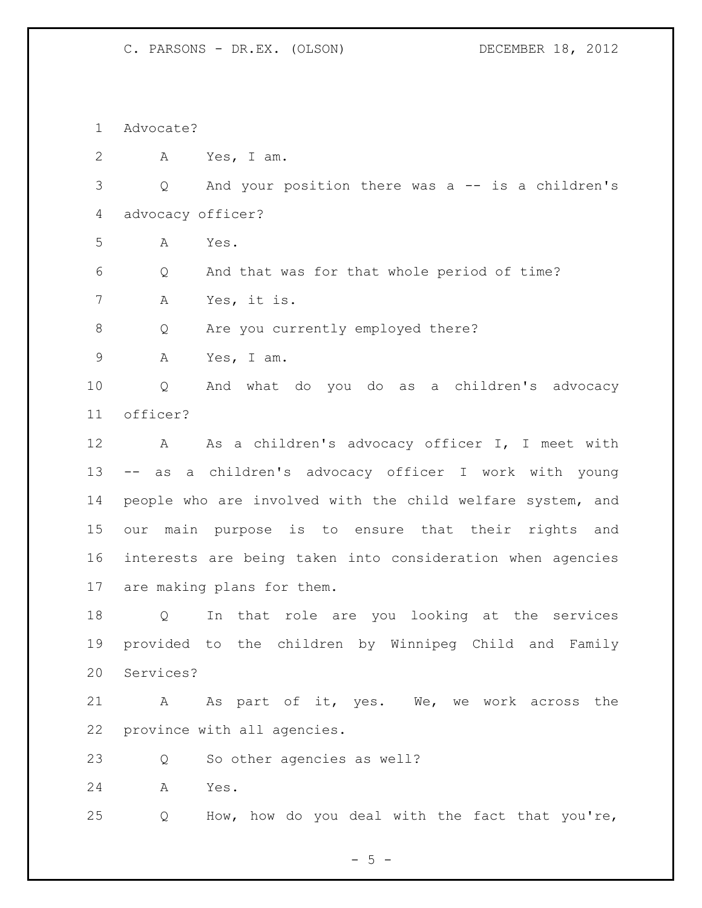Advocate?

A Yes, I am.

 Q And your position there was a -- is a children's advocacy officer?

A Yes.

 Q And that was for that whole period of time? A Yes, it is.

Q Are you currently employed there?

A Yes, I am.

 Q And what do you do as a children's advocacy officer?

 A As a children's advocacy officer I, I meet with -- as a children's advocacy officer I work with young people who are involved with the child welfare system, and our main purpose is to ensure that their rights and interests are being taken into consideration when agencies are making plans for them.

 Q In that role are you looking at the services provided to the children by Winnipeg Child and Family Services?

21 A As part of it, yes. We, we work across the province with all agencies.

Q So other agencies as well?

A Yes.

Q How, how do you deal with the fact that you're,

 $- 5 -$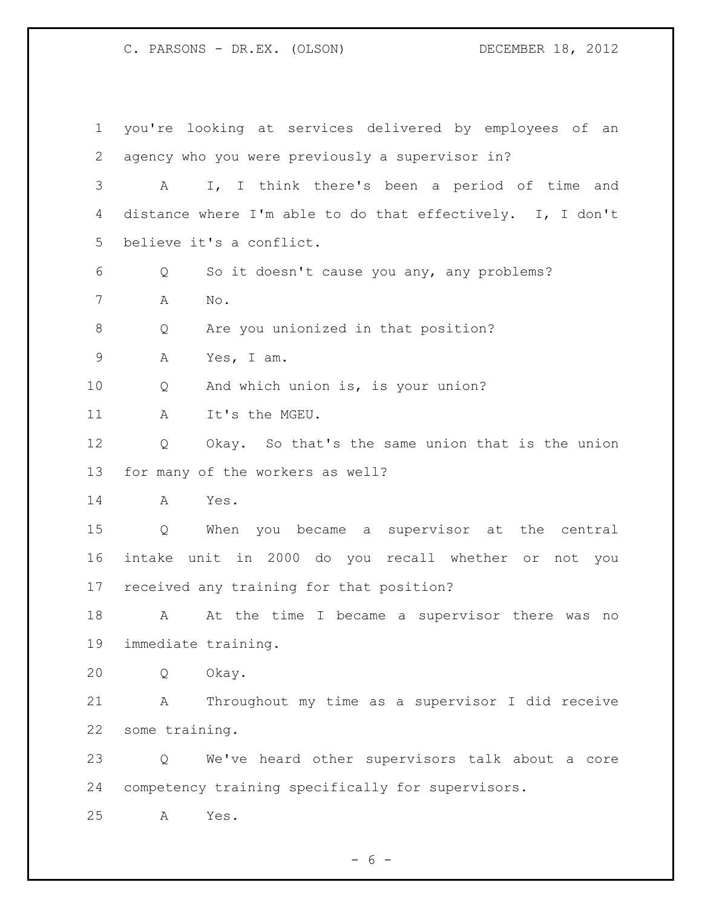you're looking at services delivered by employees of an agency who you were previously a supervisor in? A I, I think there's been a period of time and distance where I'm able to do that effectively. I, I don't believe it's a conflict. Q So it doesn't cause you any, any problems? A No. Q Are you unionized in that position? A Yes, I am. Q And which union is, is your union? 11 A It's the MGEU. Q Okay. So that's the same union that is the union for many of the workers as well? A Yes. Q When you became a supervisor at the central intake unit in 2000 do you recall whether or not you received any training for that position? 18 A At the time I became a supervisor there was no immediate training. Q Okay. A Throughout my time as a supervisor I did receive some training. Q We've heard other supervisors talk about a core competency training specifically for supervisors. A Yes.

 $- 6 -$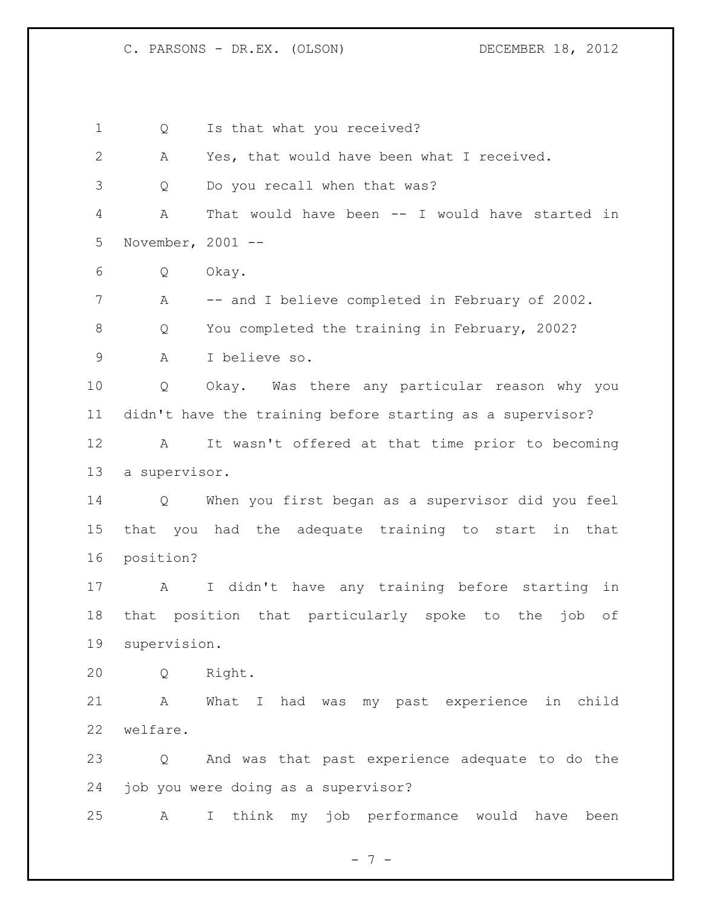1 Q Is that what you received? A Yes, that would have been what I received. Q Do you recall when that was? A That would have been -- I would have started in November, 2001 -- Q Okay. 7 A -- and I believe completed in February of 2002. 8 O You completed the training in February, 2002? A I believe so. Q Okay. Was there any particular reason why you didn't have the training before starting as a supervisor? A It wasn't offered at that time prior to becoming a supervisor. Q When you first began as a supervisor did you feel that you had the adequate training to start in that position? A I didn't have any training before starting in that position that particularly spoke to the job of supervision. Q Right. A What I had was my past experience in child welfare. Q And was that past experience adequate to do the job you were doing as a supervisor? A I think my job performance would have been

- 7 -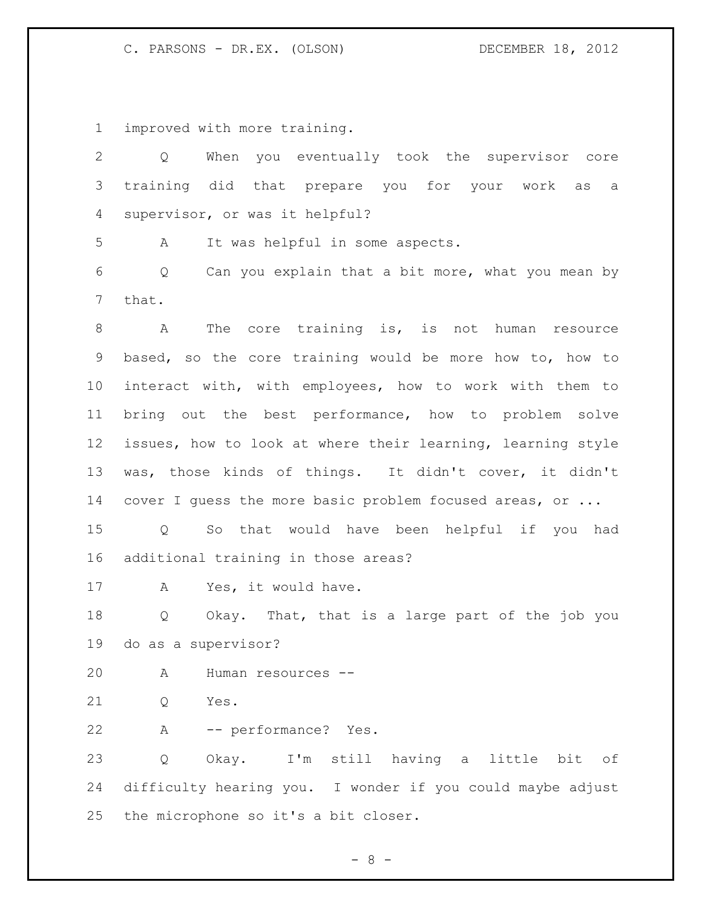improved with more training.

| $\overline{2}$ | When you eventually took the supervisor core<br>Q               |
|----------------|-----------------------------------------------------------------|
| 3              | training did<br>that prepare you for your work as<br>a          |
| 4              | supervisor, or was it helpful?                                  |
| 5              | It was helpful in some aspects.<br>A                            |
| 6              | Can you explain that a bit more, what you mean by<br>Q          |
| 7              | that.                                                           |
| 8              | The core training is, is not human<br>A<br>resource             |
| 9              | based, so the core training would be more how to, how to        |
| 10             | interact with, with employees, how to work with them to         |
| 11             | bring out the best performance, how to problem solve            |
| 12             | issues, how to look at where their learning, learning style     |
| 13             | was, those kinds of things. It didn't cover, it didn't          |
| 14             | cover I quess the more basic problem focused areas, or          |
| 15             | So that would have been helpful if you had<br>$Q \qquad \qquad$ |
| 16             | additional training in those areas?                             |
| 17             | Yes, it would have.<br>A                                        |
| 18             | Okay. That, that is a large part of the job you<br>Q            |
| 19             | do as a supervisor?                                             |
| 20             | Human resources --<br>A                                         |
| 21             | Yes.<br>Q                                                       |
| 22             | -- performance? Yes.<br>A                                       |
| 23             | Okay. I'm still having a little bit<br>Q<br>of                  |
| 24             | difficulty hearing you. I wonder if you could maybe adjust      |
| 25             | the microphone so it's a bit closer.                            |

- 8 -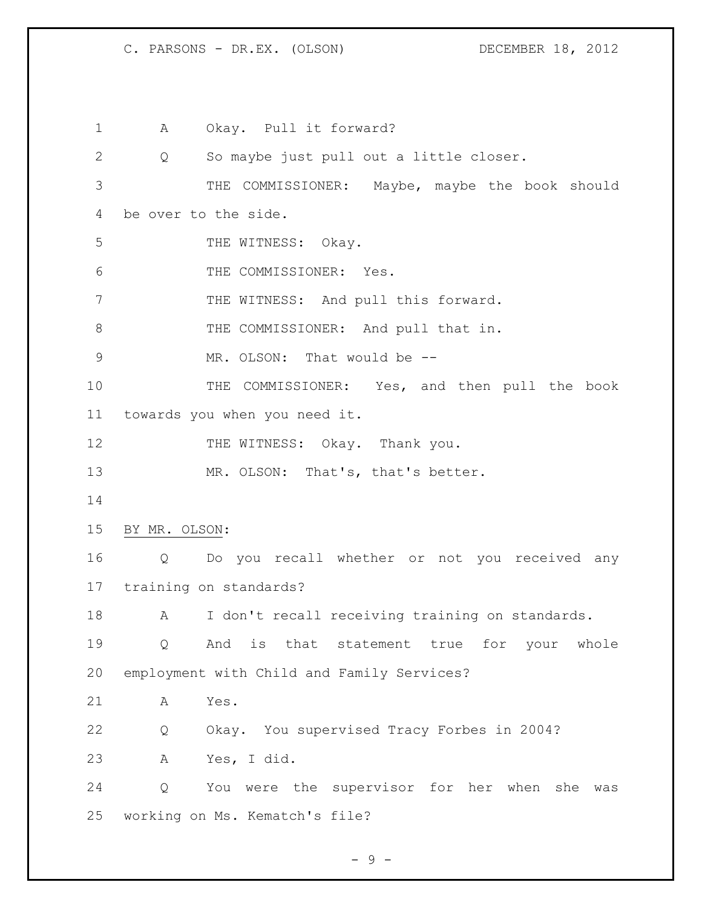A Okay. Pull it forward? Q So maybe just pull out a little closer. THE COMMISSIONER: Maybe, maybe the book should be over to the side. 5 THE WITNESS: Okay. THE COMMISSIONER: Yes. 7 THE WITNESS: And pull this forward. 8 THE COMMISSIONER: And pull that in. 9 MR. OLSON: That would be -- THE COMMISSIONER: Yes, and then pull the book towards you when you need it. 12 THE WITNESS: Okay. Thank you. 13 MR. OLSON: That's, that's better. BY MR. OLSON: Q Do you recall whether or not you received any training on standards? 18 A I don't recall receiving training on standards. Q And is that statement true for your whole employment with Child and Family Services? A Yes. Q Okay. You supervised Tracy Forbes in 2004? A Yes, I did. Q You were the supervisor for her when she was working on Ms. Kematch's file?

- 9 -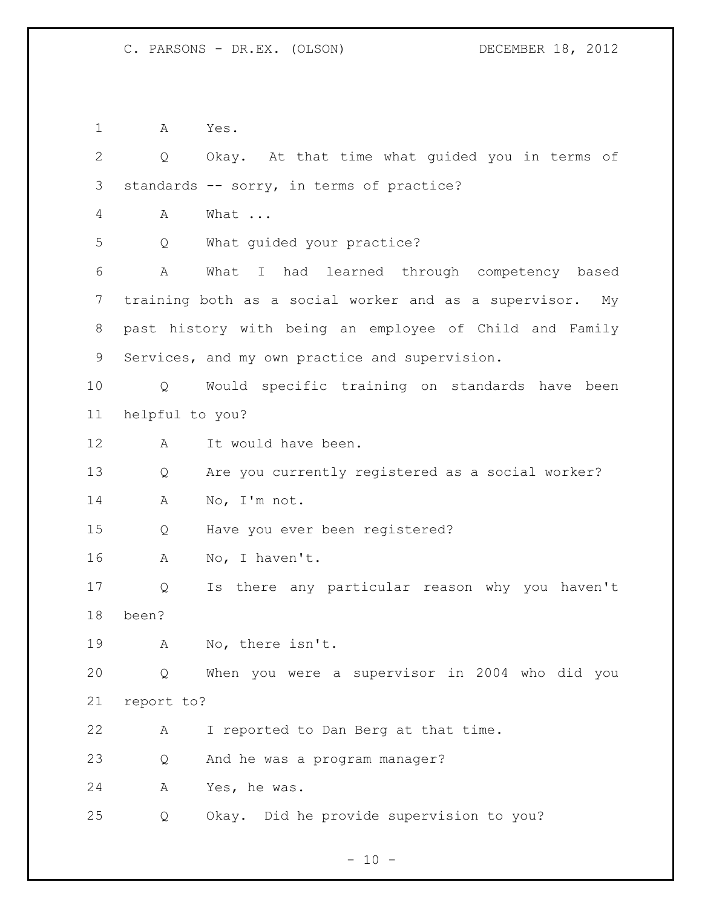A Yes.

| $\mathbf{2}$   | Q                 | Okay. At that time what guided you in terms of           |
|----------------|-------------------|----------------------------------------------------------|
| 3              |                   | standards -- sorry, in terms of practice?                |
| 4              | A                 | What                                                     |
| 5              | Q                 | What guided your practice?                               |
| 6              | A                 | What I had learned through competency based              |
| $\overline{7}$ |                   | training both as a social worker and as a supervisor. My |
| 8              |                   | past history with being an employee of Child and Family  |
| 9              |                   | Services, and my own practice and supervision.           |
| 10             | $Q \qquad \qquad$ | Would specific training on standards have been           |
| 11             | helpful to you?   |                                                          |
| 12             | Α                 | It would have been.                                      |
| 13             | Q                 | Are you currently registered as a social worker?         |
| 14             | A                 | No, I'm not.                                             |
| 15             | Q                 | Have you ever been registered?                           |
| 16             | Α                 | No, I haven't.                                           |
| 17             | Q                 | Is there any particular reason why you haven't           |
| 18             | been?             |                                                          |
| 19             | A                 | No, there isn't.                                         |
| 20             | Q                 | When you were a supervisor in 2004 who did you           |
| 21             | report to?        |                                                          |
| 22             | Α                 | I reported to Dan Berg at that time.                     |
| 23             | Q                 | And he was a program manager?                            |
| 24             | Α                 | Yes, he was.                                             |
| 25             | Q                 | Okay. Did he provide supervision to you?                 |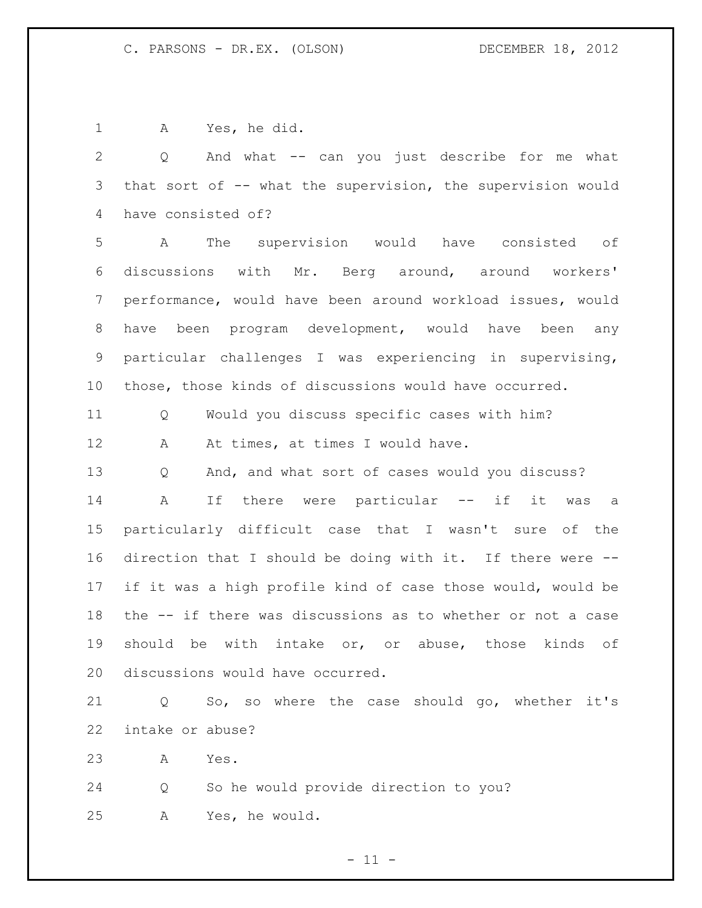A Yes, he did.

 Q And what -- can you just describe for me what that sort of -- what the supervision, the supervision would have consisted of? A The supervision would have consisted of discussions with Mr. Berg around, around workers' performance, would have been around workload issues, would have been program development, would have been any particular challenges I was experiencing in supervising, those, those kinds of discussions would have occurred. Q Would you discuss specific cases with him? 12 A At times, at times I would have. Q And, and what sort of cases would you discuss? A If there were particular -- if it was a particularly difficult case that I wasn't sure of the direction that I should be doing with it. If there were -- if it was a high profile kind of case those would, would be the -- if there was discussions as to whether or not a case should be with intake or, or abuse, those kinds of discussions would have occurred. Q So, so where the case should go, whether it's intake or abuse? A Yes. Q So he would provide direction to you? A Yes, he would.

 $-11 -$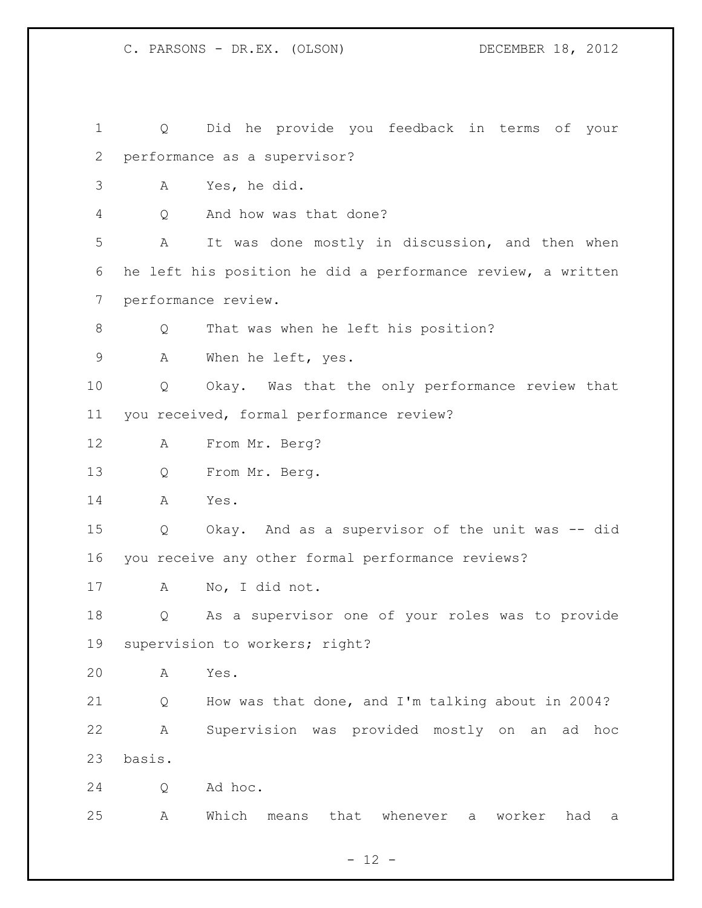Q Did he provide you feedback in terms of your performance as a supervisor? A Yes, he did. Q And how was that done? A It was done mostly in discussion, and then when he left his position he did a performance review, a written performance review. 8 Q That was when he left his position? A When he left, yes. Q Okay. Was that the only performance review that you received, formal performance review? A From Mr. Berg? Q From Mr. Berg. A Yes. Q Okay. And as a supervisor of the unit was -- did you receive any other formal performance reviews? A No, I did not. Q As a supervisor one of your roles was to provide supervision to workers; right? A Yes. Q How was that done, and I'm talking about in 2004? A Supervision was provided mostly on an ad hoc basis. Q Ad hoc. A Which means that whenever a worker had a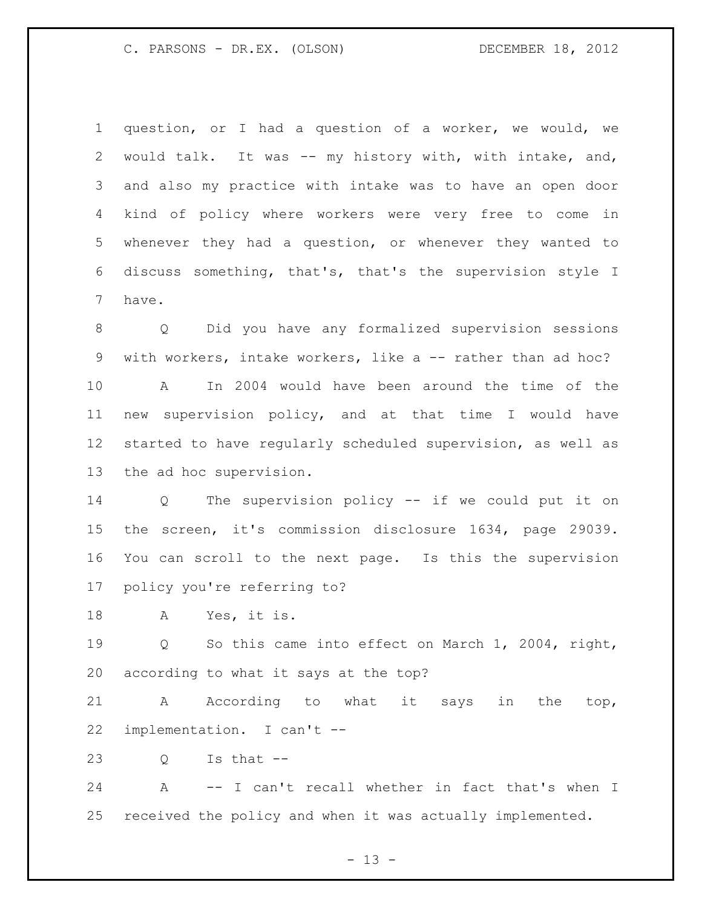question, or I had a question of a worker, we would, we would talk. It was -- my history with, with intake, and, and also my practice with intake was to have an open door kind of policy where workers were very free to come in whenever they had a question, or whenever they wanted to discuss something, that's, that's the supervision style I have.

 Q Did you have any formalized supervision sessions with workers, intake workers, like a -- rather than ad hoc? A In 2004 would have been around the time of the new supervision policy, and at that time I would have started to have regularly scheduled supervision, as well as the ad hoc supervision.

 Q The supervision policy -- if we could put it on the screen, it's commission disclosure 1634, page 29039. You can scroll to the next page. Is this the supervision policy you're referring to?

A Yes, it is.

 Q So this came into effect on March 1, 2004, right, according to what it says at the top?

 A According to what it says in the top, implementation. I can't --

 $23 \qquad \qquad$  O Is that  $-$ 

 A -- I can't recall whether in fact that's when I received the policy and when it was actually implemented.

 $- 13 -$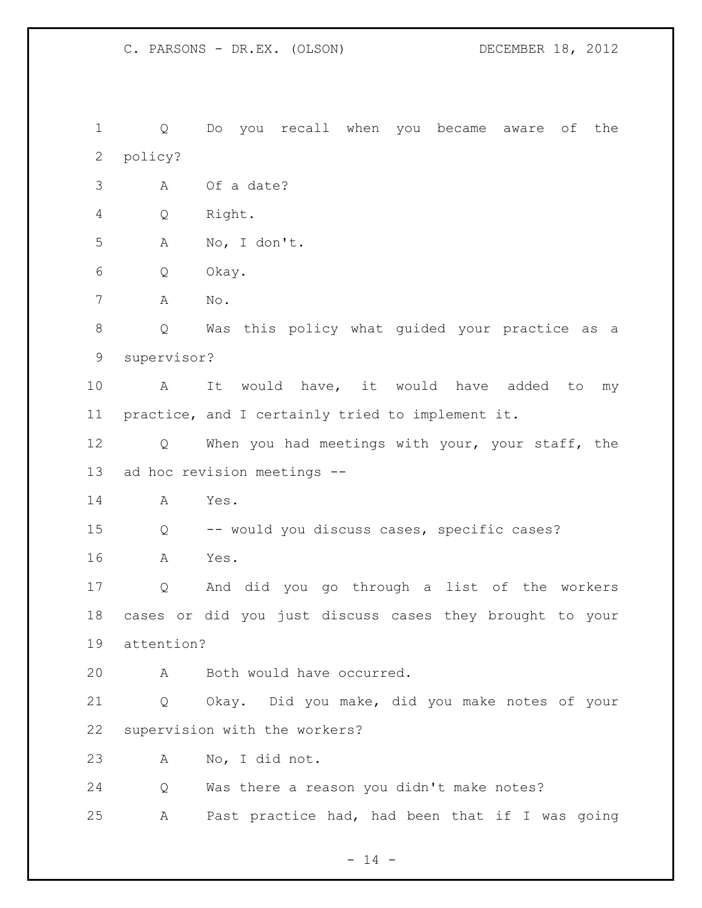Q Do you recall when you became aware of the policy? A Of a date? Q Right. A No, I don't. Q Okay. A No. Q Was this policy what guided your practice as a supervisor? A It would have, it would have added to my practice, and I certainly tried to implement it. Q When you had meetings with your, your staff, the ad hoc revision meetings -- A Yes. Q -- would you discuss cases, specific cases? A Yes. Q And did you go through a list of the workers cases or did you just discuss cases they brought to your attention? A Both would have occurred. Q Okay. Did you make, did you make notes of your supervision with the workers? A No, I did not. Q Was there a reason you didn't make notes? A Past practice had, had been that if I was going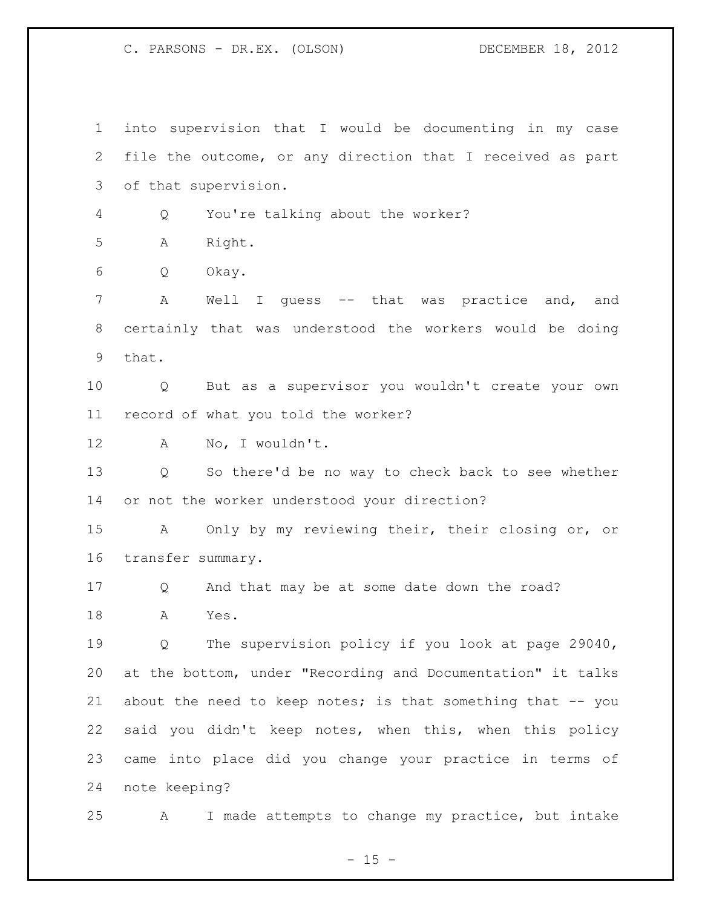into supervision that I would be documenting in my case file the outcome, or any direction that I received as part of that supervision. Q You're talking about the worker? A Right. Q Okay. A Well I guess -- that was practice and, and certainly that was understood the workers would be doing that. Q But as a supervisor you wouldn't create your own record of what you told the worker? A No, I wouldn't. Q So there'd be no way to check back to see whether or not the worker understood your direction? A Only by my reviewing their, their closing or, or transfer summary. Q And that may be at some date down the road? A Yes. Q The supervision policy if you look at page 29040, at the bottom, under "Recording and Documentation" it talks 21 about the need to keep notes; is that something that -- you said you didn't keep notes, when this, when this policy came into place did you change your practice in terms of note keeping? A I made attempts to change my practice, but intake

 $- 15 -$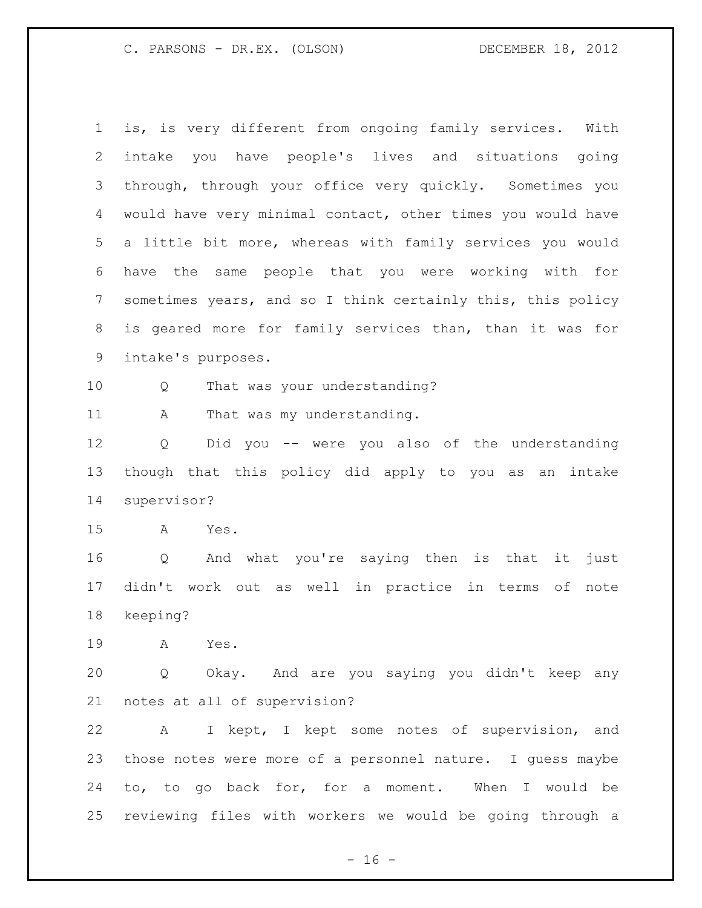is, is very different from ongoing family services. With intake you have people's lives and situations going through, through your office very quickly. Sometimes you would have very minimal contact, other times you would have a little bit more, whereas with family services you would have the same people that you were working with for sometimes years, and so I think certainly this, this policy is geared more for family services than, than it was for intake's purposes. Q That was your understanding? 11 A That was my understanding. Q Did you -- were you also of the understanding though that this policy did apply to you as an intake supervisor? A Yes. Q And what you're saying then is that it just didn't work out as well in practice in terms of note keeping? A Yes. Q Okay. And are you saying you didn't keep any notes at all of supervision? A I kept, I kept some notes of supervision, and those notes were more of a personnel nature. I guess maybe to, to go back for, for a moment. When I would be reviewing files with workers we would be going through a

 $- 16 -$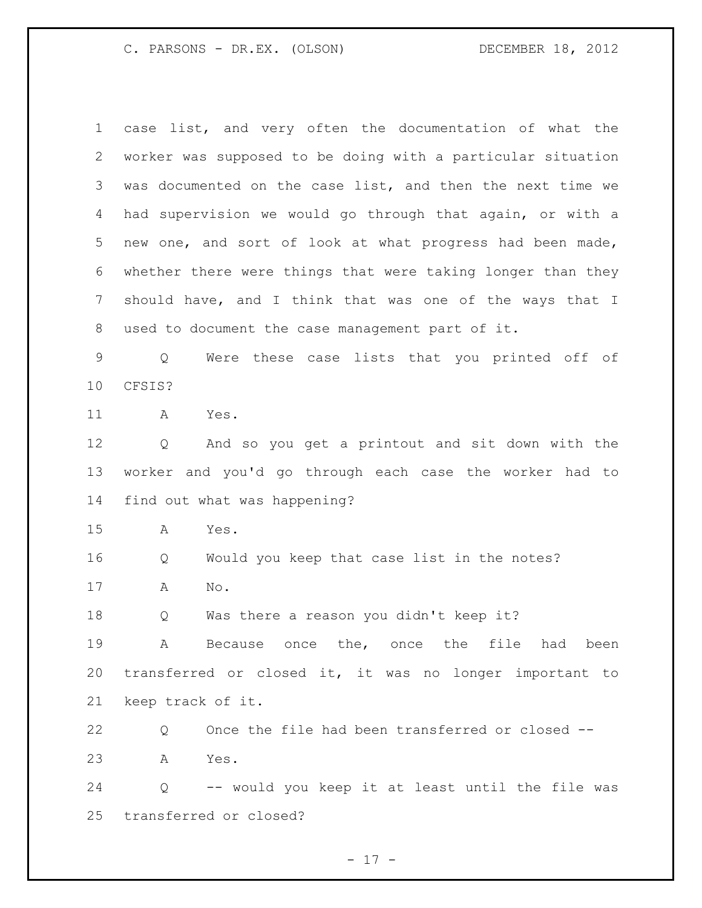case list, and very often the documentation of what the worker was supposed to be doing with a particular situation was documented on the case list, and then the next time we had supervision we would go through that again, or with a new one, and sort of look at what progress had been made, whether there were things that were taking longer than they should have, and I think that was one of the ways that I used to document the case management part of it.

 Q Were these case lists that you printed off of CFSIS?

A Yes.

 Q And so you get a printout and sit down with the worker and you'd go through each case the worker had to find out what was happening?

A Yes.

Q Would you keep that case list in the notes?

A No.

Q Was there a reason you didn't keep it?

 A Because once the, once the file had been transferred or closed it, it was no longer important to keep track of it.

 Q Once the file had been transferred or closed -- A Yes.

 Q -- would you keep it at least until the file was transferred or closed?

- 17 -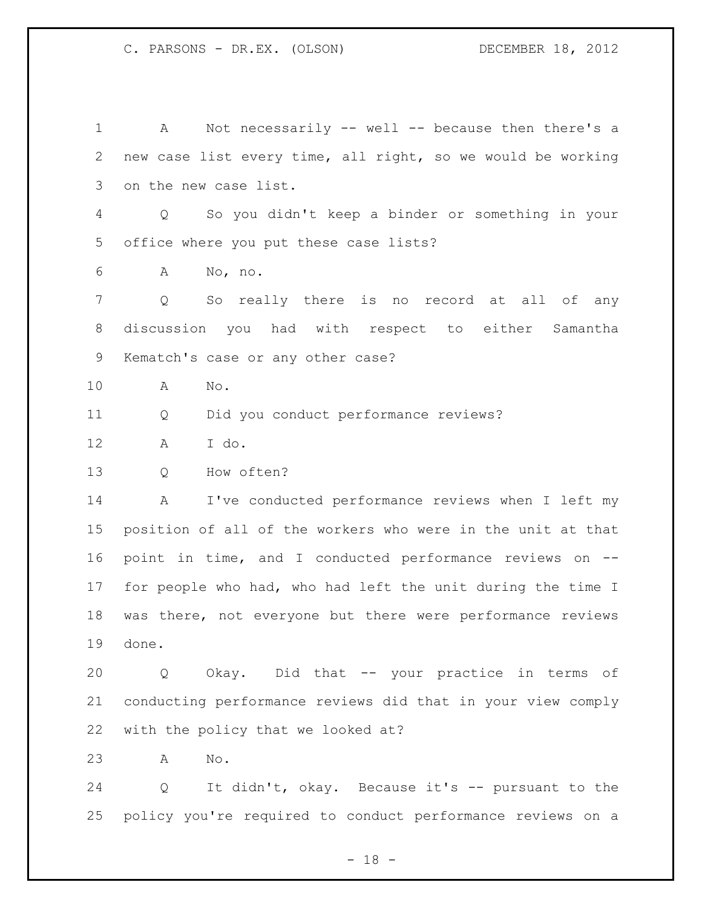A Not necessarily -- well -- because then there's a new case list every time, all right, so we would be working on the new case list. Q So you didn't keep a binder or something in your office where you put these case lists? A No, no. Q So really there is no record at all of any discussion you had with respect to either Samantha Kematch's case or any other case? A No. Q Did you conduct performance reviews? A I do. Q How often? A I've conducted performance reviews when I left my position of all of the workers who were in the unit at that point in time, and I conducted performance reviews on -- for people who had, who had left the unit during the time I was there, not everyone but there were performance reviews done. Q Okay. Did that -- your practice in terms of conducting performance reviews did that in your view comply with the policy that we looked at? A No. Q It didn't, okay. Because it's -- pursuant to the policy you're required to conduct performance reviews on a

 $- 18 -$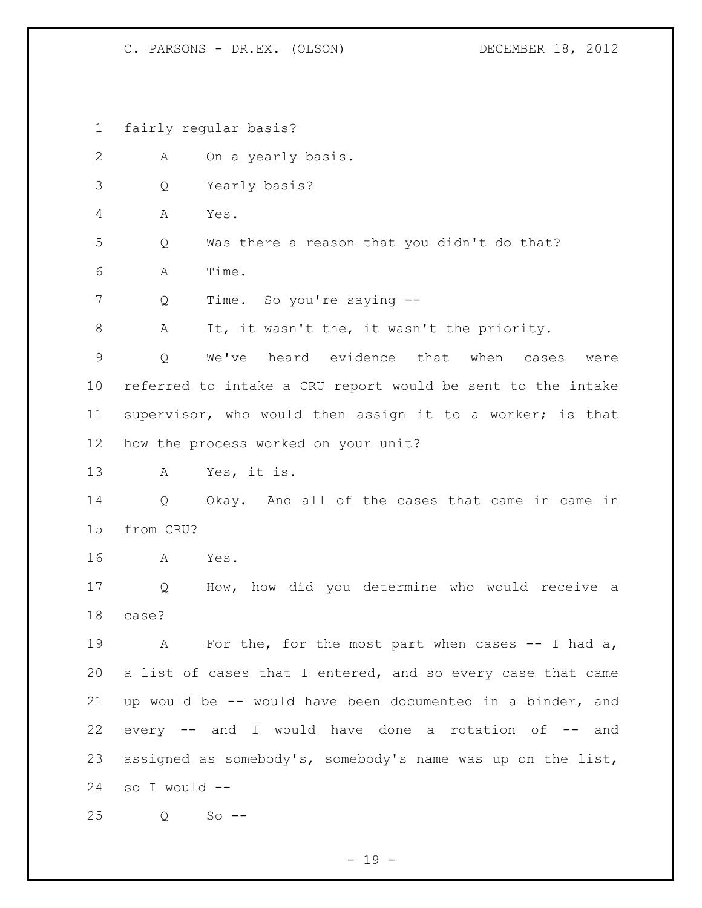fairly regular basis?

| 2               | А             | On a yearly basis.                                          |
|-----------------|---------------|-------------------------------------------------------------|
| 3               | Q             | Yearly basis?                                               |
| 4               | А             | Yes.                                                        |
| 5               | Q             | Was there a reason that you didn't do that?                 |
| 6               | Α             | Time.                                                       |
| 7               | Q             | Time. So you're saying --                                   |
| $8\,$           | Α             | It, it wasn't the, it wasn't the priority.                  |
| 9               | Q             | We've heard evidence that<br>when<br>cases<br>were          |
| 10 <sub>o</sub> |               | referred to intake a CRU report would be sent to the intake |
| 11              |               | supervisor, who would then assign it to a worker; is that   |
| 12              |               | how the process worked on your unit?                        |
| 13              | А             | Yes, it is.                                                 |
| 14              | Q             | Okay. And all of the cases that came in came in             |
| 15              | from CRU?     |                                                             |
| 16              | А             | Yes.                                                        |
| 17              | Q             | How, how did you determine who would receive a              |
| 18              | case?         |                                                             |
| 19              | Α             | For the, for the most part when cases $-$ I had a,          |
| 20              |               | a list of cases that I entered, and so every case that came |
| 21              |               | up would be -- would have been documented in a binder, and  |
| 22              |               | every -- and I would have done a rotation of -- and         |
| 23              |               | assigned as somebody's, somebody's name was up on the list, |
| 24              | so I would -- |                                                             |
| 25              | Q             | $So$ $--$                                                   |

- 19 -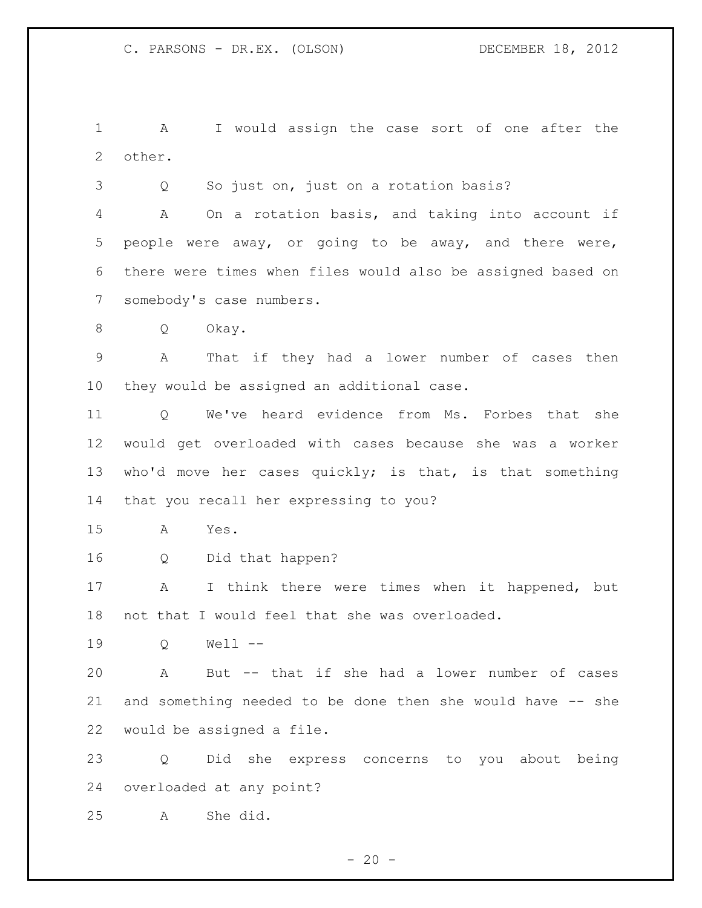A I would assign the case sort of one after the other.

Q So just on, just on a rotation basis?

 A On a rotation basis, and taking into account if people were away, or going to be away, and there were, there were times when files would also be assigned based on somebody's case numbers.

Q Okay.

 A That if they had a lower number of cases then they would be assigned an additional case.

 Q We've heard evidence from Ms. Forbes that she would get overloaded with cases because she was a worker 13 who'd move her cases quickly; is that, is that something that you recall her expressing to you?

A Yes.

Q Did that happen?

 A I think there were times when it happened, but not that I would feel that she was overloaded.

Q Well --

 A But -- that if she had a lower number of cases and something needed to be done then she would have -- she would be assigned a file.

 Q Did she express concerns to you about being overloaded at any point?

A She did.

 $- 20 -$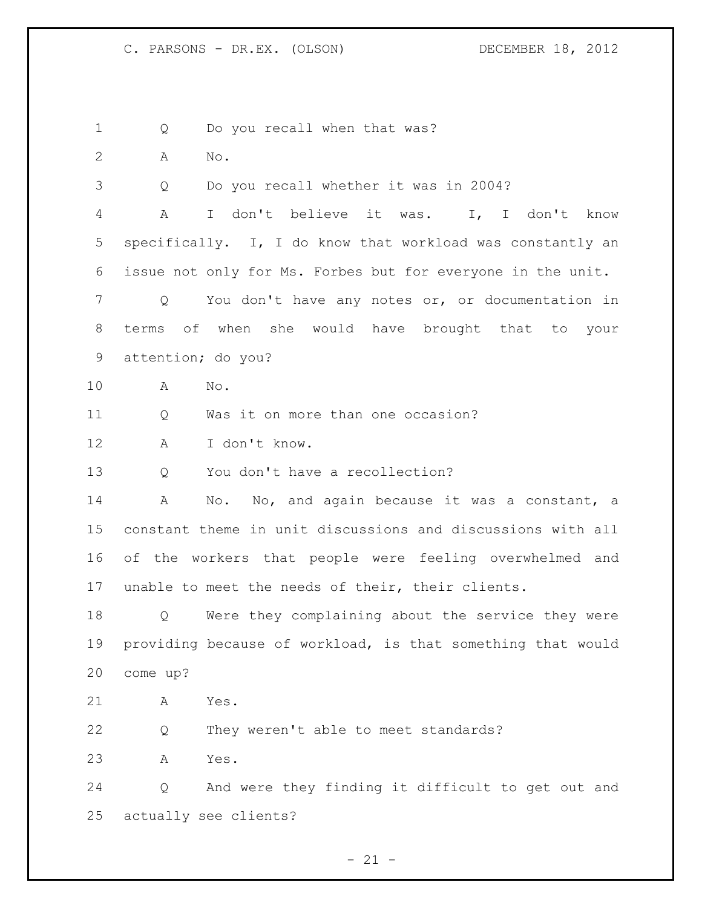1 Q Do you recall when that was?

A No.

Q Do you recall whether it was in 2004?

 A I don't believe it was. I, I don't know specifically. I, I do know that workload was constantly an issue not only for Ms. Forbes but for everyone in the unit.

 Q You don't have any notes or, or documentation in terms of when she would have brought that to your attention; do you?

A No.

Q Was it on more than one occasion?

A I don't know.

Q You don't have a recollection?

 A No. No, and again because it was a constant, a constant theme in unit discussions and discussions with all of the workers that people were feeling overwhelmed and unable to meet the needs of their, their clients.

 Q Were they complaining about the service they were providing because of workload, is that something that would come up?

A Yes.

Q They weren't able to meet standards?

A Yes.

 Q And were they finding it difficult to get out and actually see clients?

 $- 21 -$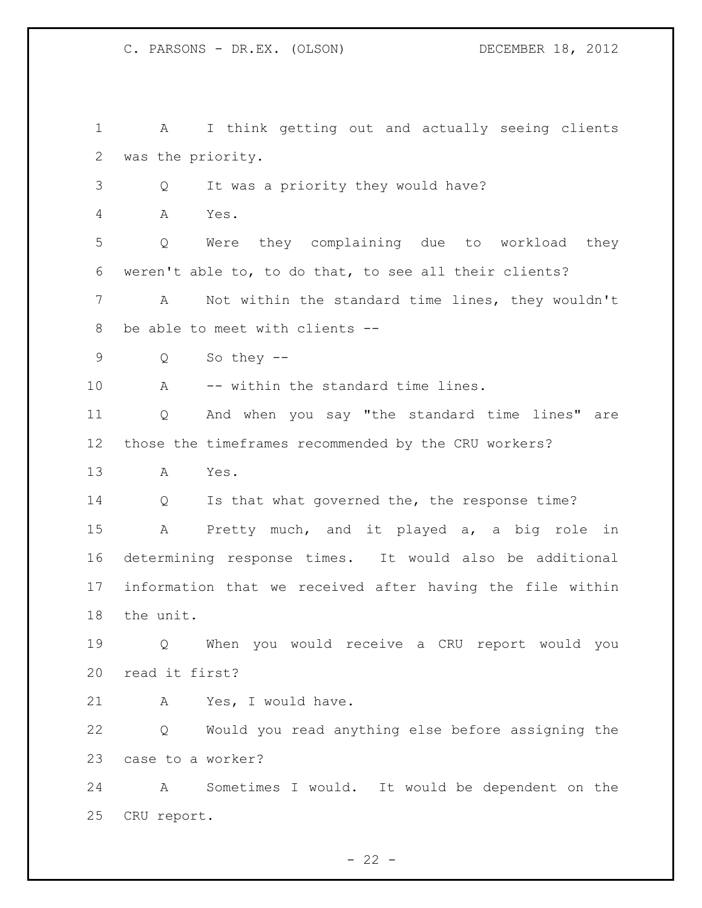A I think getting out and actually seeing clients was the priority. Q It was a priority they would have? A Yes. Q Were they complaining due to workload they weren't able to, to do that, to see all their clients? A Not within the standard time lines, they wouldn't be able to meet with clients -- Q So they -- 10 A -- within the standard time lines. Q And when you say "the standard time lines" are those the timeframes recommended by the CRU workers? A Yes. 14 Q Is that what governed the, the response time? A Pretty much, and it played a, a big role in determining response times. It would also be additional information that we received after having the file within the unit. Q When you would receive a CRU report would you read it first? A Yes, I would have. Q Would you read anything else before assigning the case to a worker? A Sometimes I would. It would be dependent on the CRU report.

 $- 22 -$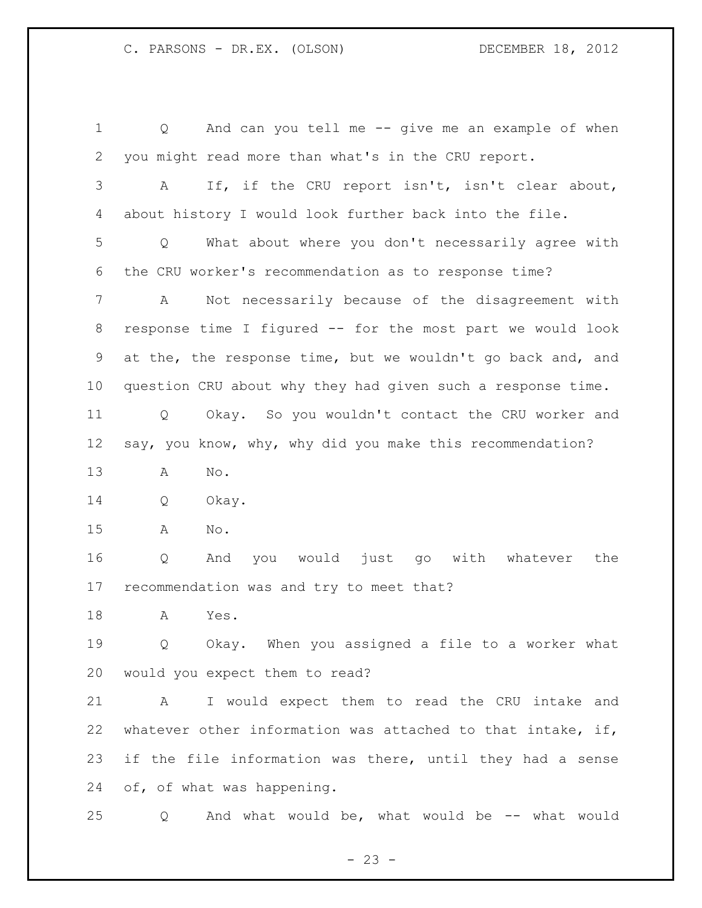Q And can you tell me -- give me an example of when you might read more than what's in the CRU report. A If, if the CRU report isn't, isn't clear about, about history I would look further back into the file. Q What about where you don't necessarily agree with the CRU worker's recommendation as to response time? A Not necessarily because of the disagreement with response time I figured -- for the most part we would look at the, the response time, but we wouldn't go back and, and question CRU about why they had given such a response time. Q Okay. So you wouldn't contact the CRU worker and say, you know, why, why did you make this recommendation? A No. Q Okay. A No. Q And you would just go with whatever the recommendation was and try to meet that? A Yes. Q Okay. When you assigned a file to a worker what would you expect them to read? A I would expect them to read the CRU intake and whatever other information was attached to that intake, if, if the file information was there, until they had a sense of, of what was happening. Q And what would be, what would be -- what would

 $- 23 -$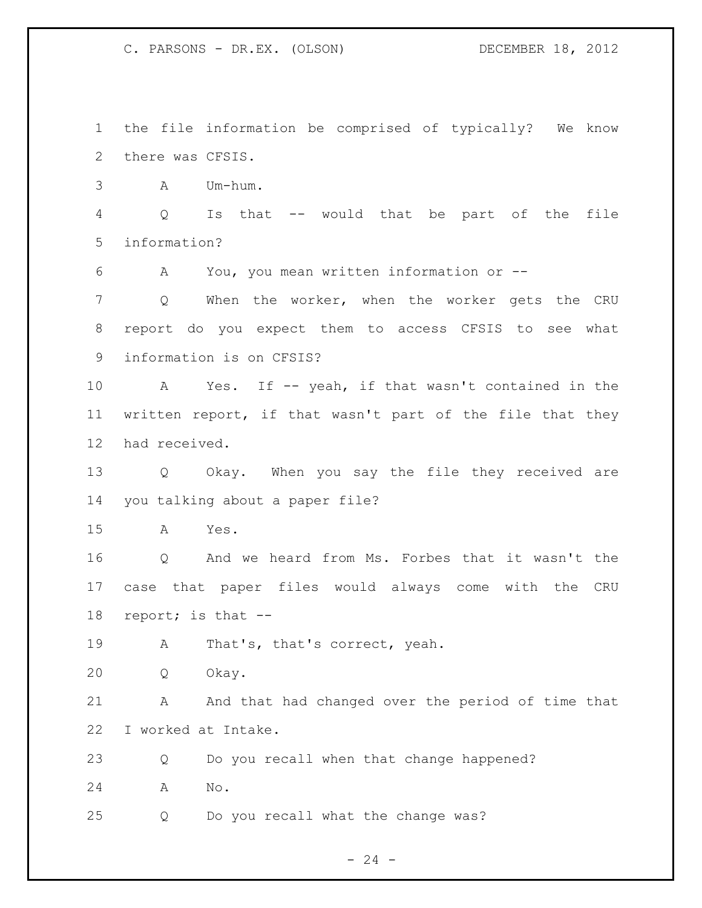the file information be comprised of typically? We know there was CFSIS.

A Um-hum.

 Q Is that -- would that be part of the file information?

A You, you mean written information or --

 Q When the worker, when the worker gets the CRU report do you expect them to access CFSIS to see what information is on CFSIS?

 A Yes. If -- yeah, if that wasn't contained in the written report, if that wasn't part of the file that they had received.

 Q Okay. When you say the file they received are you talking about a paper file?

A Yes.

 Q And we heard from Ms. Forbes that it wasn't the case that paper files would always come with the CRU report; is that --

A That's, that's correct, yeah.

Q Okay.

 A And that had changed over the period of time that I worked at Intake.

 Q Do you recall when that change happened? A No.

Q Do you recall what the change was?

 $- 24 -$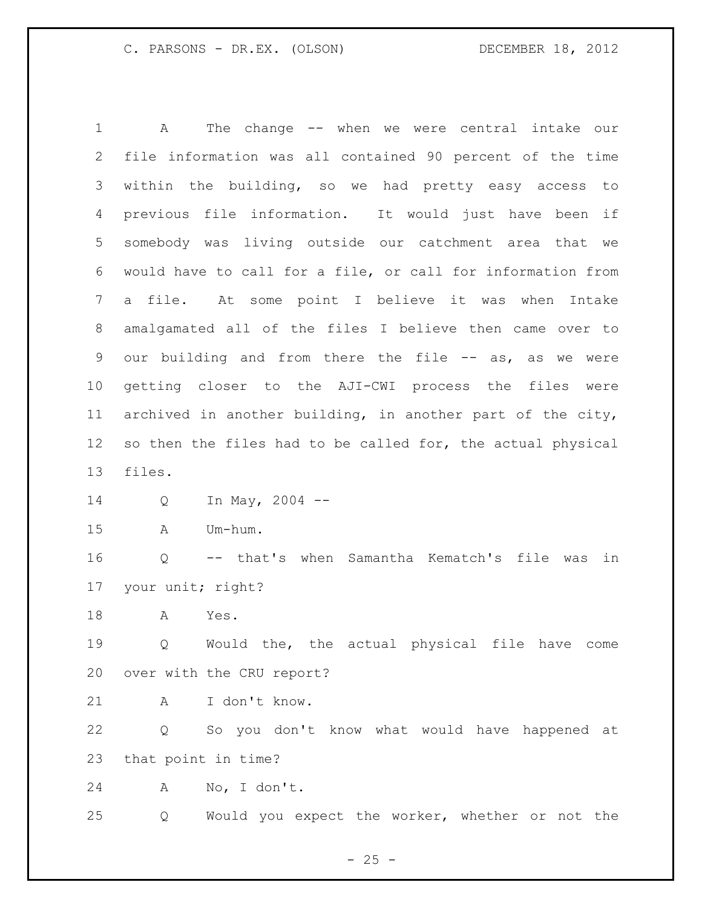A The change -- when we were central intake our file information was all contained 90 percent of the time within the building, so we had pretty easy access to previous file information. It would just have been if somebody was living outside our catchment area that we would have to call for a file, or call for information from a file. At some point I believe it was when Intake amalgamated all of the files I believe then came over to 9 our building and from there the file -- as, as we were getting closer to the AJI-CWI process the files were archived in another building, in another part of the city, so then the files had to be called for, the actual physical files. Q In May, 2004 -- A Um-hum. Q -- that's when Samantha Kematch's file was in your unit; right? A Yes. Q Would the, the actual physical file have come over with the CRU report? A I don't know. Q So you don't know what would have happened at

that point in time?

A No, I don't.

Q Would you expect the worker, whether or not the

 $- 25 -$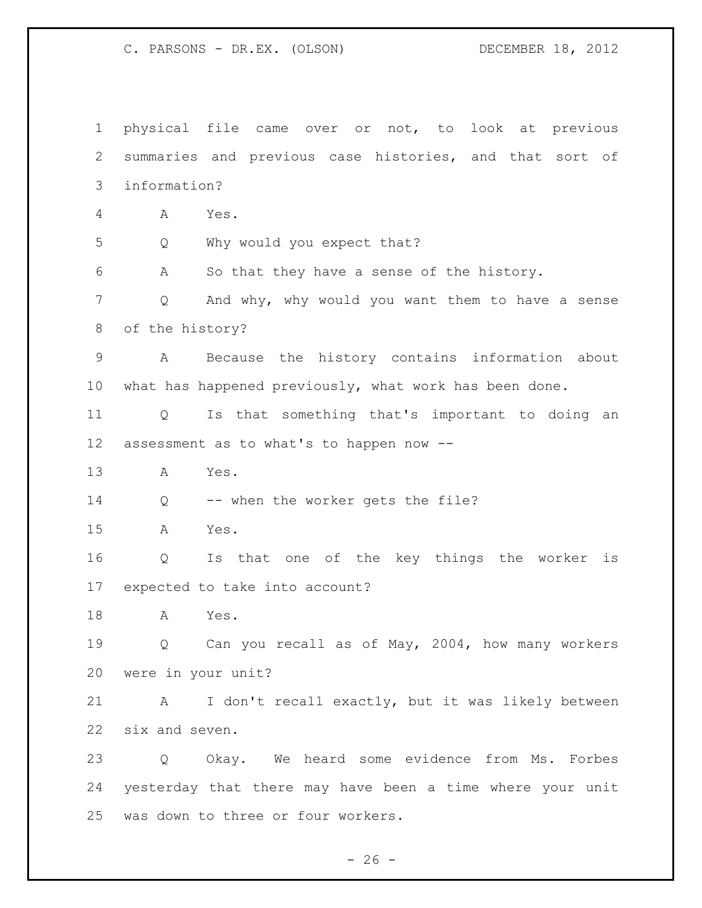physical file came over or not, to look at previous summaries and previous case histories, and that sort of information? A Yes. Q Why would you expect that? A So that they have a sense of the history. Q And why, why would you want them to have a sense of the history? A Because the history contains information about what has happened previously, what work has been done. Q Is that something that's important to doing an assessment as to what's to happen now -- A Yes. Q -- when the worker gets the file? A Yes. Q Is that one of the key things the worker is expected to take into account? A Yes. Q Can you recall as of May, 2004, how many workers were in your unit? A I don't recall exactly, but it was likely between six and seven. Q Okay. We heard some evidence from Ms. Forbes yesterday that there may have been a time where your unit was down to three or four workers.

 $- 26 -$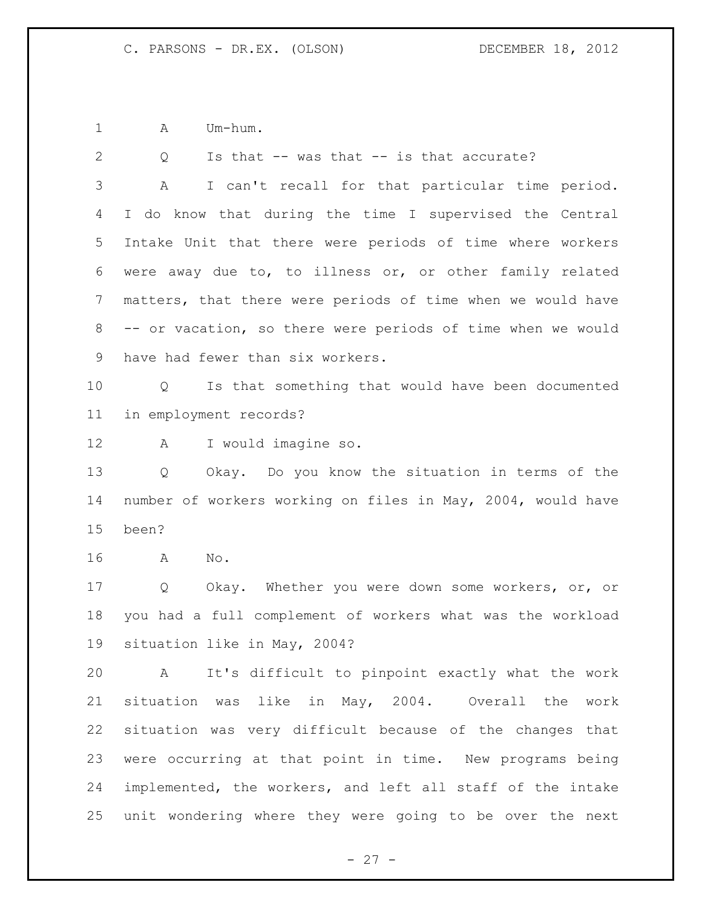A Um-hum.

| 2               | Is that $--$ was that $--$ is that accurate?<br>Q                      |
|-----------------|------------------------------------------------------------------------|
| 3               | I can't recall for that particular time period.<br>A                   |
| 4               | I do know that during the time I supervised the Central                |
| 5               | Intake Unit that there were periods of time where workers              |
| 6               | were away due to, to illness or, or other family related               |
| $7\phantom{.0}$ | matters, that there were periods of time when we would have            |
| 8               | -- or vacation, so there were periods of time when we would            |
| 9               | have had fewer than six workers.                                       |
| 10 <sub>o</sub> | Is that something that would have been documented<br>$Q \qquad \qquad$ |
| 11              | in employment records?                                                 |
| 12              | I would imagine so.<br>A                                               |
| 13              | Okay. Do you know the situation in terms of the<br>Q                   |
| 14              | number of workers working on files in May, 2004, would have            |
| 15              | been?                                                                  |
| 16              | No.<br>A                                                               |
| 17              | Q Okay. Whether you were down some workers, or, or                     |
| 18              | you had a full complement of workers what was the workload             |
| 19              | situation like in May, 2004?                                           |
| 20              | A It's difficult to pinpoint exactly what the work                     |
| 21              | situation was like in May, 2004. Overall the<br>work                   |
| 22              | situation was very difficult because of the changes that               |
| 23              | were occurring at that point in time. New programs being               |
| 24              |                                                                        |
|                 | implemented, the workers, and left all staff of the intake             |

- 27 -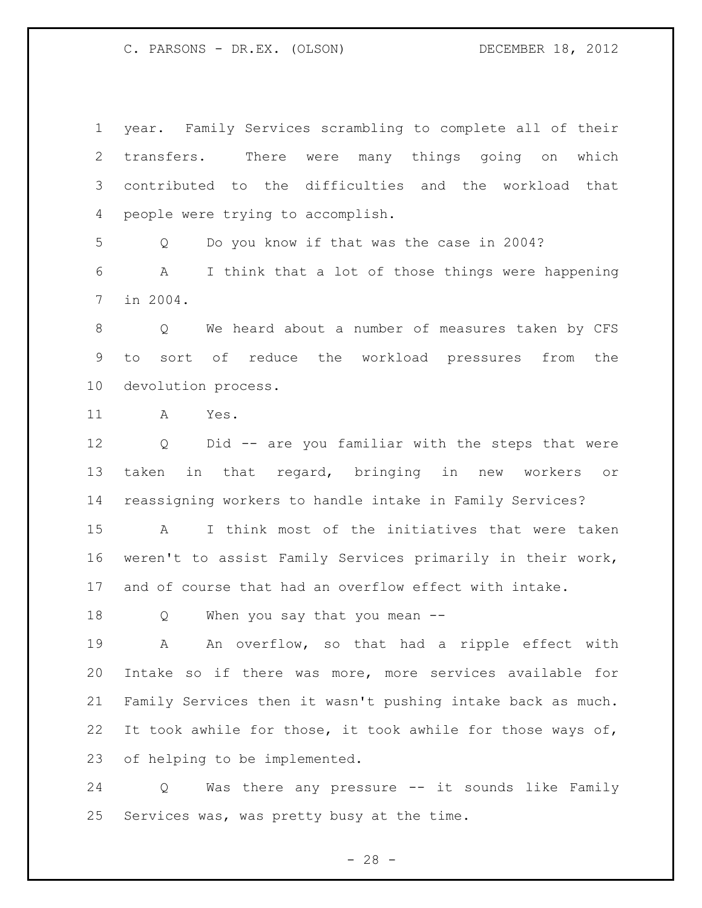year. Family Services scrambling to complete all of their transfers. There were many things going on which contributed to the difficulties and the workload that people were trying to accomplish. Q Do you know if that was the case in 2004? A I think that a lot of those things were happening in 2004. Q We heard about a number of measures taken by CFS to sort of reduce the workload pressures from the devolution process. A Yes. Q Did -- are you familiar with the steps that were taken in that regard, bringing in new workers or reassigning workers to handle intake in Family Services? A I think most of the initiatives that were taken weren't to assist Family Services primarily in their work, and of course that had an overflow effect with intake. Q When you say that you mean -- 19 A An overflow, so that had a ripple effect with Intake so if there was more, more services available for Family Services then it wasn't pushing intake back as much. It took awhile for those, it took awhile for those ways of, of helping to be implemented.

 Q Was there any pressure -- it sounds like Family Services was, was pretty busy at the time.

 $- 28 -$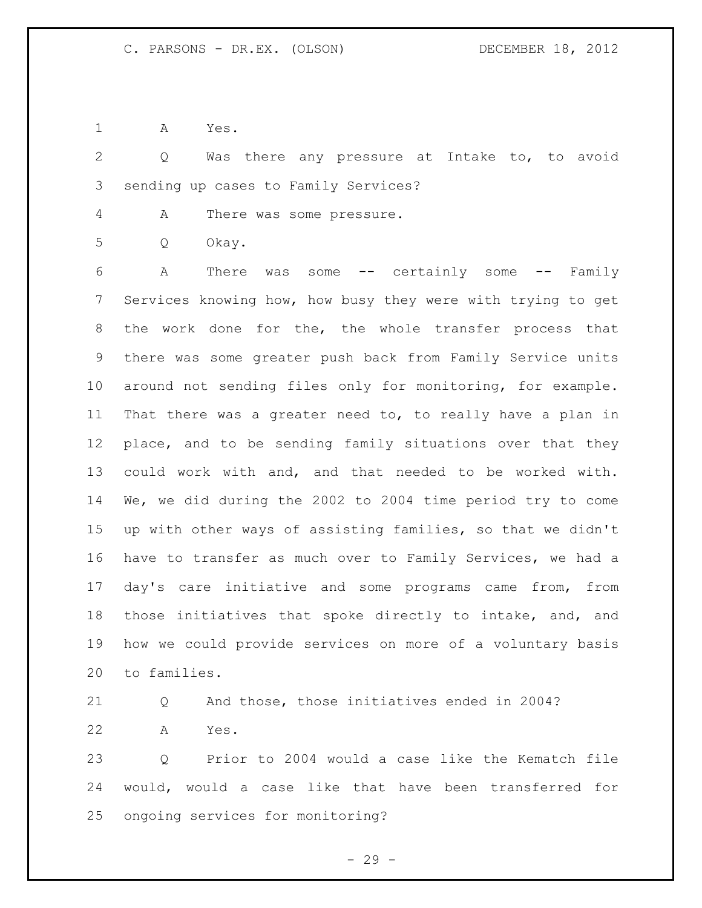A Yes.

 Q Was there any pressure at Intake to, to avoid sending up cases to Family Services?

A There was some pressure.

Q Okay.

 A There was some -- certainly some -- Family Services knowing how, how busy they were with trying to get the work done for the, the whole transfer process that there was some greater push back from Family Service units around not sending files only for monitoring, for example. That there was a greater need to, to really have a plan in place, and to be sending family situations over that they could work with and, and that needed to be worked with. We, we did during the 2002 to 2004 time period try to come up with other ways of assisting families, so that we didn't have to transfer as much over to Family Services, we had a day's care initiative and some programs came from, from those initiatives that spoke directly to intake, and, and how we could provide services on more of a voluntary basis to families.

 Q And those, those initiatives ended in 2004? A Yes.

 Q Prior to 2004 would a case like the Kematch file would, would a case like that have been transferred for ongoing services for monitoring?

- 29 -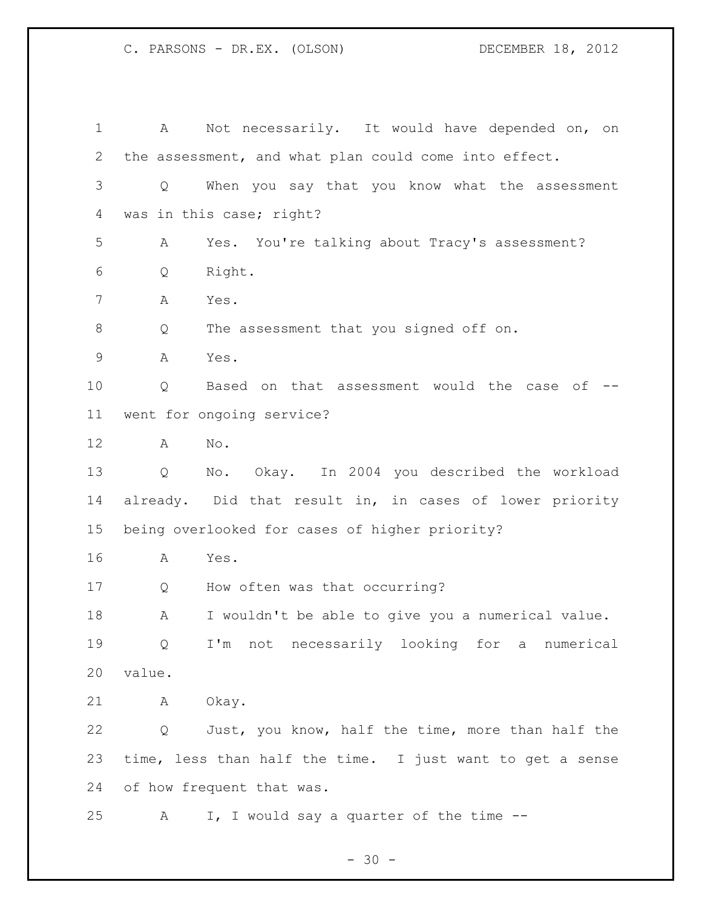A Not necessarily. It would have depended on, on the assessment, and what plan could come into effect. Q When you say that you know what the assessment was in this case; right? A Yes. You're talking about Tracy's assessment? Q Right. A Yes. Q The assessment that you signed off on. A Yes. Q Based on that assessment would the case of -- went for ongoing service? A No. Q No. Okay. In 2004 you described the workload already. Did that result in, in cases of lower priority being overlooked for cases of higher priority? A Yes. Q How often was that occurring? A I wouldn't be able to give you a numerical value. Q I'm not necessarily looking for a numerical value. A Okay. Q Just, you know, half the time, more than half the time, less than half the time. I just want to get a sense of how frequent that was. 25 A I, I would say a quarter of the time --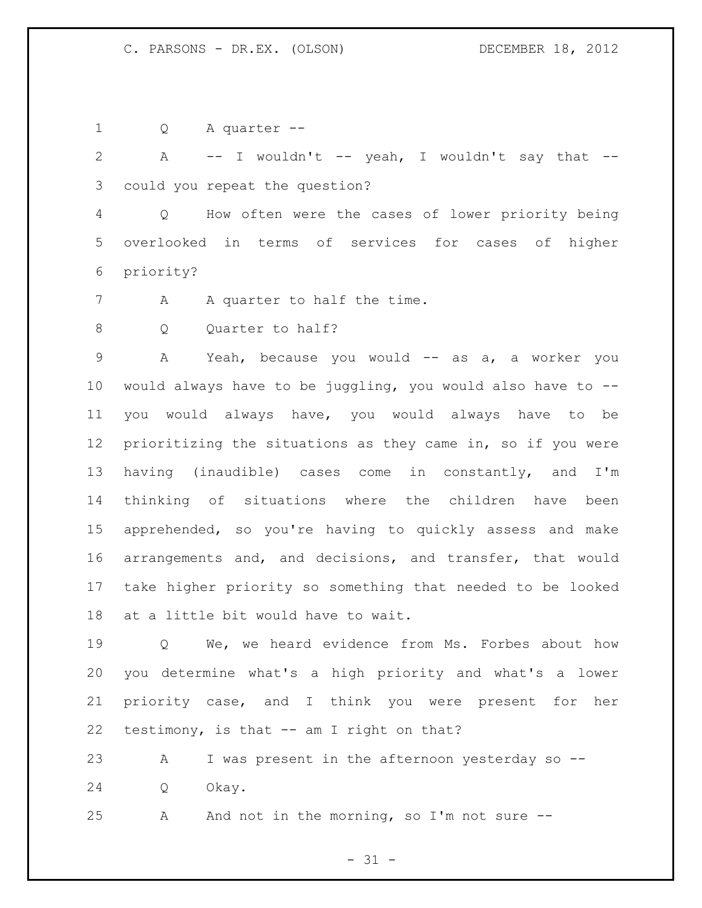Q A quarter --

2 A -- I wouldn't -- yeah, I wouldn't say that --could you repeat the question?

 Q How often were the cases of lower priority being overlooked in terms of services for cases of higher priority?

- 7 A A quarter to half the time.
- 8 Q Quarter to half?

9 A Yeah, because you would -- as a, a worker you 10 would always have to be juggling, you would also have to  $-$ - you would always have, you would always have to be prioritizing the situations as they came in, so if you were having (inaudible) cases come in constantly, and I'm thinking of situations where the children have been apprehended, so you're having to quickly assess and make arrangements and, and decisions, and transfer, that would take higher priority so something that needed to be looked at a little bit would have to wait.

 Q We, we heard evidence from Ms. Forbes about how you determine what's a high priority and what's a lower priority case, and I think you were present for her testimony, is that -- am I right on that?

 A I was present in the afternoon yesterday so -- Q Okay.

A And not in the morning, so I'm not sure --

 $- 31 -$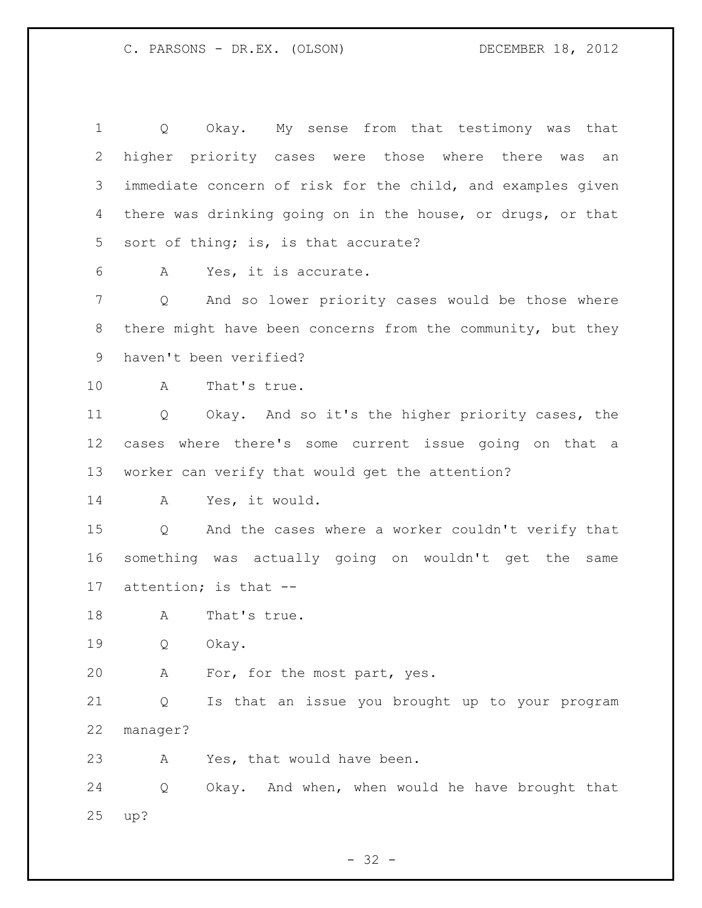Q Okay. My sense from that testimony was that higher priority cases were those where there was an immediate concern of risk for the child, and examples given there was drinking going on in the house, or drugs, or that sort of thing; is, is that accurate? A Yes, it is accurate. Q And so lower priority cases would be those where there might have been concerns from the community, but they haven't been verified? A That's true. Q Okay. And so it's the higher priority cases, the cases where there's some current issue going on that a worker can verify that would get the attention? A Yes, it would. Q And the cases where a worker couldn't verify that something was actually going on wouldn't get the same attention; is that -- 18 A That's true. Q Okay. A For, for the most part, yes. Q Is that an issue you brought up to your program manager? A Yes, that would have been. Q Okay. And when, when would he have brought that up?

 $- 32 -$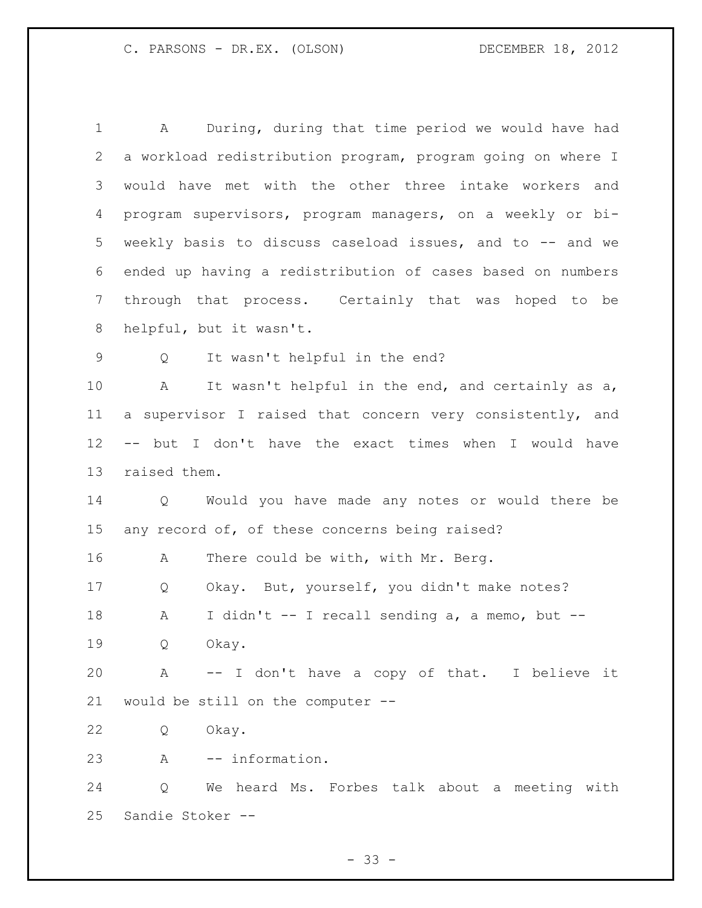A During, during that time period we would have had a workload redistribution program, program going on where I would have met with the other three intake workers and program supervisors, program managers, on a weekly or bi- weekly basis to discuss caseload issues, and to -- and we ended up having a redistribution of cases based on numbers through that process. Certainly that was hoped to be helpful, but it wasn't. Q It wasn't helpful in the end? A It wasn't helpful in the end, and certainly as a, a supervisor I raised that concern very consistently, and -- but I don't have the exact times when I would have raised them. Q Would you have made any notes or would there be any record of, of these concerns being raised? A There could be with, with Mr. Berg. Q Okay. But, yourself, you didn't make notes? A I didn't -- I recall sending a, a memo, but -- Q Okay. A -- I don't have a copy of that. I believe it would be still on the computer -- Q Okay. A -- information. Q We heard Ms. Forbes talk about a meeting with Sandie Stoker --

 $- 33 -$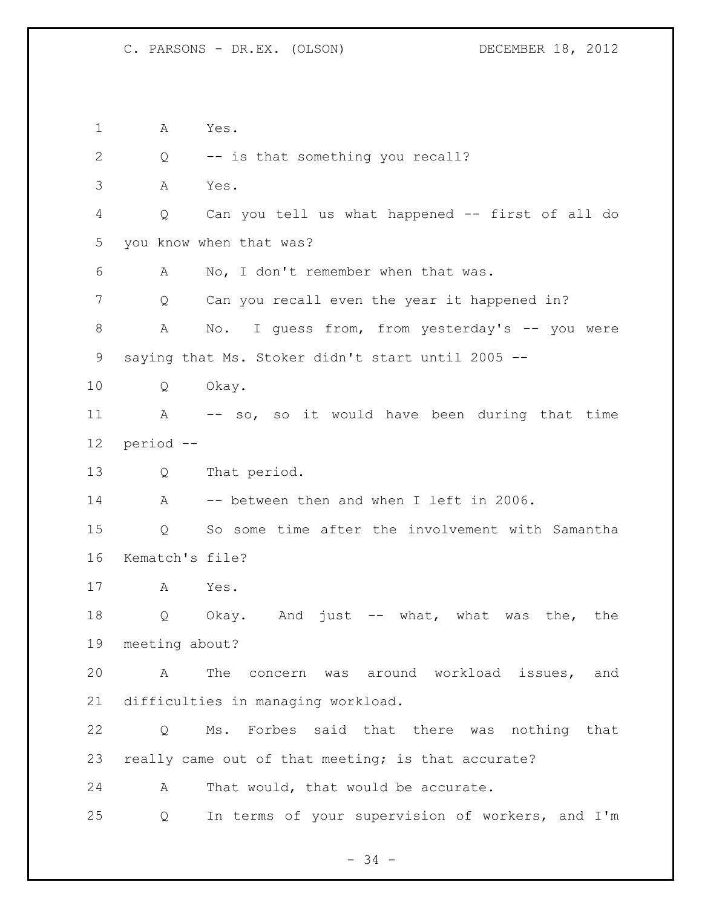A Yes. 2 Q -- is that something you recall? A Yes. Q Can you tell us what happened -- first of all do you know when that was? A No, I don't remember when that was. 7 Q Can you recall even the year it happened in? 8 A No. I guess from, from yesterday's -- you were saying that Ms. Stoker didn't start until 2005 -- Q Okay. A -- so, so it would have been during that time period -- Q That period. A -- between then and when I left in 2006. Q So some time after the involvement with Samantha Kematch's file? A Yes. Q Okay. And just -- what, what was the, the meeting about? A The concern was around workload issues, and difficulties in managing workload. Q Ms. Forbes said that there was nothing that really came out of that meeting; is that accurate? A That would, that would be accurate. Q In terms of your supervision of workers, and I'm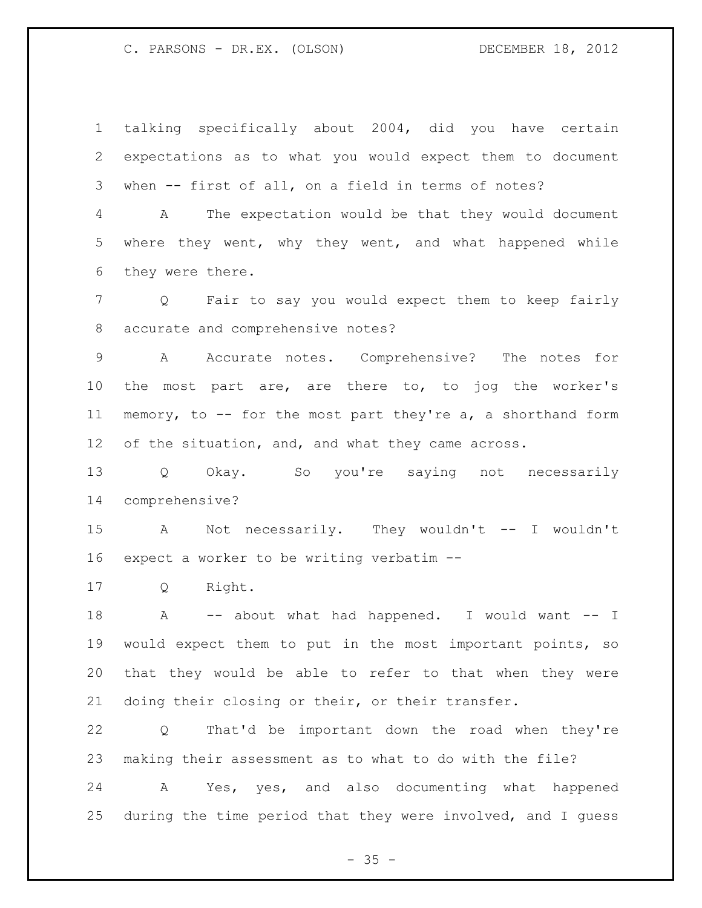talking specifically about 2004, did you have certain expectations as to what you would expect them to document when -- first of all, on a field in terms of notes?

 A The expectation would be that they would document where they went, why they went, and what happened while they were there.

 Q Fair to say you would expect them to keep fairly accurate and comprehensive notes?

 A Accurate notes. Comprehensive? The notes for the most part are, are there to, to jog the worker's memory, to -- for the most part they're a, a shorthand form of the situation, and, and what they came across.

 Q Okay. So you're saying not necessarily comprehensive?

 A Not necessarily. They wouldn't -- I wouldn't expect a worker to be writing verbatim --

Q Right.

18 A -- about what had happened. I would want -- I would expect them to put in the most important points, so that they would be able to refer to that when they were doing their closing or their, or their transfer.

 Q That'd be important down the road when they're making their assessment as to what to do with the file?

 A Yes, yes, and also documenting what happened during the time period that they were involved, and I guess

 $- 35 -$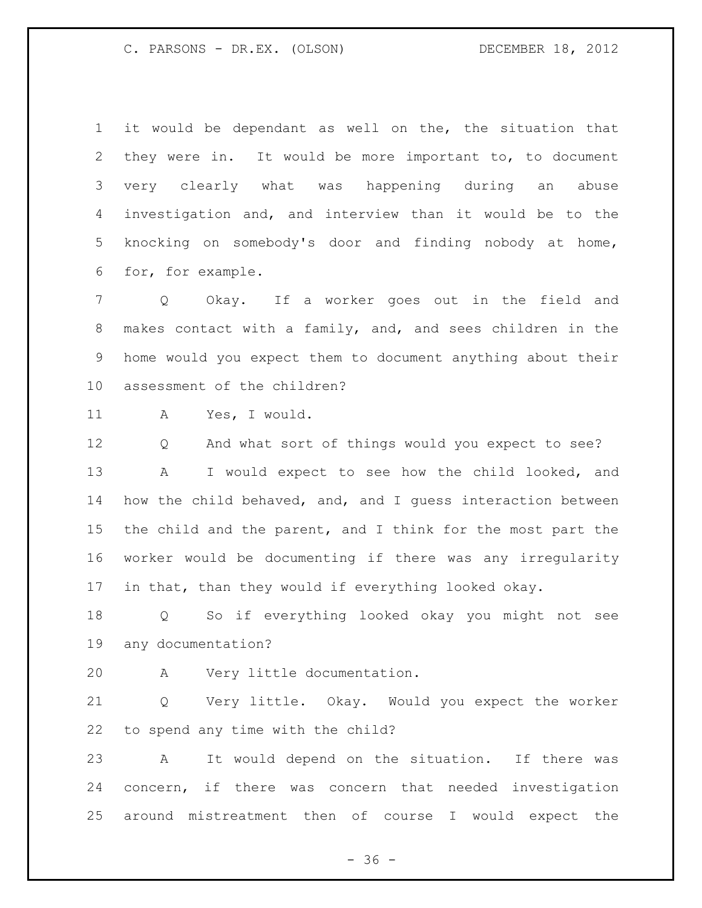it would be dependant as well on the, the situation that they were in. It would be more important to, to document very clearly what was happening during an abuse investigation and, and interview than it would be to the knocking on somebody's door and finding nobody at home, for, for example.

 Q Okay. If a worker goes out in the field and makes contact with a family, and, and sees children in the home would you expect them to document anything about their assessment of the children?

A Yes, I would.

 Q And what sort of things would you expect to see? A I would expect to see how the child looked, and how the child behaved, and, and I guess interaction between 15 the child and the parent, and I think for the most part the worker would be documenting if there was any irregularity in that, than they would if everything looked okay.

 Q So if everything looked okay you might not see any documentation?

A Very little documentation.

 Q Very little. Okay. Would you expect the worker to spend any time with the child?

 A It would depend on the situation. If there was concern, if there was concern that needed investigation around mistreatment then of course I would expect the

 $- 36 -$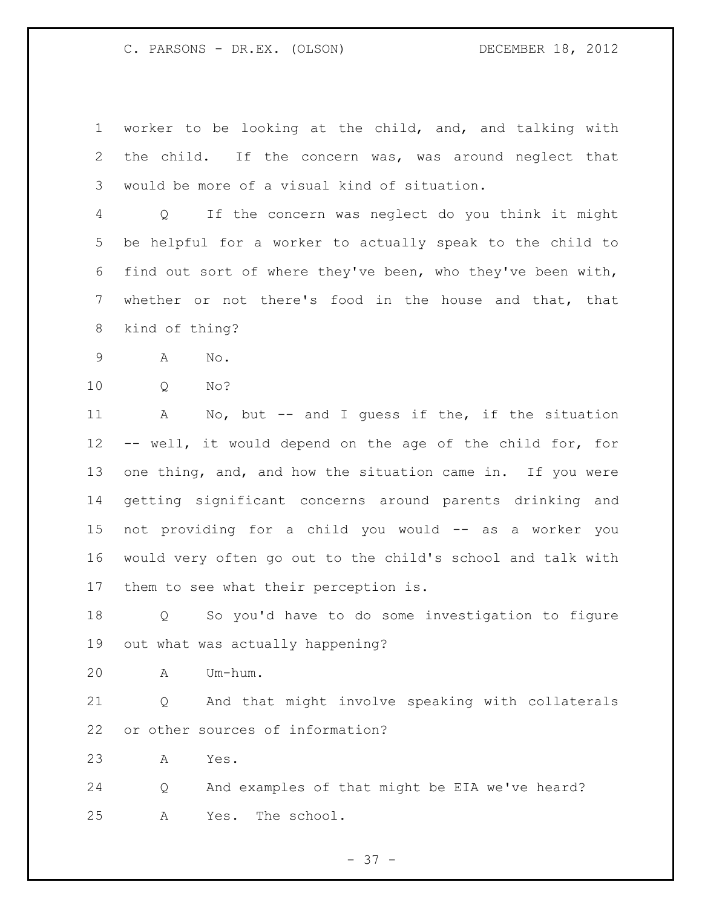worker to be looking at the child, and, and talking with the child. If the concern was, was around neglect that would be more of a visual kind of situation.

 Q If the concern was neglect do you think it might be helpful for a worker to actually speak to the child to find out sort of where they've been, who they've been with, whether or not there's food in the house and that, that kind of thing?

- A No.
- Q No?

 A No, but -- and I guess if the, if the situation -- well, it would depend on the age of the child for, for one thing, and, and how the situation came in. If you were getting significant concerns around parents drinking and not providing for a child you would -- as a worker you would very often go out to the child's school and talk with them to see what their perception is.

 Q So you'd have to do some investigation to figure out what was actually happening?

A Um-hum.

 Q And that might involve speaking with collaterals or other sources of information?

A Yes.

 Q And examples of that might be EIA we've heard? A Yes. The school.

 $- 37 -$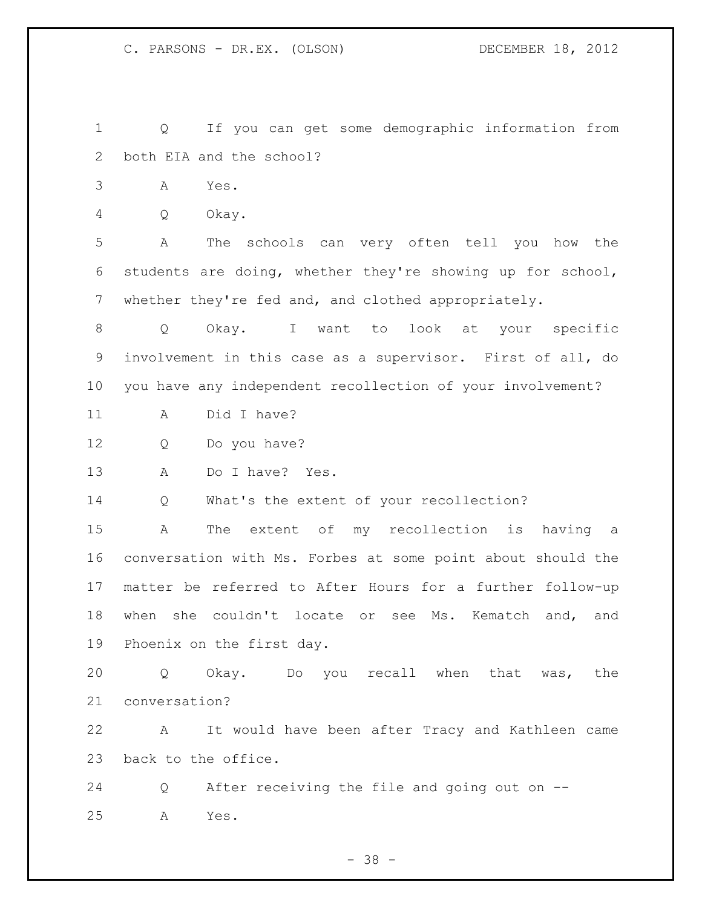Q If you can get some demographic information from both EIA and the school?

A Yes.

Q Okay.

 A The schools can very often tell you how the students are doing, whether they're showing up for school, whether they're fed and, and clothed appropriately.

 Q Okay. I want to look at your specific involvement in this case as a supervisor. First of all, do you have any independent recollection of your involvement?

A Did I have?

Q Do you have?

A Do I have? Yes.

Q What's the extent of your recollection?

 A The extent of my recollection is having a conversation with Ms. Forbes at some point about should the matter be referred to After Hours for a further follow-up when she couldn't locate or see Ms. Kematch and, and Phoenix on the first day.

 Q Okay. Do you recall when that was, the conversation?

 A It would have been after Tracy and Kathleen came back to the office.

 Q After receiving the file and going out on -- A Yes.

- 38 -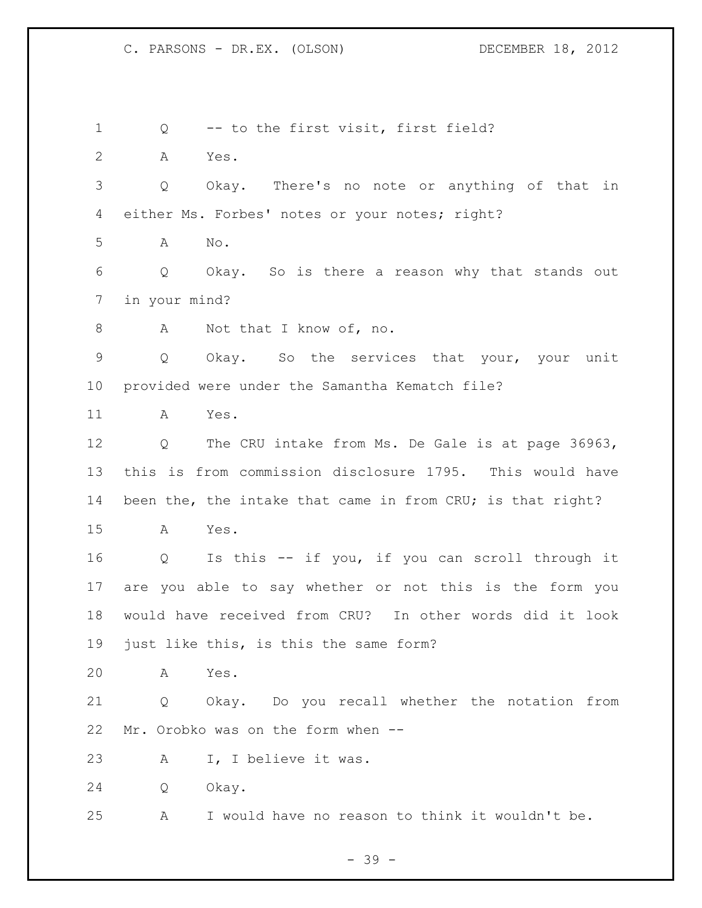Q -- to the first visit, first field? A Yes. Q Okay. There's no note or anything of that in either Ms. Forbes' notes or your notes; right? A No. Q Okay. So is there a reason why that stands out in your mind? 8 A Not that I know of, no. Q Okay. So the services that your, your unit provided were under the Samantha Kematch file? A Yes. Q The CRU intake from Ms. De Gale is at page 36963, this is from commission disclosure 1795. This would have 14 been the, the intake that came in from CRU; is that right? A Yes. Q Is this -- if you, if you can scroll through it are you able to say whether or not this is the form you would have received from CRU? In other words did it look just like this, is this the same form? A Yes. Q Okay. Do you recall whether the notation from Mr. Orobko was on the form when -- A I, I believe it was. Q Okay. A I would have no reason to think it wouldn't be.

- 39 -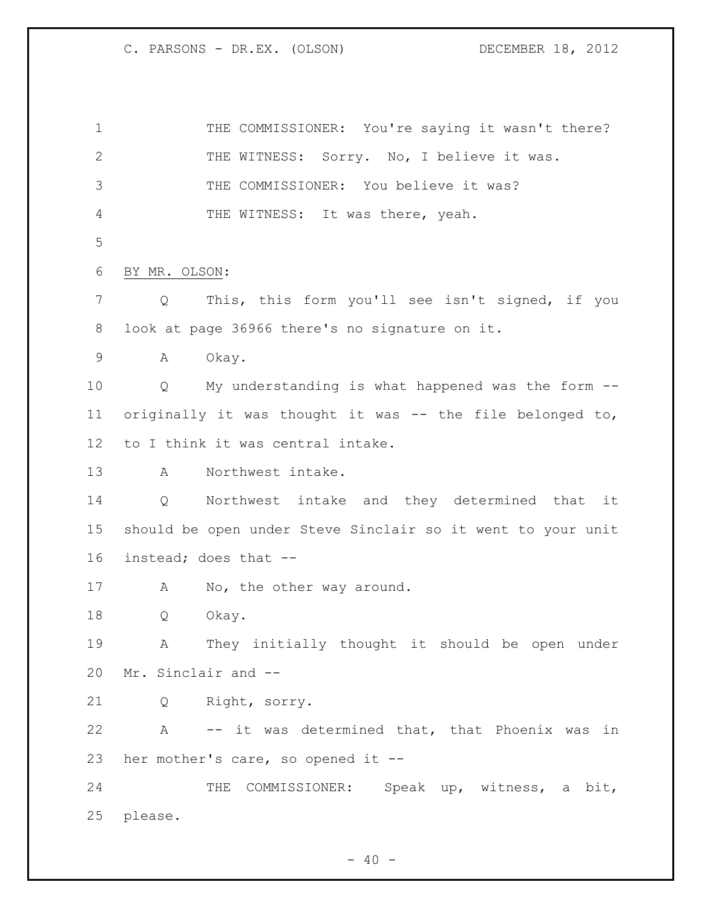1 THE COMMISSIONER: You're saying it wasn't there? 2 THE WITNESS: Sorry. No, I believe it was. THE COMMISSIONER: You believe it was? THE WITNESS: It was there, yeah. BY MR. OLSON: Q This, this form you'll see isn't signed, if you look at page 36966 there's no signature on it. A Okay. Q My understanding is what happened was the form -- originally it was thought it was -- the file belonged to, to I think it was central intake. A Northwest intake. Q Northwest intake and they determined that it should be open under Steve Sinclair so it went to your unit instead; does that -- 17 A No, the other way around. Q Okay. A They initially thought it should be open under Mr. Sinclair and -- Q Right, sorry. A -- it was determined that, that Phoenix was in her mother's care, so opened it -- THE COMMISSIONER: Speak up, witness, a bit, please.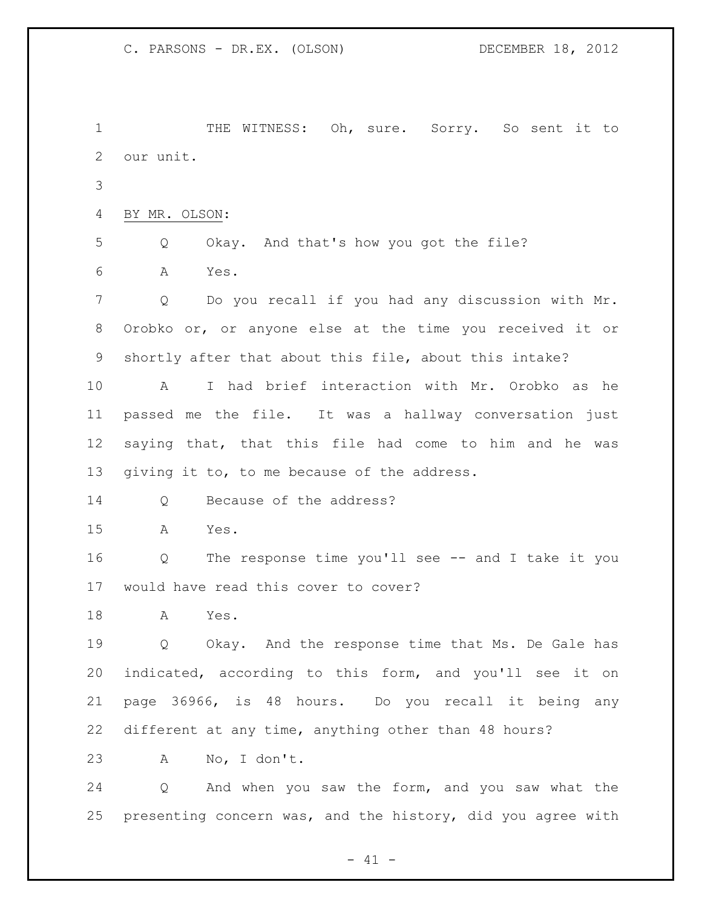1 THE WITNESS: Oh, sure. Sorry. So sent it to our unit. BY MR. OLSON: Q Okay. And that's how you got the file? A Yes. Q Do you recall if you had any discussion with Mr. Orobko or, or anyone else at the time you received it or shortly after that about this file, about this intake? A I had brief interaction with Mr. Orobko as he passed me the file. It was a hallway conversation just saying that, that this file had come to him and he was giving it to, to me because of the address. 14 Q Because of the address? A Yes. Q The response time you'll see -- and I take it you would have read this cover to cover? A Yes. Q Okay. And the response time that Ms. De Gale has indicated, according to this form, and you'll see it on page 36966, is 48 hours. Do you recall it being any different at any time, anything other than 48 hours? A No, I don't. Q And when you saw the form, and you saw what the presenting concern was, and the history, did you agree with

 $- 41 -$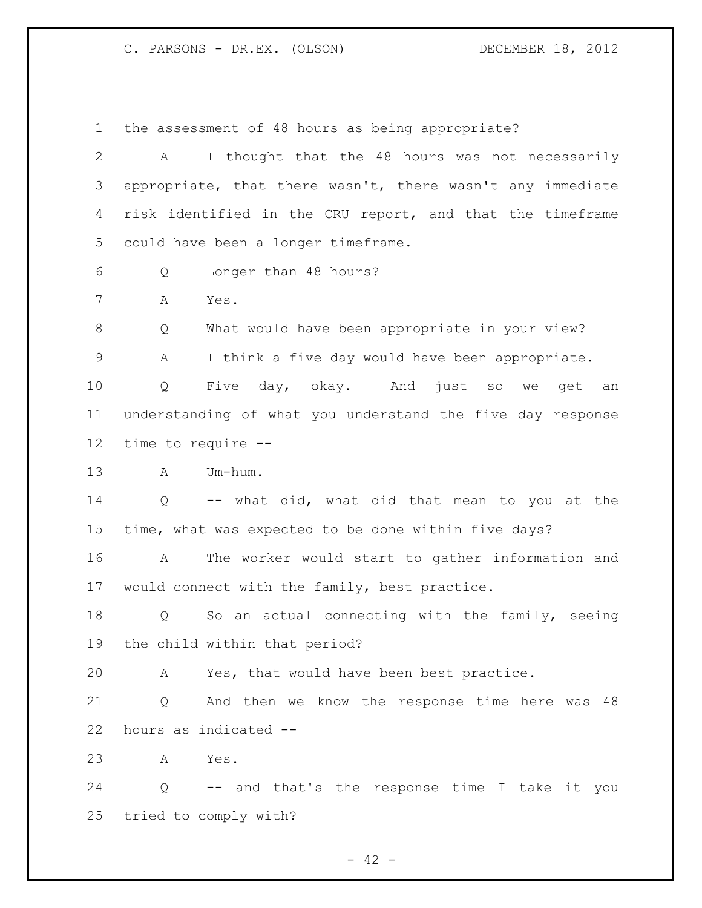the assessment of 48 hours as being appropriate?

| $\mathbf{2}$    | A                                                         | I thought that the 48 hours was not necessarily            |  |
|-----------------|-----------------------------------------------------------|------------------------------------------------------------|--|
| 3               |                                                           | appropriate, that there wasn't, there wasn't any immediate |  |
| 4               | risk identified in the CRU report, and that the timeframe |                                                            |  |
| 5               | could have been a longer timeframe.                       |                                                            |  |
| 6               | Q                                                         | Longer than 48 hours?                                      |  |
| 7               | Α<br>Yes.                                                 |                                                            |  |
| $8\,$           | Q                                                         | What would have been appropriate in your view?             |  |
| $\mathsf 9$     | Α                                                         | I think a five day would have been appropriate.            |  |
| 10              | Q                                                         | Five day, okay. And just so we get<br>an                   |  |
| 11              |                                                           | understanding of what you understand the five day response |  |
| 12 <sup>°</sup> | time to require --                                        |                                                            |  |
| 13              | Um-hum.<br>A                                              |                                                            |  |
| 14              | Q                                                         | -- what did, what did that mean to you at the              |  |
| 15              |                                                           | time, what was expected to be done within five days?       |  |
| 16              | Α                                                         | The worker would start to gather information and           |  |
| 17              |                                                           | would connect with the family, best practice.              |  |
| 18              | Q                                                         | So an actual connecting with the family, seeing            |  |
| 19              | the child within that period?                             |                                                            |  |
| 20              |                                                           | A Yes, that would have been best practice.                 |  |
| 21              | Q                                                         | And then we know the response time here was 48             |  |
| 22              | hours as indicated --                                     |                                                            |  |
| 23              | Yes.<br>A                                                 |                                                            |  |
| 24              | Q                                                         | -- and that's the response time I take it you              |  |
| 25              | tried to comply with?                                     |                                                            |  |

- 42 -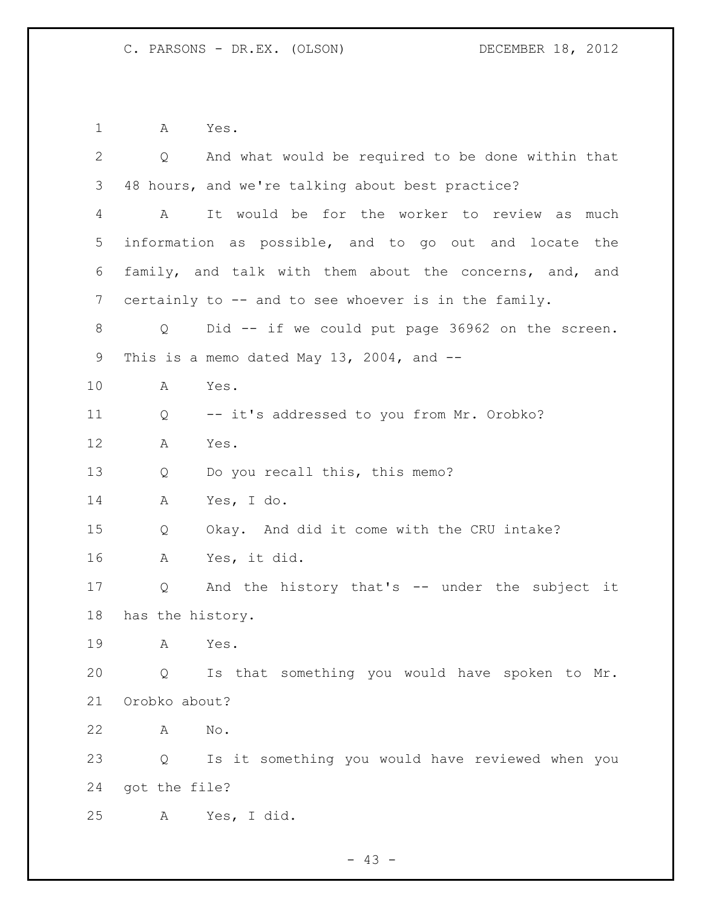A Yes.

| $\overline{2}$ | $Q \qquad \qquad$ | And what would be required to be done within that       |
|----------------|-------------------|---------------------------------------------------------|
| 3              |                   | 48 hours, and we're talking about best practice?        |
| 4              | $\mathbf{A}$      | It would be for the worker to review as much            |
| 5              |                   | information as possible, and to go out and locate the   |
| 6              |                   | family, and talk with them about the concerns, and, and |
| 7              |                   | certainly to -- and to see whoever is in the family.    |
| 8              | Q                 | Did -- if we could put page 36962 on the screen.        |
| 9              |                   | This is a memo dated May 13, 2004, and $-$              |
| 10             | Α                 | Yes.                                                    |
| 11             | Q                 | -- it's addressed to you from Mr. Orobko?               |
| 12             | Α                 | Yes.                                                    |
| 13             | Q                 | Do you recall this, this memo?                          |
| 14             | A                 | Yes, I do.                                              |
| 15             | Q                 | Okay. And did it come with the CRU intake?              |
| 16             | A                 | Yes, it did.                                            |
| 17             | Q                 | And the history that's -- under the subject it          |
| 18             | has the history.  |                                                         |
| 19             | A                 | Yes.                                                    |
| 20             | Q                 | Is that something you would have spoken to Mr.          |
| 21             | Orobko about?     |                                                         |
| 22             | А                 | No.                                                     |
| 23             | Q                 | Is it something you would have reviewed when you        |
| 24             | got the file?     |                                                         |
| 25             | A                 | Yes, I did.                                             |

- 43 -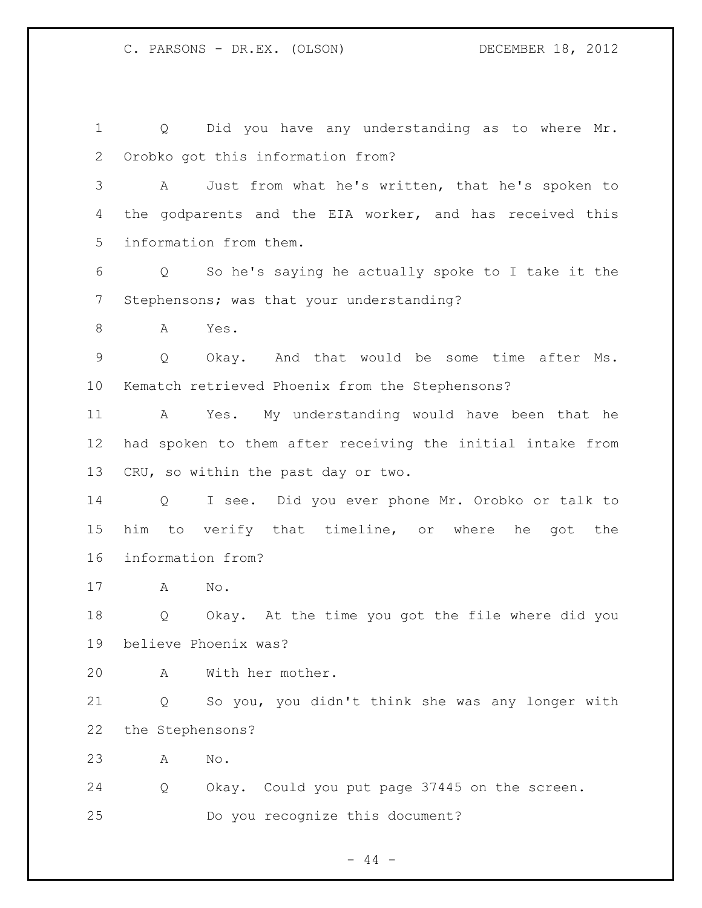Q Did you have any understanding as to where Mr. Orobko got this information from? A Just from what he's written, that he's spoken to the godparents and the EIA worker, and has received this information from them. Q So he's saying he actually spoke to I take it the Stephensons; was that your understanding? A Yes. Q Okay. And that would be some time after Ms. Kematch retrieved Phoenix from the Stephensons? A Yes. My understanding would have been that he had spoken to them after receiving the initial intake from CRU, so within the past day or two. Q I see. Did you ever phone Mr. Orobko or talk to him to verify that timeline, or where he got the information from? A No. Q Okay. At the time you got the file where did you believe Phoenix was? A With her mother. Q So you, you didn't think she was any longer with the Stephensons? A No. Q Okay. Could you put page 37445 on the screen. Do you recognize this document?

# $-44 -$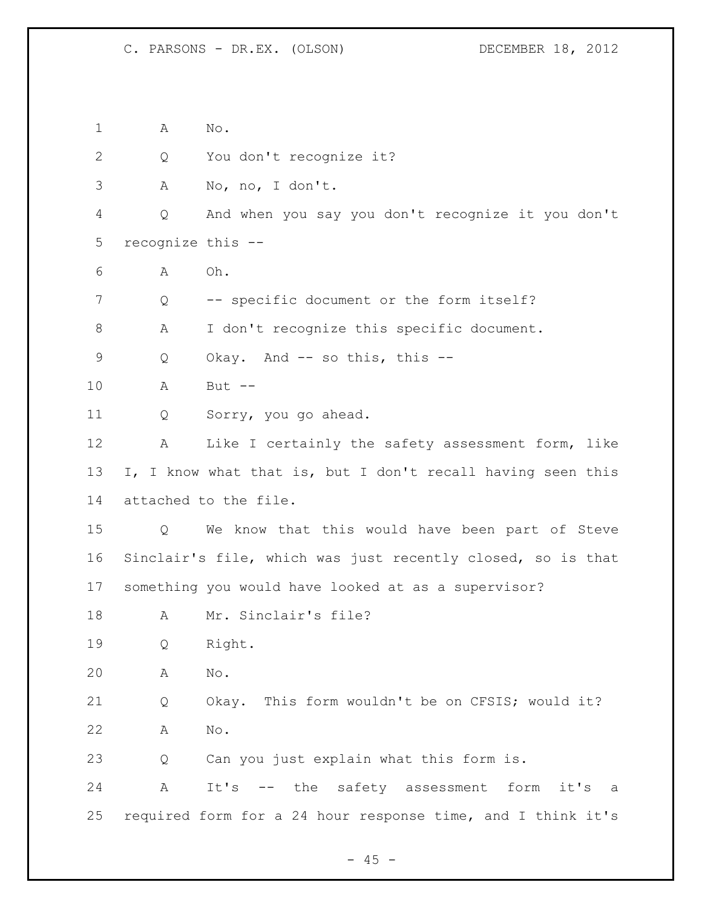A No.

Q You don't recognize it?

A No, no, I don't.

 Q And when you say you don't recognize it you don't recognize this --

A Oh.

Q -- specific document or the form itself?

A I don't recognize this specific document.

Q Okay. And -- so this, this --

A But --

Q Sorry, you go ahead.

 A Like I certainly the safety assessment form, like I, I know what that is, but I don't recall having seen this attached to the file.

 Q We know that this would have been part of Steve Sinclair's file, which was just recently closed, so is that something you would have looked at as a supervisor?

18 A Mr. Sinclair's file?

Q Right.

A No.

 Q Okay. This form wouldn't be on CFSIS; would it? A No.

Q Can you just explain what this form is.

 A It's -- the safety assessment form it's a required form for a 24 hour response time, and I think it's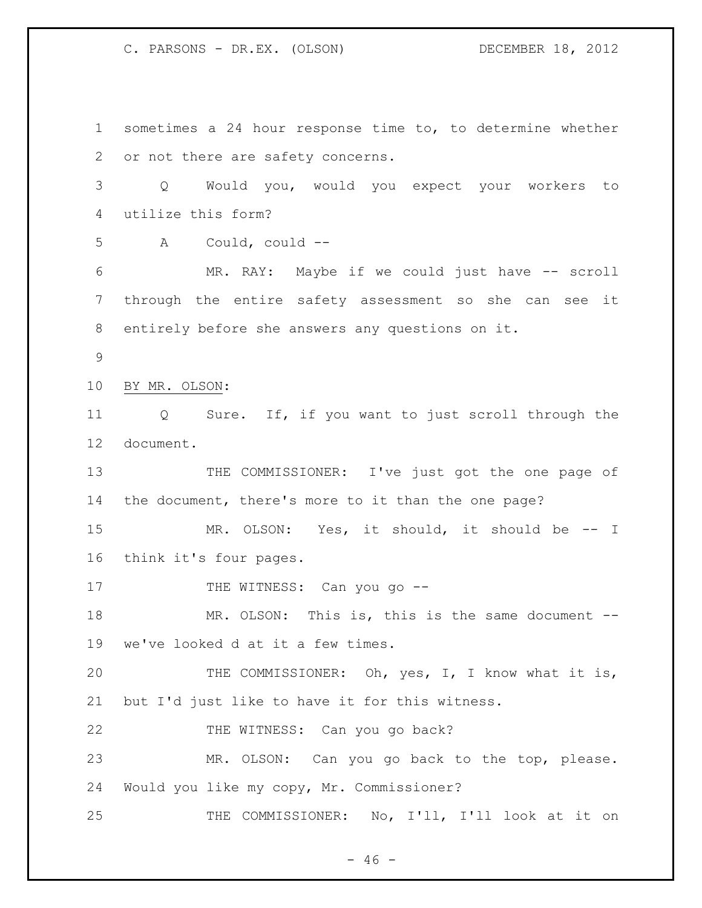sometimes a 24 hour response time to, to determine whether or not there are safety concerns. Q Would you, would you expect your workers to utilize this form? A Could, could -- MR. RAY: Maybe if we could just have -- scroll through the entire safety assessment so she can see it entirely before she answers any questions on it. BY MR. OLSON: Q Sure. If, if you want to just scroll through the document. 13 THE COMMISSIONER: I've just got the one page of the document, there's more to it than the one page? MR. OLSON: Yes, it should, it should be -- I think it's four pages. 17 THE WITNESS: Can you go --18 MR. OLSON: This is, this is the same document -- we've looked d at it a few times. THE COMMISSIONER: Oh, yes, I, I know what it is, but I'd just like to have it for this witness. THE WITNESS: Can you go back? MR. OLSON: Can you go back to the top, please. Would you like my copy, Mr. Commissioner? THE COMMISSIONER: No, I'll, I'll look at it on

 $- 46 -$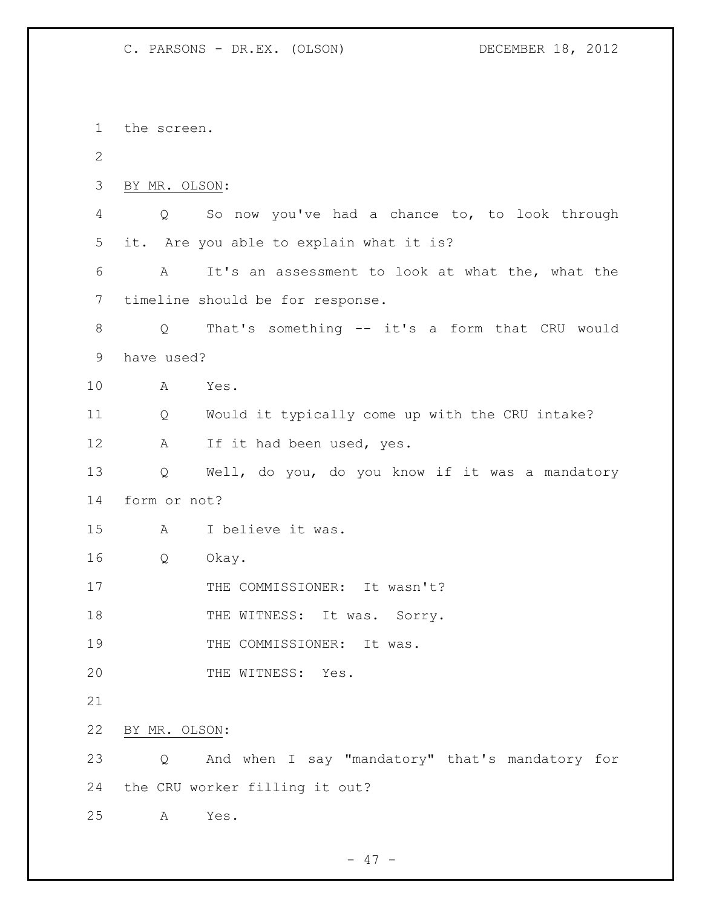the screen. BY MR. OLSON: Q So now you've had a chance to, to look through it. Are you able to explain what it is? A It's an assessment to look at what the, what the timeline should be for response. Q That's something -- it's a form that CRU would have used? A Yes. Q Would it typically come up with the CRU intake? 12 A If it had been used, yes. Q Well, do you, do you know if it was a mandatory form or not? A I believe it was. Q Okay. 17 THE COMMISSIONER: It wasn't? 18 THE WITNESS: It was. Sorry. 19 THE COMMISSIONER: It was. 20 THE WITNESS: Yes. BY MR. OLSON: Q And when I say "mandatory" that's mandatory for the CRU worker filling it out? A Yes.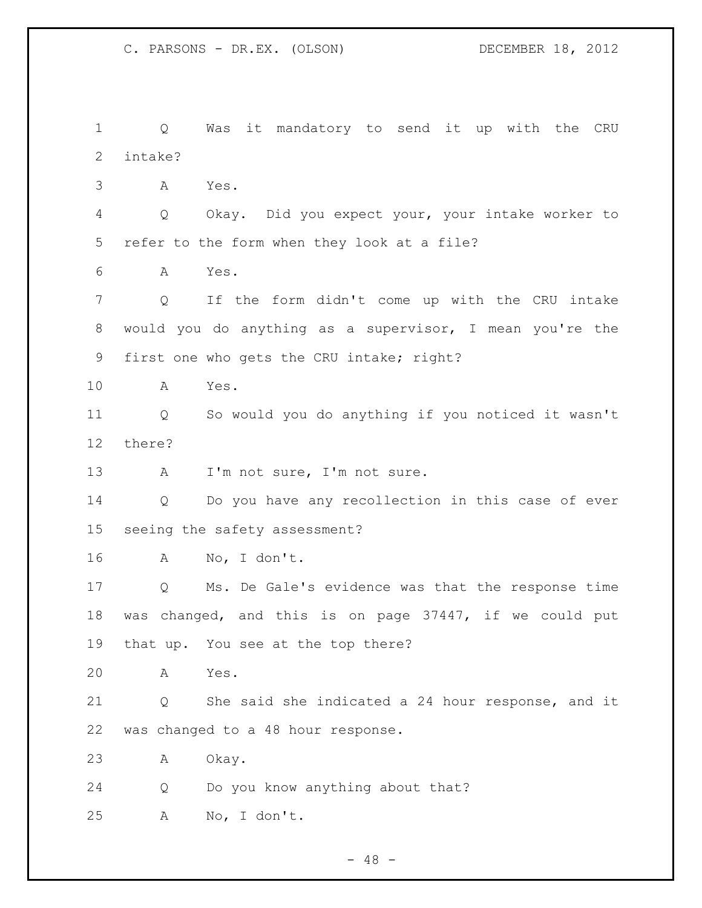Q Was it mandatory to send it up with the CRU intake? A Yes. Q Okay. Did you expect your, your intake worker to refer to the form when they look at a file? A Yes. Q If the form didn't come up with the CRU intake would you do anything as a supervisor, I mean you're the first one who gets the CRU intake; right? A Yes. Q So would you do anything if you noticed it wasn't there? 13 A I'm not sure, I'm not sure. Q Do you have any recollection in this case of ever seeing the safety assessment? A No, I don't. Q Ms. De Gale's evidence was that the response time was changed, and this is on page 37447, if we could put that up. You see at the top there? A Yes. Q She said she indicated a 24 hour response, and it was changed to a 48 hour response. A Okay. Q Do you know anything about that? A No, I don't.

- 48 -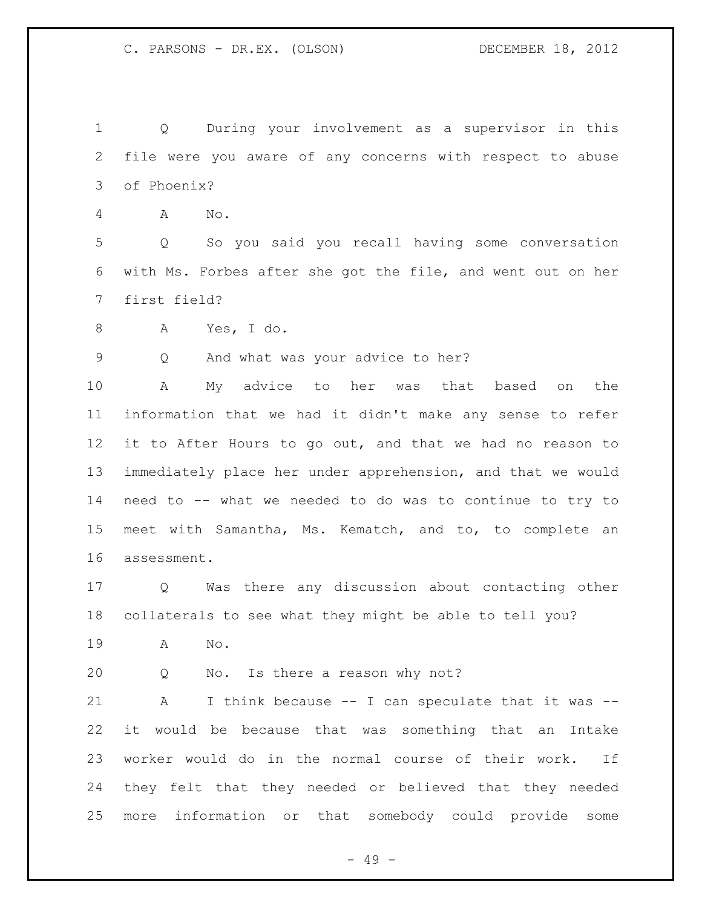Q During your involvement as a supervisor in this file were you aware of any concerns with respect to abuse of Phoenix?

A No.

 Q So you said you recall having some conversation with Ms. Forbes after she got the file, and went out on her first field?

A Yes, I do.

Q And what was your advice to her?

 A My advice to her was that based on the information that we had it didn't make any sense to refer it to After Hours to go out, and that we had no reason to immediately place her under apprehension, and that we would need to -- what we needed to do was to continue to try to meet with Samantha, Ms. Kematch, and to, to complete an assessment.

 Q Was there any discussion about contacting other collaterals to see what they might be able to tell you?

- A No.
- Q No. Is there a reason why not?

21 A I think because -- I can speculate that it was -- it would be because that was something that an Intake worker would do in the normal course of their work. If they felt that they needed or believed that they needed more information or that somebody could provide some

- 49 -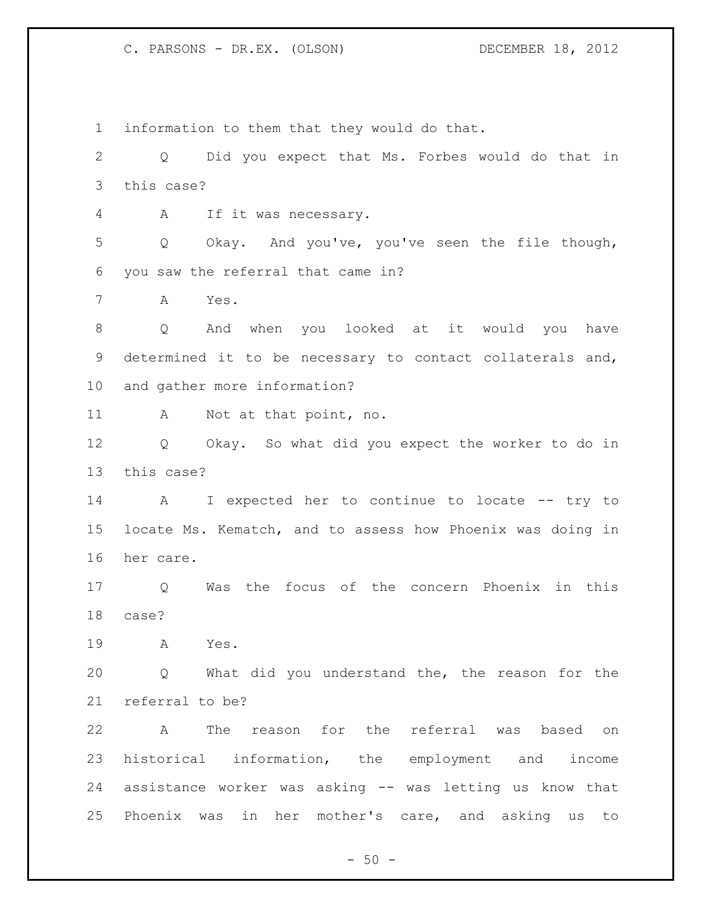information to them that they would do that. Q Did you expect that Ms. Forbes would do that in this case? A If it was necessary. Q Okay. And you've, you've seen the file though, you saw the referral that came in? A Yes. Q And when you looked at it would you have determined it to be necessary to contact collaterals and, and gather more information? A Not at that point, no. Q Okay. So what did you expect the worker to do in this case? A I expected her to continue to locate -- try to locate Ms. Kematch, and to assess how Phoenix was doing in her care. Q Was the focus of the concern Phoenix in this case? A Yes. Q What did you understand the, the reason for the referral to be? A The reason for the referral was based on historical information, the employment and income assistance worker was asking -- was letting us know that Phoenix was in her mother's care, and asking us to

 $-50 -$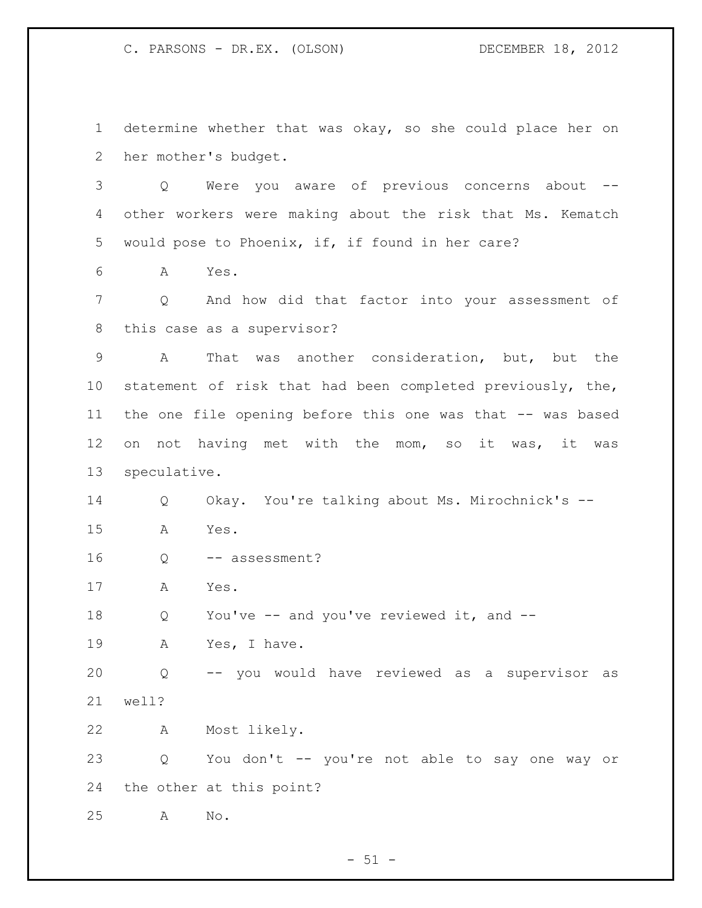determine whether that was okay, so she could place her on her mother's budget.

 Q Were you aware of previous concerns about -- other workers were making about the risk that Ms. Kematch would pose to Phoenix, if, if found in her care?

A Yes.

 Q And how did that factor into your assessment of this case as a supervisor?

 A That was another consideration, but, but the statement of risk that had been completed previously, the, the one file opening before this one was that -- was based on not having met with the mom, so it was, it was speculative.

 Q Okay. You're talking about Ms. Mirochnick's -- A Yes.

16 Q -- assessment?

A Yes.

18 Q You've -- and you've reviewed it, and --

A Yes, I have.

 Q -- you would have reviewed as a supervisor as well?

A Most likely.

 Q You don't -- you're not able to say one way or the other at this point?

A No.

 $-51 -$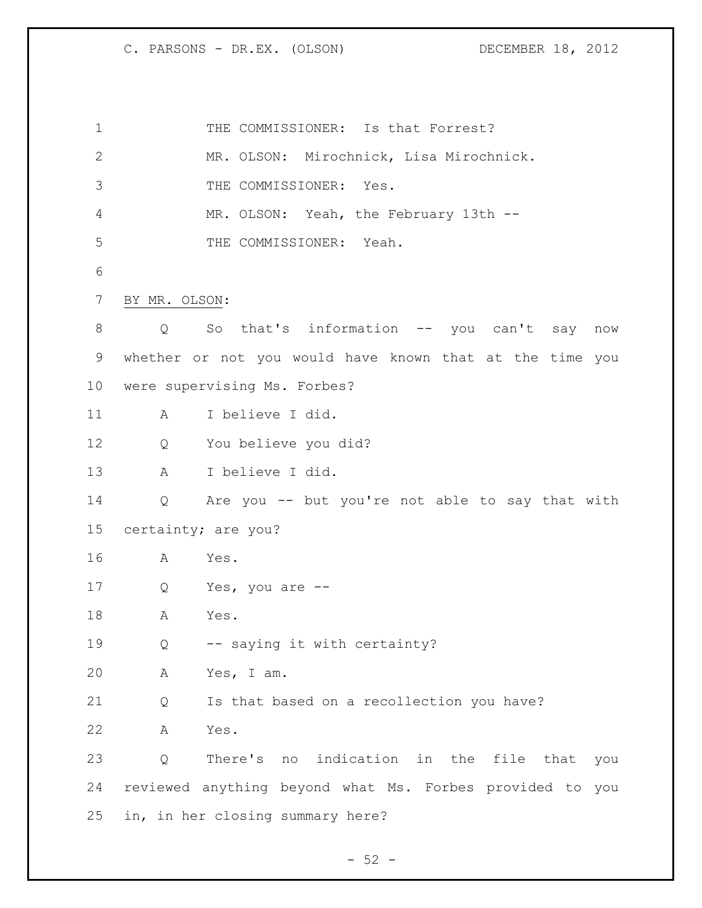1 THE COMMISSIONER: Is that Forrest? MR. OLSON: Mirochnick, Lisa Mirochnick. THE COMMISSIONER: Yes. MR. OLSON: Yeah, the February 13th -- THE COMMISSIONER: Yeah. BY MR. OLSON: Q So that's information -- you can't say now whether or not you would have known that at the time you were supervising Ms. Forbes? A I believe I did. Q You believe you did? A I believe I did. Q Are you -- but you're not able to say that with certainty; are you? A Yes. Q Yes, you are -- A Yes. Q -- saying it with certainty? A Yes, I am. Q Is that based on a recollection you have? A Yes. Q There's no indication in the file that you reviewed anything beyond what Ms. Forbes provided to you in, in her closing summary here?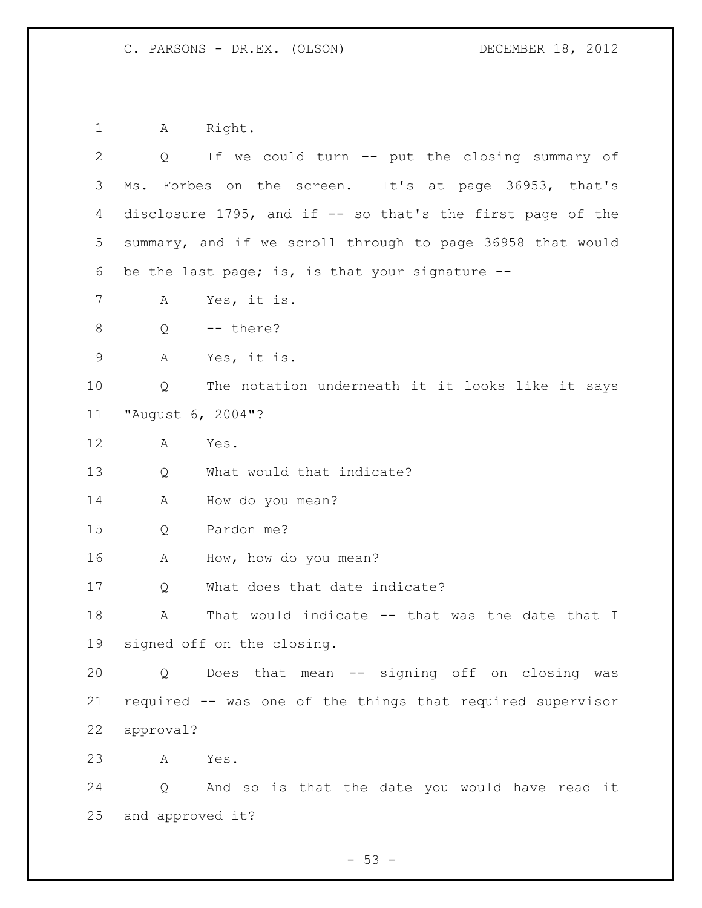1 A Right.

| 2           | $Q \qquad \qquad$          | If we could turn -- put the closing summary of              |
|-------------|----------------------------|-------------------------------------------------------------|
| 3           |                            | Ms. Forbes on the screen. It's at page 36953, that's        |
| 4           |                            | disclosure 1795, and if $-$ so that's the first page of the |
| 5           |                            | summary, and if we scroll through to page 36958 that would  |
| 6           |                            | be the last page; is, is that your signature --             |
| 7           | A                          | Yes, it is.                                                 |
| 8           | Q                          | -- there?                                                   |
| $\mathsf 9$ | A                          | Yes, it is.                                                 |
| 10          | Q                          | The notation underneath it it looks like it says            |
| 11          | "August 6, 2004"?          |                                                             |
| $12 \,$     | A                          | Yes.                                                        |
| 13          | Q                          | What would that indicate?                                   |
| 14          | A                          | How do you mean?                                            |
| 15          | Q                          | Pardon me?                                                  |
| 16          | A                          | How, how do you mean?                                       |
| 17          | Q                          | What does that date indicate?                               |
| 18          | Α                          | That would indicate -- that was the date that I             |
| 19          | signed off on the closing. |                                                             |
| 20          |                            | Q Does that mean -- signing off on closing was              |
| 21          |                            | required -- was one of the things that required supervisor  |
| 22          | approval?                  |                                                             |
| 23          | A                          | Yes.                                                        |
| 24          |                            | Q And so is that the date you would have read it            |
| 25          | and approved it?           |                                                             |

- 53 -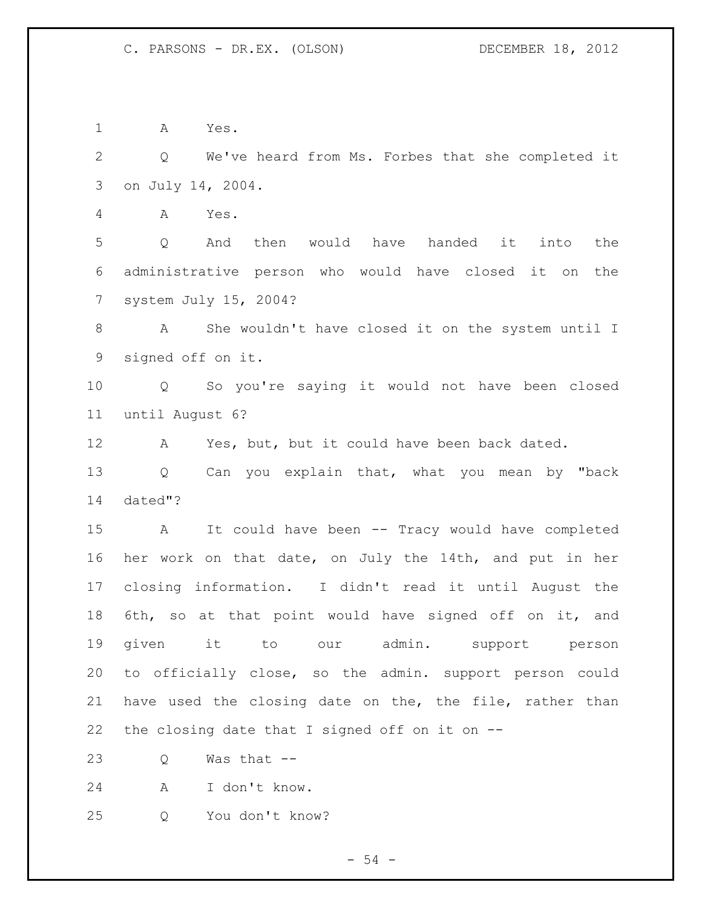A Yes.

 Q We've heard from Ms. Forbes that she completed it on July 14, 2004.

A Yes.

 Q And then would have handed it into the administrative person who would have closed it on the system July 15, 2004?

 A She wouldn't have closed it on the system until I signed off on it.

 Q So you're saying it would not have been closed until August 6?

A Yes, but, but it could have been back dated.

 Q Can you explain that, what you mean by "back dated"?

 A It could have been -- Tracy would have completed her work on that date, on July the 14th, and put in her closing information. I didn't read it until August the 6th, so at that point would have signed off on it, and given it to our admin. support person to officially close, so the admin. support person could have used the closing date on the, the file, rather than the closing date that I signed off on it on --

Q Was that --

A I don't know.

Q You don't know?

- 54 -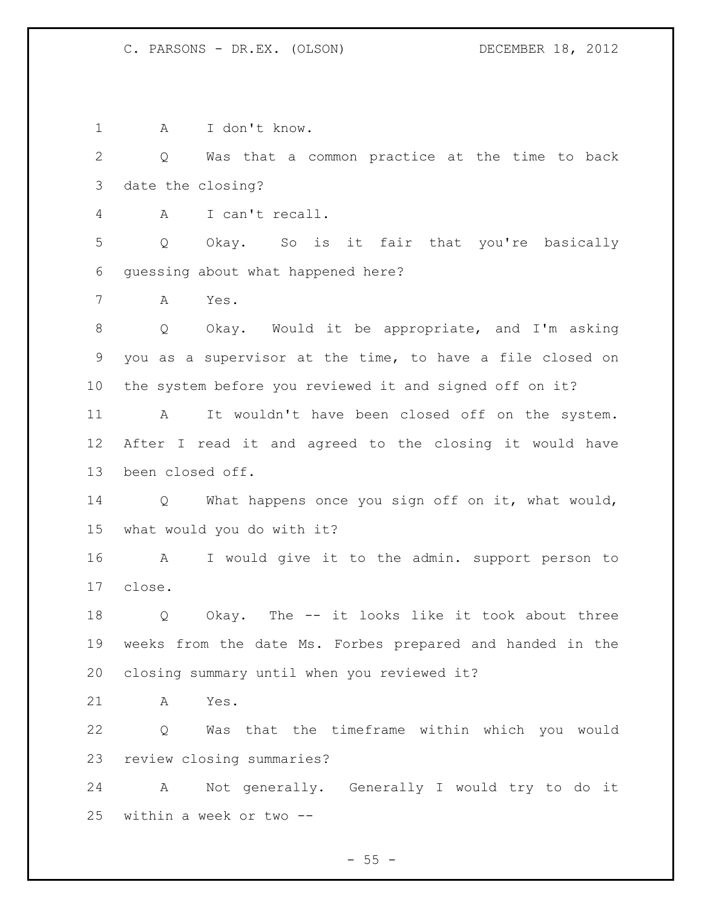A I don't know. Q Was that a common practice at the time to back date the closing? A I can't recall. Q Okay. So is it fair that you're basically guessing about what happened here? A Yes. Q Okay. Would it be appropriate, and I'm asking you as a supervisor at the time, to have a file closed on the system before you reviewed it and signed off on it? A It wouldn't have been closed off on the system. After I read it and agreed to the closing it would have been closed off. Q What happens once you sign off on it, what would, what would you do with it? A I would give it to the admin. support person to close. Q Okay. The -- it looks like it took about three weeks from the date Ms. Forbes prepared and handed in the closing summary until when you reviewed it? A Yes. Q Was that the timeframe within which you would review closing summaries? A Not generally. Generally I would try to do it within a week or two --

 $-55 -$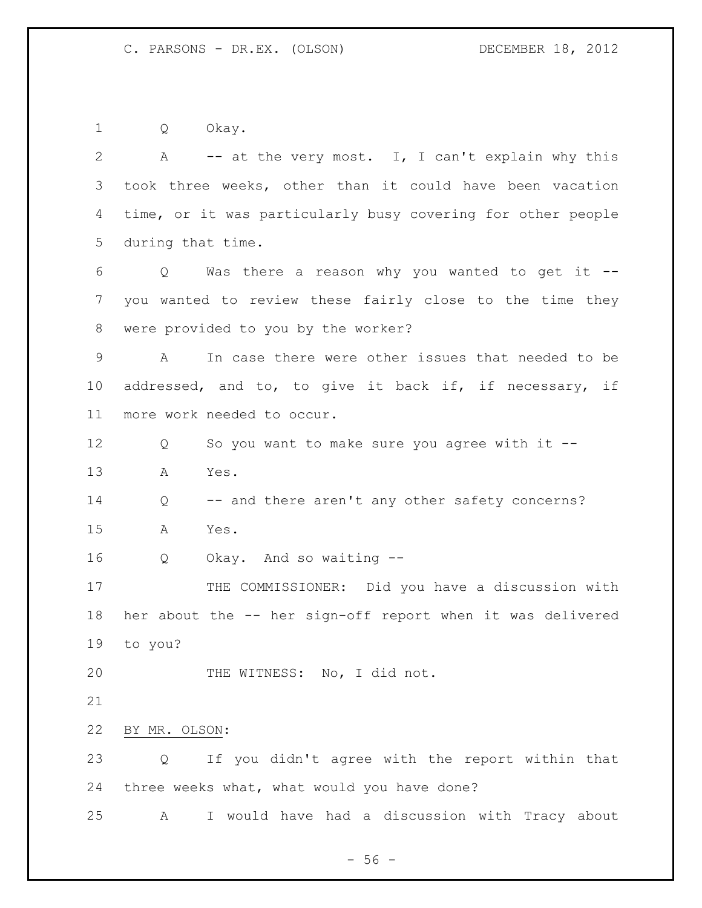Q Okay.

 A -- at the very most. I, I can't explain why this took three weeks, other than it could have been vacation time, or it was particularly busy covering for other people during that time. Q Was there a reason why you wanted to get it -- you wanted to review these fairly close to the time they were provided to you by the worker? A In case there were other issues that needed to be addressed, and to, to give it back if, if necessary, if more work needed to occur. Q So you want to make sure you agree with it -- A Yes. 14 Q -- and there aren't any other safety concerns? A Yes. Q Okay. And so waiting -- 17 THE COMMISSIONER: Did you have a discussion with her about the -- her sign-off report when it was delivered to you? 20 THE WITNESS: No, I did not. BY MR. OLSON: Q If you didn't agree with the report within that three weeks what, what would you have done? A I would have had a discussion with Tracy about

 $-56 -$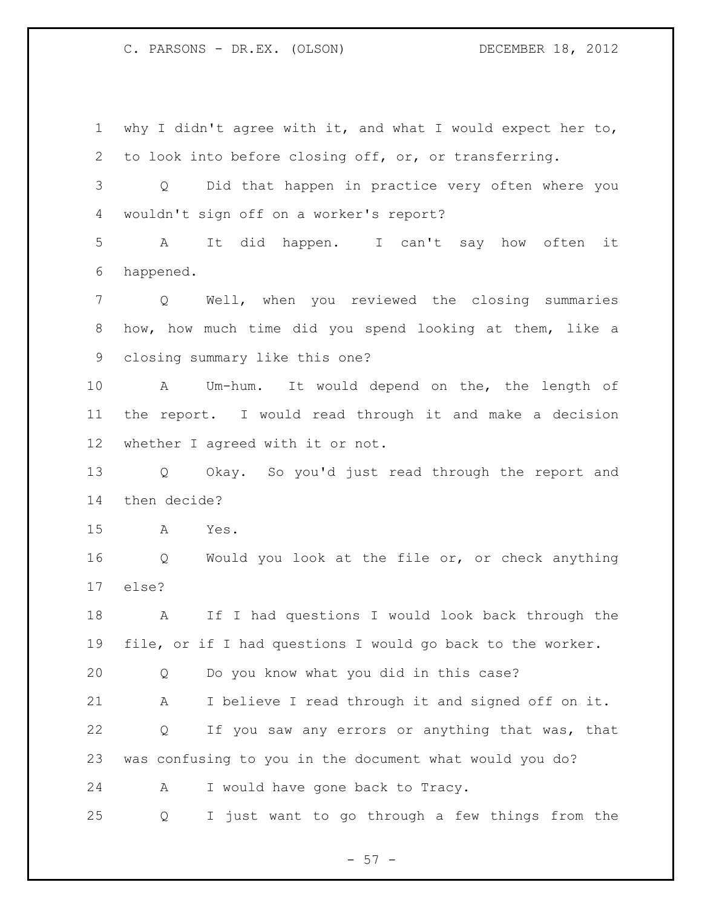why I didn't agree with it, and what I would expect her to, to look into before closing off, or, or transferring. Q Did that happen in practice very often where you wouldn't sign off on a worker's report? A It did happen. I can't say how often it happened. Q Well, when you reviewed the closing summaries how, how much time did you spend looking at them, like a closing summary like this one? A Um-hum. It would depend on the, the length of the report. I would read through it and make a decision whether I agreed with it or not. Q Okay. So you'd just read through the report and then decide? A Yes. Q Would you look at the file or, or check anything else? A If I had questions I would look back through the file, or if I had questions I would go back to the worker. Q Do you know what you did in this case? A I believe I read through it and signed off on it. Q If you saw any errors or anything that was, that was confusing to you in the document what would you do? A I would have gone back to Tracy. Q I just want to go through a few things from the

 $- 57 -$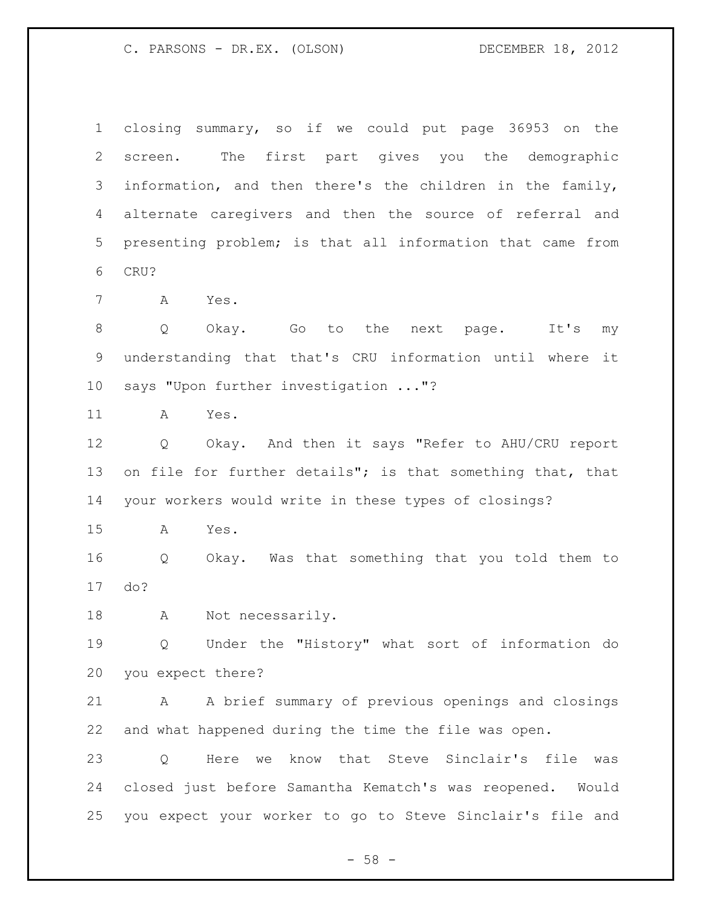closing summary, so if we could put page 36953 on the screen. The first part gives you the demographic information, and then there's the children in the family, alternate caregivers and then the source of referral and presenting problem; is that all information that came from CRU?

A Yes.

8 Q Okay. Go to the next page. It's my understanding that that's CRU information until where it says "Upon further investigation ..."?

A Yes.

 Q Okay. And then it says "Refer to AHU/CRU report on file for further details"; is that something that, that your workers would write in these types of closings?

A Yes.

 Q Okay. Was that something that you told them to do?

A Not necessarily.

 Q Under the "History" what sort of information do you expect there?

 A A brief summary of previous openings and closings and what happened during the time the file was open.

 Q Here we know that Steve Sinclair's file was closed just before Samantha Kematch's was reopened. Would you expect your worker to go to Steve Sinclair's file and

 $- 58 -$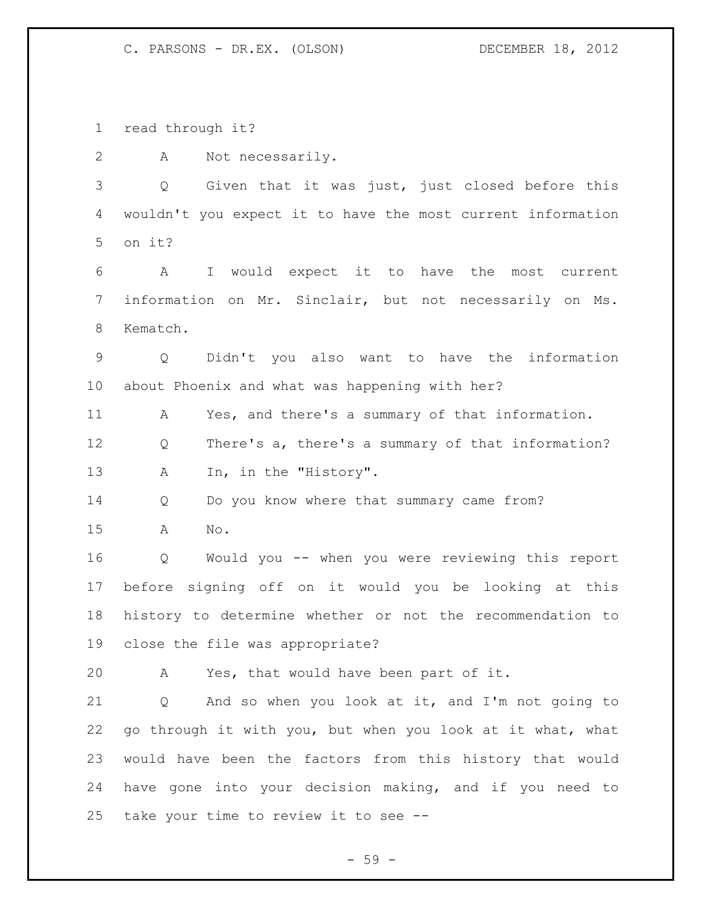read through it?

A Not necessarily.

 Q Given that it was just, just closed before this wouldn't you expect it to have the most current information on it?

 A I would expect it to have the most current information on Mr. Sinclair, but not necessarily on Ms. Kematch.

 Q Didn't you also want to have the information about Phoenix and what was happening with her?

A Yes, and there's a summary of that information.

 Q There's a, there's a summary of that information? 13 A In, in the "History".

Q Do you know where that summary came from?

A No.

 Q Would you -- when you were reviewing this report before signing off on it would you be looking at this history to determine whether or not the recommendation to close the file was appropriate?

A Yes, that would have been part of it.

 Q And so when you look at it, and I'm not going to go through it with you, but when you look at it what, what would have been the factors from this history that would have gone into your decision making, and if you need to take your time to review it to see --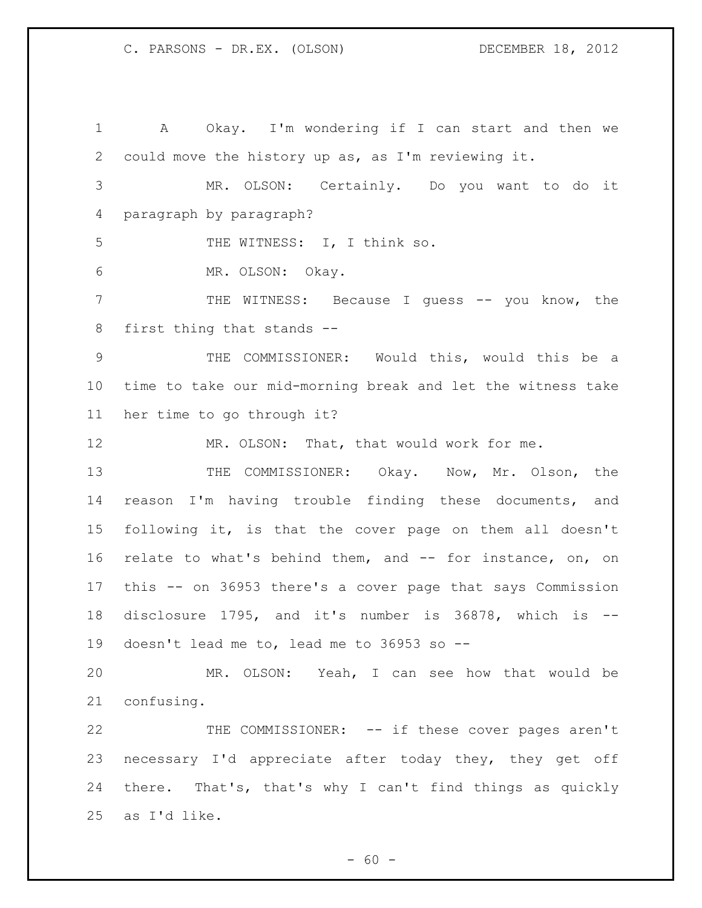A Okay. I'm wondering if I can start and then we could move the history up as, as I'm reviewing it. MR. OLSON: Certainly. Do you want to do it paragraph by paragraph? 5 THE WITNESS: I, I think so. MR. OLSON: Okay. THE WITNESS: Because I guess -- you know, the first thing that stands -- THE COMMISSIONER: Would this, would this be a time to take our mid-morning break and let the witness take her time to go through it? 12 MR. OLSON: That, that would work for me. 13 THE COMMISSIONER: Okay. Now, Mr. Olson, the reason I'm having trouble finding these documents, and following it, is that the cover page on them all doesn't relate to what's behind them, and -- for instance, on, on this -- on 36953 there's a cover page that says Commission disclosure 1795, and it's number is 36878, which is -- doesn't lead me to, lead me to 36953 so -- MR. OLSON: Yeah, I can see how that would be confusing. THE COMMISSIONER: -- if these cover pages aren't 23 necessary I'd appreciate after today they, they get off there. That's, that's why I can't find things as quickly as I'd like.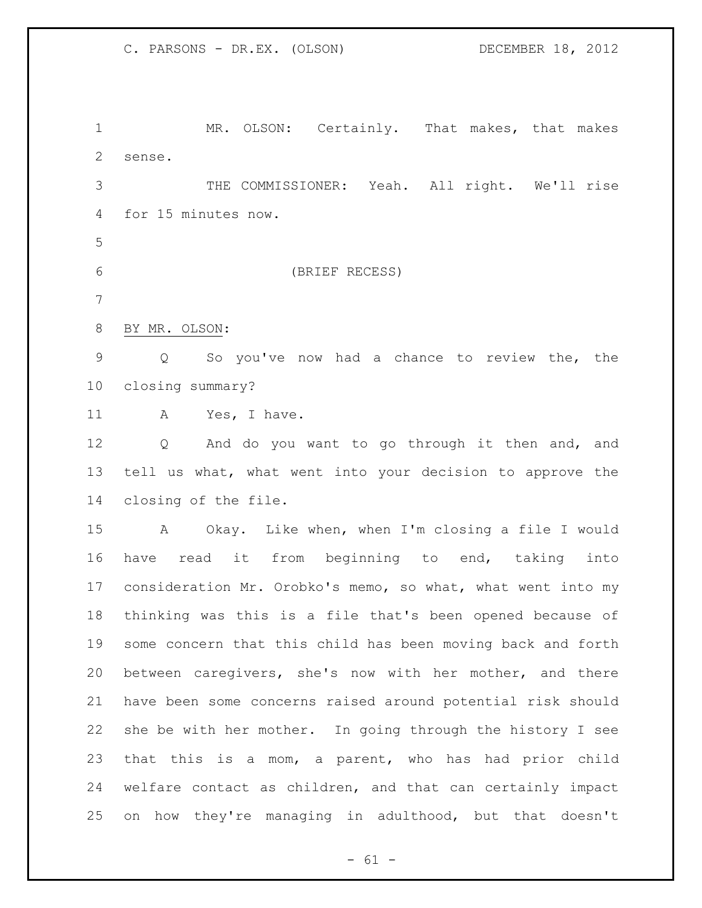MR. OLSON: Certainly. That makes, that makes sense. THE COMMISSIONER: Yeah. All right. We'll rise

for 15 minutes now.

(BRIEF RECESS)

BY MR. OLSON:

 Q So you've now had a chance to review the, the closing summary?

11 A Yes, I have.

 Q And do you want to go through it then and, and tell us what, what went into your decision to approve the closing of the file.

 A Okay. Like when, when I'm closing a file I would have read it from beginning to end, taking into consideration Mr. Orobko's memo, so what, what went into my thinking was this is a file that's been opened because of some concern that this child has been moving back and forth between caregivers, she's now with her mother, and there have been some concerns raised around potential risk should she be with her mother. In going through the history I see that this is a mom, a parent, who has had prior child welfare contact as children, and that can certainly impact on how they're managing in adulthood, but that doesn't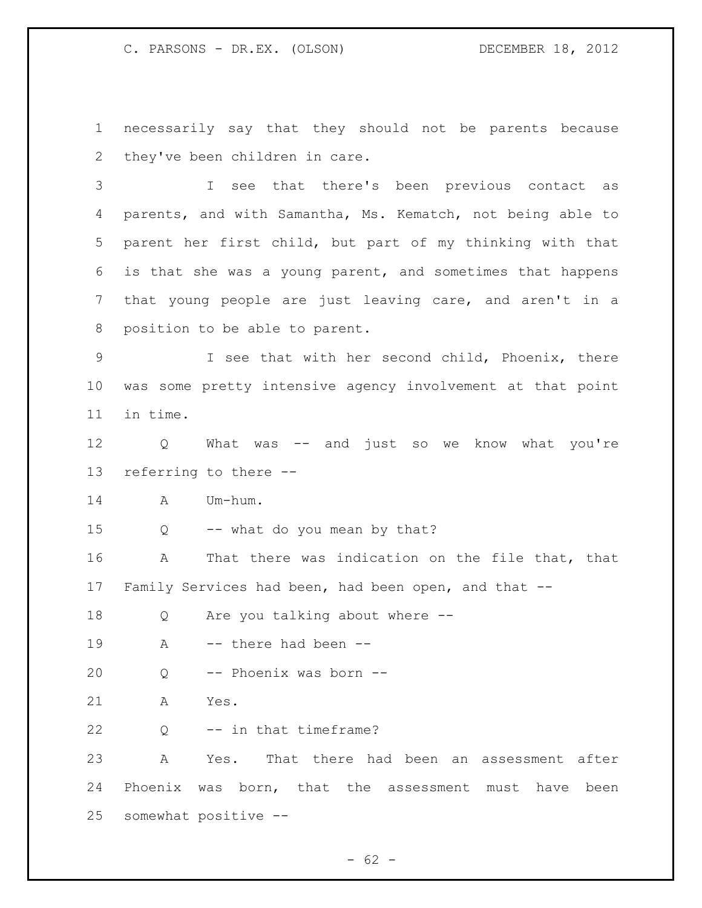necessarily say that they should not be parents because they've been children in care.

 I see that there's been previous contact as parents, and with Samantha, Ms. Kematch, not being able to parent her first child, but part of my thinking with that is that she was a young parent, and sometimes that happens that young people are just leaving care, and aren't in a position to be able to parent.

 I see that with her second child, Phoenix, there was some pretty intensive agency involvement at that point in time.

 Q What was -- and just so we know what you're referring to there --

A Um-hum.

Q -- what do you mean by that?

 A That there was indication on the file that, that Family Services had been, had been open, and that --

Q Are you talking about where --

19 A -- there had been --

Q -- Phoenix was born --

A Yes.

Q -- in that timeframe?

 A Yes. That there had been an assessment after Phoenix was born, that the assessment must have been somewhat positive --

 $- 62 -$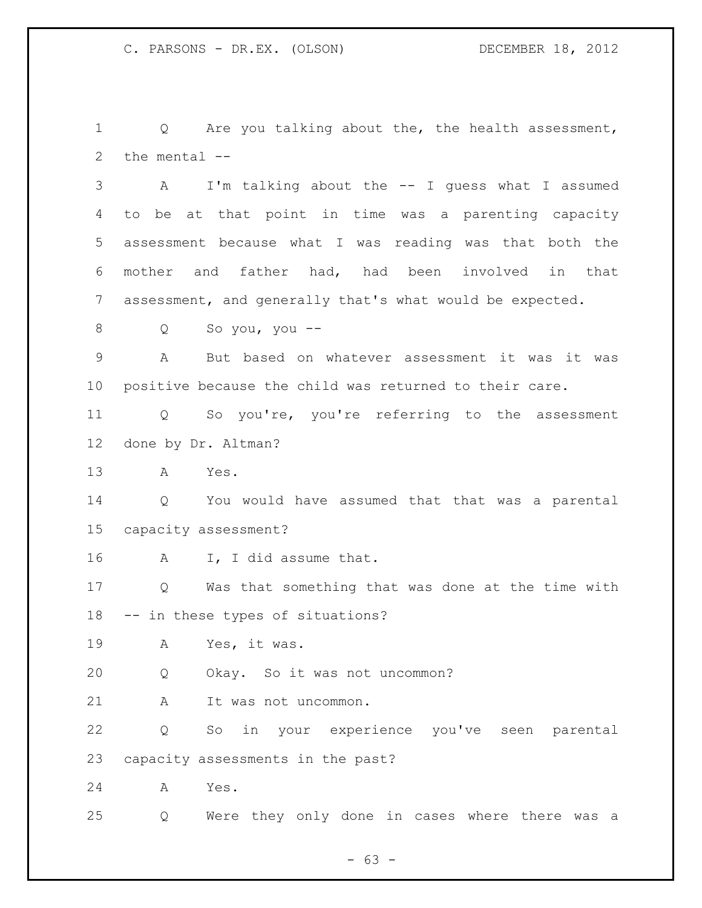Q Are you talking about the, the health assessment, the mental --

 A I'm talking about the -- I guess what I assumed to be at that point in time was a parenting capacity assessment because what I was reading was that both the mother and father had, had been involved in that assessment, and generally that's what would be expected.

Q So you, you --

 A But based on whatever assessment it was it was positive because the child was returned to their care.

 Q So you're, you're referring to the assessment done by Dr. Altman?

A Yes.

 Q You would have assumed that that was a parental capacity assessment?

A I, I did assume that.

 Q Was that something that was done at the time with -- in these types of situations?

A Yes, it was.

Q Okay. So it was not uncommon?

A It was not uncommon.

 Q So in your experience you've seen parental capacity assessments in the past?

A Yes.

Q Were they only done in cases where there was a

 $- 63 -$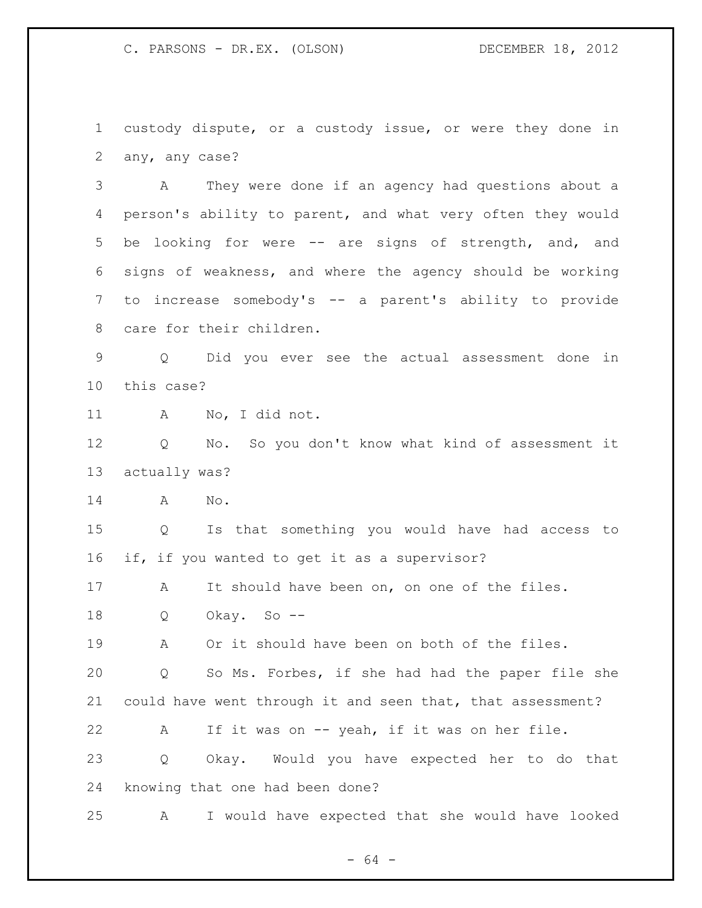custody dispute, or a custody issue, or were they done in any, any case?

 A They were done if an agency had questions about a person's ability to parent, and what very often they would be looking for were -- are signs of strength, and, and signs of weakness, and where the agency should be working to increase somebody's -- a parent's ability to provide care for their children.

 Q Did you ever see the actual assessment done in this case?

A No, I did not.

 Q No. So you don't know what kind of assessment it actually was?

A No.

 Q Is that something you would have had access to if, if you wanted to get it as a supervisor?

A It should have been on, on one of the files.

Q Okay. So --

A Or it should have been on both of the files.

 Q So Ms. Forbes, if she had had the paper file she could have went through it and seen that, that assessment?

 A If it was on -- yeah, if it was on her file. Q Okay. Would you have expected her to do that knowing that one had been done?

A I would have expected that she would have looked

- 64 -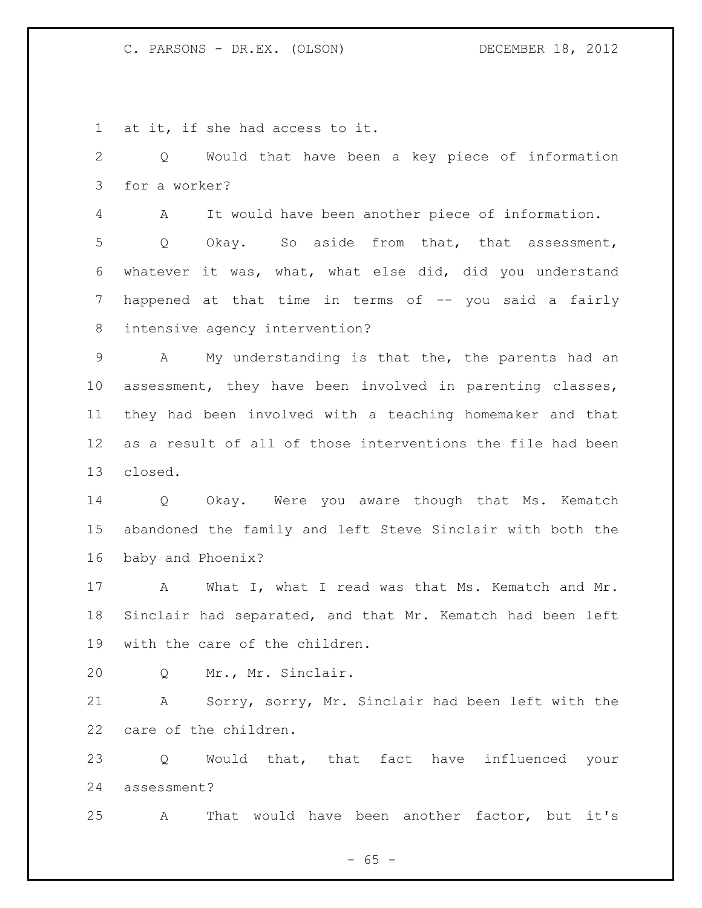at it, if she had access to it.

 Q Would that have been a key piece of information for a worker? A It would have been another piece of information. Q Okay. So aside from that, that assessment, whatever it was, what, what else did, did you understand happened at that time in terms of -- you said a fairly intensive agency intervention?

 A My understanding is that the, the parents had an assessment, they have been involved in parenting classes, they had been involved with a teaching homemaker and that as a result of all of those interventions the file had been closed.

 Q Okay. Were you aware though that Ms. Kematch abandoned the family and left Steve Sinclair with both the baby and Phoenix?

 A What I, what I read was that Ms. Kematch and Mr. Sinclair had separated, and that Mr. Kematch had been left with the care of the children.

Q Mr., Mr. Sinclair.

 A Sorry, sorry, Mr. Sinclair had been left with the care of the children.

 Q Would that, that fact have influenced your assessment?

A That would have been another factor, but it's

 $- 65 -$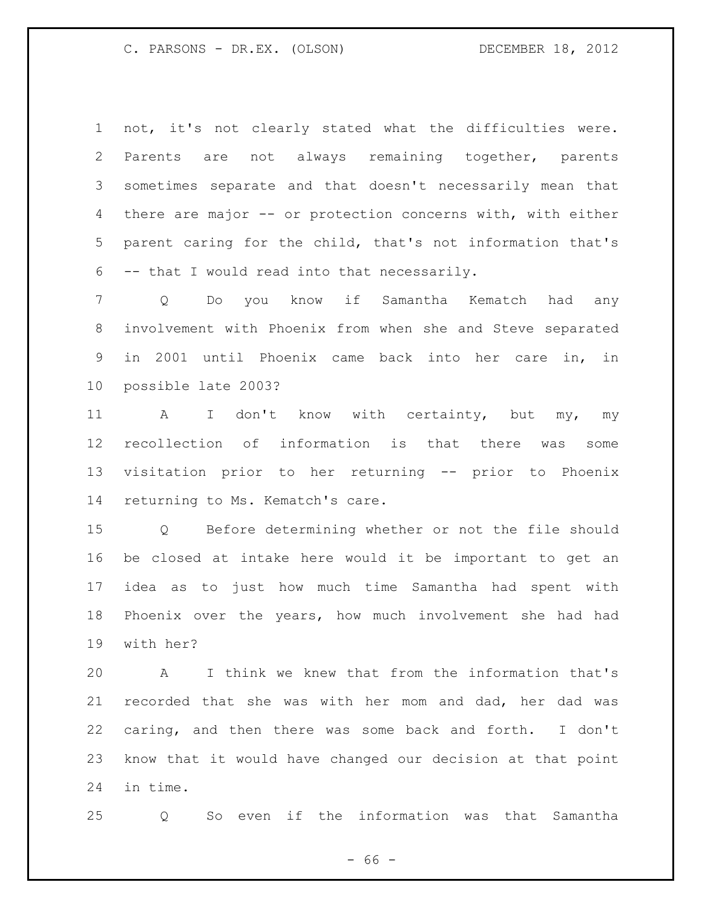not, it's not clearly stated what the difficulties were. Parents are not always remaining together, parents sometimes separate and that doesn't necessarily mean that there are major -- or protection concerns with, with either parent caring for the child, that's not information that's -- that I would read into that necessarily.

 Q Do you know if Samantha Kematch had any involvement with Phoenix from when she and Steve separated in 2001 until Phoenix came back into her care in, in possible late 2003?

11 A I don't know with certainty, but my, my recollection of information is that there was some visitation prior to her returning -- prior to Phoenix returning to Ms. Kematch's care.

 Q Before determining whether or not the file should be closed at intake here would it be important to get an idea as to just how much time Samantha had spent with Phoenix over the years, how much involvement she had had with her?

 A I think we knew that from the information that's recorded that she was with her mom and dad, her dad was caring, and then there was some back and forth. I don't know that it would have changed our decision at that point in time.

Q So even if the information was that Samantha

 $- 66 -$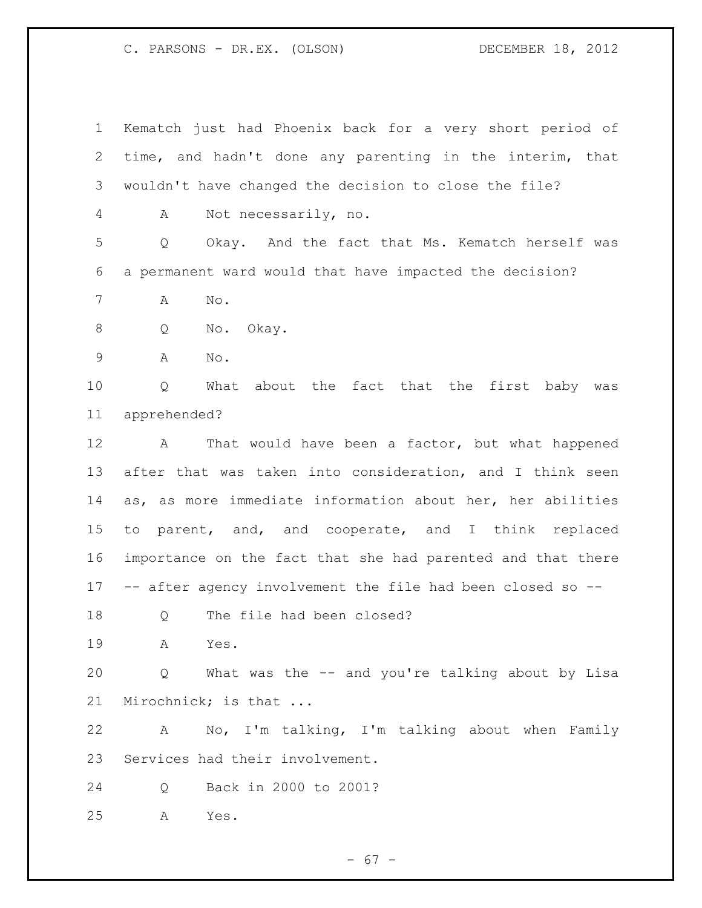Kematch just had Phoenix back for a very short period of time, and hadn't done any parenting in the interim, that wouldn't have changed the decision to close the file? A Not necessarily, no. Q Okay. And the fact that Ms. Kematch herself was a permanent ward would that have impacted the decision? A No. Q No. Okay. A No. Q What about the fact that the first baby was apprehended? A That would have been a factor, but what happened after that was taken into consideration, and I think seen as, as more immediate information about her, her abilities to parent, and, and cooperate, and I think replaced importance on the fact that she had parented and that there -- after agency involvement the file had been closed so -- 18 Q The file had been closed? A Yes. Q What was the -- and you're talking about by Lisa Mirochnick; is that ... A No, I'm talking, I'm talking about when Family Services had their involvement. Q Back in 2000 to 2001? A Yes.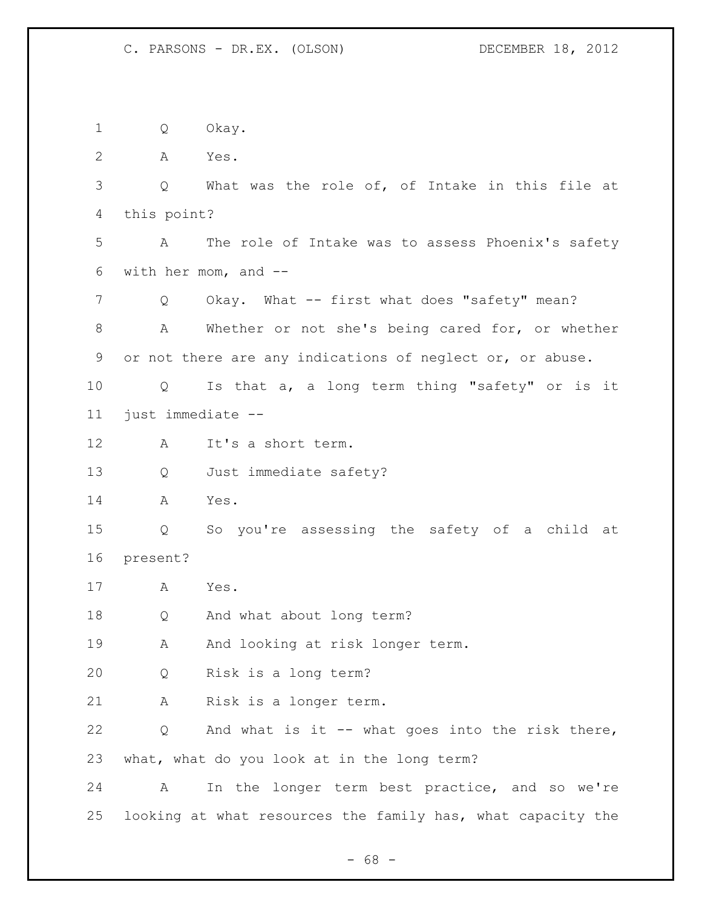Q Okay. A Yes. Q What was the role of, of Intake in this file at this point? A The role of Intake was to assess Phoenix's safety with her mom, and -- 7 Q Okay. What -- first what does "safety" mean? A Whether or not she's being cared for, or whether or not there are any indications of neglect or, or abuse. Q Is that a, a long term thing "safety" or is it just immediate -- A It's a short term. Q Just immediate safety? A Yes. Q So you're assessing the safety of a child at present? A Yes. Q And what about long term? 19 A And looking at risk longer term. Q Risk is a long term? A Risk is a longer term. Q And what is it -- what goes into the risk there, what, what do you look at in the long term? A In the longer term best practice, and so we're looking at what resources the family has, what capacity the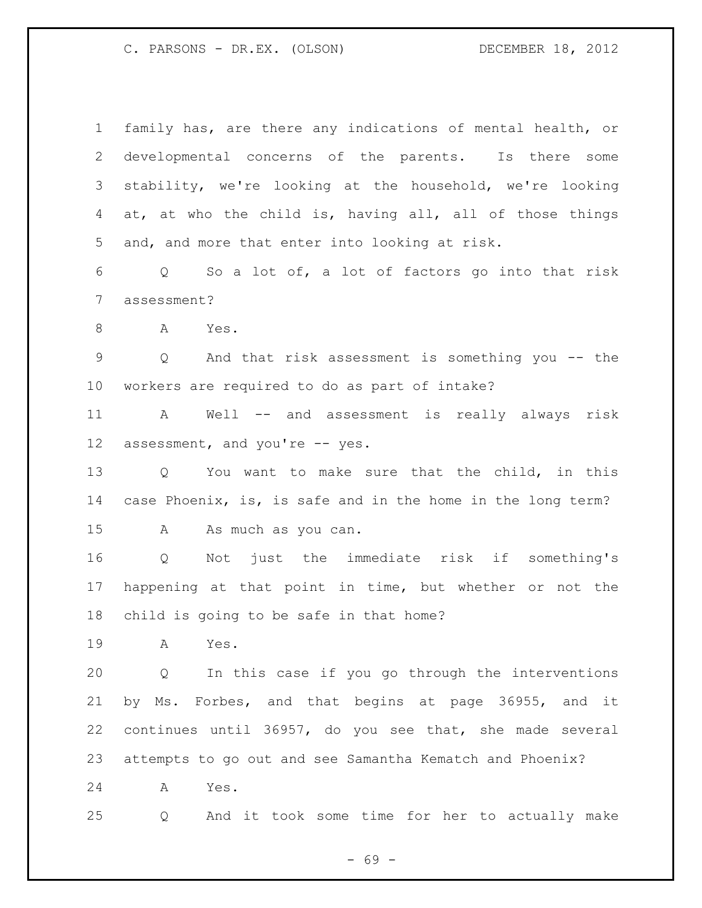| $\mathbf 1$     | family has, are there any indications of mental health, or            |  |  |
|-----------------|-----------------------------------------------------------------------|--|--|
| 2               | developmental concerns of the parents. Is there some                  |  |  |
| 3               | stability, we're looking at the household, we're looking              |  |  |
| 4               | at, at who the child is, having all, all of those things              |  |  |
| 5               | and, and more that enter into looking at risk.                        |  |  |
| 6               | Q So a lot of, a lot of factors go into that risk                     |  |  |
| $7\phantom{.0}$ | assessment?                                                           |  |  |
| 8               | A Yes.                                                                |  |  |
| $\mathsf 9$     | And that risk assessment is something you -- the<br>$Q \qquad \qquad$ |  |  |
| $10 \,$         | workers are required to do as part of intake?                         |  |  |
| 11              | A Well -- and assessment is really always risk                        |  |  |
| 12              | assessment, and you're -- yes.                                        |  |  |
| 13              | Q You want to make sure that the child, in this                       |  |  |
| 14              | case Phoenix, is, is safe and in the home in the long term?           |  |  |
| 15              | As much as you can.<br>A                                              |  |  |
| 16              | Q Not just the immediate risk if something's                          |  |  |
| 17              | happening at that point in time, but whether or not the               |  |  |
| 18              | child is going to be safe in that home?                               |  |  |
| 19              | Yes.<br>A                                                             |  |  |
| 20              | In this case if you go through the interventions<br>Q                 |  |  |
| 21              | by Ms. Forbes, and that begins at page 36955, and it                  |  |  |
| 22              | continues until 36957, do you see that, she made several              |  |  |
| 23              | attempts to go out and see Samantha Kematch and Phoenix?              |  |  |
| 24              | Yes.<br>A                                                             |  |  |
| 25              | And it took some time for her to actually make<br>Q                   |  |  |

- 69 -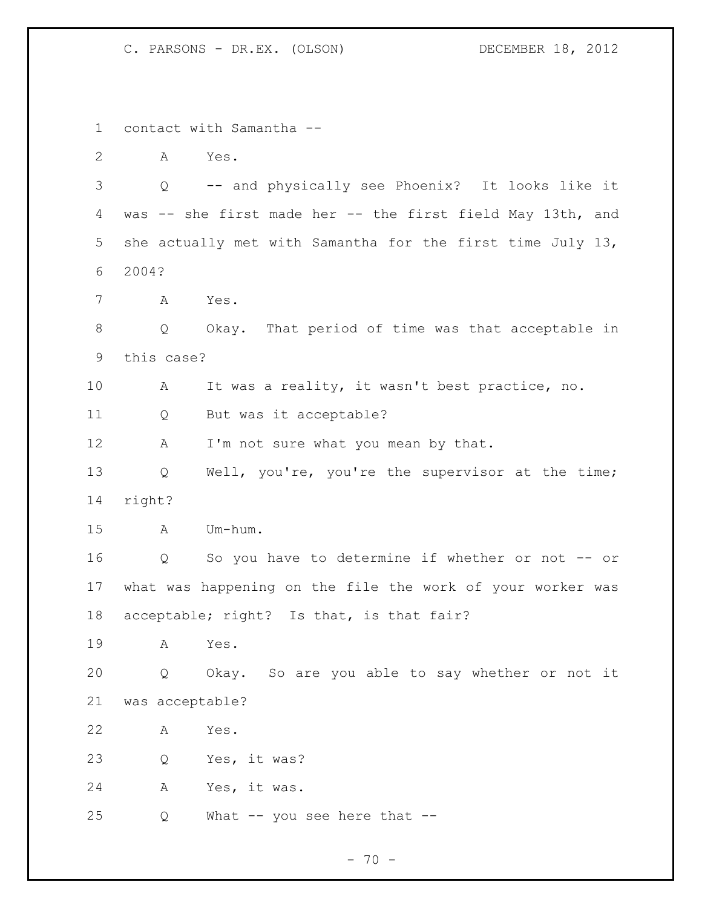contact with Samantha -- A Yes. Q -- and physically see Phoenix? It looks like it was -- she first made her -- the first field May 13th, and she actually met with Samantha for the first time July 13, 2004? A Yes. Q Okay. That period of time was that acceptable in this case? A It was a reality, it wasn't best practice, no. Q But was it acceptable? 12 A I'm not sure what you mean by that. Q Well, you're, you're the supervisor at the time; right? A Um-hum. Q So you have to determine if whether or not -- or what was happening on the file the work of your worker was acceptable; right? Is that, is that fair? A Yes. Q Okay. So are you able to say whether or not it was acceptable? A Yes. Q Yes, it was? A Yes, it was. 25 Q What -- you see here that --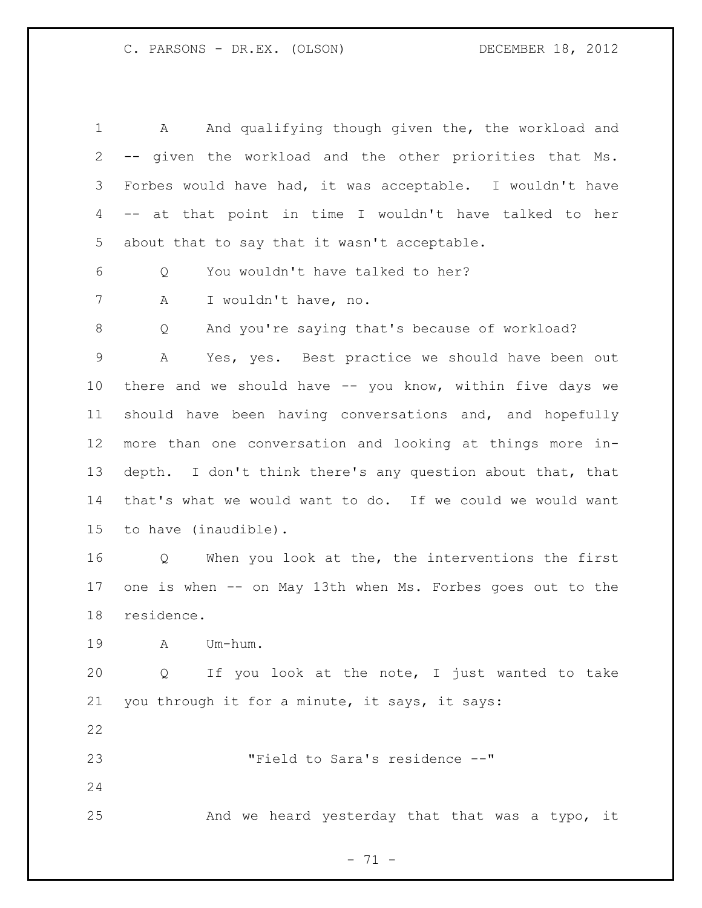1 A And qualifying though given the, the workload and -- given the workload and the other priorities that Ms. Forbes would have had, it was acceptable. I wouldn't have -- at that point in time I wouldn't have talked to her about that to say that it wasn't acceptable. Q You wouldn't have talked to her? A I wouldn't have, no. Q And you're saying that's because of workload? A Yes, yes. Best practice we should have been out there and we should have -- you know, within five days we should have been having conversations and, and hopefully more than one conversation and looking at things more in- depth. I don't think there's any question about that, that that's what we would want to do. If we could we would want to have (inaudible). Q When you look at the, the interventions the first one is when -- on May 13th when Ms. Forbes goes out to the residence. A Um-hum. Q If you look at the note, I just wanted to take you through it for a minute, it says, it says: "Field to Sara's residence --" And we heard yesterday that that was a typo, it

- 71 -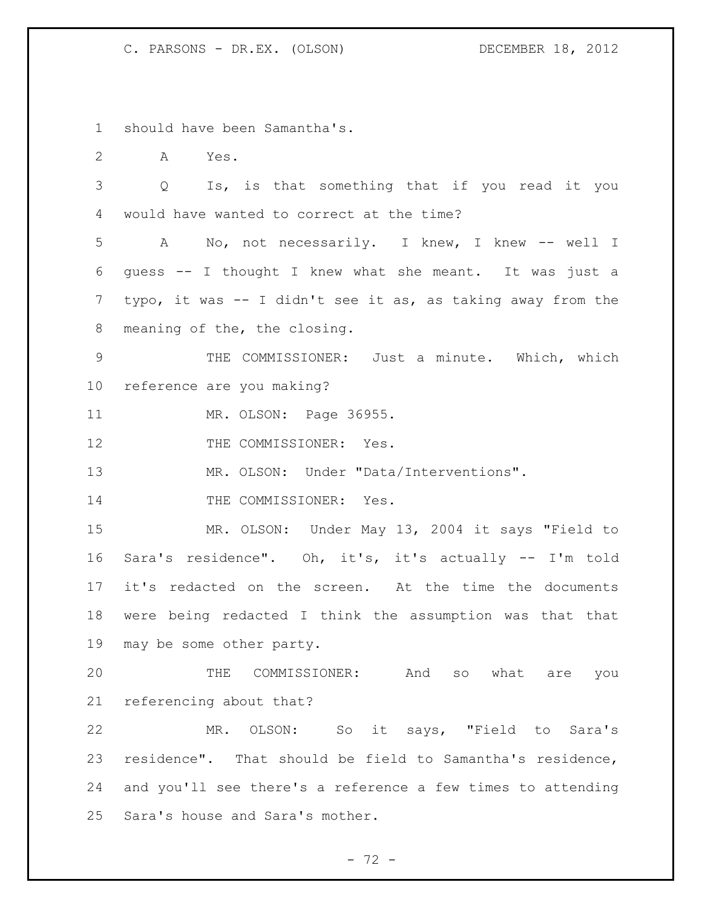should have been Samantha's.

A Yes.

 Q Is, is that something that if you read it you would have wanted to correct at the time?

 A No, not necessarily. I knew, I knew -- well I guess -- I thought I knew what she meant. It was just a typo, it was -- I didn't see it as, as taking away from the meaning of the, the closing.

 THE COMMISSIONER: Just a minute. Which, which reference are you making?

MR. OLSON: Page 36955.

12 THE COMMISSIONER: Yes.

MR. OLSON: Under "Data/Interventions".

14 THE COMMISSIONER: Yes.

 MR. OLSON: Under May 13, 2004 it says "Field to Sara's residence". Oh, it's, it's actually -- I'm told it's redacted on the screen. At the time the documents were being redacted I think the assumption was that that may be some other party.

 THE COMMISSIONER: And so what are you referencing about that?

 MR. OLSON: So it says, "Field to Sara's residence". That should be field to Samantha's residence, and you'll see there's a reference a few times to attending Sara's house and Sara's mother.

 $- 72 -$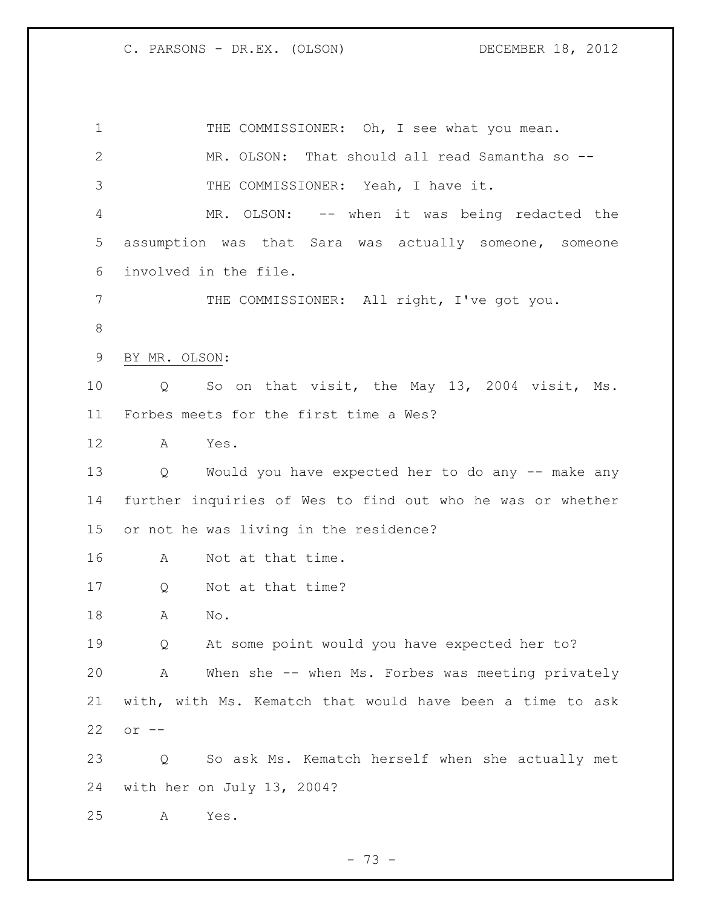| $\mathbf 1$  | THE COMMISSIONER: Oh, I see what you mean.                 |
|--------------|------------------------------------------------------------|
| $\mathbf{2}$ | MR. OLSON: That should all read Samantha so --             |
| 3            | THE COMMISSIONER: Yeah, I have it.                         |
| 4            | MR. OLSON: -- when it was being redacted the               |
| 5            | assumption was that Sara was actually someone, someone     |
| 6            | involved in the file.                                      |
| 7            | THE COMMISSIONER: All right, I've got you.                 |
| $\,8\,$      |                                                            |
| 9            | BY MR. OLSON:                                              |
| 10           | So on that visit, the May 13, 2004 visit, Ms.<br>Q         |
| 11           | Forbes meets for the first time a Wes?                     |
| 12           | Yes.<br>A                                                  |
| 13           | Would you have expected her to do any -- make any<br>Q     |
| 14           | further inquiries of Wes to find out who he was or whether |
| 15           | or not he was living in the residence?                     |
| 16           | Not at that time.<br>A                                     |
| 17           | Not at that time?<br>Q                                     |
| 18           | No.<br>A                                                   |
| 19           | At some point would you have expected her to?<br>Q         |
| 20           | When she -- when Ms. Forbes was meeting privately<br>Α     |
| 21           | with, with Ms. Kematch that would have been a time to ask  |
| 22           | $or$ $--$                                                  |
| 23           | So ask Ms. Kematch herself when she actually met<br>Q      |
| 24           | with her on July 13, 2004?                                 |
| 25           | Yes.<br>Α                                                  |

- 73 -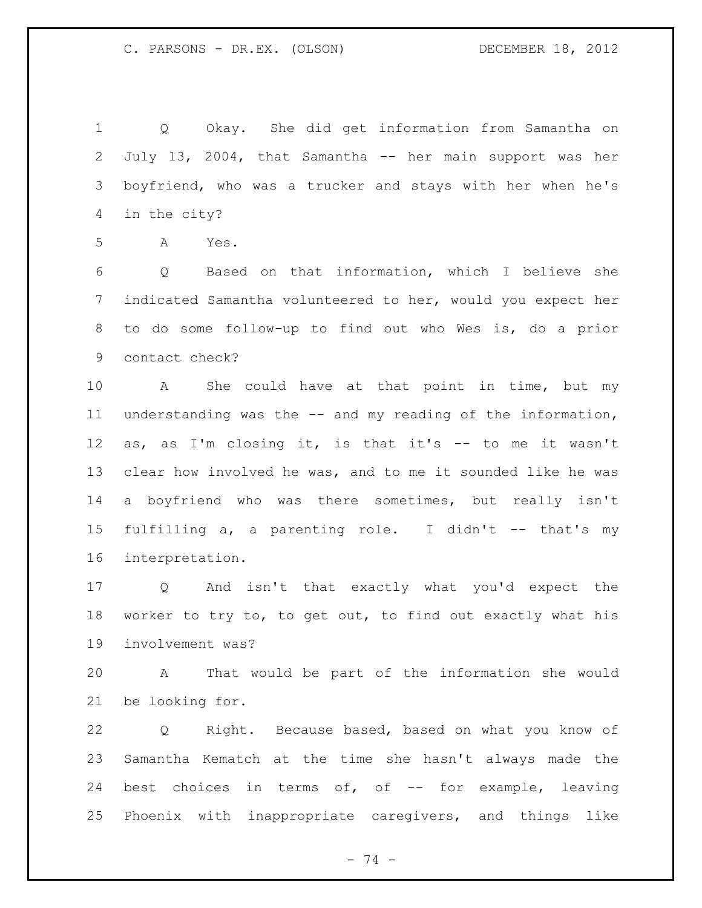Q Okay. She did get information from Samantha on July 13, 2004, that Samantha -- her main support was her boyfriend, who was a trucker and stays with her when he's in the city?

A Yes.

 Q Based on that information, which I believe she indicated Samantha volunteered to her, would you expect her to do some follow-up to find out who Wes is, do a prior contact check?

 A She could have at that point in time, but my understanding was the -- and my reading of the information, as, as I'm closing it, is that it's -- to me it wasn't clear how involved he was, and to me it sounded like he was a boyfriend who was there sometimes, but really isn't fulfilling a, a parenting role. I didn't -- that's my interpretation.

 Q And isn't that exactly what you'd expect the worker to try to, to get out, to find out exactly what his involvement was?

 A That would be part of the information she would be looking for.

 Q Right. Because based, based on what you know of Samantha Kematch at the time she hasn't always made the 24 best choices in terms of, of -- for example, leaving Phoenix with inappropriate caregivers, and things like

- 74 -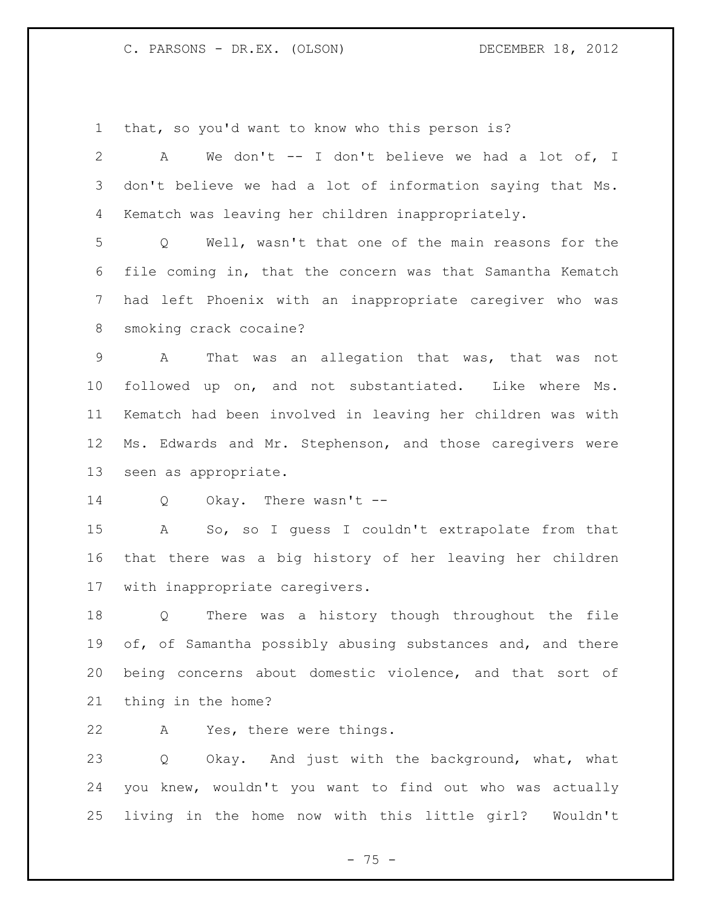that, so you'd want to know who this person is?

 A We don't -- I don't believe we had a lot of, I don't believe we had a lot of information saying that Ms. Kematch was leaving her children inappropriately. Q Well, wasn't that one of the main reasons for the file coming in, that the concern was that Samantha Kematch had left Phoenix with an inappropriate caregiver who was smoking crack cocaine? A That was an allegation that was, that was not followed up on, and not substantiated. Like where Ms. Kematch had been involved in leaving her children was with Ms. Edwards and Mr. Stephenson, and those caregivers were seen as appropriate. Q Okay. There wasn't -- A So, so I guess I couldn't extrapolate from that that there was a big history of her leaving her children with inappropriate caregivers. Q There was a history though throughout the file 19 of, of Samantha possibly abusing substances and, and there being concerns about domestic violence, and that sort of thing in the home? A Yes, there were things.

 Q Okay. And just with the background, what, what you knew, wouldn't you want to find out who was actually living in the home now with this little girl? Wouldn't

- 75 -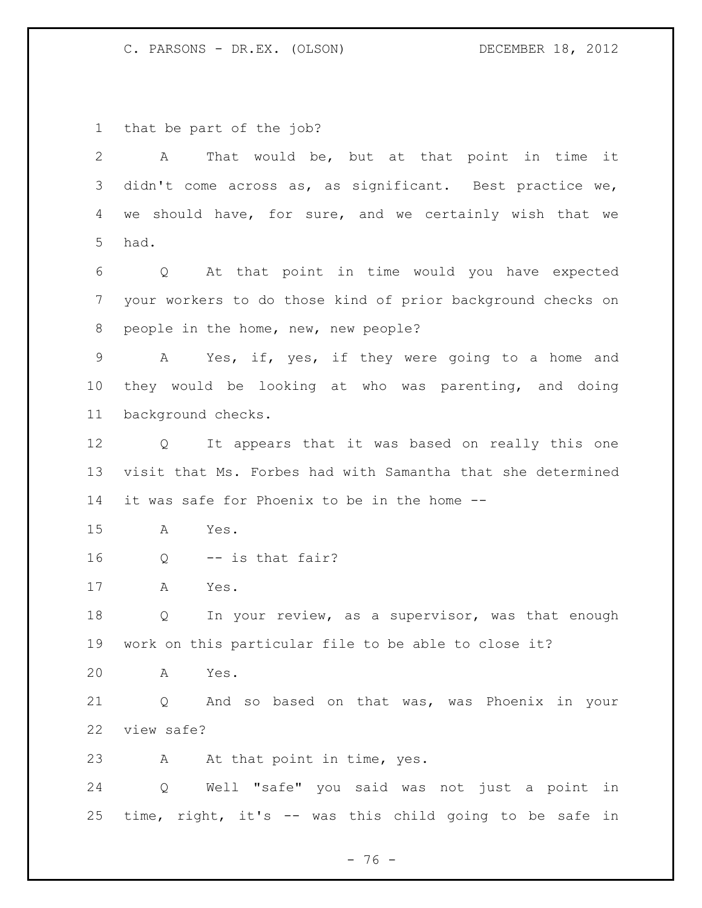that be part of the job?

 A That would be, but at that point in time it didn't come across as, as significant. Best practice we, we should have, for sure, and we certainly wish that we had. Q At that point in time would you have expected your workers to do those kind of prior background checks on people in the home, new, new people? A Yes, if, yes, if they were going to a home and they would be looking at who was parenting, and doing background checks. Q It appears that it was based on really this one visit that Ms. Forbes had with Samantha that she determined it was safe for Phoenix to be in the home -- A Yes. Q -- is that fair? A Yes. Q In your review, as a supervisor, was that enough work on this particular file to be able to close it? A Yes. Q And so based on that was, was Phoenix in your view safe? 23 A At that point in time, yes. Q Well "safe" you said was not just a point in time, right, it's -- was this child going to be safe in

 $- 76 -$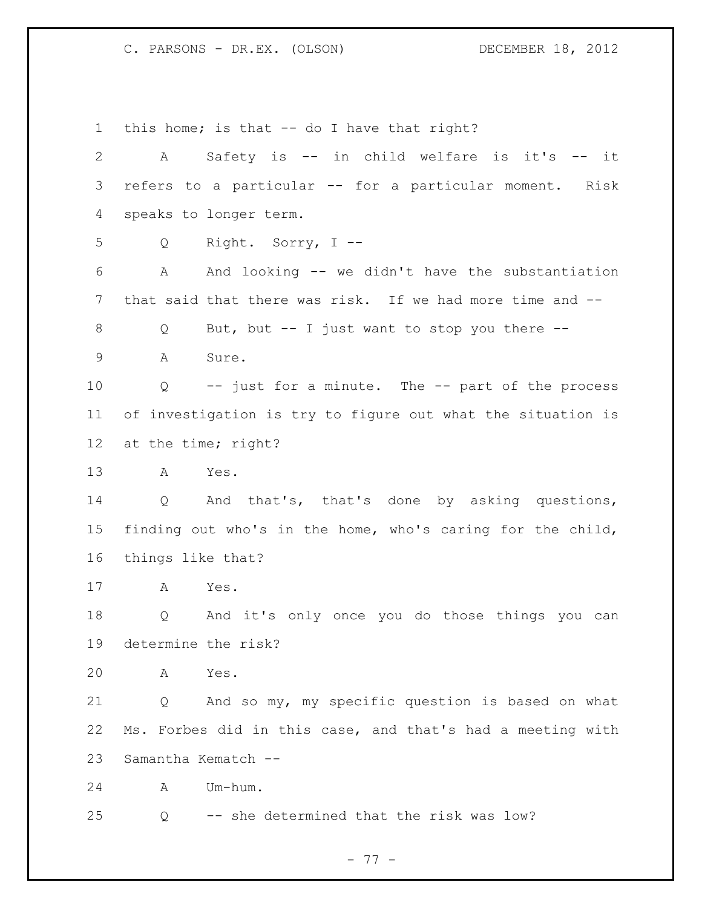this home; is that -- do I have that right? A Safety is -- in child welfare is it's -- it refers to a particular -- for a particular moment. Risk speaks to longer term. Q Right. Sorry, I -- A And looking -- we didn't have the substantiation that said that there was risk. If we had more time and -- Q But, but -- I just want to stop you there -- A Sure. Q -- just for a minute. The -- part of the process of investigation is try to figure out what the situation is at the time; right? A Yes. Q And that's, that's done by asking questions, finding out who's in the home, who's caring for the child, things like that? A Yes. Q And it's only once you do those things you can determine the risk? A Yes. Q And so my, my specific question is based on what Ms. Forbes did in this case, and that's had a meeting with Samantha Kematch -- A Um-hum. Q -- she determined that the risk was low?

- 77 -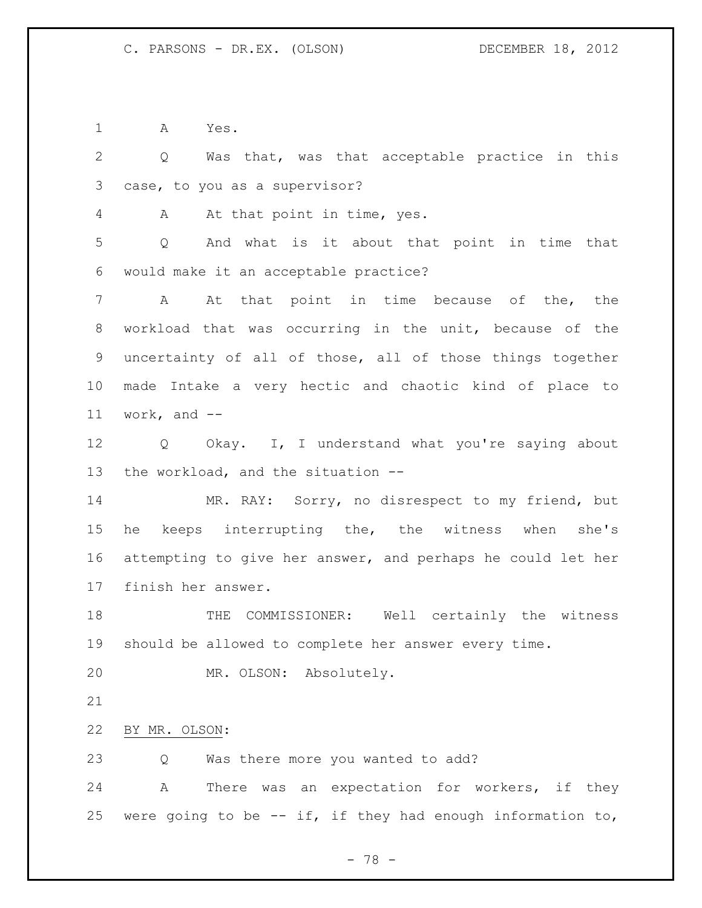A Yes.

 Q Was that, was that acceptable practice in this case, to you as a supervisor? A At that point in time, yes. Q And what is it about that point in time that would make it an acceptable practice? A At that point in time because of the, the workload that was occurring in the unit, because of the uncertainty of all of those, all of those things together made Intake a very hectic and chaotic kind of place to work, and -- Q Okay. I, I understand what you're saying about the workload, and the situation -- MR. RAY: Sorry, no disrespect to my friend, but he keeps interrupting the, the witness when she's attempting to give her answer, and perhaps he could let her finish her answer. THE COMMISSIONER: Well certainly the witness should be allowed to complete her answer every time. MR. OLSON: Absolutely. BY MR. OLSON: Q Was there more you wanted to add? A There was an expectation for workers, if they 25 were going to be  $-$  if, if they had enough information to,

- 78 -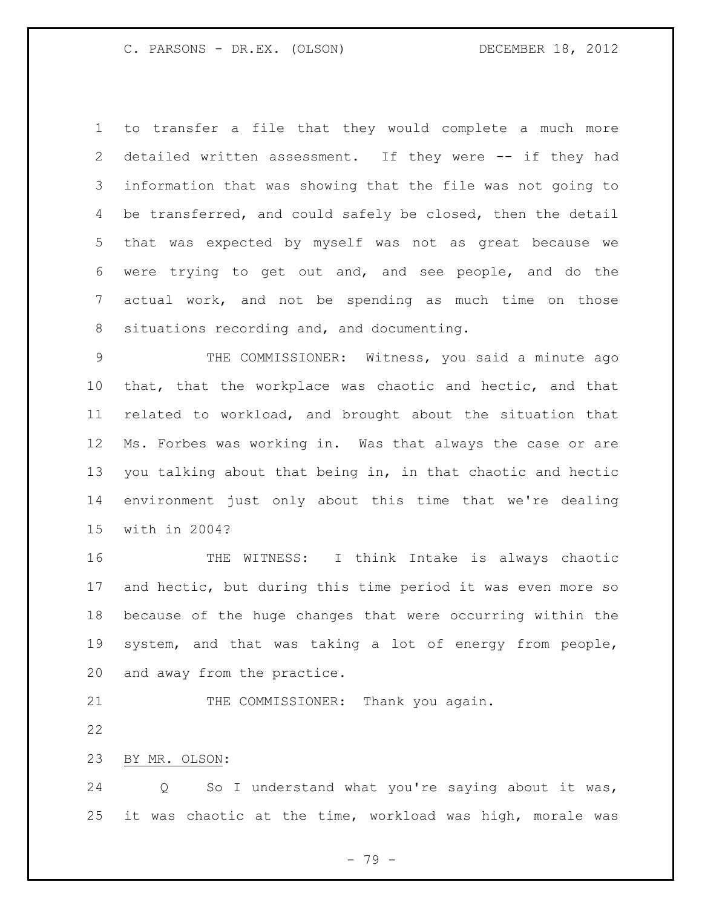to transfer a file that they would complete a much more detailed written assessment. If they were -- if they had information that was showing that the file was not going to 4 be transferred, and could safely be closed, then the detail that was expected by myself was not as great because we were trying to get out and, and see people, and do the actual work, and not be spending as much time on those situations recording and, and documenting.

 THE COMMISSIONER: Witness, you said a minute ago that, that the workplace was chaotic and hectic, and that related to workload, and brought about the situation that Ms. Forbes was working in. Was that always the case or are you talking about that being in, in that chaotic and hectic environment just only about this time that we're dealing with in 2004?

 THE WITNESS: I think Intake is always chaotic and hectic, but during this time period it was even more so because of the huge changes that were occurring within the system, and that was taking a lot of energy from people, and away from the practice.

21 THE COMMISSIONER: Thank you again.

BY MR. OLSON:

 Q So I understand what you're saying about it was, it was chaotic at the time, workload was high, morale was

- 79 -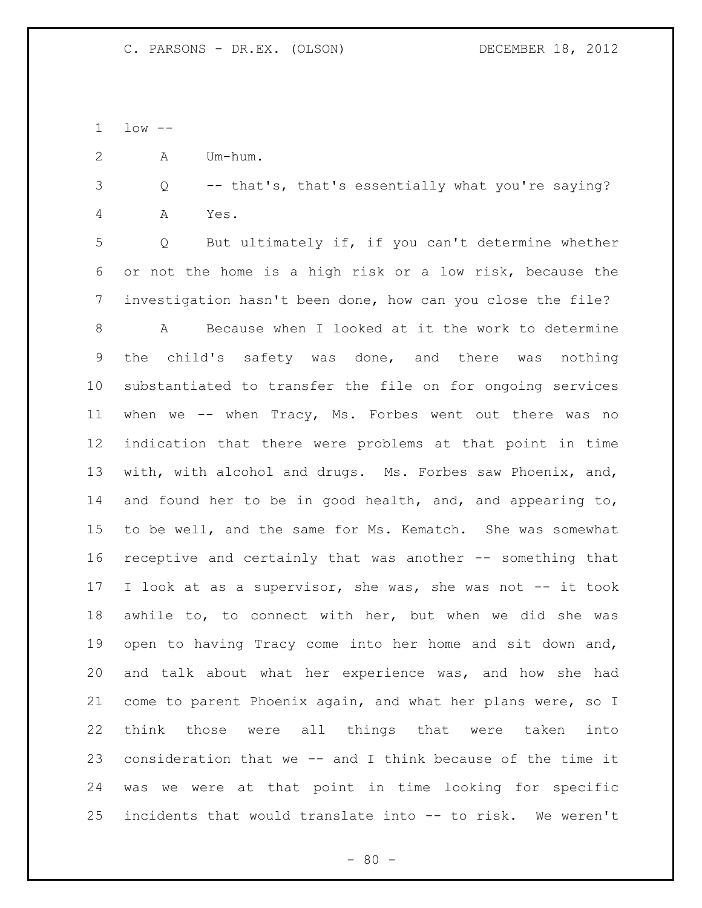low --

A Um-hum.

 Q -- that's, that's essentially what you're saying? A Yes.

 Q But ultimately if, if you can't determine whether or not the home is a high risk or a low risk, because the investigation hasn't been done, how can you close the file?

 A Because when I looked at it the work to determine the child's safety was done, and there was nothing substantiated to transfer the file on for ongoing services when we -- when Tracy, Ms. Forbes went out there was no indication that there were problems at that point in time with, with alcohol and drugs. Ms. Forbes saw Phoenix, and, and found her to be in good health, and, and appearing to, to be well, and the same for Ms. Kematch. She was somewhat receptive and certainly that was another -- something that I look at as a supervisor, she was, she was not -- it took awhile to, to connect with her, but when we did she was open to having Tracy come into her home and sit down and, and talk about what her experience was, and how she had come to parent Phoenix again, and what her plans were, so I think those were all things that were taken into consideration that we -- and I think because of the time it was we were at that point in time looking for specific incidents that would translate into -- to risk. We weren't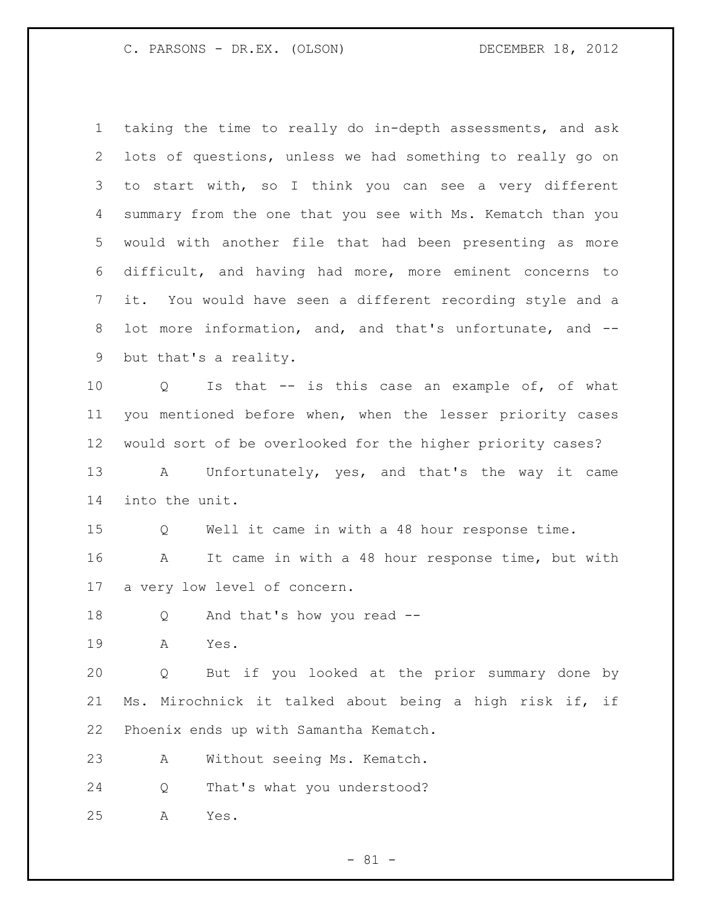taking the time to really do in-depth assessments, and ask lots of questions, unless we had something to really go on to start with, so I think you can see a very different summary from the one that you see with Ms. Kematch than you would with another file that had been presenting as more difficult, and having had more, more eminent concerns to it. You would have seen a different recording style and a lot more information, and, and that's unfortunate, and -- but that's a reality. Q Is that -- is this case an example of, of what you mentioned before when, when the lesser priority cases would sort of be overlooked for the higher priority cases? A Unfortunately, yes, and that's the way it came into the unit. Q Well it came in with a 48 hour response time. A It came in with a 48 hour response time, but with a very low level of concern. Q And that's how you read -- A Yes. Q But if you looked at the prior summary done by Ms. Mirochnick it talked about being a high risk if, if Phoenix ends up with Samantha Kematch. A Without seeing Ms. Kematch.

Q That's what you understood?

A Yes.

- 81 -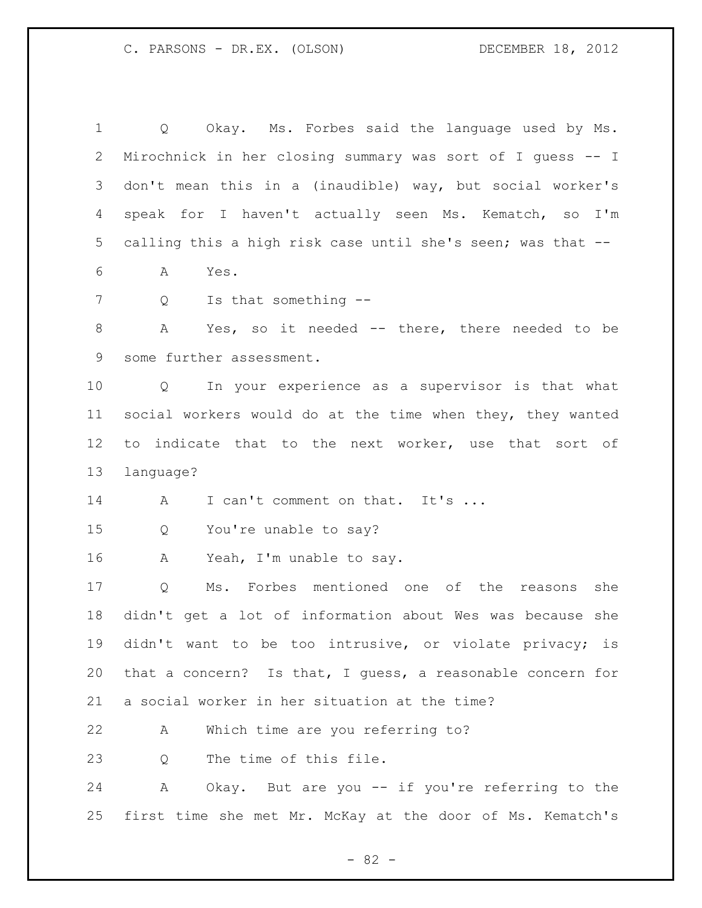Q Okay. Ms. Forbes said the language used by Ms. Mirochnick in her closing summary was sort of I guess -- I don't mean this in a (inaudible) way, but social worker's speak for I haven't actually seen Ms. Kematch, so I'm calling this a high risk case until she's seen; was that -- A Yes. 7 Q Is that something --8 A Yes, so it needed -- there, there needed to be some further assessment. Q In your experience as a supervisor is that what social workers would do at the time when they, they wanted to indicate that to the next worker, use that sort of language? 14 A I can't comment on that. It's ... Q You're unable to say? A Yeah, I'm unable to say. Q Ms. Forbes mentioned one of the reasons she didn't get a lot of information about Wes was because she didn't want to be too intrusive, or violate privacy; is that a concern? Is that, I guess, a reasonable concern for a social worker in her situation at the time? A Which time are you referring to? 23 O The time of this file. A Okay. But are you -- if you're referring to the first time she met Mr. McKay at the door of Ms. Kematch's

- 82 -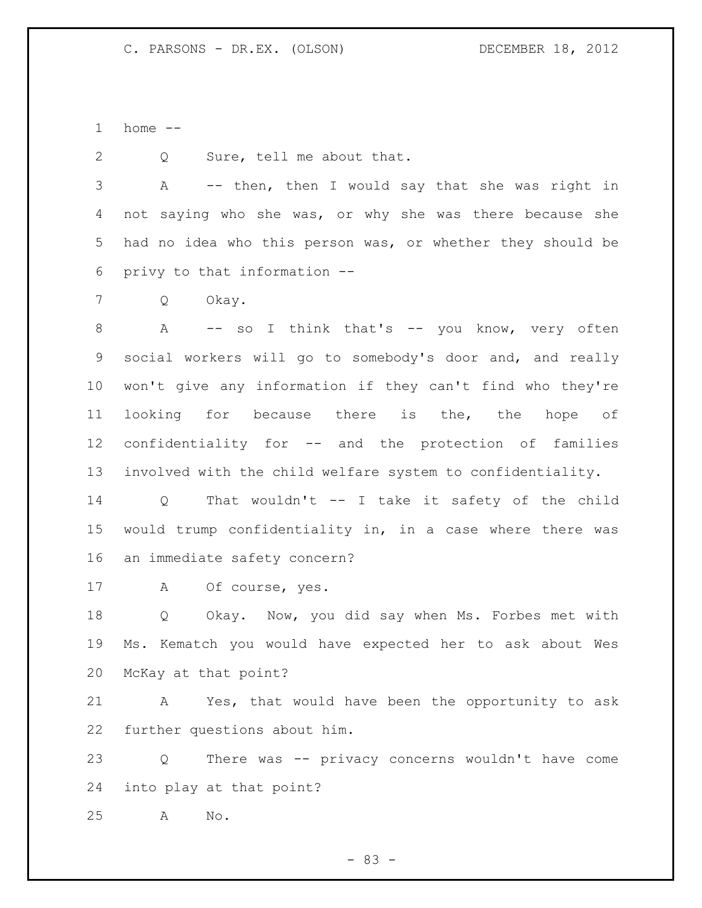home --

2 Q Sure, tell me about that.

 A -- then, then I would say that she was right in not saying who she was, or why she was there because she had no idea who this person was, or whether they should be privy to that information --

Q Okay.

8 A -- so I think that's -- you know, very often social workers will go to somebody's door and, and really won't give any information if they can't find who they're looking for because there is the, the hope of confidentiality for -- and the protection of families involved with the child welfare system to confidentiality.

 Q That wouldn't -- I take it safety of the child would trump confidentiality in, in a case where there was an immediate safety concern?

A Of course, yes.

 Q Okay. Now, you did say when Ms. Forbes met with Ms. Kematch you would have expected her to ask about Wes McKay at that point?

 A Yes, that would have been the opportunity to ask further questions about him.

 Q There was -- privacy concerns wouldn't have come into play at that point?

A No.

- 83 -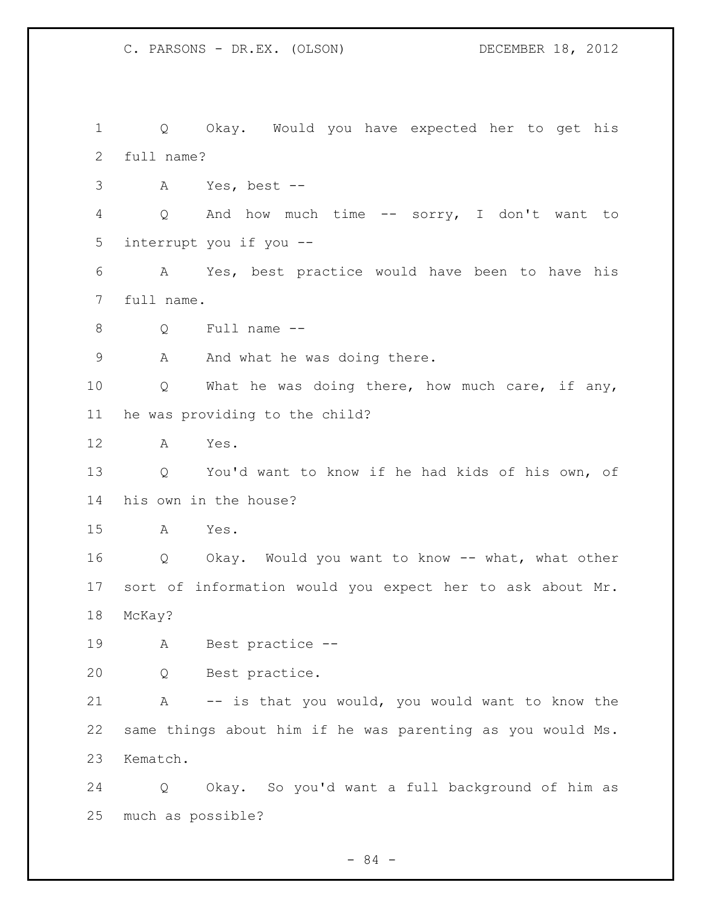Q Okay. Would you have expected her to get his full name? A Yes, best -- Q And how much time -- sorry, I don't want to interrupt you if you -- A Yes, best practice would have been to have his full name. Q Full name -- 9 A And what he was doing there. Q What he was doing there, how much care, if any, he was providing to the child? A Yes. Q You'd want to know if he had kids of his own, of his own in the house? A Yes. Q Okay. Would you want to know -- what, what other sort of information would you expect her to ask about Mr. McKay? A Best practice -- Q Best practice. A -- is that you would, you would want to know the same things about him if he was parenting as you would Ms. Kematch. Q Okay. So you'd want a full background of him as much as possible?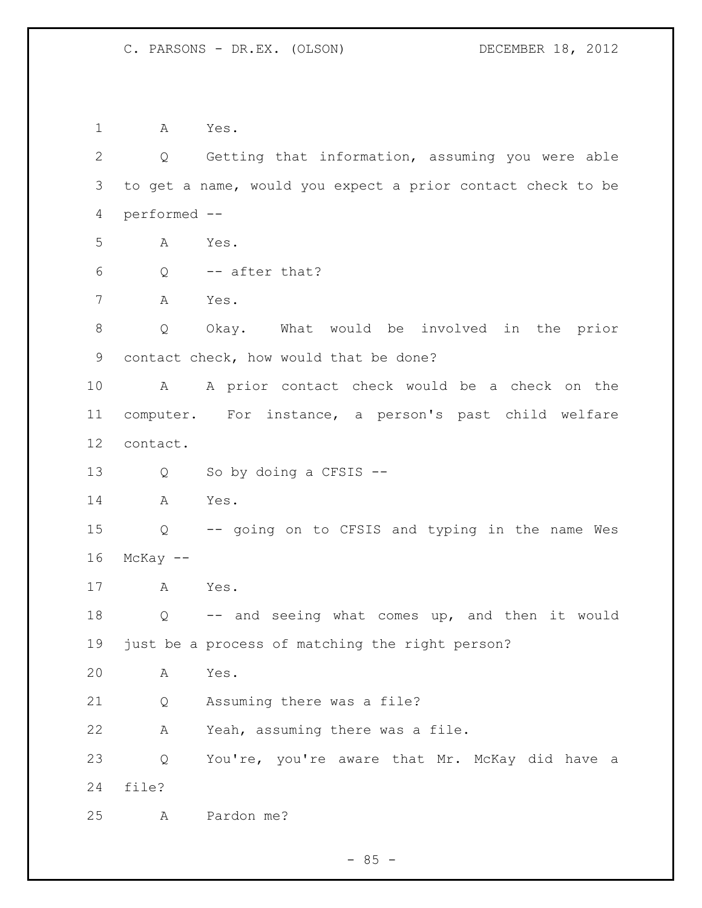A Yes. Q Getting that information, assuming you were able to get a name, would you expect a prior contact check to be performed -- A Yes. Q -- after that? A Yes. Q Okay. What would be involved in the prior contact check, how would that be done? A A prior contact check would be a check on the computer. For instance, a person's past child welfare contact. Q So by doing a CFSIS -- A Yes. Q -- going on to CFSIS and typing in the name Wes McKay  $-$  A Yes. Q -- and seeing what comes up, and then it would just be a process of matching the right person? A Yes. Q Assuming there was a file? A Yeah, assuming there was a file. Q You're, you're aware that Mr. McKay did have a file? A Pardon me?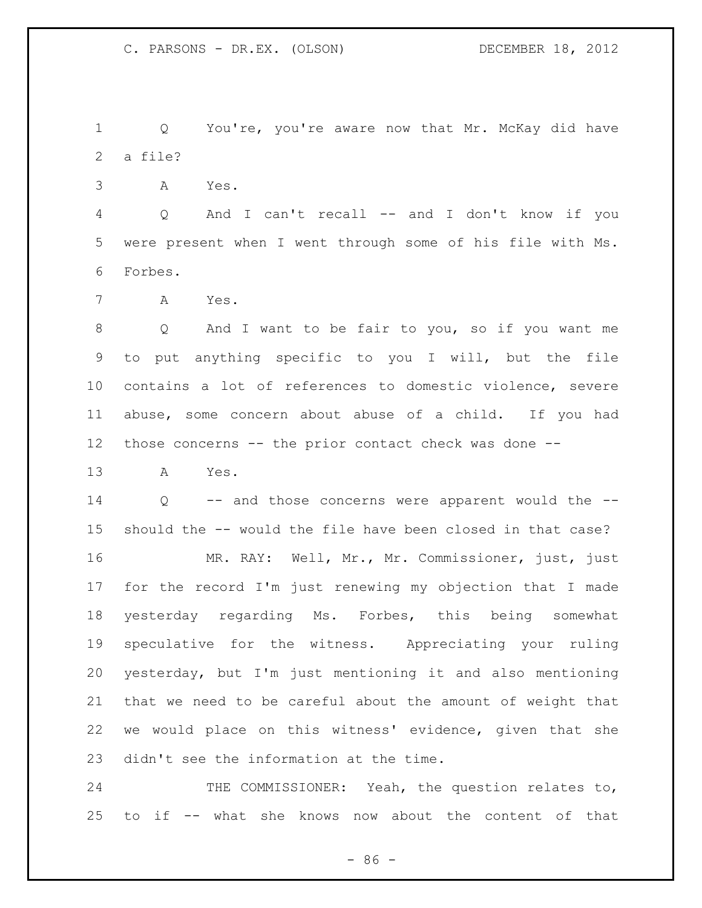Q You're, you're aware now that Mr. McKay did have a file?

A Yes.

 Q And I can't recall -- and I don't know if you were present when I went through some of his file with Ms. Forbes.

A Yes.

 Q And I want to be fair to you, so if you want me to put anything specific to you I will, but the file contains a lot of references to domestic violence, severe abuse, some concern about abuse of a child. If you had those concerns -- the prior contact check was done --

A Yes.

 Q -- and those concerns were apparent would the -- should the -- would the file have been closed in that case?

 MR. RAY: Well, Mr., Mr. Commissioner, just, just for the record I'm just renewing my objection that I made yesterday regarding Ms. Forbes, this being somewhat speculative for the witness. Appreciating your ruling yesterday, but I'm just mentioning it and also mentioning that we need to be careful about the amount of weight that we would place on this witness' evidence, given that she didn't see the information at the time.

24 THE COMMISSIONER: Yeah, the question relates to, to if -- what she knows now about the content of that

 $-86 -$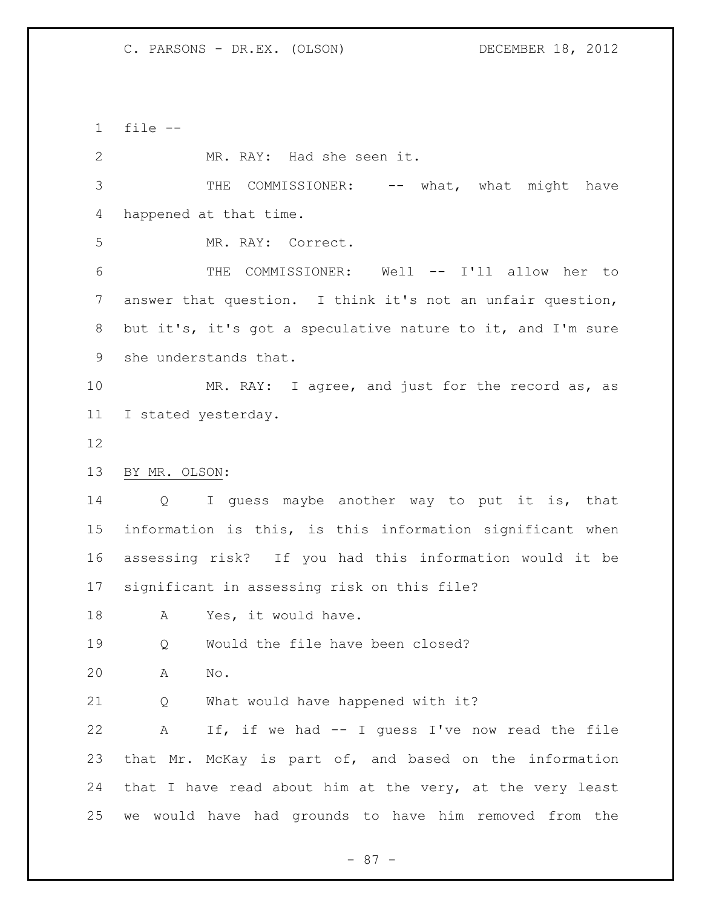file -- MR. RAY: Had she seen it. 3 THE COMMISSIONER: -- what, what might have happened at that time. MR. RAY: Correct. THE COMMISSIONER: Well -- I'll allow her to answer that question. I think it's not an unfair question, but it's, it's got a speculative nature to it, and I'm sure she understands that. MR. RAY: I agree, and just for the record as, as I stated yesterday. BY MR. OLSON: Q I guess maybe another way to put it is, that information is this, is this information significant when assessing risk? If you had this information would it be significant in assessing risk on this file? 18 A Yes, it would have. Q Would the file have been closed? A No. Q What would have happened with it? A If, if we had -- I guess I've now read the file that Mr. McKay is part of, and based on the information 24 that I have read about him at the very, at the very least we would have had grounds to have him removed from the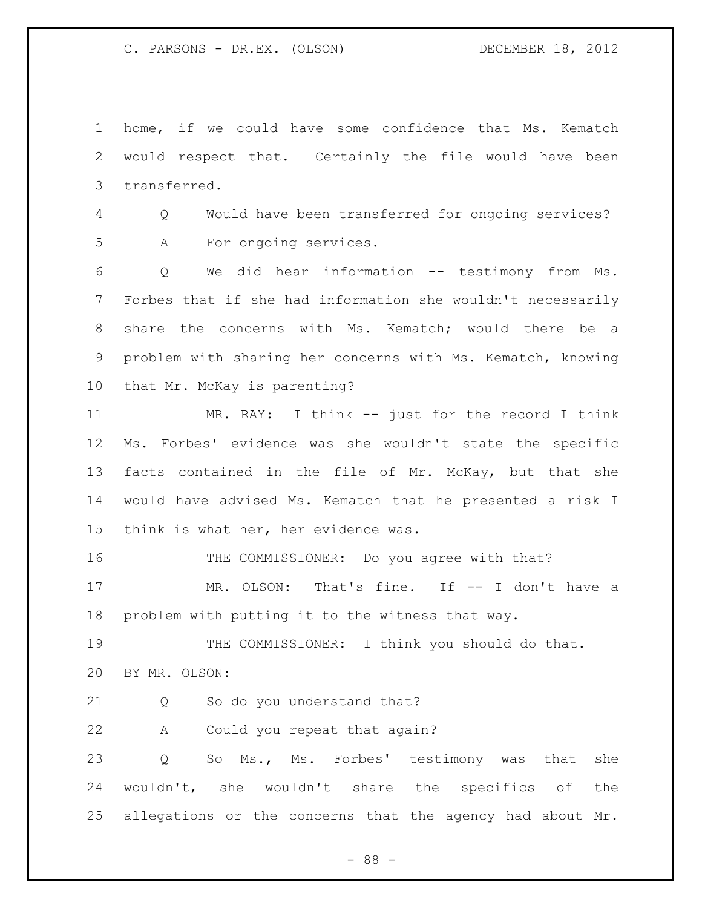home, if we could have some confidence that Ms. Kematch would respect that. Certainly the file would have been transferred.

 Q Would have been transferred for ongoing services? A For ongoing services.

 Q We did hear information -- testimony from Ms. Forbes that if she had information she wouldn't necessarily share the concerns with Ms. Kematch; would there be a problem with sharing her concerns with Ms. Kematch, knowing that Mr. McKay is parenting?

 MR. RAY: I think -- just for the record I think Ms. Forbes' evidence was she wouldn't state the specific 13 facts contained in the file of Mr. McKay, but that she would have advised Ms. Kematch that he presented a risk I think is what her, her evidence was.

16 THE COMMISSIONER: Do you agree with that?

17 MR. OLSON: That's fine. If -- I don't have a problem with putting it to the witness that way.

 THE COMMISSIONER: I think you should do that. BY MR. OLSON:

Q So do you understand that?

A Could you repeat that again?

 Q So Ms., Ms. Forbes' testimony was that she wouldn't, she wouldn't share the specifics of the allegations or the concerns that the agency had about Mr.

- 88 -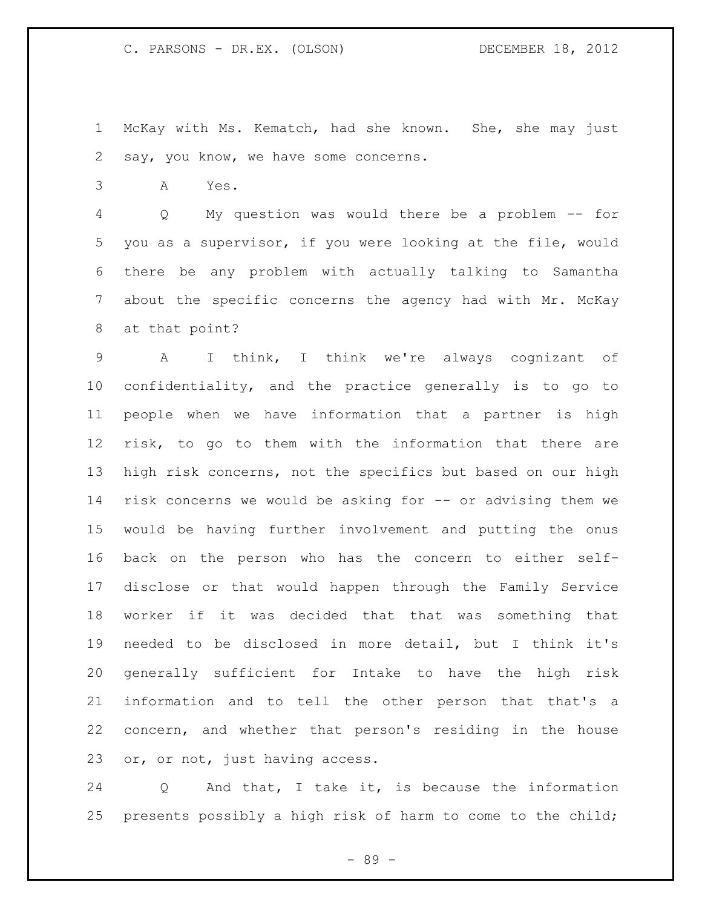McKay with Ms. Kematch, had she known. She, she may just say, you know, we have some concerns.

A Yes.

 Q My question was would there be a problem -- for you as a supervisor, if you were looking at the file, would there be any problem with actually talking to Samantha about the specific concerns the agency had with Mr. McKay at that point?

 A I think, I think we're always cognizant of confidentiality, and the practice generally is to go to people when we have information that a partner is high risk, to go to them with the information that there are high risk concerns, not the specifics but based on our high risk concerns we would be asking for -- or advising them we would be having further involvement and putting the onus back on the person who has the concern to either self- disclose or that would happen through the Family Service worker if it was decided that that was something that needed to be disclosed in more detail, but I think it's generally sufficient for Intake to have the high risk information and to tell the other person that that's a concern, and whether that person's residing in the house or, or not, just having access.

 Q And that, I take it, is because the information presents possibly a high risk of harm to come to the child;

- 89 -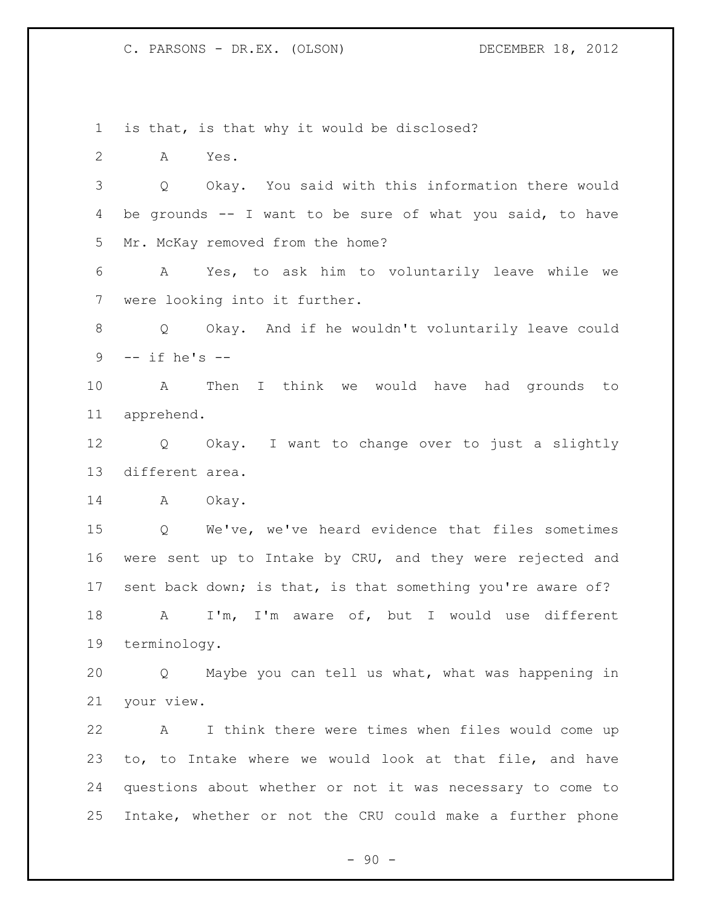is that, is that why it would be disclosed?

A Yes.

 Q Okay. You said with this information there would be grounds -- I want to be sure of what you said, to have Mr. McKay removed from the home?

 A Yes, to ask him to voluntarily leave while we were looking into it further.

 Q Okay. And if he wouldn't voluntarily leave could -- if he's --

 A Then I think we would have had grounds to apprehend.

 Q Okay. I want to change over to just a slightly different area.

14 A Okay.

 Q We've, we've heard evidence that files sometimes were sent up to Intake by CRU, and they were rejected and 17 sent back down; is that, is that something you're aware of? A I'm, I'm aware of, but I would use different terminology.

 Q Maybe you can tell us what, what was happening in your view.

 A I think there were times when files would come up to, to Intake where we would look at that file, and have questions about whether or not it was necessary to come to Intake, whether or not the CRU could make a further phone

 $-90 -$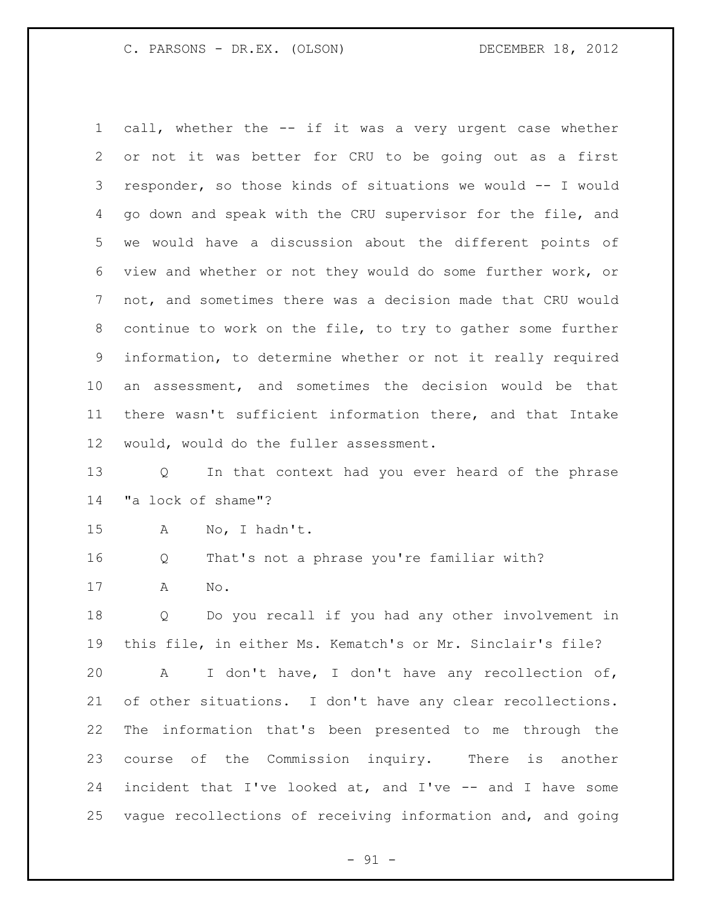call, whether the -- if it was a very urgent case whether or not it was better for CRU to be going out as a first responder, so those kinds of situations we would -- I would go down and speak with the CRU supervisor for the file, and we would have a discussion about the different points of view and whether or not they would do some further work, or not, and sometimes there was a decision made that CRU would continue to work on the file, to try to gather some further information, to determine whether or not it really required an assessment, and sometimes the decision would be that there wasn't sufficient information there, and that Intake would, would do the fuller assessment.

 Q In that context had you ever heard of the phrase "a lock of shame"?

A No, I hadn't.

Q That's not a phrase you're familiar with?

A No.

 Q Do you recall if you had any other involvement in this file, in either Ms. Kematch's or Mr. Sinclair's file?

 A I don't have, I don't have any recollection of, of other situations. I don't have any clear recollections. The information that's been presented to me through the course of the Commission inquiry. There is another incident that I've looked at, and I've -- and I have some vague recollections of receiving information and, and going

 $- 91 -$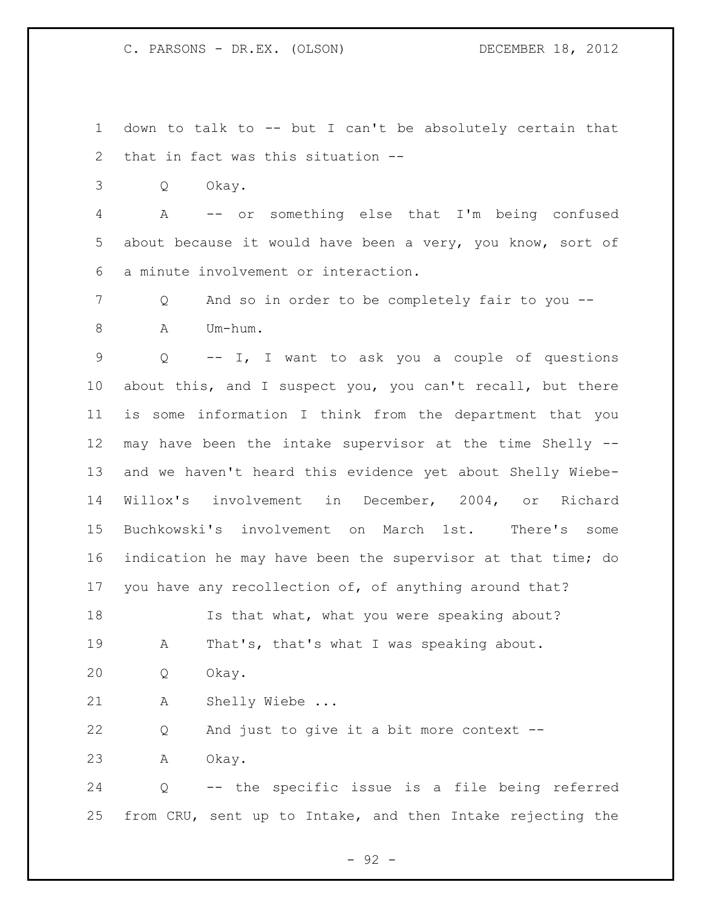down to talk to -- but I can't be absolutely certain that that in fact was this situation --

Q Okay.

 A -- or something else that I'm being confused about because it would have been a very, you know, sort of a minute involvement or interaction.

 Q And so in order to be completely fair to you -- A Um-hum.

 Q -- I, I want to ask you a couple of questions about this, and I suspect you, you can't recall, but there is some information I think from the department that you may have been the intake supervisor at the time Shelly -- and we haven't heard this evidence yet about Shelly Wiebe- Willox's involvement in December, 2004, or Richard Buchkowski's involvement on March 1st. There's some indication he may have been the supervisor at that time; do you have any recollection of, of anything around that?

 Is that what, what you were speaking about? A That's, that's what I was speaking about. Q Okay.

A Shelly Wiebe ...

Q And just to give it a bit more context --

A Okay.

 Q -- the specific issue is a file being referred from CRU, sent up to Intake, and then Intake rejecting the

- 92 -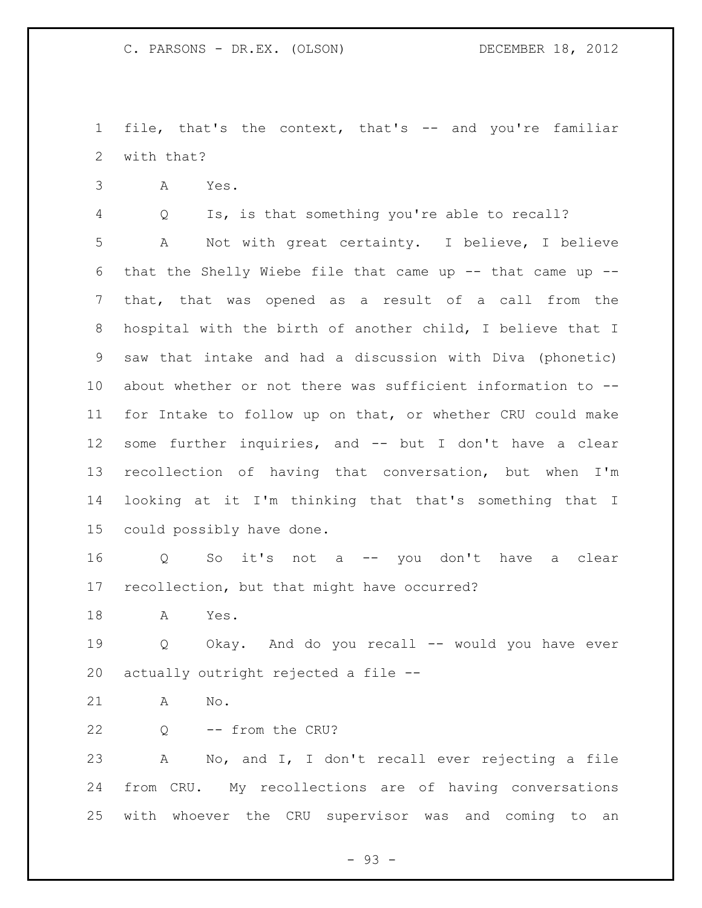file, that's the context, that's -- and you're familiar with that?

A Yes.

Q Is, is that something you're able to recall?

 A Not with great certainty. I believe, I believe that the Shelly Wiebe file that came up -- that came up -- that, that was opened as a result of a call from the hospital with the birth of another child, I believe that I saw that intake and had a discussion with Diva (phonetic) about whether or not there was sufficient information to -- for Intake to follow up on that, or whether CRU could make some further inquiries, and -- but I don't have a clear recollection of having that conversation, but when I'm looking at it I'm thinking that that's something that I could possibly have done.

 Q So it's not a -- you don't have a clear recollection, but that might have occurred?

A Yes.

 Q Okay. And do you recall -- would you have ever actually outright rejected a file --

A No.

Q -- from the CRU?

 A No, and I, I don't recall ever rejecting a file from CRU. My recollections are of having conversations with whoever the CRU supervisor was and coming to an

 $-93 -$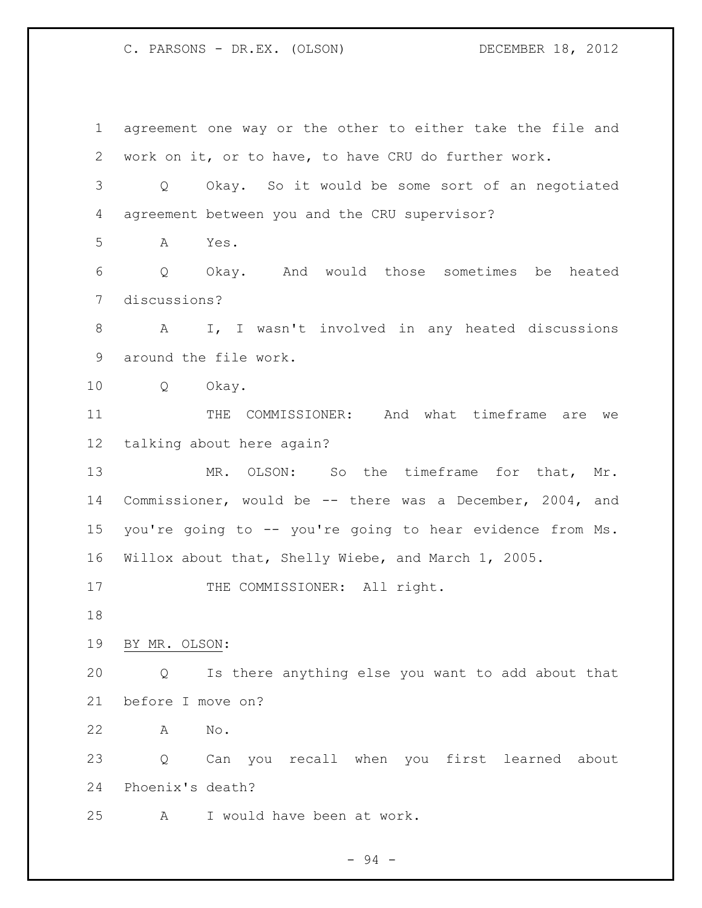agreement one way or the other to either take the file and work on it, or to have, to have CRU do further work. Q Okay. So it would be some sort of an negotiated agreement between you and the CRU supervisor? A Yes. Q Okay. And would those sometimes be heated discussions? A I, I wasn't involved in any heated discussions around the file work. Q Okay. THE COMMISSIONER: And what timeframe are we talking about here again? MR. OLSON: So the timeframe for that, Mr. Commissioner, would be -- there was a December, 2004, and you're going to -- you're going to hear evidence from Ms. Willox about that, Shelly Wiebe, and March 1, 2005. 17 THE COMMISSIONER: All right. BY MR. OLSON: Q Is there anything else you want to add about that before I move on? A No. Q Can you recall when you first learned about Phoenix's death? A I would have been at work.

- 94 -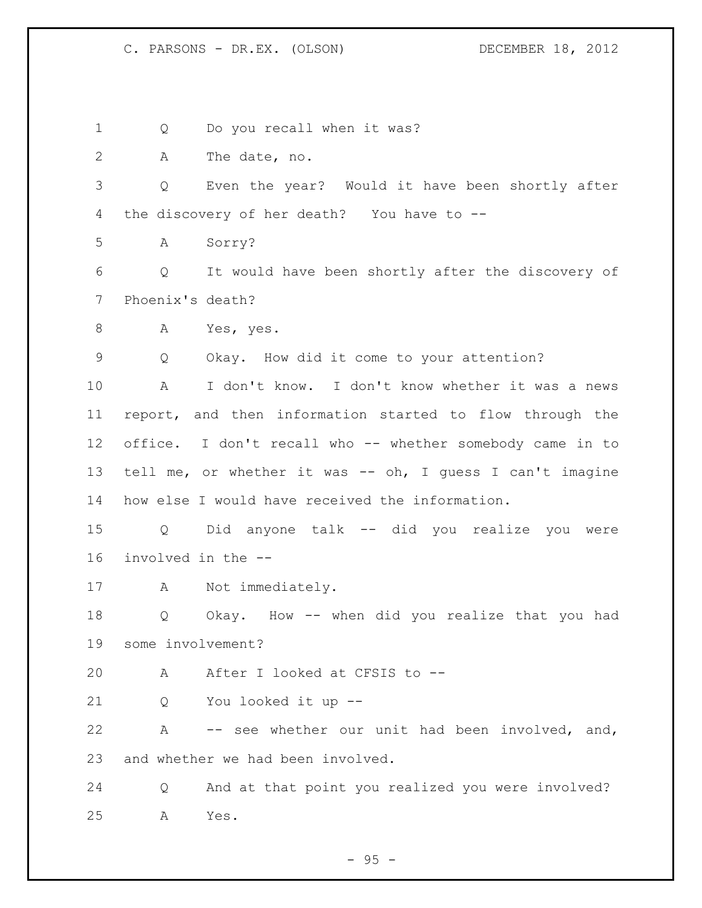1 Q Do you recall when it was? A The date, no. Q Even the year? Would it have been shortly after the discovery of her death? You have to -- A Sorry? Q It would have been shortly after the discovery of Phoenix's death? A Yes, yes. Q Okay. How did it come to your attention? A I don't know. I don't know whether it was a news report, and then information started to flow through the office. I don't recall who -- whether somebody came in to tell me, or whether it was -- oh, I guess I can't imagine how else I would have received the information. Q Did anyone talk -- did you realize you were involved in the -- A Not immediately. Q Okay. How -- when did you realize that you had some involvement? A After I looked at CFSIS to -- Q You looked it up -- A -- see whether our unit had been involved, and, and whether we had been involved. Q And at that point you realized you were involved? A Yes.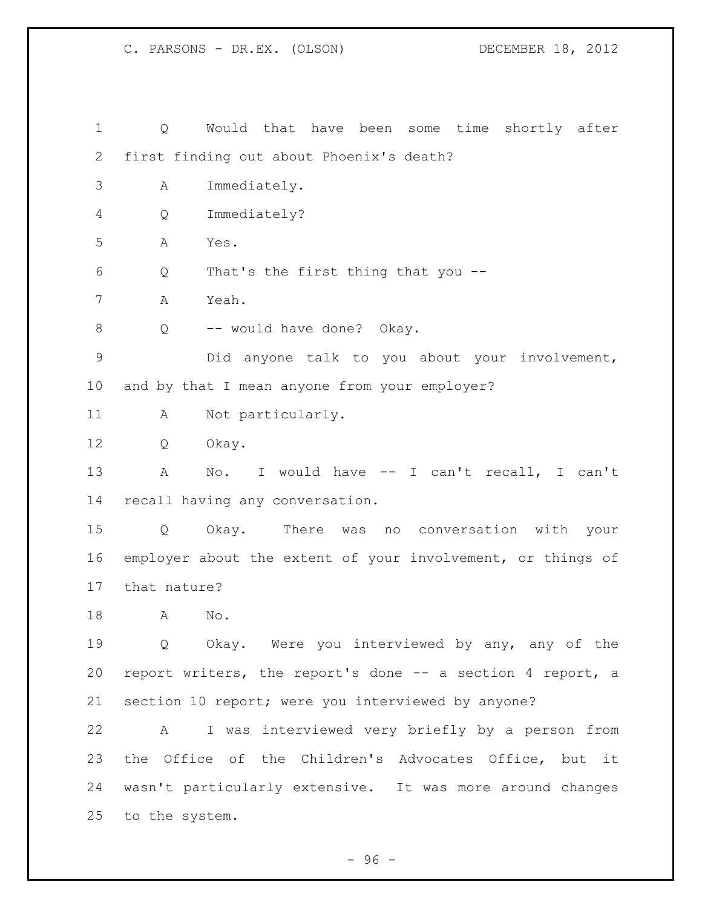Q Would that have been some time shortly after first finding out about Phoenix's death? A Immediately. Q Immediately? A Yes. Q That's the first thing that you -- A Yeah. 8 Q -- would have done? Okay. Did anyone talk to you about your involvement, and by that I mean anyone from your employer? A Not particularly. Q Okay. A No. I would have -- I can't recall, I can't recall having any conversation. Q Okay. There was no conversation with your employer about the extent of your involvement, or things of that nature? A No. Q Okay. Were you interviewed by any, any of the report writers, the report's done -- a section 4 report, a section 10 report; were you interviewed by anyone? A I was interviewed very briefly by a person from the Office of the Children's Advocates Office, but it wasn't particularly extensive. It was more around changes to the system.

 $-96 -$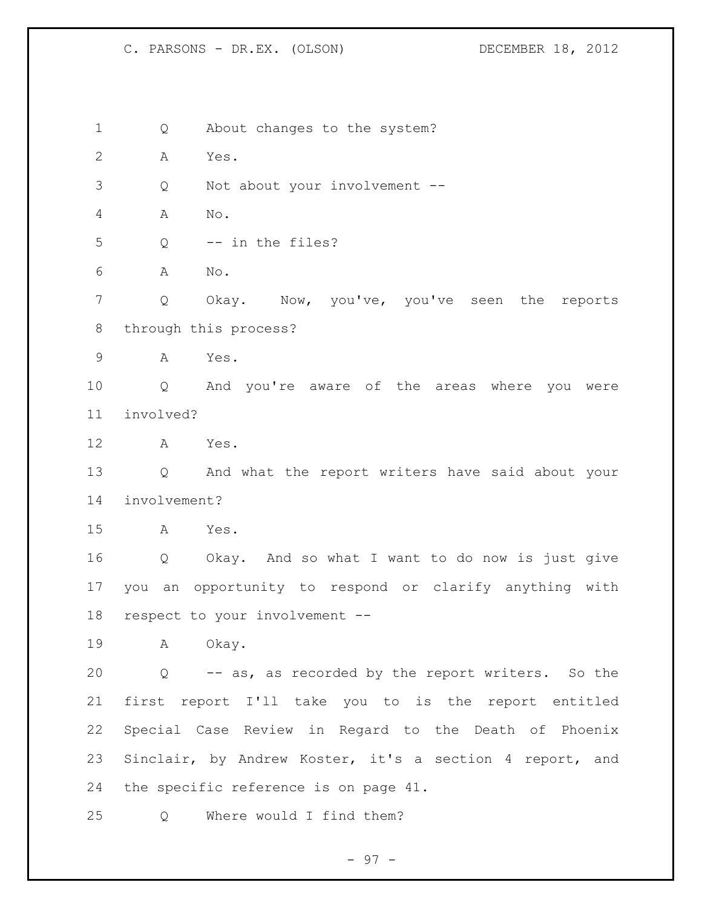1 Q About changes to the system? A Yes. Q Not about your involvement -- A No. Q -- in the files? A No. Q Okay. Now, you've, you've seen the reports through this process? A Yes. Q And you're aware of the areas where you were involved? A Yes. Q And what the report writers have said about your involvement? A Yes. Q Okay. And so what I want to do now is just give you an opportunity to respond or clarify anything with respect to your involvement -- A Okay. Q -- as, as recorded by the report writers. So the first report I'll take you to is the report entitled Special Case Review in Regard to the Death of Phoenix Sinclair, by Andrew Koster, it's a section 4 report, and the specific reference is on page 41. Q Where would I find them?

- 97 -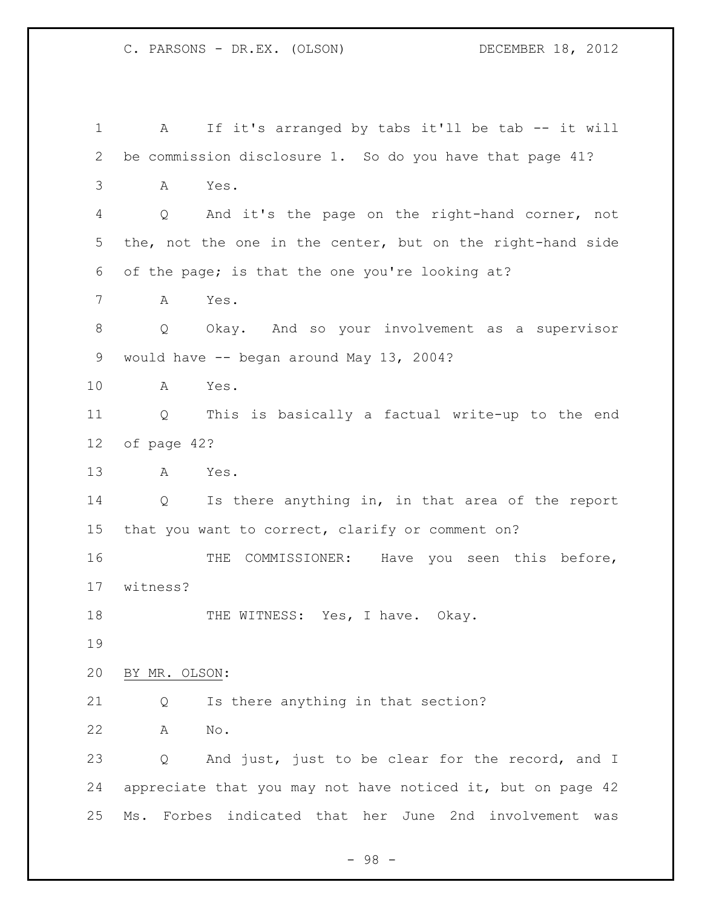```
1 A If it's arranged by tabs it'll be tab -- it will 
2 be commission disclosure 1. So do you have that page 41?
3 A Yes.
4 Q And it's the page on the right-hand corner, not 
5 the, not the one in the center, but on the right-hand side 
6 of the page; is that the one you're looking at?
7 A Yes.
8 Q Okay. And so your involvement as a supervisor 
9 would have -- began around May 13, 2004?
10 A Yes.
11 Q This is basically a factual write-up to the end 
12 of page 42?
13 A Yes.
14 Q Is there anything in, in that area of the report 
15 that you want to correct, clarify or comment on?
16 THE COMMISSIONER: Have you seen this before, 
17 witness?
18 THE WITNESS: Yes, I have. Okay.
19
20 BY MR. OLSON:
21 Q Is there anything in that section?
22 A No. 
23 Q And just, just to be clear for the record, and I
24 appreciate that you may not have noticed it, but on page 42 
25 Ms. Forbes indicated that her June 2nd involvement was
```
- 98 -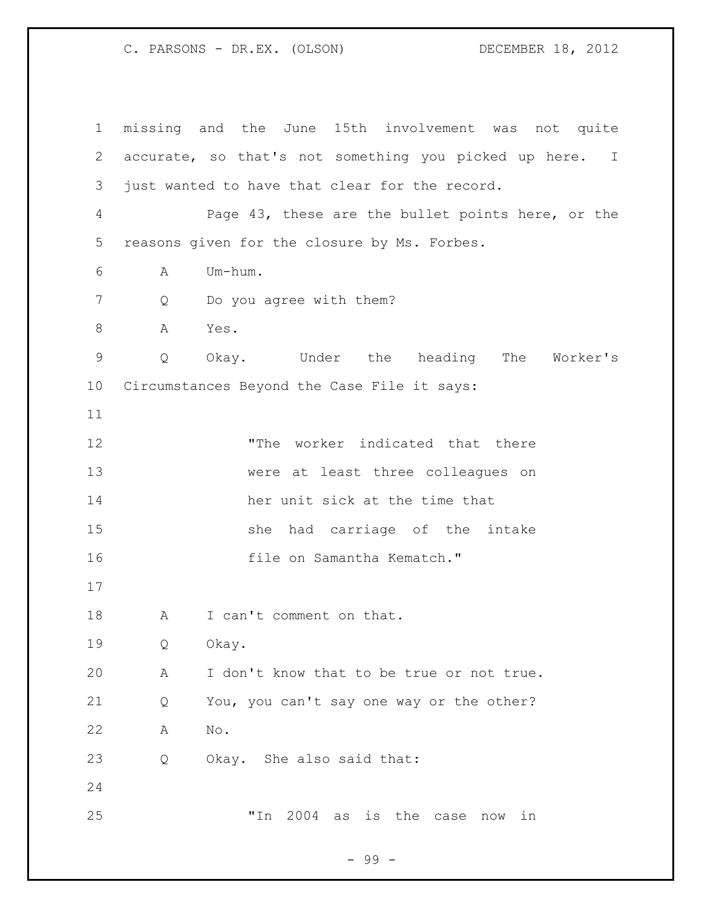missing and the June 15th involvement was not quite accurate, so that's not something you picked up here. I just wanted to have that clear for the record. Page 43, these are the bullet points here, or the reasons given for the closure by Ms. Forbes. A Um-hum. 7 Q Do you agree with them? 8 A Yes. Q Okay. Under the heading The Worker's Circumstances Beyond the Case File it says: "The worker indicated that there were at least three colleagues on her unit sick at the time that she had carriage of the intake **file on Samantha Kematch.**" 18 A I can't comment on that. Q Okay. A I don't know that to be true or not true. Q You, you can't say one way or the other? A No. Q Okay. She also said that: "In 2004 as is the case now in

- 99 -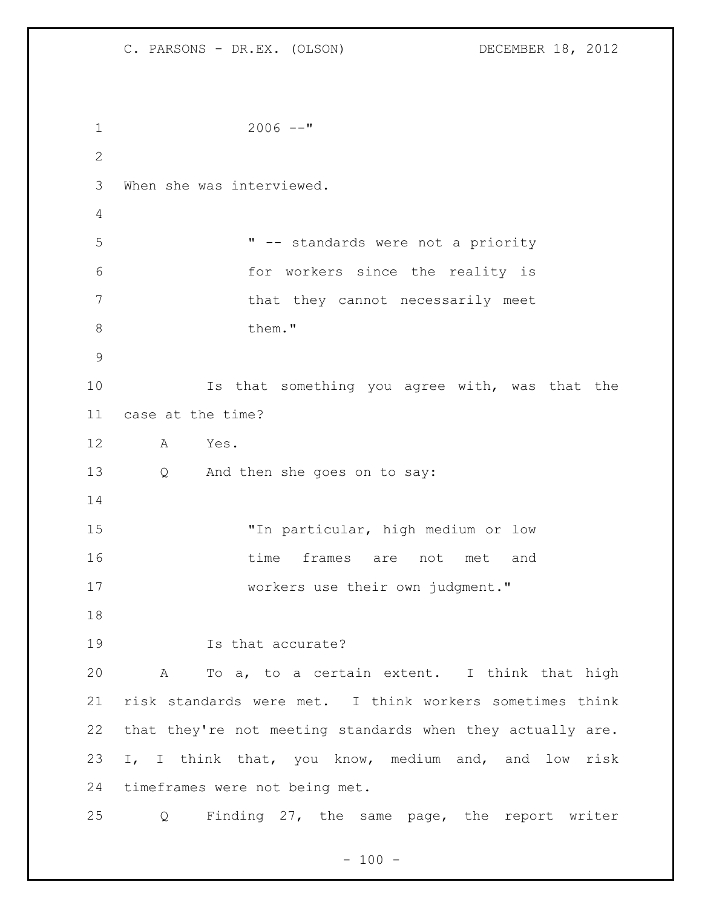C. PARSONS - DR.EX. (OLSON) DECEMBER 18, 2012 2006 --" When she was interviewed. " -- standards were not a priority for workers since the reality is 7 that they cannot necessarily meet 8 them." Is that something you agree with, was that the case at the time? A Yes. Q And then she goes on to say: "In particular, high medium or low time frames are not met and workers use their own judgment." Is that accurate? A To a, to a certain extent. I think that high risk standards were met. I think workers sometimes think that they're not meeting standards when they actually are. I, I think that, you know, medium and, and low risk timeframes were not being met. Q Finding 27, the same page, the report writer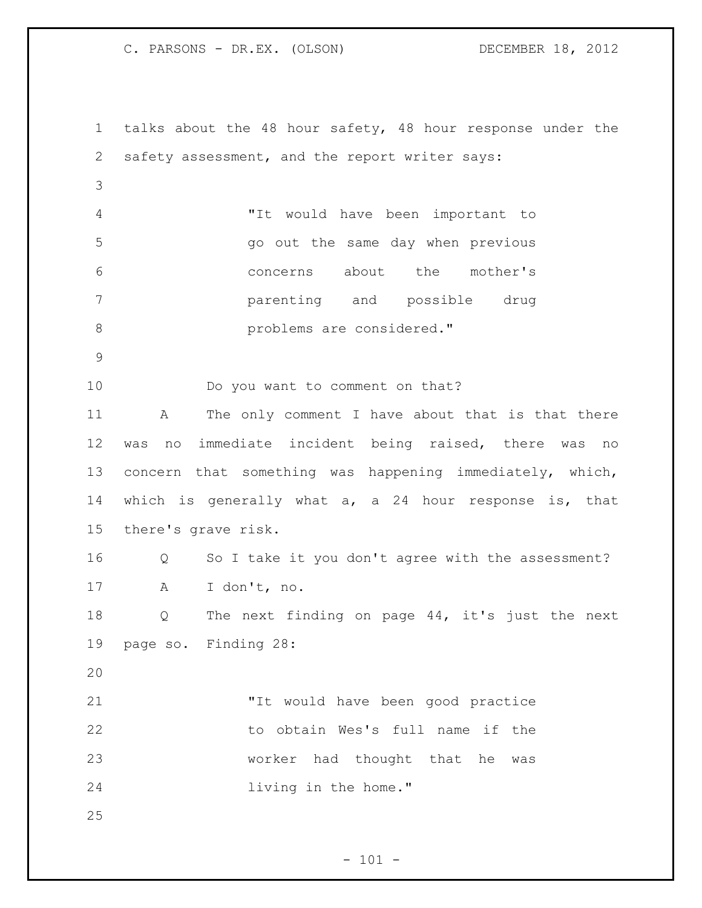talks about the 48 hour safety, 48 hour response under the safety assessment, and the report writer says: "It would have been important to go out the same day when previous concerns about the mother's parenting and possible drug **b** problems are considered." Do you want to comment on that? A The only comment I have about that is that there was no immediate incident being raised, there was no concern that something was happening immediately, which, which is generally what a, a 24 hour response is, that there's grave risk. Q So I take it you don't agree with the assessment? A I don't, no. Q The next finding on page 44, it's just the next page so. Finding 28: "It would have been good practice to obtain Wes's full name if the worker had thought that he was living in the home." 

 $- 101 -$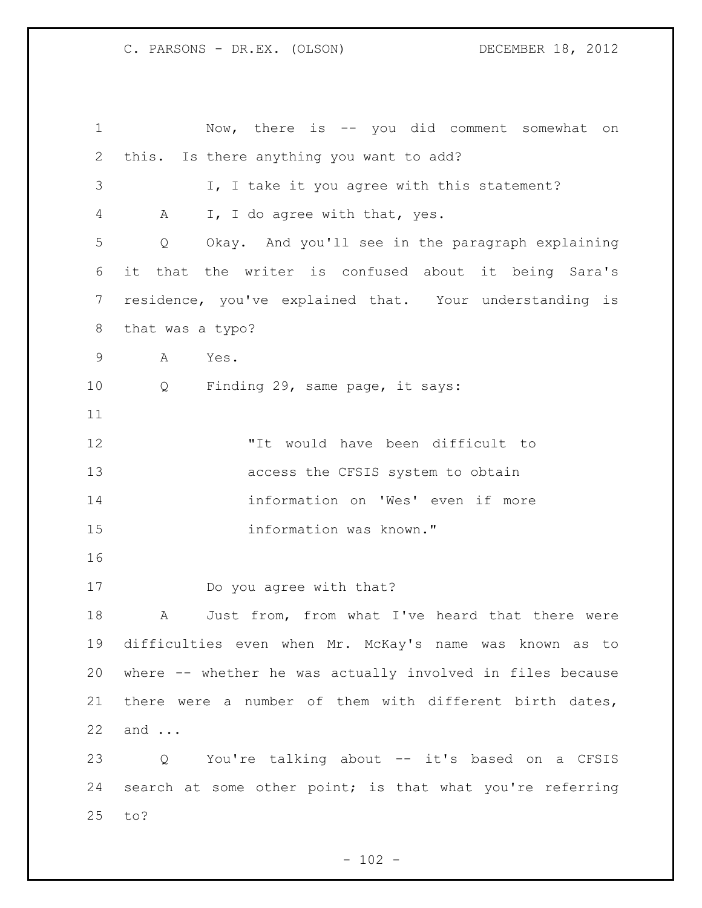Now, there is -- you did comment somewhat on this. Is there anything you want to add? 3 I, I take it you agree with this statement? A I, I do agree with that, yes. Q Okay. And you'll see in the paragraph explaining it that the writer is confused about it being Sara's residence, you've explained that. Your understanding is that was a typo? A Yes. Q Finding 29, same page, it says: "It would have been difficult to access the CFSIS system to obtain information on 'Wes' even if more information was known." Do you agree with that? 18 A Just from, from what I've heard that there were difficulties even when Mr. McKay's name was known as to where -- whether he was actually involved in files because there were a number of them with different birth dates, and ... Q You're talking about -- it's based on a CFSIS search at some other point; is that what you're referring to?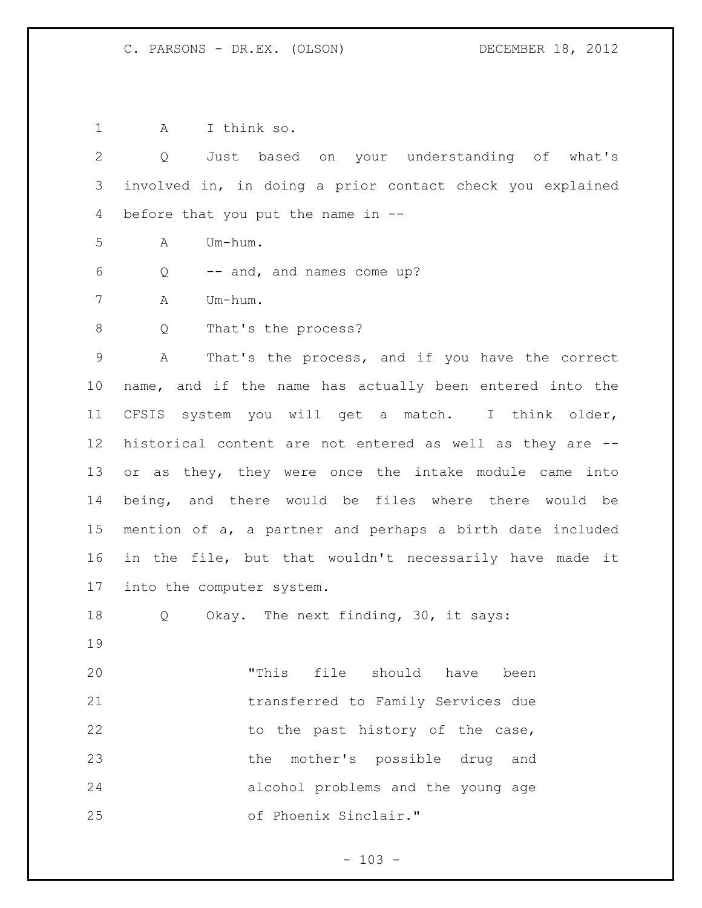A I think so. Q Just based on your understanding of what's involved in, in doing a prior contact check you explained before that you put the name in -- A Um-hum. Q -- and, and names come up? A Um-hum. 8 Q That's the process? A That's the process, and if you have the correct name, and if the name has actually been entered into the CFSIS system you will get a match. I think older, historical content are not entered as well as they are -- or as they, they were once the intake module came into being, and there would be files where there would be mention of a, a partner and perhaps a birth date included in the file, but that wouldn't necessarily have made it into the computer system. Q Okay. The next finding, 30, it says: "This file should have been transferred to Family Services due 22 to the past history of the case, the mother's possible drug and alcohol problems and the young age of Phoenix Sinclair."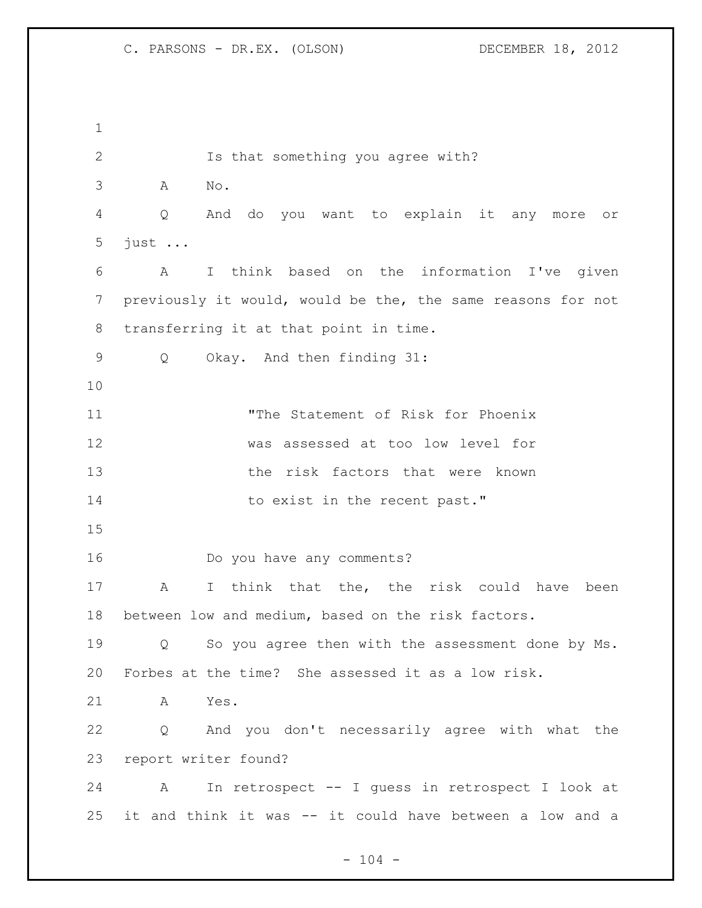Is that something you agree with? A No. Q And do you want to explain it any more or just ... A I think based on the information I've given previously it would, would be the, the same reasons for not transferring it at that point in time. Q Okay. And then finding 31: "The Statement of Risk for Phoenix was assessed at too low level for 13 the risk factors that were known 14 to exist in the recent past." Do you have any comments? A I think that the, the risk could have been between low and medium, based on the risk factors. Q So you agree then with the assessment done by Ms. Forbes at the time? She assessed it as a low risk. A Yes. Q And you don't necessarily agree with what the report writer found? A In retrospect -- I guess in retrospect I look at it and think it was -- it could have between a low and a

 $- 104 -$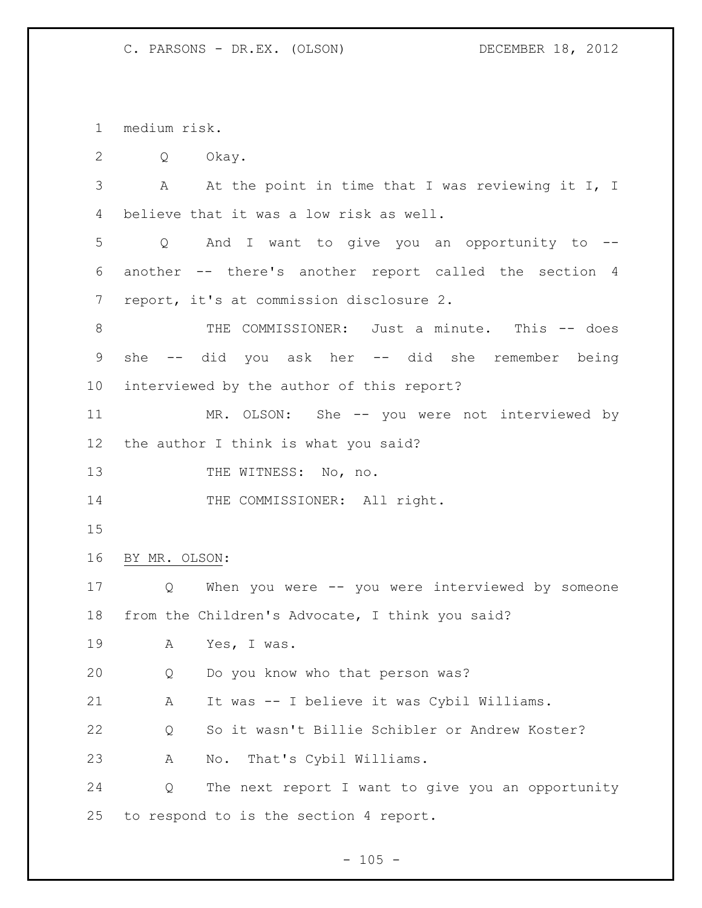medium risk.

Q Okay.

 A At the point in time that I was reviewing it I, I believe that it was a low risk as well.

 Q And I want to give you an opportunity to -- another -- there's another report called the section 4 report, it's at commission disclosure 2.

8 THE COMMISSIONER: Just a minute. This -- does she -- did you ask her -- did she remember being interviewed by the author of this report?

 MR. OLSON: She -- you were not interviewed by the author I think is what you said?

13 THE WITNESS: No, no.

14 THE COMMISSIONER: All right.

BY MR. OLSON:

 Q When you were -- you were interviewed by someone from the Children's Advocate, I think you said?

A Yes, I was.

Q Do you know who that person was?

A It was -- I believe it was Cybil Williams.

Q So it wasn't Billie Schibler or Andrew Koster?

A No. That's Cybil Williams.

 Q The next report I want to give you an opportunity to respond to is the section 4 report.

 $- 105 -$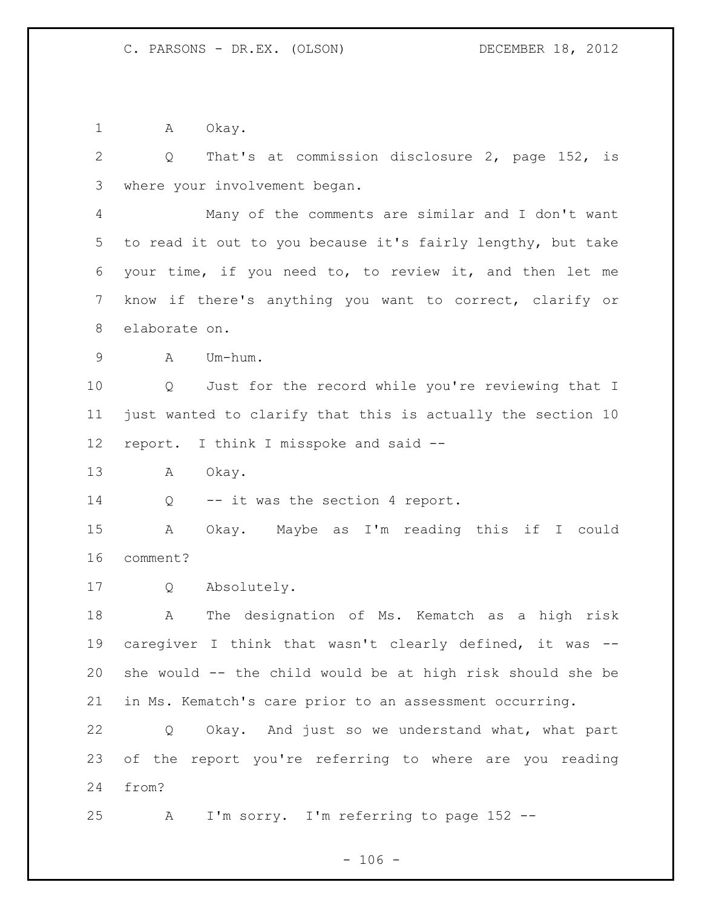1 A Okay.

 Q That's at commission disclosure 2, page 152, is where your involvement began. Many of the comments are similar and I don't want to read it out to you because it's fairly lengthy, but take your time, if you need to, to review it, and then let me know if there's anything you want to correct, clarify or elaborate on. A Um-hum. Q Just for the record while you're reviewing that I just wanted to clarify that this is actually the section 10 report. I think I misspoke and said -- A Okay. 14 Q -- it was the section 4 report. A Okay. Maybe as I'm reading this if I could comment? Q Absolutely. A The designation of Ms. Kematch as a high risk caregiver I think that wasn't clearly defined, it was -- she would -- the child would be at high risk should she be in Ms. Kematch's care prior to an assessment occurring. Q Okay. And just so we understand what, what part of the report you're referring to where are you reading from? A I'm sorry. I'm referring to page 152 --

 $- 106 -$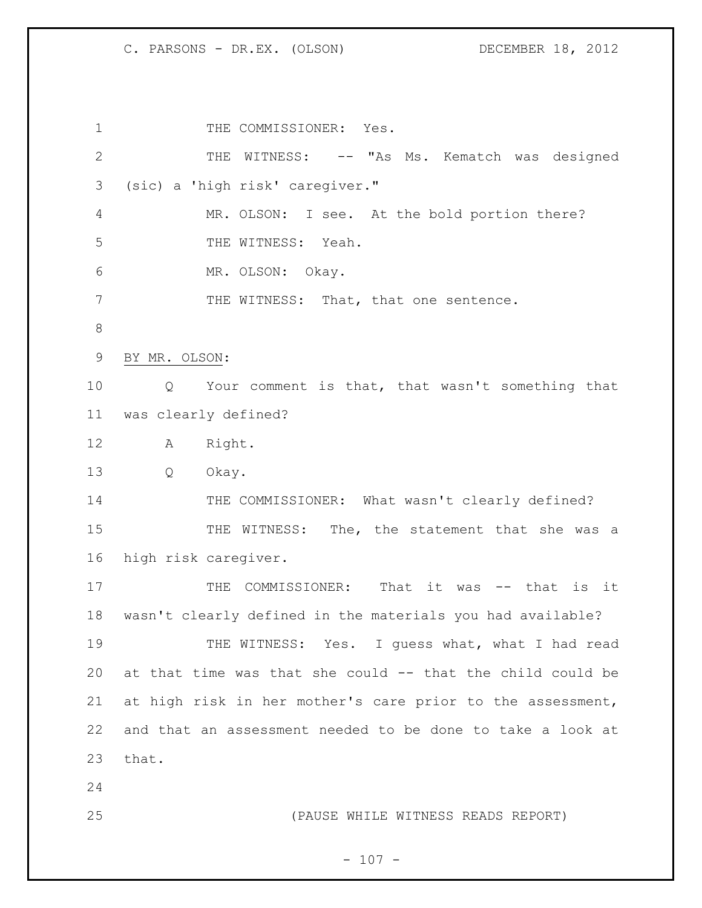1 THE COMMISSIONER: Yes. 2 THE WITNESS: -- "As Ms. Kematch was designed (sic) a 'high risk' caregiver." MR. OLSON: I see. At the bold portion there? 5 THE WITNESS: Yeah. MR. OLSON: Okay. 7 THE WITNESS: That, that one sentence. BY MR. OLSON: Q Your comment is that, that wasn't something that was clearly defined? A Right. Q Okay. 14 THE COMMISSIONER: What wasn't clearly defined? 15 THE WITNESS: The, the statement that she was a high risk caregiver. 17 THE COMMISSIONER: That it was -- that is it wasn't clearly defined in the materials you had available? 19 THE WITNESS: Yes. I guess what, what I had read at that time was that she could -- that the child could be at high risk in her mother's care prior to the assessment, and that an assessment needed to be done to take a look at that. (PAUSE WHILE WITNESS READS REPORT)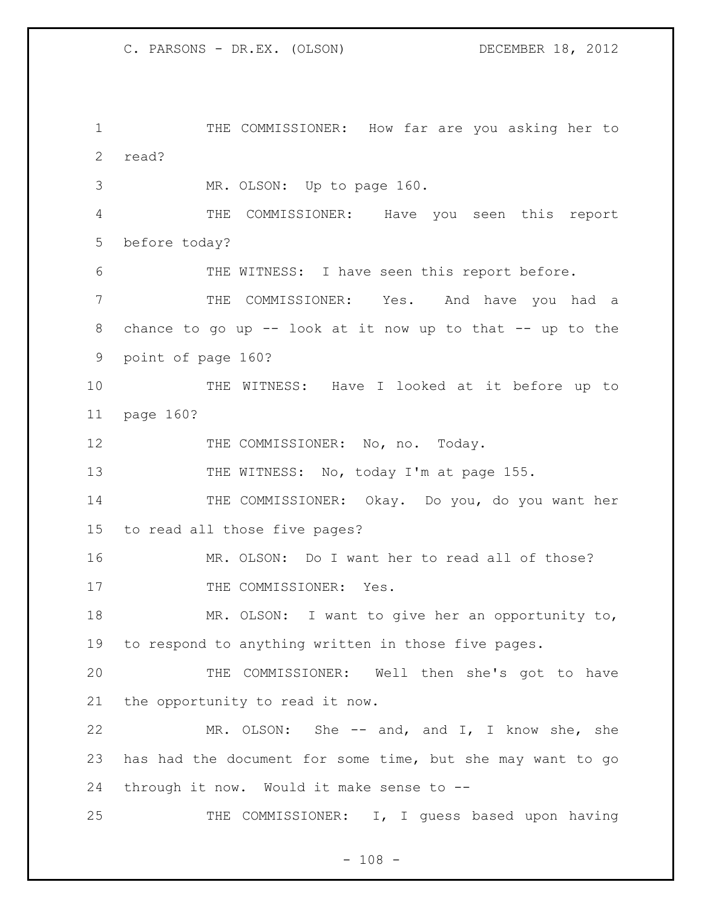THE COMMISSIONER: How far are you asking her to read?

MR. OLSON: Up to page 160.

 THE COMMISSIONER: Have you seen this report before today?

THE WITNESS: I have seen this report before.

 THE COMMISSIONER: Yes. And have you had a chance to go up -- look at it now up to that -- up to the point of page 160?

 THE WITNESS: Have I looked at it before up to page 160?

12 THE COMMISSIONER: No, no. Today.

13 THE WITNESS: No, today I'm at page 155.

 THE COMMISSIONER: Okay. Do you, do you want her to read all those five pages?

 MR. OLSON: Do I want her to read all of those? 17 THE COMMISSIONER: Yes.

 MR. OLSON: I want to give her an opportunity to, to respond to anything written in those five pages.

 THE COMMISSIONER: Well then she's got to have the opportunity to read it now.

 MR. OLSON: She -- and, and I, I know she, she has had the document for some time, but she may want to go through it now. Would it make sense to --

25 THE COMMISSIONER: I, I guess based upon having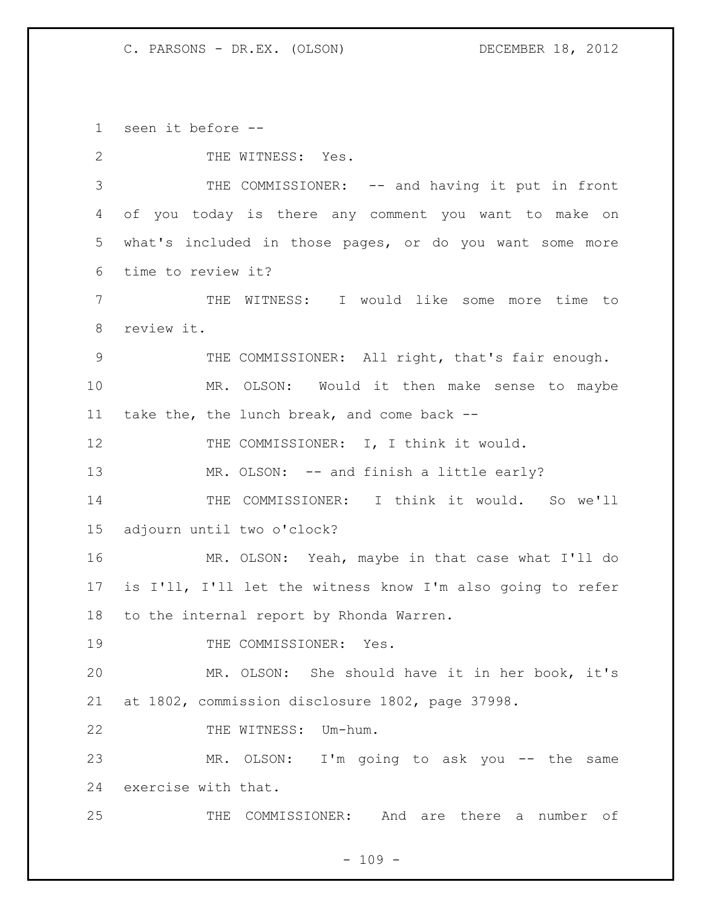C. PARSONS - DR.EX. (OLSON) DECEMBER 18, 2012

seen it before --

2 THE WITNESS: Yes. THE COMMISSIONER: -- and having it put in front of you today is there any comment you want to make on what's included in those pages, or do you want some more time to review it? THE WITNESS: I would like some more time to review it. THE COMMISSIONER: All right, that's fair enough. MR. OLSON: Would it then make sense to maybe take the, the lunch break, and come back -- 12 THE COMMISSIONER: I, I think it would. 13 MR. OLSON: -- and finish a little early? THE COMMISSIONER: I think it would. So we'll adjourn until two o'clock? MR. OLSON: Yeah, maybe in that case what I'll do is I'll, I'll let the witness know I'm also going to refer to the internal report by Rhonda Warren. 19 THE COMMISSIONER: Yes. MR. OLSON: She should have it in her book, it's at 1802, commission disclosure 1802, page 37998. 22 THE WITNESS: Um-hum. MR. OLSON: I'm going to ask you -- the same exercise with that. THE COMMISSIONER: And are there a number of

 $- 109 -$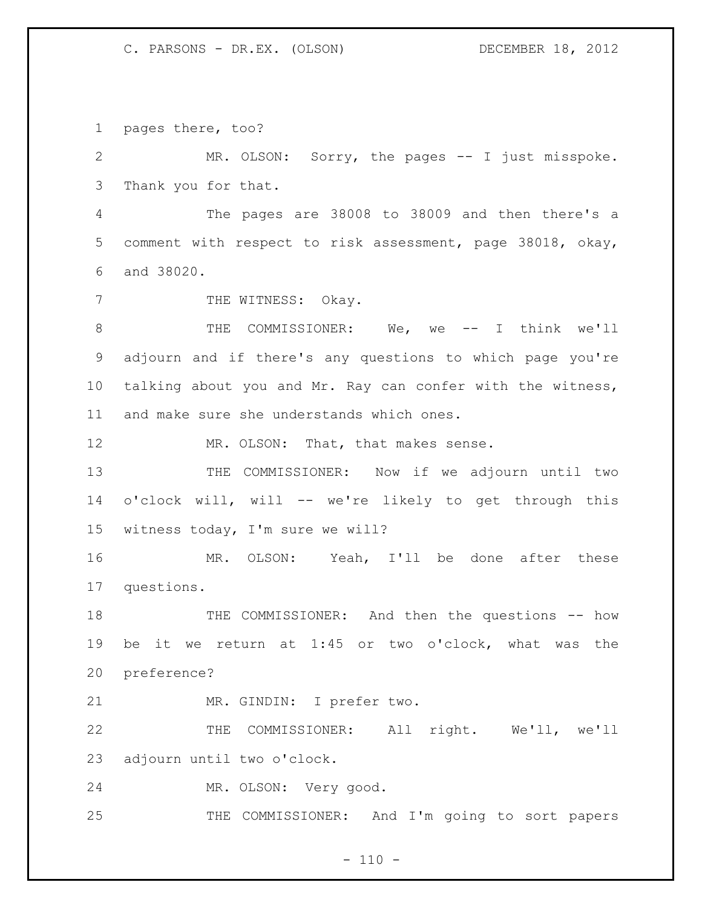## C. PARSONS - DR.EX. (OLSON) DECEMBER 18, 2012

pages there, too?

 MR. OLSON: Sorry, the pages -- I just misspoke. Thank you for that. The pages are 38008 to 38009 and then there's a

 comment with respect to risk assessment, page 38018, okay, and 38020.

7 THE WITNESS: Okay.

8 THE COMMISSIONER: We, we -- I think we'll adjourn and if there's any questions to which page you're talking about you and Mr. Ray can confer with the witness, and make sure she understands which ones.

12 MR. OLSON: That, that makes sense.

 THE COMMISSIONER: Now if we adjourn until two o'clock will, will -- we're likely to get through this witness today, I'm sure we will?

 MR. OLSON: Yeah, I'll be done after these questions.

18 THE COMMISSIONER: And then the questions -- how be it we return at 1:45 or two o'clock, what was the preference?

MR. GINDIN: I prefer two.

 THE COMMISSIONER: All right. We'll, we'll adjourn until two o'clock.

MR. OLSON: Very good.

THE COMMISSIONER: And I'm going to sort papers

 $- 110 -$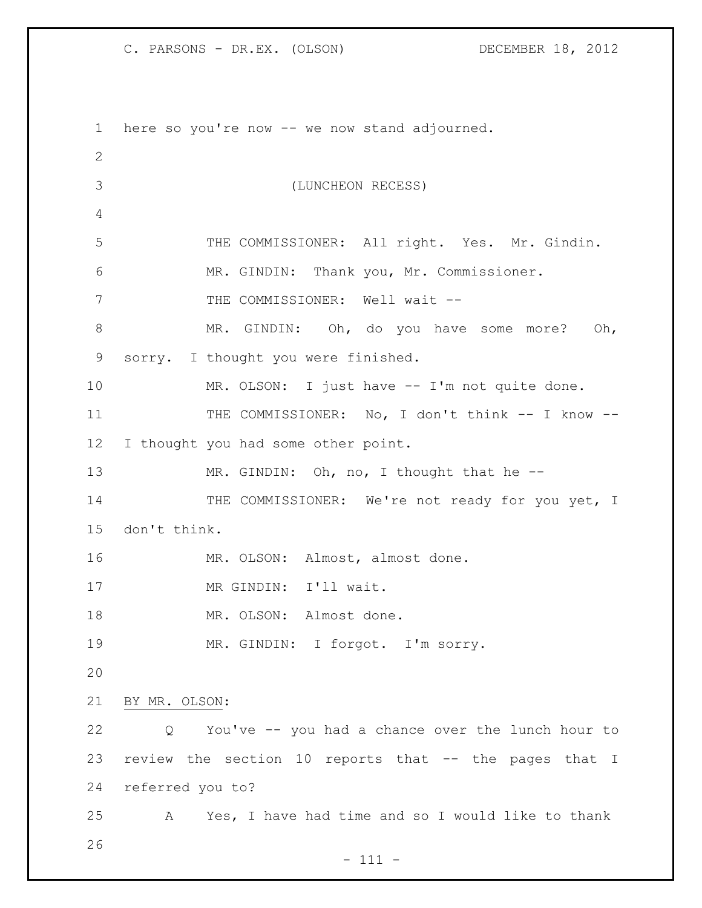C. PARSONS - DR.EX. (OLSON) DECEMBER 18, 2012

- 111 - here so you're now -- we now stand adjourned. (LUNCHEON RECESS) THE COMMISSIONER: All right. Yes. Mr. Gindin. MR. GINDIN: Thank you, Mr. Commissioner. 7 THE COMMISSIONER: Well wait --8 MR. GINDIN: Oh, do you have some more? Oh, sorry. I thought you were finished. 10 MR. OLSON: I just have -- I'm not quite done. 11 THE COMMISSIONER: No, I don't think -- I know -- I thought you had some other point. 13 MR. GINDIN: Oh, no, I thought that he --14 THE COMMISSIONER: We're not ready for you yet, I don't think. 16 MR. OLSON: Almost, almost done. 17 MR GINDIN: I'll wait. 18 MR. OLSON: Almost done. MR. GINDIN: I forgot. I'm sorry. BY MR. OLSON: Q You've -- you had a chance over the lunch hour to review the section 10 reports that -- the pages that I referred you to? A Yes, I have had time and so I would like to thank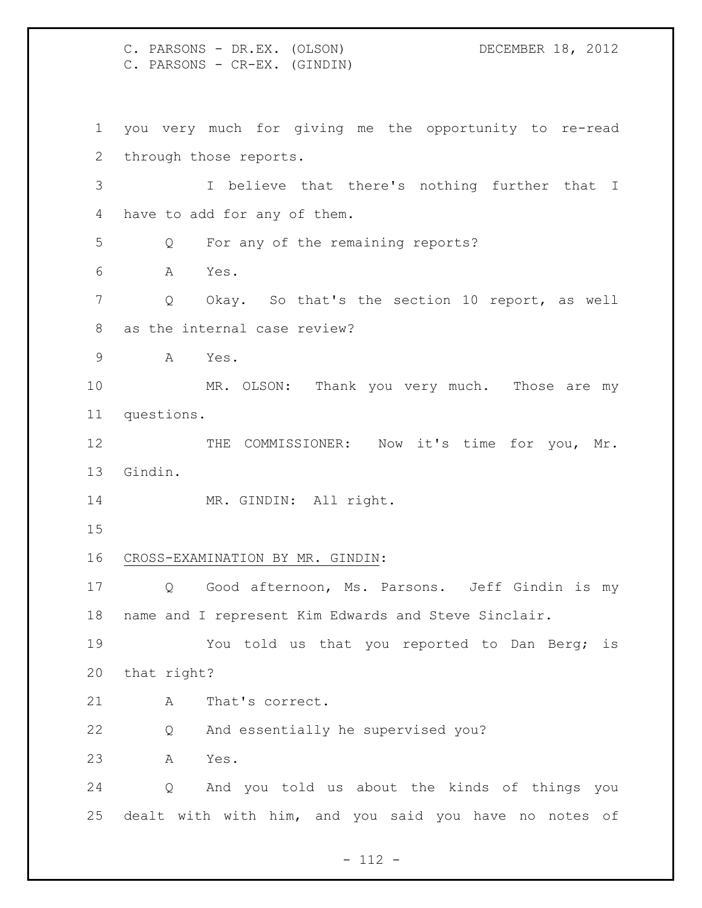C. PARSONS - DR.EX. (OLSON) DECEMBER 18, 2012 C. PARSONS - CR-EX. (GINDIN) you very much for giving me the opportunity to re-read through those reports. I believe that there's nothing further that I have to add for any of them. Q For any of the remaining reports? A Yes. Q Okay. So that's the section 10 report, as well as the internal case review? A Yes. MR. OLSON: Thank you very much. Those are my questions. 12 THE COMMISSIONER: Now it's time for you, Mr. Gindin. 14 MR. GINDIN: All right. CROSS-EXAMINATION BY MR. GINDIN: Q Good afternoon, Ms. Parsons. Jeff Gindin is my name and I represent Kim Edwards and Steve Sinclair. You told us that you reported to Dan Berg; is that right? 21 A That's correct. Q And essentially he supervised you? A Yes. Q And you told us about the kinds of things you dealt with with him, and you said you have no notes of

- 112 -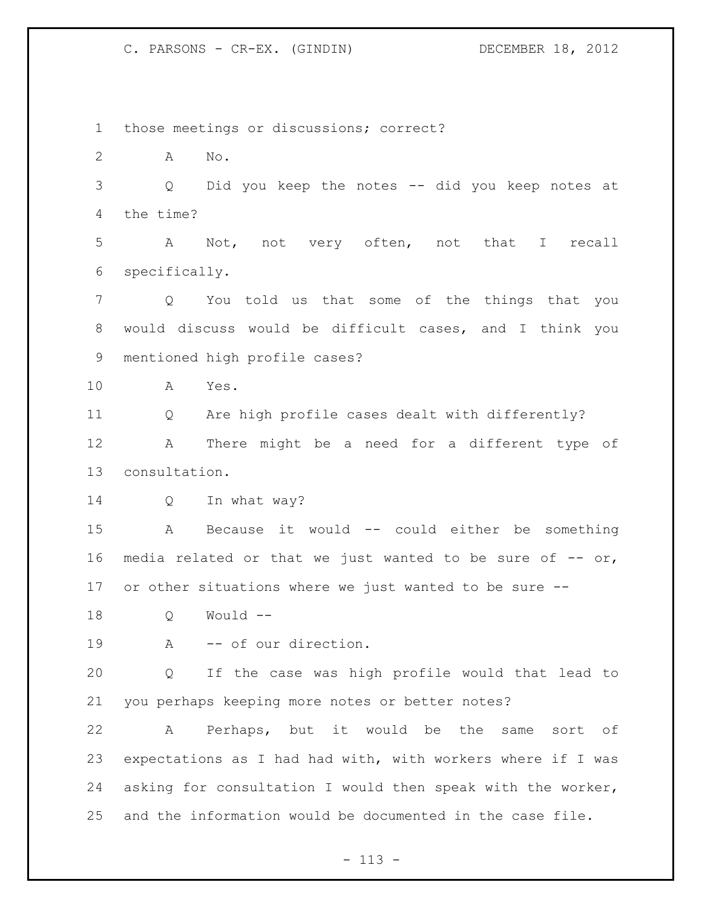those meetings or discussions; correct? A No. Q Did you keep the notes -- did you keep notes at the time? A Not, not very often, not that I recall specifically. Q You told us that some of the things that you would discuss would be difficult cases, and I think you mentioned high profile cases? A Yes. Q Are high profile cases dealt with differently? A There might be a need for a different type of consultation. 14 Q In what way? A Because it would -- could either be something 16 media related or that we just wanted to be sure of  $-$ - or, or other situations where we just wanted to be sure -- Q Would -- 19 A -- of our direction. Q If the case was high profile would that lead to you perhaps keeping more notes or better notes? A Perhaps, but it would be the same sort of expectations as I had had with, with workers where if I was asking for consultation I would then speak with the worker, and the information would be documented in the case file.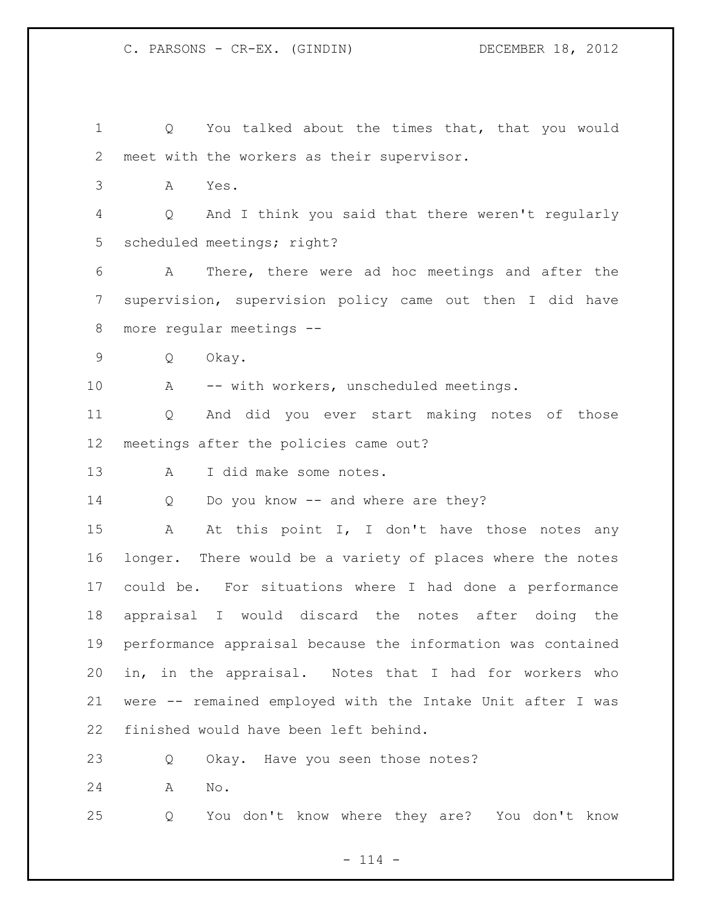Q You talked about the times that, that you would meet with the workers as their supervisor. A Yes. Q And I think you said that there weren't regularly scheduled meetings; right? A There, there were ad hoc meetings and after the supervision, supervision policy came out then I did have more regular meetings -- Q Okay. 10 A -- with workers, unscheduled meetings. Q And did you ever start making notes of those meetings after the policies came out? A I did make some notes. 14 Q Do you know -- and where are they? 15 A At this point I, I don't have those notes any longer. There would be a variety of places where the notes could be. For situations where I had done a performance appraisal I would discard the notes after doing the performance appraisal because the information was contained in, in the appraisal. Notes that I had for workers who were -- remained employed with the Intake Unit after I was finished would have been left behind. 23 Q Okay. Have you seen those notes? A No. Q You don't know where they are? You don't know

 $- 114 -$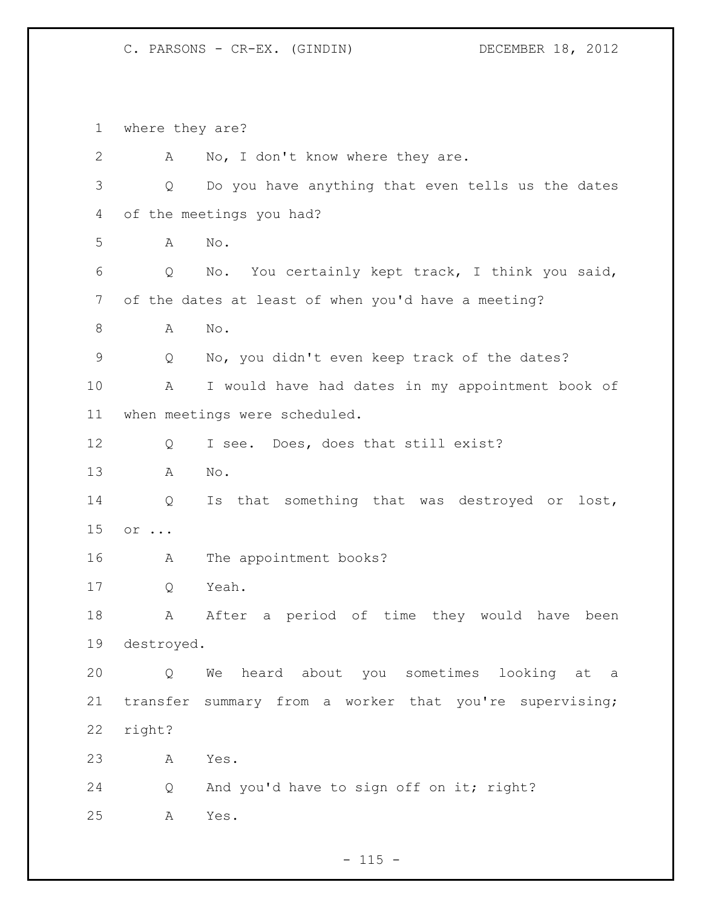where they are? 2 A No, I don't know where they are. Q Do you have anything that even tells us the dates of the meetings you had? A No. Q No. You certainly kept track, I think you said, of the dates at least of when you'd have a meeting? A No. Q No, you didn't even keep track of the dates? A I would have had dates in my appointment book of when meetings were scheduled. Q I see. Does, does that still exist? A No. Q Is that something that was destroyed or lost, or ... A The appointment books? Q Yeah. 18 A After a period of time they would have been destroyed. Q We heard about you sometimes looking at a transfer summary from a worker that you're supervising; right? A Yes. Q And you'd have to sign off on it; right? A Yes.

 $- 115 -$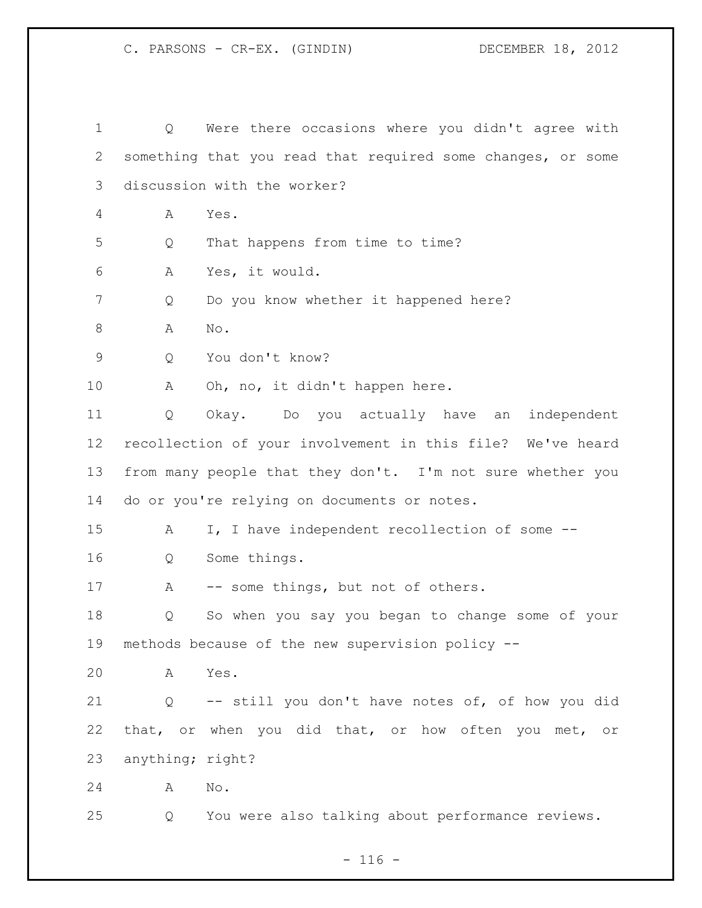Q Were there occasions where you didn't agree with something that you read that required some changes, or some discussion with the worker? A Yes. Q That happens from time to time? A Yes, it would. Q Do you know whether it happened here? A No. Q You don't know? 10 A Oh, no, it didn't happen here. Q Okay. Do you actually have an independent recollection of your involvement in this file? We've heard from many people that they don't. I'm not sure whether you do or you're relying on documents or notes. A I, I have independent recollection of some -- Q Some things. 17 A -- some things, but not of others. Q So when you say you began to change some of your methods because of the new supervision policy -- A Yes. Q -- still you don't have notes of, of how you did that, or when you did that, or how often you met, or anything; right? A No. Q You were also talking about performance reviews.

 $- 116 -$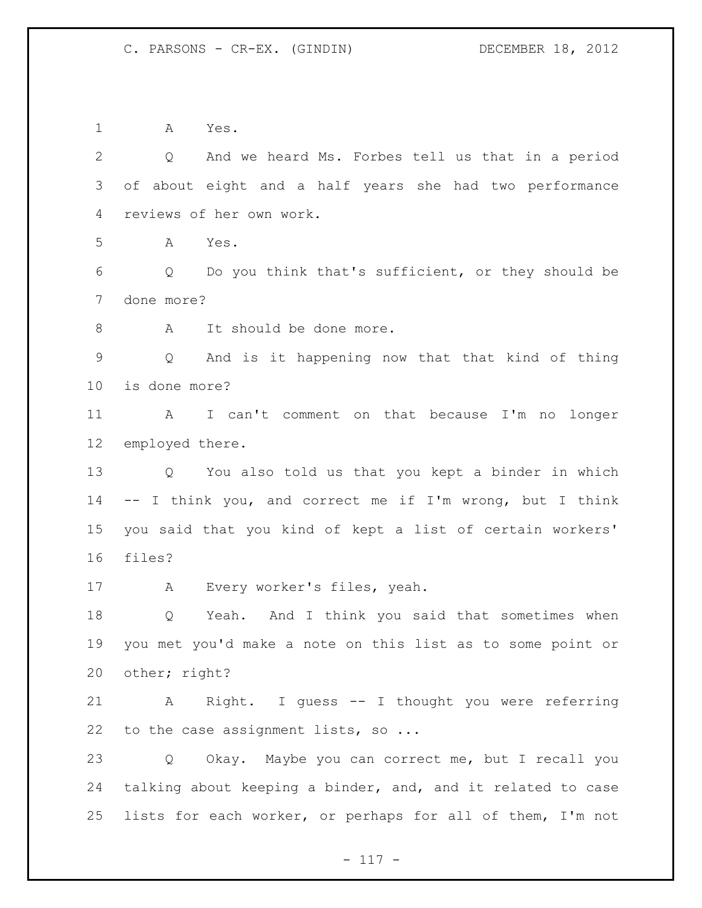A Yes.

 Q And we heard Ms. Forbes tell us that in a period of about eight and a half years she had two performance reviews of her own work. A Yes. Q Do you think that's sufficient, or they should be done more? 8 A It should be done more. Q And is it happening now that that kind of thing is done more? A I can't comment on that because I'm no longer employed there. Q You also told us that you kept a binder in which -- I think you, and correct me if I'm wrong, but I think you said that you kind of kept a list of certain workers' files? A Every worker's files, yeah. Q Yeah. And I think you said that sometimes when you met you'd make a note on this list as to some point or other; right? A Right. I guess -- I thought you were referring 22 to the case assignment lists, so ... Q Okay. Maybe you can correct me, but I recall you talking about keeping a binder, and, and it related to case lists for each worker, or perhaps for all of them, I'm not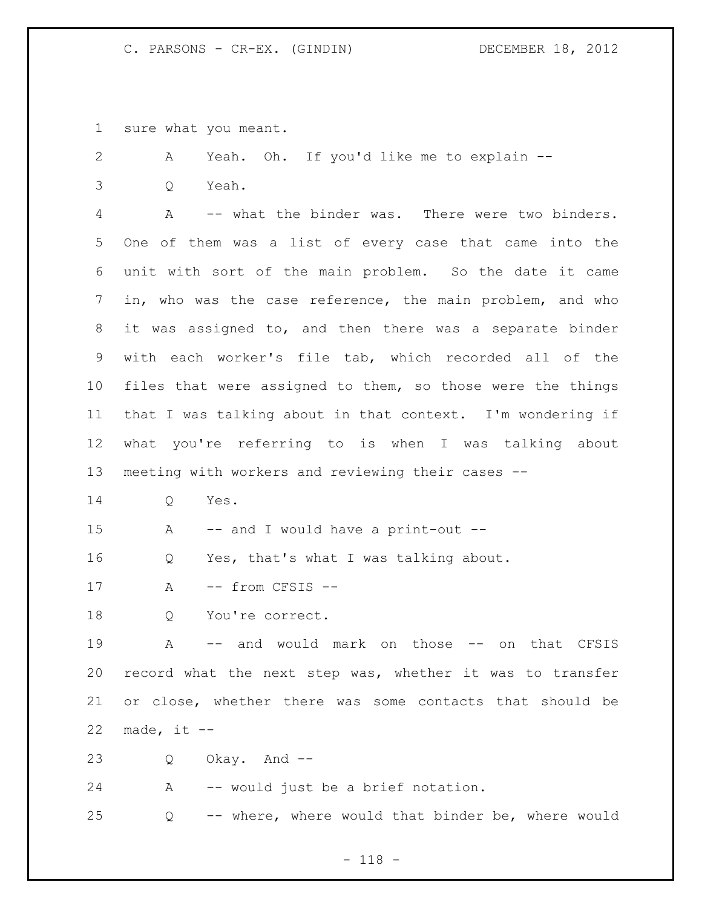sure what you meant.

 A Yeah. Oh. If you'd like me to explain -- Q Yeah. A -- what the binder was. There were two binders. One of them was a list of every case that came into the unit with sort of the main problem. So the date it came in, who was the case reference, the main problem, and who it was assigned to, and then there was a separate binder with each worker's file tab, which recorded all of the files that were assigned to them, so those were the things that I was talking about in that context. I'm wondering if what you're referring to is when I was talking about meeting with workers and reviewing their cases -- Q Yes. A -- and I would have a print-out -- Q Yes, that's what I was talking about. 17 A -- from CFSIS --18 Q You're correct. A -- and would mark on those -- on that CFSIS record what the next step was, whether it was to transfer or close, whether there was some contacts that should be 22 made, it  $--$  Q Okay. And -- A -- would just be a brief notation. Q -- where, where would that binder be, where would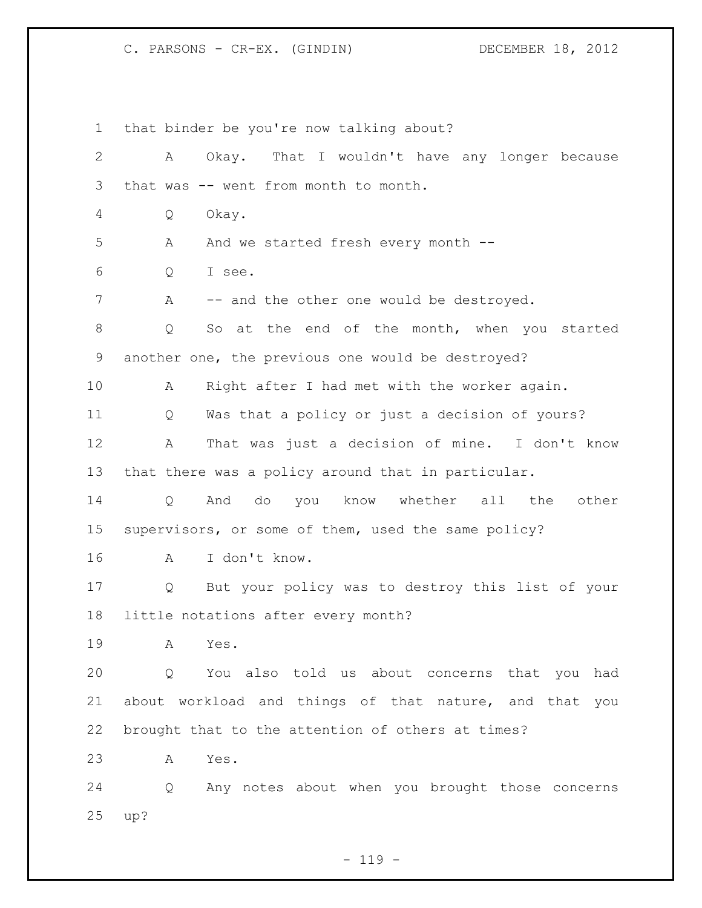that binder be you're now talking about? A Okay. That I wouldn't have any longer because that was -- went from month to month. Q Okay. A And we started fresh every month -- Q I see. 7 A -- and the other one would be destroyed. Q So at the end of the month, when you started another one, the previous one would be destroyed? A Right after I had met with the worker again. Q Was that a policy or just a decision of yours? A That was just a decision of mine. I don't know that there was a policy around that in particular. Q And do you know whether all the other supervisors, or some of them, used the same policy? A I don't know. Q But your policy was to destroy this list of your little notations after every month? A Yes. Q You also told us about concerns that you had about workload and things of that nature, and that you brought that to the attention of others at times? A Yes. Q Any notes about when you brought those concerns up?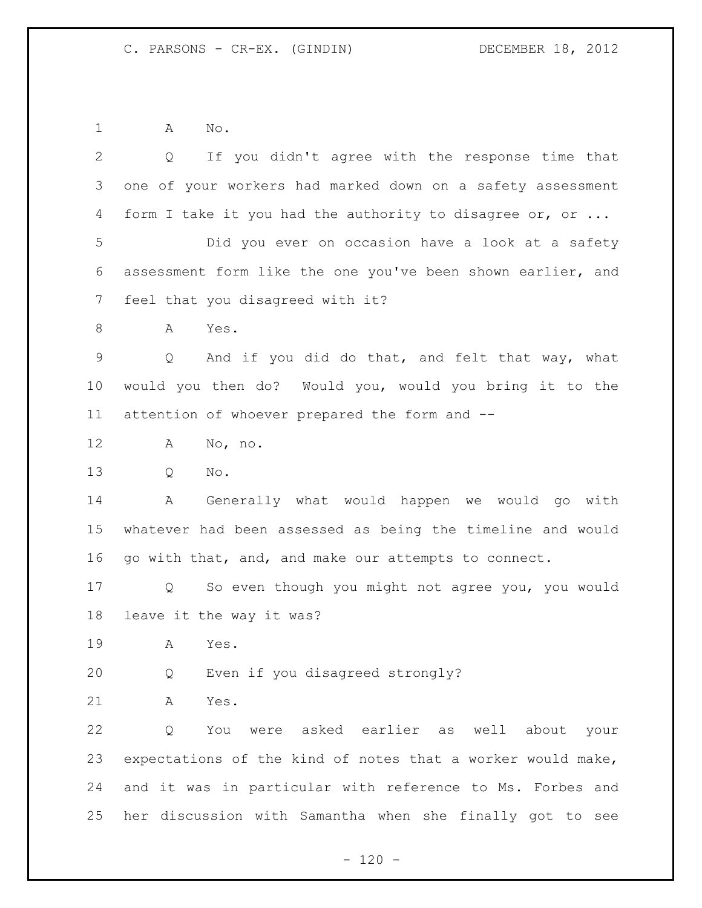A No.

| $\mathbf{2}$ | If you didn't agree with the response time that<br>Q        |
|--------------|-------------------------------------------------------------|
| 3            | one of your workers had marked down on a safety assessment  |
| 4            | form I take it you had the authority to disagree or, or     |
| 5            | Did you ever on occasion have a look at a safety            |
| 6            | assessment form like the one you've been shown earlier, and |
| 7            | feel that you disagreed with it?                            |
| 8            | Yes.<br>A                                                   |
| 9            | And if you did do that, and felt that way, what<br>Q        |
| 10           | would you then do? Would you, would you bring it to the     |
| 11           | attention of whoever prepared the form and --               |
| 12           | Α<br>No, no.                                                |
| 13           | No.<br>Q                                                    |
| 14           | Generally what would happen we would go with<br>Α           |
| 15           | whatever had been assessed as being the timeline and would  |
| 16           | go with that, and, and make our attempts to connect.        |
| 17           | So even though you might not agree you, you would<br>Q      |
| 18           | leave it the way it was?                                    |
| 19           | Α<br>Yes.                                                   |
| 20           | Even if you disagreed strongly?<br>Q                        |
| 21           | Yes.<br>Α                                                   |
| 22           | were asked earlier as well about<br>Q<br>You<br>your        |
| 23           | expectations of the kind of notes that a worker would make, |
| 24           | and it was in particular with reference to Ms. Forbes and   |
| 25           | her discussion with Samantha when she finally got to see    |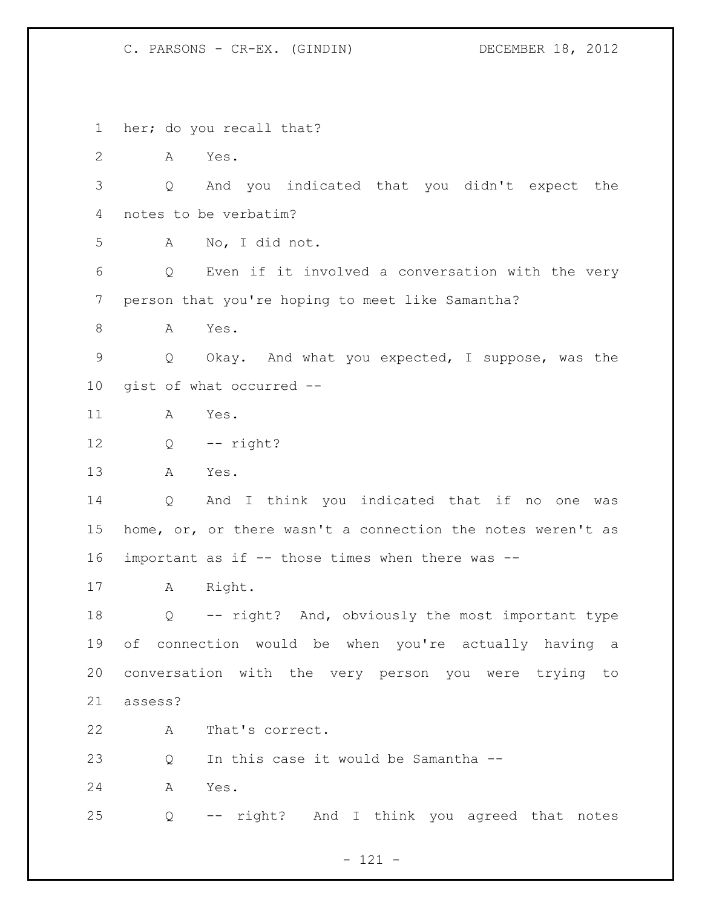her; do you recall that? A Yes. Q And you indicated that you didn't expect the notes to be verbatim? A No, I did not. Q Even if it involved a conversation with the very person that you're hoping to meet like Samantha? 8 A Yes. Q Okay. And what you expected, I suppose, was the gist of what occurred -- A Yes. Q  $-$  right? A Yes. Q And I think you indicated that if no one was home, or, or there wasn't a connection the notes weren't as important as if -- those times when there was -- A Right. Q -- right? And, obviously the most important type of connection would be when you're actually having a conversation with the very person you were trying to assess? A That's correct. Q In this case it would be Samantha -- A Yes. Q -- right? And I think you agreed that notes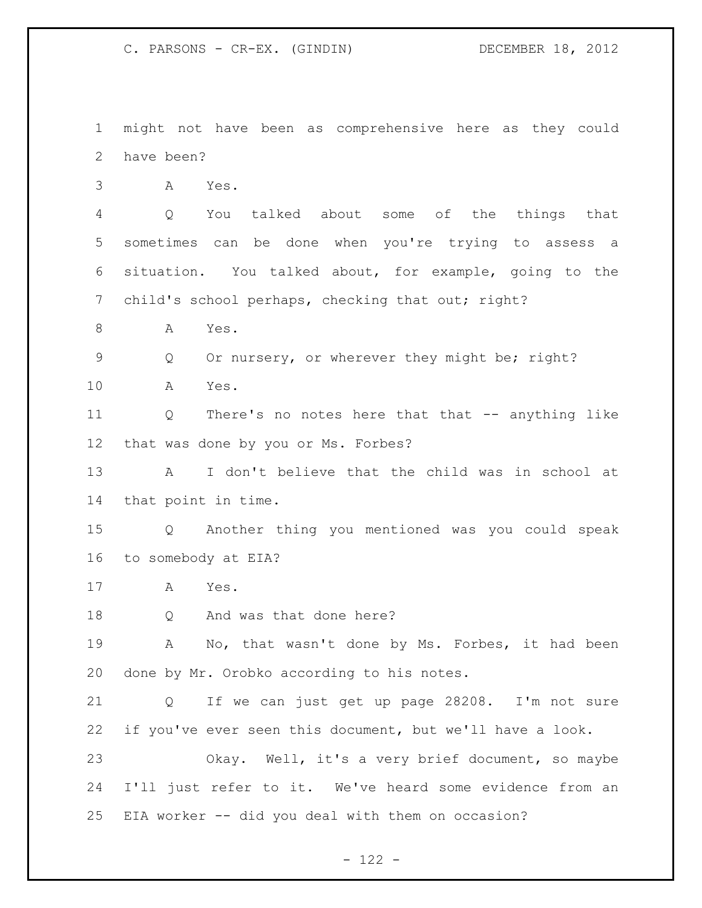might not have been as comprehensive here as they could have been? A Yes.

 Q You talked about some of the things that sometimes can be done when you're trying to assess a situation. You talked about, for example, going to the 7 child's school perhaps, checking that out; right?

A Yes.

Q Or nursery, or wherever they might be; right?

A Yes.

 Q There's no notes here that that -- anything like that was done by you or Ms. Forbes?

 A I don't believe that the child was in school at that point in time.

 Q Another thing you mentioned was you could speak to somebody at EIA?

A Yes.

Q And was that done here?

 A No, that wasn't done by Ms. Forbes, it had been done by Mr. Orobko according to his notes.

 Q If we can just get up page 28208. I'm not sure if you've ever seen this document, but we'll have a look.

 Okay. Well, it's a very brief document, so maybe I'll just refer to it. We've heard some evidence from an EIA worker -- did you deal with them on occasion?

 $- 122 -$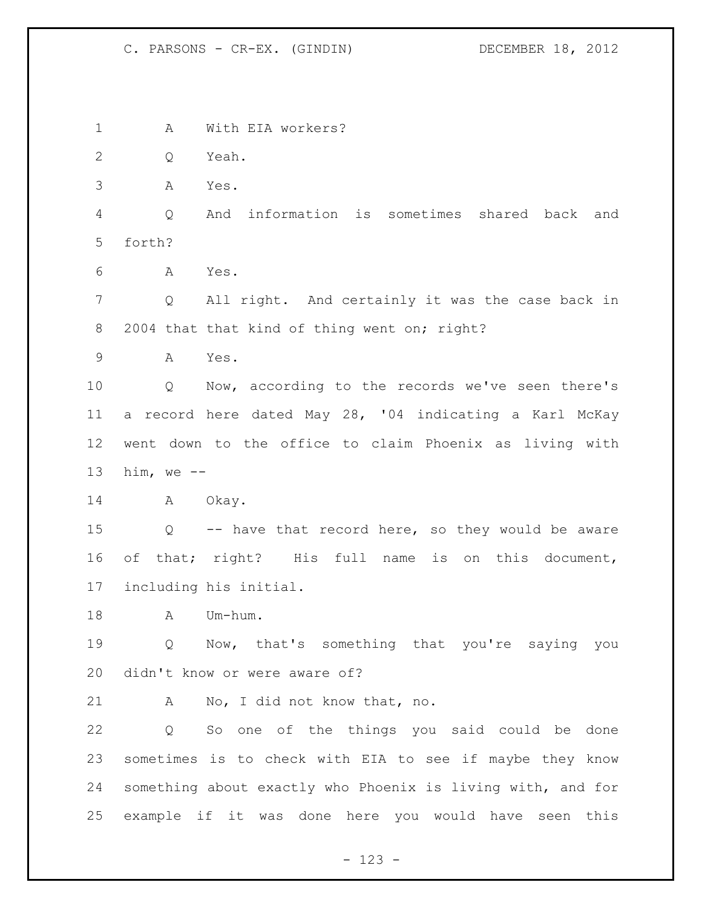A With EIA workers? Q Yeah. A Yes. Q And information is sometimes shared back and forth? A Yes. Q All right. And certainly it was the case back in 8 2004 that that kind of thing went on; right? A Yes. Q Now, according to the records we've seen there's a record here dated May 28, '04 indicating a Karl McKay went down to the office to claim Phoenix as living with him, we -- 14 A Okay. Q -- have that record here, so they would be aware of that; right? His full name is on this document, including his initial. 18 A Um-hum. Q Now, that's something that you're saying you didn't know or were aware of? A No, I did not know that, no. Q So one of the things you said could be done sometimes is to check with EIA to see if maybe they know something about exactly who Phoenix is living with, and for example if it was done here you would have seen this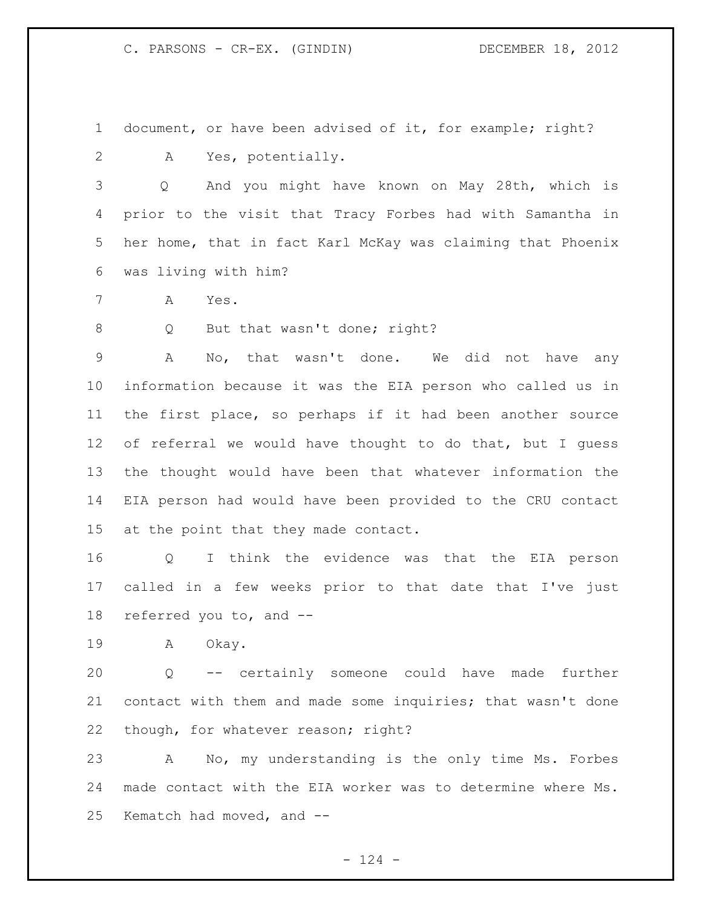document, or have been advised of it, for example; right?

A Yes, potentially.

 Q And you might have known on May 28th, which is prior to the visit that Tracy Forbes had with Samantha in her home, that in fact Karl McKay was claiming that Phoenix was living with him?

A Yes.

8 Q But that wasn't done; right?

 A No, that wasn't done. We did not have any information because it was the EIA person who called us in the first place, so perhaps if it had been another source of referral we would have thought to do that, but I guess the thought would have been that whatever information the EIA person had would have been provided to the CRU contact at the point that they made contact.

 Q I think the evidence was that the EIA person called in a few weeks prior to that date that I've just referred you to, and --

A Okay.

 Q -- certainly someone could have made further contact with them and made some inquiries; that wasn't done though, for whatever reason; right?

 A No, my understanding is the only time Ms. Forbes made contact with the EIA worker was to determine where Ms. Kematch had moved, and --

 $- 124 -$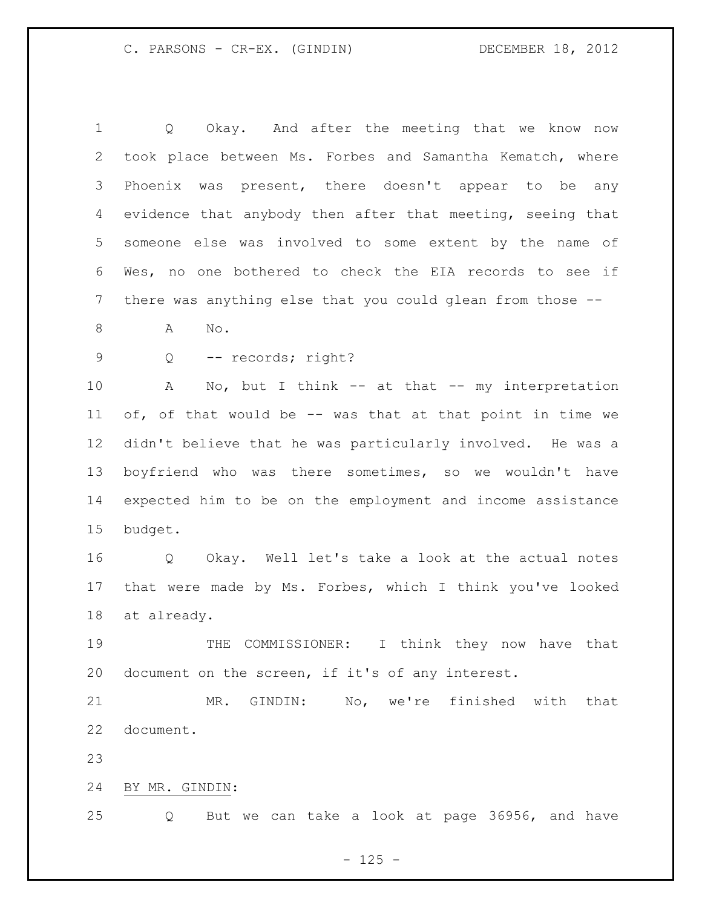Q Okay. And after the meeting that we know now took place between Ms. Forbes and Samantha Kematch, where Phoenix was present, there doesn't appear to be any evidence that anybody then after that meeting, seeing that someone else was involved to some extent by the name of Wes, no one bothered to check the EIA records to see if there was anything else that you could glean from those -- A No. 9 Q -- records; right? A No, but I think -- at that -- my interpretation of, of that would be -- was that at that point in time we didn't believe that he was particularly involved. He was a boyfriend who was there sometimes, so we wouldn't have expected him to be on the employment and income assistance budget. Q Okay. Well let's take a look at the actual notes that were made by Ms. Forbes, which I think you've looked at already. THE COMMISSIONER: I think they now have that document on the screen, if it's of any interest. MR. GINDIN: No, we're finished with that document.

BY MR. GINDIN:

Q But we can take a look at page 36956, and have

 $- 125 -$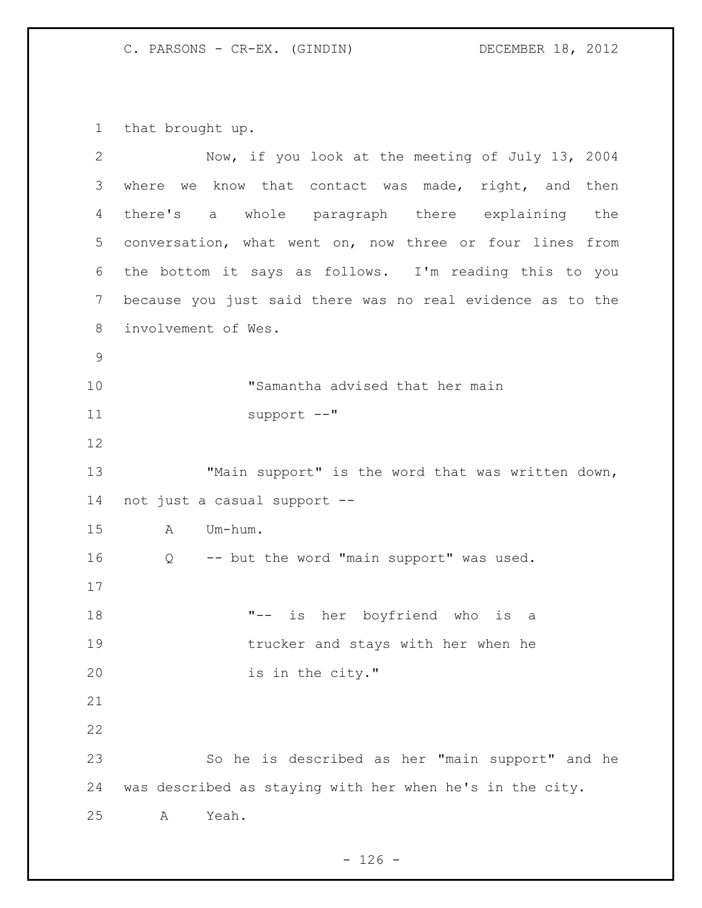that brought up.

| 2  | Now, if you look at the meeting of July 13, 2004           |
|----|------------------------------------------------------------|
| 3  | where we know that contact was made, right, and then       |
| 4  | there's a whole paragraph there explaining the             |
| 5  | conversation, what went on, now three or four lines from   |
| 6  | the bottom it says as follows. I'm reading this to you     |
| 7  | because you just said there was no real evidence as to the |
| 8  | involvement of Wes.                                        |
| 9  |                                                            |
| 10 | "Samantha advised that her main                            |
| 11 | $support$ $--$ "                                           |
| 12 |                                                            |
| 13 | "Main support" is the word that was written down,          |
| 14 | not just a casual support --                               |
| 15 | Um-hum.<br>A                                               |
| 16 | -- but the word "main support" was used.<br>Q              |
| 17 |                                                            |
| 18 | "-- is her boyfriend who is a                              |
| 19 | trucker and stays with her when he                         |
| 20 | is in the city."                                           |
| 21 |                                                            |
| 22 |                                                            |
| 23 | So he is described as her "main support" and he            |
| 24 | was described as staying with her when he's in the city.   |
| 25 | Yeah.<br>Α                                                 |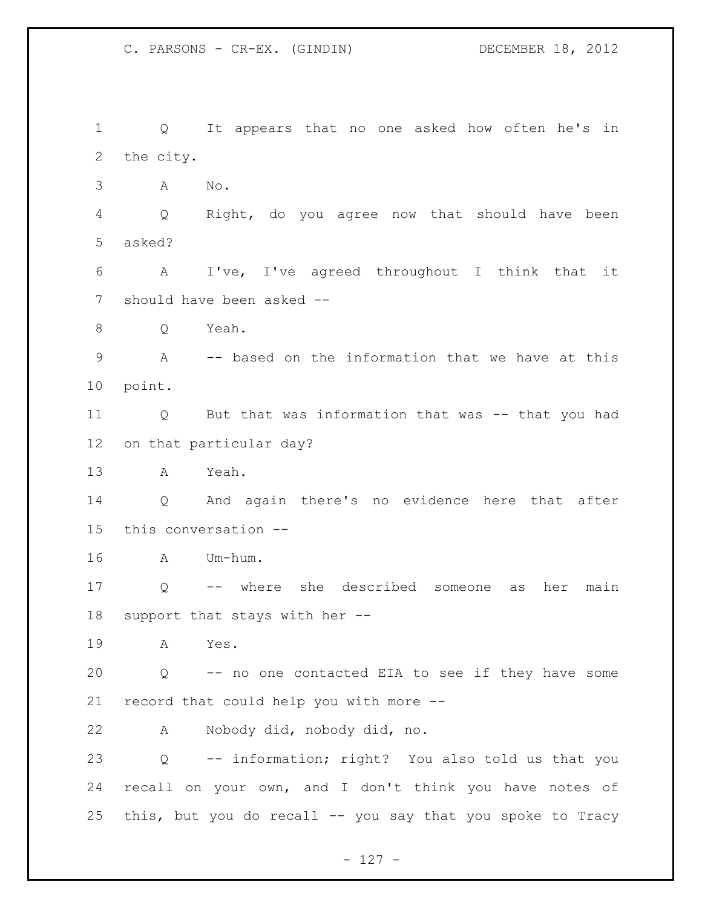Q It appears that no one asked how often he's in the city. A No. Q Right, do you agree now that should have been asked? A I've, I've agreed throughout I think that it should have been asked -- Q Yeah. A -- based on the information that we have at this point. Q But that was information that was -- that you had on that particular day? A Yeah. Q And again there's no evidence here that after this conversation -- A Um-hum. Q -- where she described someone as her main support that stays with her -- A Yes. Q -- no one contacted EIA to see if they have some record that could help you with more -- A Nobody did, nobody did, no. Q -- information; right? You also told us that you recall on your own, and I don't think you have notes of this, but you do recall -- you say that you spoke to Tracy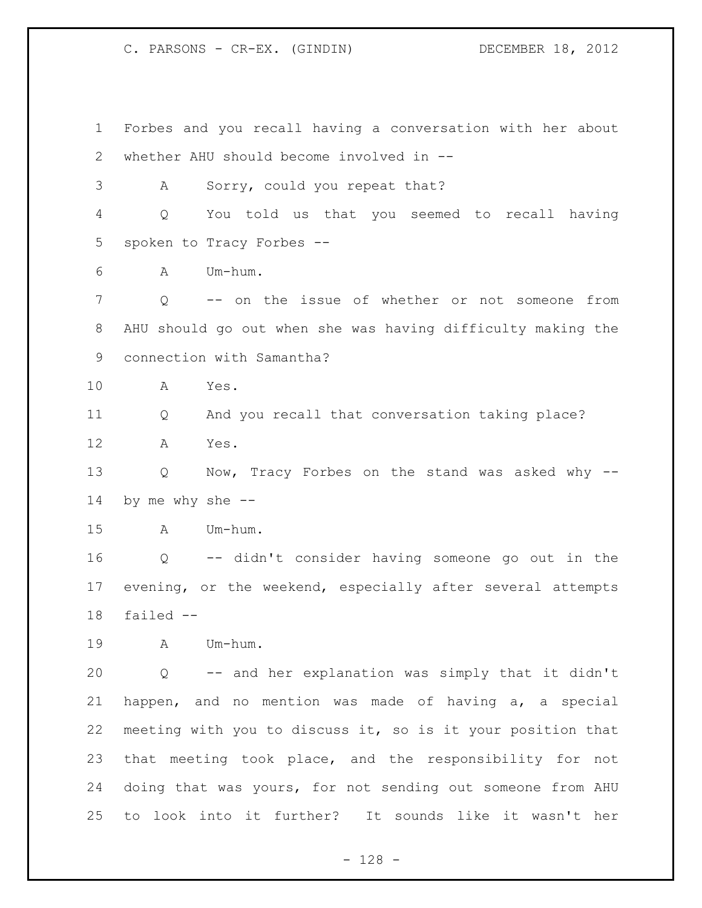Forbes and you recall having a conversation with her about whether AHU should become involved in -- A Sorry, could you repeat that? Q You told us that you seemed to recall having spoken to Tracy Forbes -- A Um-hum. Q -- on the issue of whether or not someone from AHU should go out when she was having difficulty making the connection with Samantha? A Yes. Q And you recall that conversation taking place? A Yes. Q Now, Tracy Forbes on the stand was asked why -- by me why she -- A Um-hum. Q -- didn't consider having someone go out in the evening, or the weekend, especially after several attempts failed -- A Um-hum. Q -- and her explanation was simply that it didn't happen, and no mention was made of having a, a special meeting with you to discuss it, so is it your position that that meeting took place, and the responsibility for not doing that was yours, for not sending out someone from AHU to look into it further? It sounds like it wasn't her

- 128 -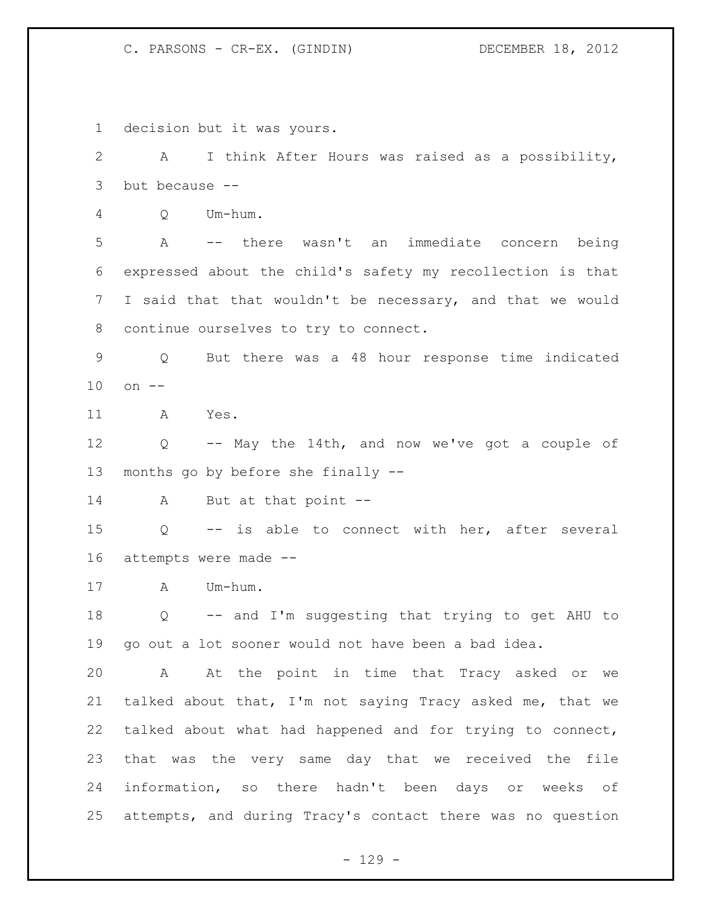decision but it was yours. A I think After Hours was raised as a possibility, but because -- Q Um-hum. A -- there wasn't an immediate concern being expressed about the child's safety my recollection is that I said that that wouldn't be necessary, and that we would continue ourselves to try to connect. Q But there was a 48 hour response time indicated on -- A Yes. Q -- May the 14th, and now we've got a couple of months go by before she finally -- A But at that point -- Q -- is able to connect with her, after several attempts were made -- A Um-hum. Q -- and I'm suggesting that trying to get AHU to go out a lot sooner would not have been a bad idea. A At the point in time that Tracy asked or we talked about that, I'm not saying Tracy asked me, that we talked about what had happened and for trying to connect, that was the very same day that we received the file information, so there hadn't been days or weeks of attempts, and during Tracy's contact there was no question

- 129 -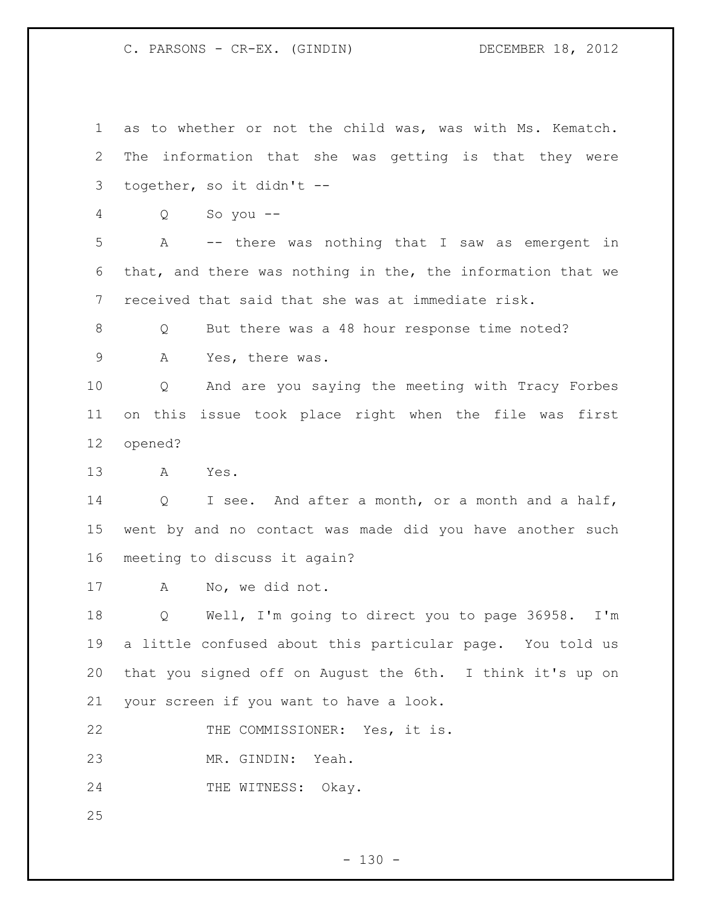as to whether or not the child was, was with Ms. Kematch. The information that she was getting is that they were together, so it didn't -- Q So you -- A -- there was nothing that I saw as emergent in that, and there was nothing in the, the information that we received that said that she was at immediate risk. 8 O But there was a 48 hour response time noted? 9 A Yes, there was. Q And are you saying the meeting with Tracy Forbes on this issue took place right when the file was first opened? A Yes. Q I see. And after a month, or a month and a half, went by and no contact was made did you have another such meeting to discuss it again? A No, we did not. Q Well, I'm going to direct you to page 36958. I'm a little confused about this particular page. You told us that you signed off on August the 6th. I think it's up on your screen if you want to have a look. THE COMMISSIONER: Yes, it is. MR. GINDIN: Yeah. 24 THE WITNESS: Okay.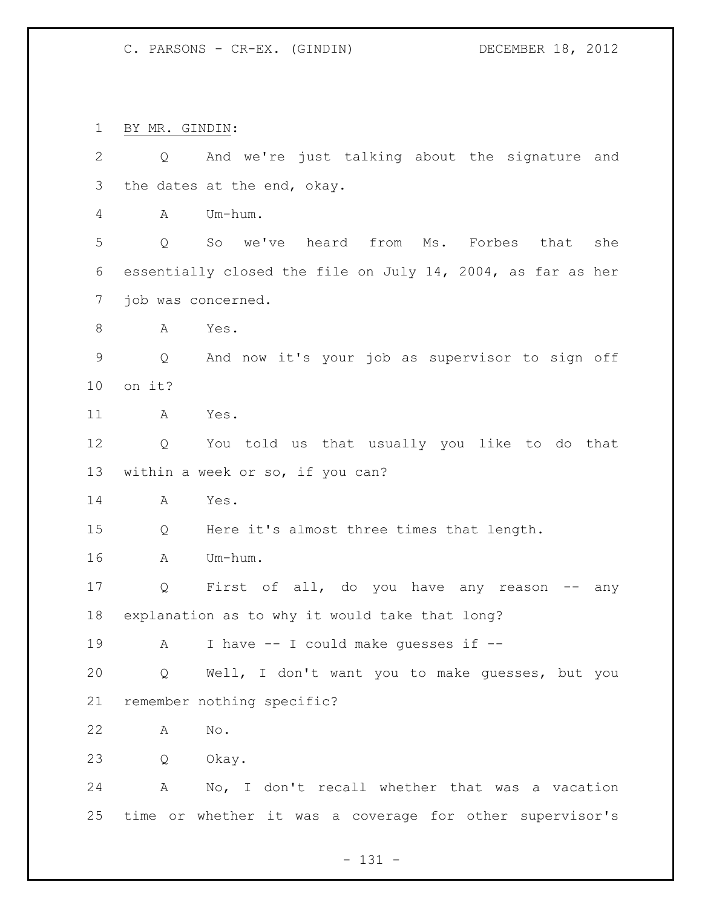BY MR. GINDIN:

| $\mathbf{2}$ | And we're just talking about the signature and<br>Q         |
|--------------|-------------------------------------------------------------|
| 3            | the dates at the end, okay.                                 |
| 4            | Um-hum.<br>A                                                |
| 5            | So we've heard from Ms. Forbes that<br>she<br>Q             |
| 6            | essentially closed the file on July 14, 2004, as far as her |
| 7            | job was concerned.                                          |
| 8            | Α<br>Yes.                                                   |
| $\mathsf 9$  | And now it's your job as supervisor to sign off<br>Q        |
| 10           | on it?                                                      |
| 11           | Yes.<br>A                                                   |
| 12           | You told us that usually you like to do that<br>Q           |
| 13           | within a week or so, if you can?                            |
| 14           | A<br>Yes.                                                   |
| 15           | Here it's almost three times that length.<br>Q              |
| 16           | Um-hum.<br>A                                                |
| 17           | First of all, do you have any reason<br>Q<br>any            |
| 18           | explanation as to why it would take that long?              |
| 19           | I have -- I could make quesses if --<br>A                   |
| 20           | Q Well, I don't want you to make guesses, but you           |
| 21           | remember nothing specific?                                  |
| 22           | $\mathop{\rm No}\nolimits$ .<br>A                           |
| 23           | Q<br>Okay.                                                  |
| 24           | A No, I don't recall whether that was a vacation            |
| 25           | time or whether it was a coverage for other supervisor's    |

- 131 -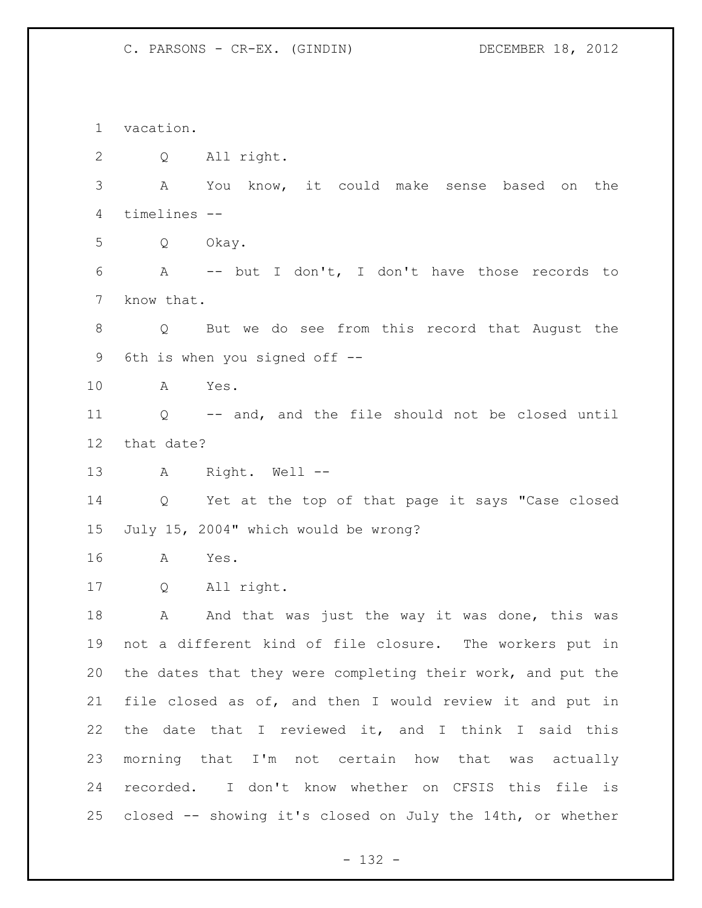vacation. Q All right. A You know, it could make sense based on the timelines -- Q Okay. A -- but I don't, I don't have those records to know that. Q But we do see from this record that August the 6th is when you signed off -- A Yes. Q -- and, and the file should not be closed until that date? A Right. Well -- Q Yet at the top of that page it says "Case closed July 15, 2004" which would be wrong? A Yes. Q All right. 18 A And that was just the way it was done, this was not a different kind of file closure. The workers put in the dates that they were completing their work, and put the file closed as of, and then I would review it and put in the date that I reviewed it, and I think I said this morning that I'm not certain how that was actually recorded. I don't know whether on CFSIS this file is closed -- showing it's closed on July the 14th, or whether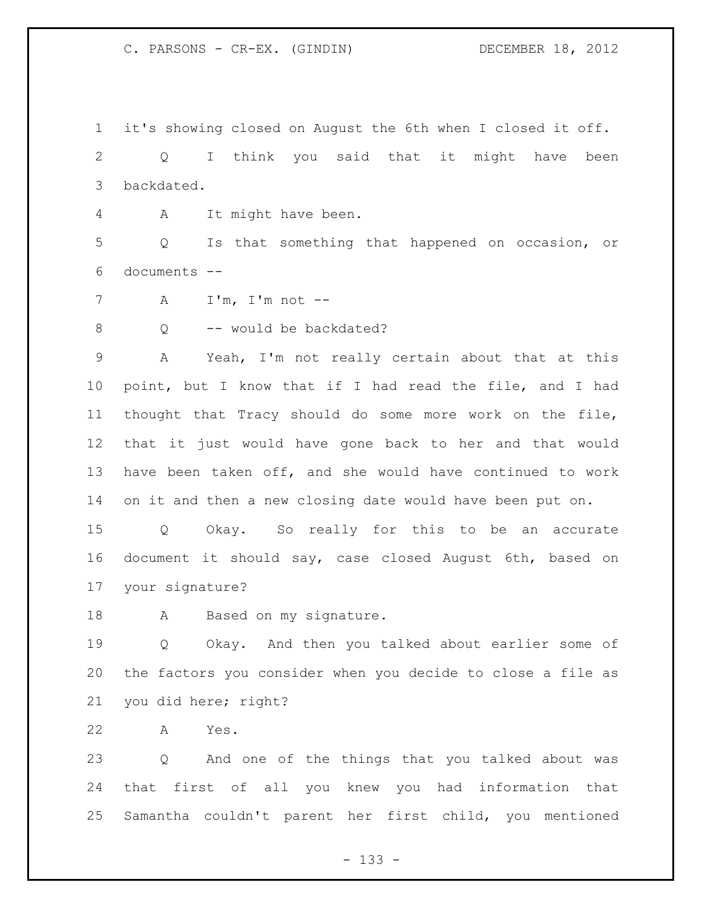it's showing closed on August the 6th when I closed it off. Q I think you said that it might have been backdated.

A It might have been.

 Q Is that something that happened on occasion, or documents --

A I'm, I'm not --

8 O -- would be backdated?

 A Yeah, I'm not really certain about that at this point, but I know that if I had read the file, and I had thought that Tracy should do some more work on the file, that it just would have gone back to her and that would have been taken off, and she would have continued to work on it and then a new closing date would have been put on.

 Q Okay. So really for this to be an accurate document it should say, case closed August 6th, based on your signature?

18 A Based on my signature.

 Q Okay. And then you talked about earlier some of the factors you consider when you decide to close a file as you did here; right?

A Yes.

 Q And one of the things that you talked about was that first of all you knew you had information that Samantha couldn't parent her first child, you mentioned

- 133 -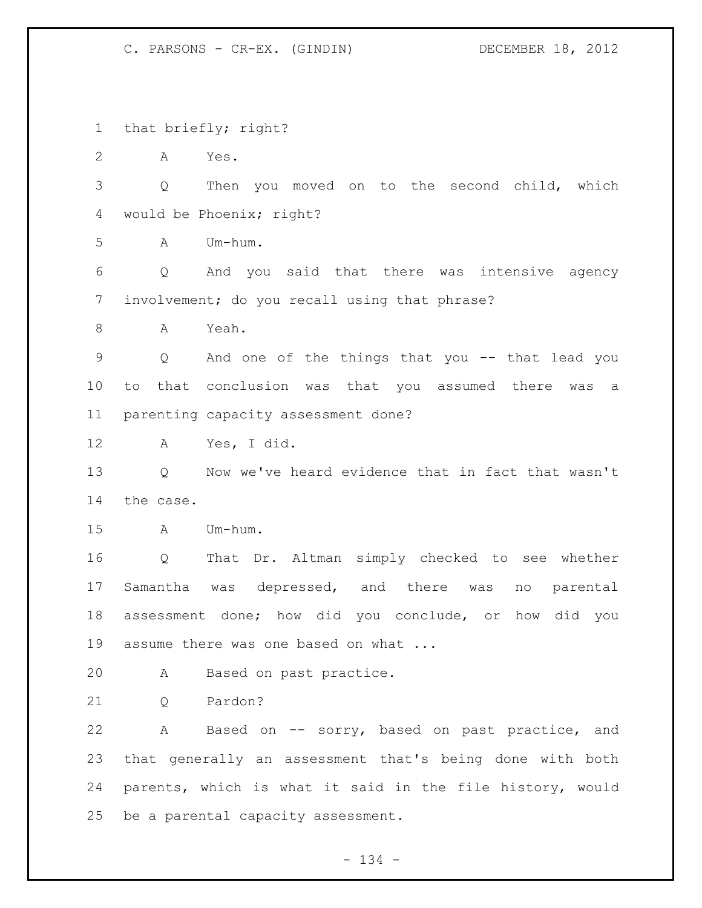that briefly; right?

A Yes.

 Q Then you moved on to the second child, which would be Phoenix; right?

A Um-hum.

 Q And you said that there was intensive agency involvement; do you recall using that phrase?

A Yeah.

 Q And one of the things that you -- that lead you to that conclusion was that you assumed there was a parenting capacity assessment done?

A Yes, I did.

 Q Now we've heard evidence that in fact that wasn't the case.

A Um-hum.

 Q That Dr. Altman simply checked to see whether Samantha was depressed, and there was no parental assessment done; how did you conclude, or how did you 19 assume there was one based on what ...

A Based on past practice.

Q Pardon?

 A Based on -- sorry, based on past practice, and that generally an assessment that's being done with both parents, which is what it said in the file history, would be a parental capacity assessment.

- 134 -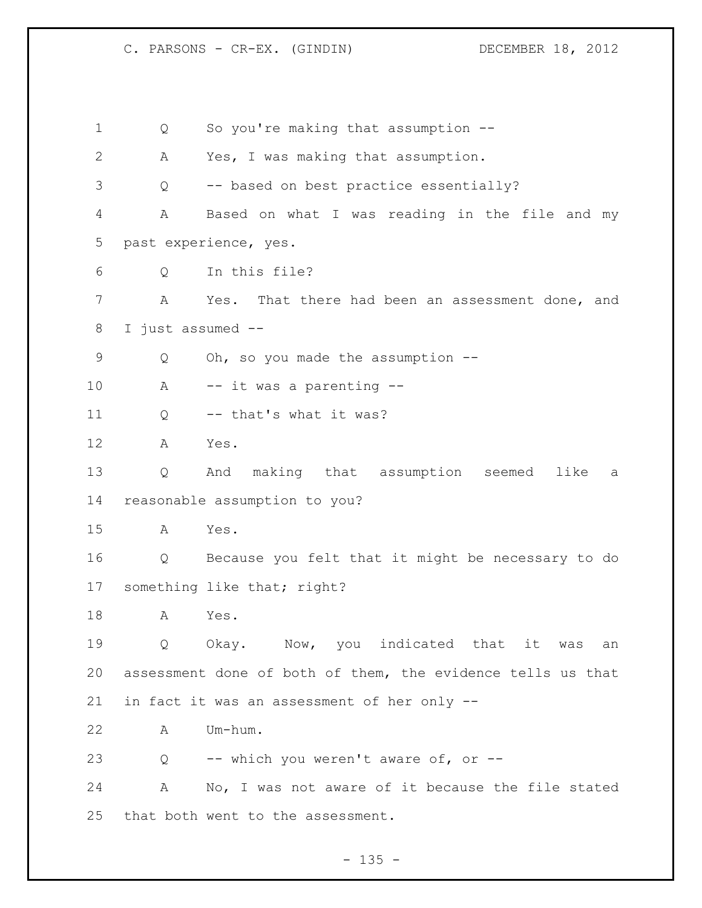Q So you're making that assumption -- A Yes, I was making that assumption. Q -- based on best practice essentially? A Based on what I was reading in the file and my past experience, yes. Q In this file? A Yes. That there had been an assessment done, and I just assumed -- Q Oh, so you made the assumption -- A -- it was a parenting -- 11 Q -- that's what it was? A Yes. Q And making that assumption seemed like a reasonable assumption to you? A Yes. Q Because you felt that it might be necessary to do 17 something like that; right? A Yes. Q Okay. Now, you indicated that it was an assessment done of both of them, the evidence tells us that in fact it was an assessment of her only -- A Um-hum. Q -- which you weren't aware of, or -- A No, I was not aware of it because the file stated that both went to the assessment.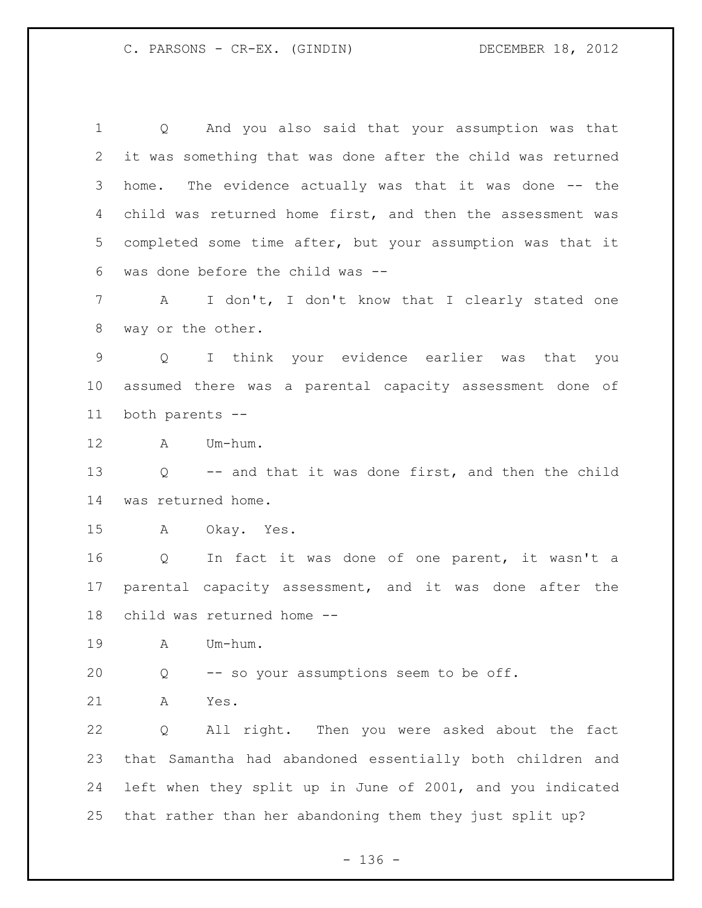Q And you also said that your assumption was that it was something that was done after the child was returned home. The evidence actually was that it was done -- the child was returned home first, and then the assessment was completed some time after, but your assumption was that it was done before the child was -- A I don't, I don't know that I clearly stated one way or the other. Q I think your evidence earlier was that you assumed there was a parental capacity assessment done of both parents -- A Um-hum. Q -- and that it was done first, and then the child was returned home. A Okay. Yes. Q In fact it was done of one parent, it wasn't a parental capacity assessment, and it was done after the child was returned home -- A Um-hum. Q -- so your assumptions seem to be off. A Yes. Q All right. Then you were asked about the fact that Samantha had abandoned essentially both children and left when they split up in June of 2001, and you indicated that rather than her abandoning them they just split up?

- 136 -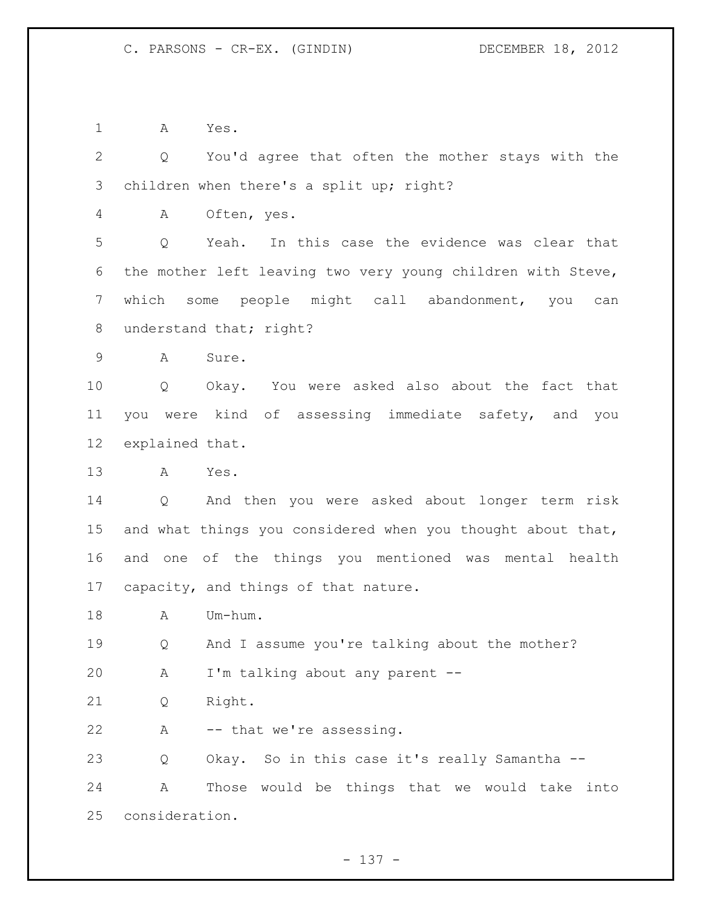A Yes.

 Q You'd agree that often the mother stays with the children when there's a split up; right?

A Often, yes.

 Q Yeah. In this case the evidence was clear that the mother left leaving two very young children with Steve, which some people might call abandonment, you can 8 understand that; right?

A Sure.

 Q Okay. You were asked also about the fact that you were kind of assessing immediate safety, and you explained that.

A Yes.

 Q And then you were asked about longer term risk 15 and what things you considered when you thought about that, and one of the things you mentioned was mental health capacity, and things of that nature.

A Um-hum.

Q And I assume you're talking about the mother?

A I'm talking about any parent --

Q Right.

A -- that we're assessing.

Q Okay. So in this case it's really Samantha --

 A Those would be things that we would take into consideration.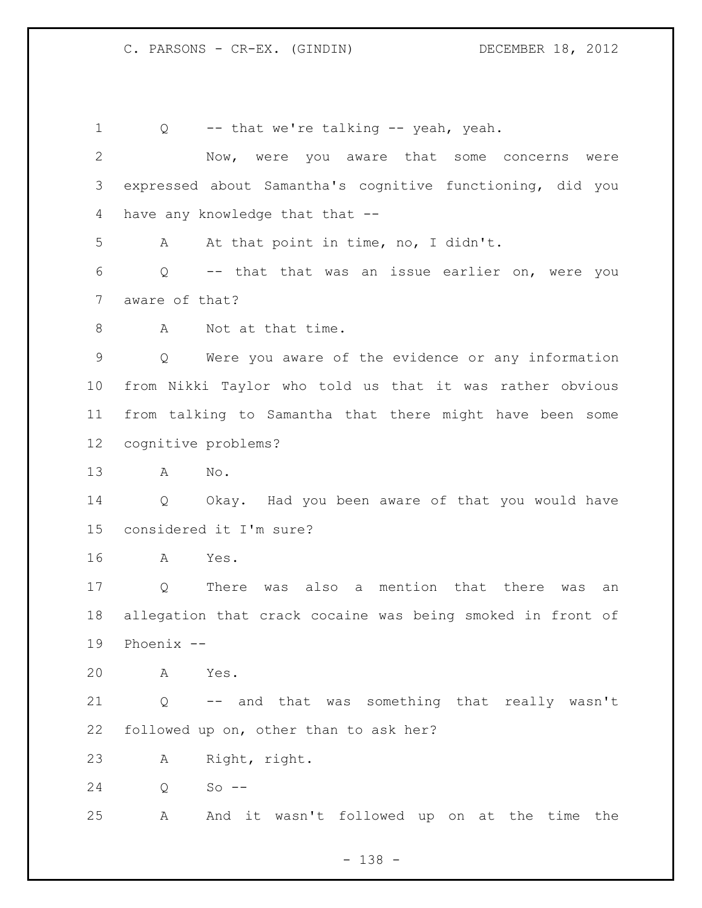Q -- that we're talking -- yeah, yeah. Now, were you aware that some concerns were expressed about Samantha's cognitive functioning, did you 4 have any knowledge that that -- A At that point in time, no, I didn't. Q -- that that was an issue earlier on, were you aware of that? 8 A Not at that time. Q Were you aware of the evidence or any information from Nikki Taylor who told us that it was rather obvious from talking to Samantha that there might have been some cognitive problems? A No. Q Okay. Had you been aware of that you would have considered it I'm sure? A Yes. Q There was also a mention that there was an allegation that crack cocaine was being smoked in front of Phoenix -- A Yes. Q -- and that was something that really wasn't followed up on, other than to ask her? A Right, right. Q So -- A And it wasn't followed up on at the time the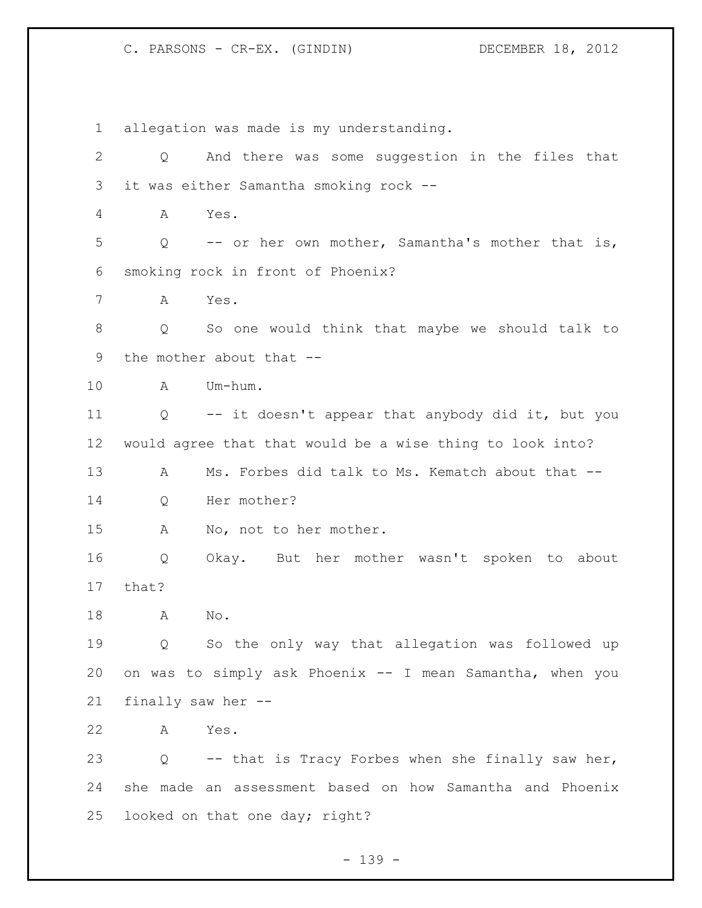allegation was made is my understanding. Q And there was some suggestion in the files that it was either Samantha smoking rock -- A Yes. Q -- or her own mother, Samantha's mother that is, smoking rock in front of Phoenix? A Yes. Q So one would think that maybe we should talk to the mother about that -- A Um-hum. Q -- it doesn't appear that anybody did it, but you would agree that that would be a wise thing to look into? 13 A Ms. Forbes did talk to Ms. Kematch about that -- Q Her mother? A No, not to her mother. Q Okay. But her mother wasn't spoken to about that? A No. Q So the only way that allegation was followed up on was to simply ask Phoenix -- I mean Samantha, when you finally saw her -- A Yes. Q -- that is Tracy Forbes when she finally saw her, she made an assessment based on how Samantha and Phoenix looked on that one day; right?

- 139 -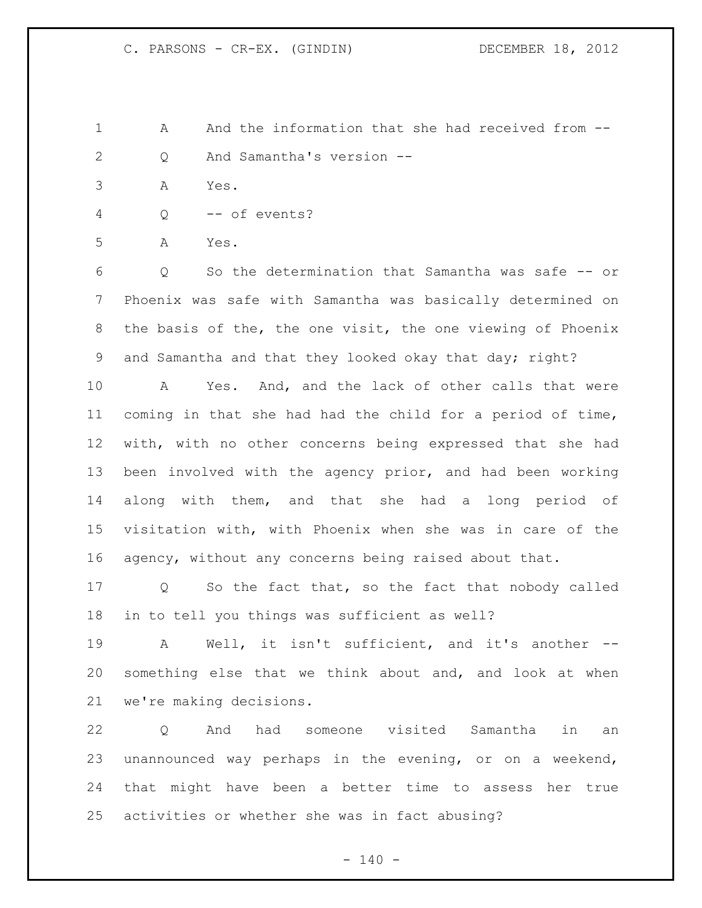1 A And the information that she had received from  $-$ Q And Samantha's version --

- A Yes.
- Q -- of events?

A Yes.

 Q So the determination that Samantha was safe -- or Phoenix was safe with Samantha was basically determined on the basis of the, the one visit, the one viewing of Phoenix and Samantha and that they looked okay that day; right?

 A Yes. And, and the lack of other calls that were coming in that she had had the child for a period of time, with, with no other concerns being expressed that she had been involved with the agency prior, and had been working along with them, and that she had a long period of visitation with, with Phoenix when she was in care of the agency, without any concerns being raised about that.

 Q So the fact that, so the fact that nobody called in to tell you things was sufficient as well?

 A Well, it isn't sufficient, and it's another -- something else that we think about and, and look at when we're making decisions.

 Q And had someone visited Samantha in an unannounced way perhaps in the evening, or on a weekend, that might have been a better time to assess her true activities or whether she was in fact abusing?

 $- 140 -$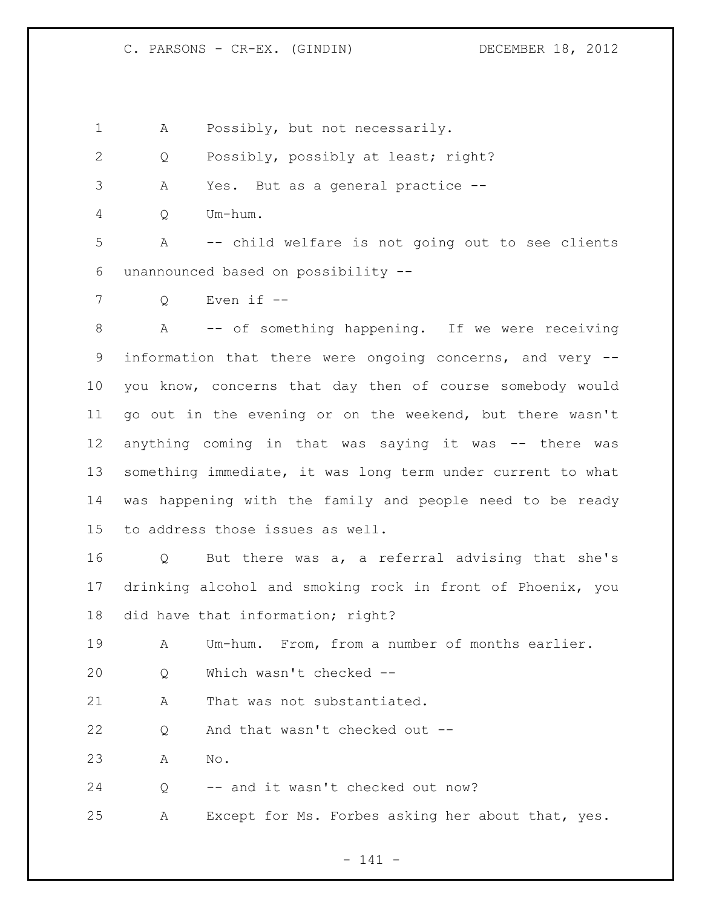1 A Possibly, but not necessarily.

Q Possibly, possibly at least; right?

A Yes. But as a general practice --

Q Um-hum.

 A -- child welfare is not going out to see clients unannounced based on possibility --

Q Even if --

 A -- of something happening. If we were receiving information that there were ongoing concerns, and very -- you know, concerns that day then of course somebody would go out in the evening or on the weekend, but there wasn't anything coming in that was saying it was -- there was something immediate, it was long term under current to what was happening with the family and people need to be ready to address those issues as well.

 Q But there was a, a referral advising that she's drinking alcohol and smoking rock in front of Phoenix, you did have that information; right?

A Um-hum. From, from a number of months earlier.

Q Which wasn't checked --

21 A That was not substantiated.

Q And that wasn't checked out --

A No.

Q -- and it wasn't checked out now?

A Except for Ms. Forbes asking her about that, yes.

- 141 -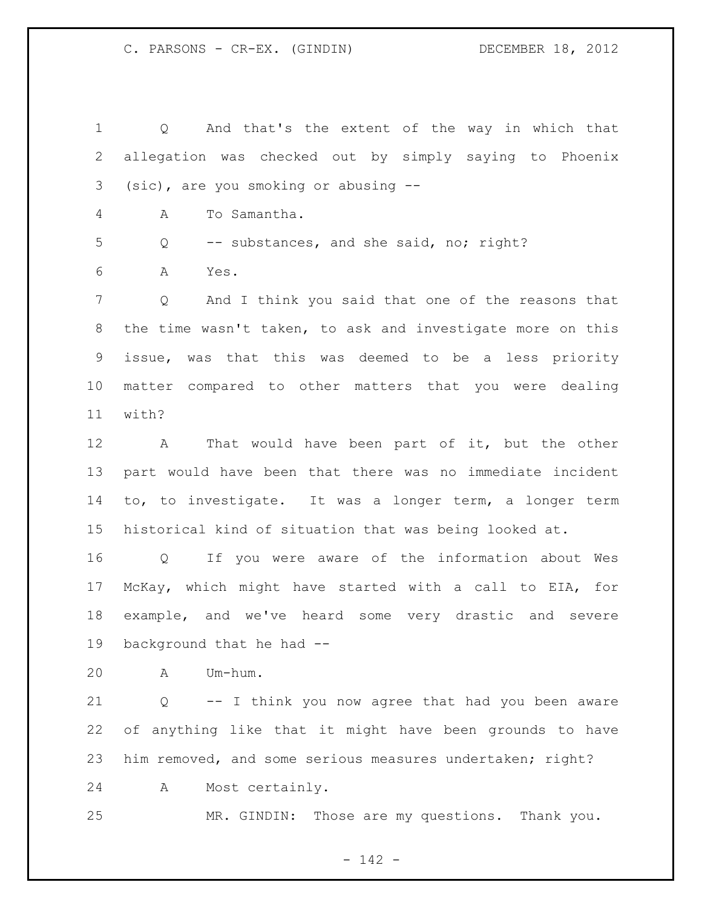Q And that's the extent of the way in which that allegation was checked out by simply saying to Phoenix (sic), are you smoking or abusing -- A To Samantha. Q -- substances, and she said, no; right? A Yes. Q And I think you said that one of the reasons that the time wasn't taken, to ask and investigate more on this issue, was that this was deemed to be a less priority matter compared to other matters that you were dealing with? A That would have been part of it, but the other part would have been that there was no immediate incident to, to investigate. It was a longer term, a longer term historical kind of situation that was being looked at. Q If you were aware of the information about Wes McKay, which might have started with a call to EIA, for example, and we've heard some very drastic and severe

background that he had --

A Um-hum.

 Q -- I think you now agree that had you been aware of anything like that it might have been grounds to have him removed, and some serious measures undertaken; right?

A Most certainly.

MR. GINDIN: Those are my questions. Thank you.

- 142 -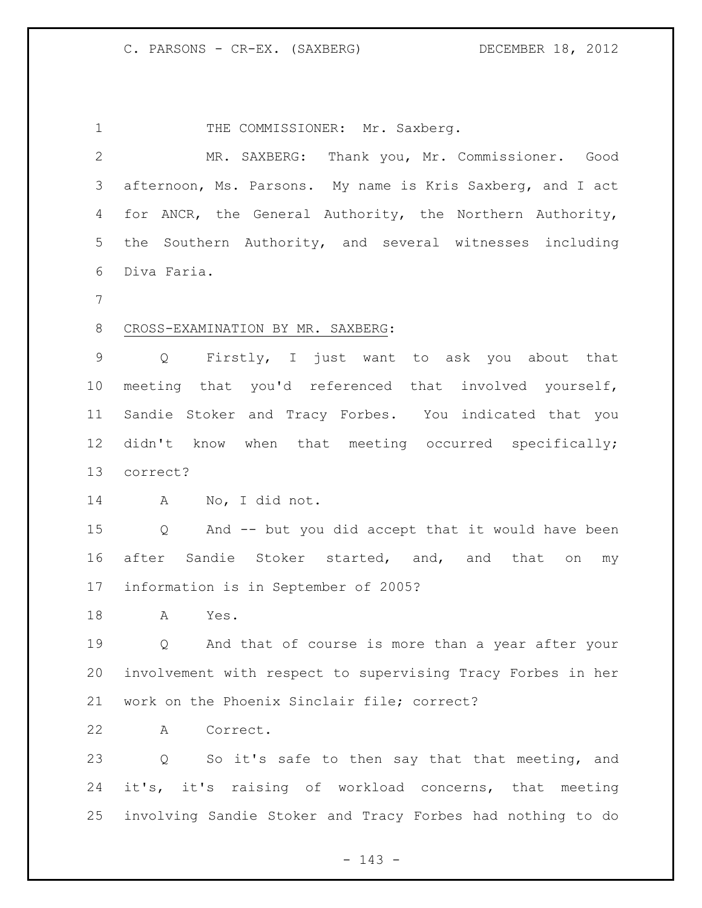1 THE COMMISSIONER: Mr. Saxberg. MR. SAXBERG: Thank you, Mr. Commissioner. Good afternoon, Ms. Parsons. My name is Kris Saxberg, and I act for ANCR, the General Authority, the Northern Authority, the Southern Authority, and several witnesses including Diva Faria. CROSS-EXAMINATION BY MR. SAXBERG: Q Firstly, I just want to ask you about that meeting that you'd referenced that involved yourself, Sandie Stoker and Tracy Forbes. You indicated that you 12 didn't know when that meeting occurred specifically; correct? A No, I did not. Q And -- but you did accept that it would have been after Sandie Stoker started, and, and that on my information is in September of 2005? A Yes. Q And that of course is more than a year after your involvement with respect to supervising Tracy Forbes in her work on the Phoenix Sinclair file; correct? A Correct. Q So it's safe to then say that that meeting, and it's, it's raising of workload concerns, that meeting involving Sandie Stoker and Tracy Forbes had nothing to do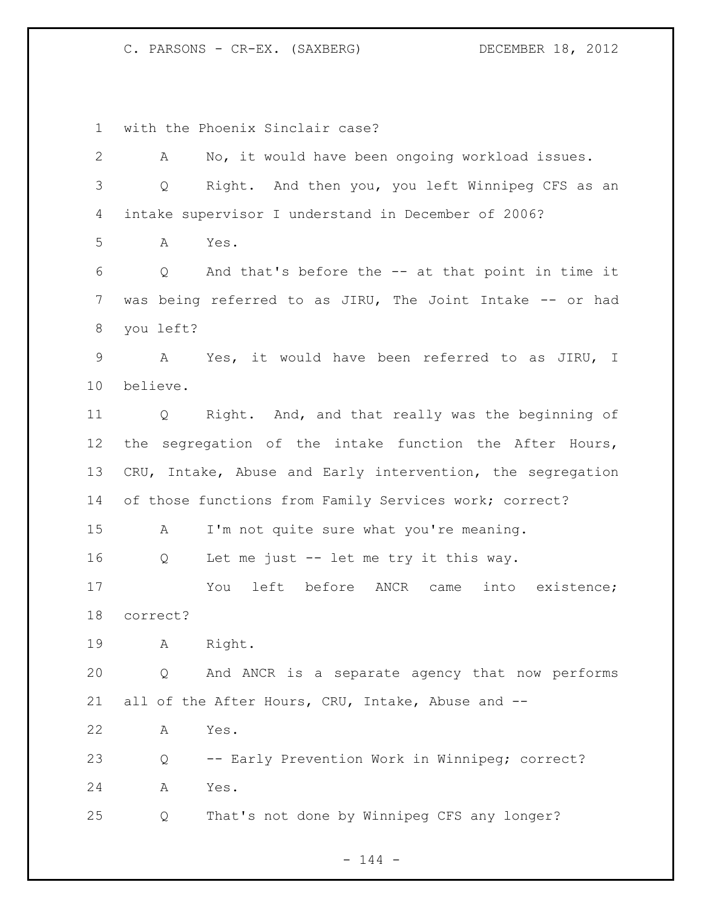C. PARSONS - CR-EX. (SAXBERG) DECEMBER 18, 2012

with the Phoenix Sinclair case?

| $\mathbf{2}$   | No, it would have been ongoing workload issues.<br>A                   |
|----------------|------------------------------------------------------------------------|
| $\mathcal{S}$  | Right. And then you, you left Winnipeg CFS as an<br>Q                  |
| 4              | intake supervisor I understand in December of 2006?                    |
| 5              | Yes.<br>A                                                              |
| 6              | And that's before the -- at that point in time it<br>$Q \qquad \qquad$ |
| $\overline{7}$ | was being referred to as JIRU, The Joint Intake -- or had              |
| 8              | you left?                                                              |
| $\mathsf 9$    | A Yes, it would have been referred to as JIRU, I                       |
| 10             | believe.                                                               |
| 11             | Right. And, and that really was the beginning of<br>Q                  |
| 12             | the segregation of the intake function the After Hours,                |
| 13             | CRU, Intake, Abuse and Early intervention, the segregation             |
| 14             | of those functions from Family Services work; correct?                 |
| 15             | I'm not quite sure what you're meaning.<br>A                           |
| 16             | Let me just -- let me try it this way.<br>Q                            |
| 17             | left before ANCR came<br>into existence;<br>You                        |
| 18             | correct?                                                               |
| 19             | A Right.                                                               |
| 20             | And ANCR is a separate agency that now performs<br>Q                   |
| 21             | all of the After Hours, CRU, Intake, Abuse and --                      |
| 22             | Yes.<br>А                                                              |
| 23             | -- Early Prevention Work in Winnipeg; correct?<br>Q                    |
| 24             | Yes.<br>Α                                                              |
| 25             | That's not done by Winnipeg CFS any longer?<br>Q                       |
|                |                                                                        |

- 144 -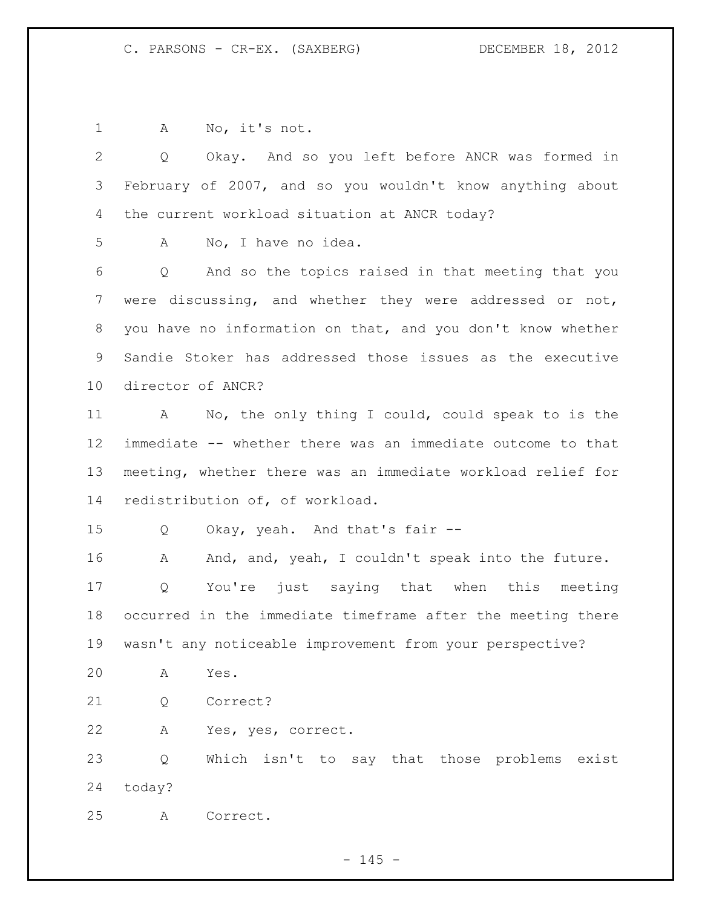1 A No, it's not.

| No, I have no idea.<br>Α            |                                                                                                                                                                                                                                                                                                                                                                                                                                                                                                                                                                                                                                                                                                                                                                                                                                                                                                            |
|-------------------------------------|------------------------------------------------------------------------------------------------------------------------------------------------------------------------------------------------------------------------------------------------------------------------------------------------------------------------------------------------------------------------------------------------------------------------------------------------------------------------------------------------------------------------------------------------------------------------------------------------------------------------------------------------------------------------------------------------------------------------------------------------------------------------------------------------------------------------------------------------------------------------------------------------------------|
| Q                                   |                                                                                                                                                                                                                                                                                                                                                                                                                                                                                                                                                                                                                                                                                                                                                                                                                                                                                                            |
|                                     |                                                                                                                                                                                                                                                                                                                                                                                                                                                                                                                                                                                                                                                                                                                                                                                                                                                                                                            |
|                                     |                                                                                                                                                                                                                                                                                                                                                                                                                                                                                                                                                                                                                                                                                                                                                                                                                                                                                                            |
|                                     |                                                                                                                                                                                                                                                                                                                                                                                                                                                                                                                                                                                                                                                                                                                                                                                                                                                                                                            |
| director of ANCR?                   |                                                                                                                                                                                                                                                                                                                                                                                                                                                                                                                                                                                                                                                                                                                                                                                                                                                                                                            |
| $\mathbf{A}$                        |                                                                                                                                                                                                                                                                                                                                                                                                                                                                                                                                                                                                                                                                                                                                                                                                                                                                                                            |
|                                     |                                                                                                                                                                                                                                                                                                                                                                                                                                                                                                                                                                                                                                                                                                                                                                                                                                                                                                            |
|                                     |                                                                                                                                                                                                                                                                                                                                                                                                                                                                                                                                                                                                                                                                                                                                                                                                                                                                                                            |
| redistribution of, of workload.     |                                                                                                                                                                                                                                                                                                                                                                                                                                                                                                                                                                                                                                                                                                                                                                                                                                                                                                            |
| Okay, yeah. And that's fair --<br>Q |                                                                                                                                                                                                                                                                                                                                                                                                                                                                                                                                                                                                                                                                                                                                                                                                                                                                                                            |
| A                                   |                                                                                                                                                                                                                                                                                                                                                                                                                                                                                                                                                                                                                                                                                                                                                                                                                                                                                                            |
| Q                                   |                                                                                                                                                                                                                                                                                                                                                                                                                                                                                                                                                                                                                                                                                                                                                                                                                                                                                                            |
|                                     |                                                                                                                                                                                                                                                                                                                                                                                                                                                                                                                                                                                                                                                                                                                                                                                                                                                                                                            |
|                                     |                                                                                                                                                                                                                                                                                                                                                                                                                                                                                                                                                                                                                                                                                                                                                                                                                                                                                                            |
| Α<br>Yes.                           |                                                                                                                                                                                                                                                                                                                                                                                                                                                                                                                                                                                                                                                                                                                                                                                                                                                                                                            |
| Correct?<br>Q                       |                                                                                                                                                                                                                                                                                                                                                                                                                                                                                                                                                                                                                                                                                                                                                                                                                                                                                                            |
| Yes, yes, correct.<br>A             |                                                                                                                                                                                                                                                                                                                                                                                                                                                                                                                                                                                                                                                                                                                                                                                                                                                                                                            |
| Q                                   |                                                                                                                                                                                                                                                                                                                                                                                                                                                                                                                                                                                                                                                                                                                                                                                                                                                                                                            |
|                                     |                                                                                                                                                                                                                                                                                                                                                                                                                                                                                                                                                                                                                                                                                                                                                                                                                                                                                                            |
|                                     |                                                                                                                                                                                                                                                                                                                                                                                                                                                                                                                                                                                                                                                                                                                                                                                                                                                                                                            |
|                                     | Okay. And so you left before ANCR was formed in<br>Q<br>February of 2007, and so you wouldn't know anything about<br>the current workload situation at ANCR today?<br>And so the topics raised in that meeting that you<br>were discussing, and whether they were addressed or not,<br>you have no information on that, and you don't know whether<br>Sandie Stoker has addressed those issues as the executive<br>No, the only thing I could, could speak to is the<br>immediate -- whether there was an immediate outcome to that<br>meeting, whether there was an immediate workload relief for<br>And, and, yeah, I couldn't speak into the future.<br>You're just saying that when this meeting<br>occurred in the immediate timeframe after the meeting there<br>wasn't any noticeable improvement from your perspective?<br>Which isn't to say that those problems exist<br>today?<br>Correct.<br>А |

- 145 -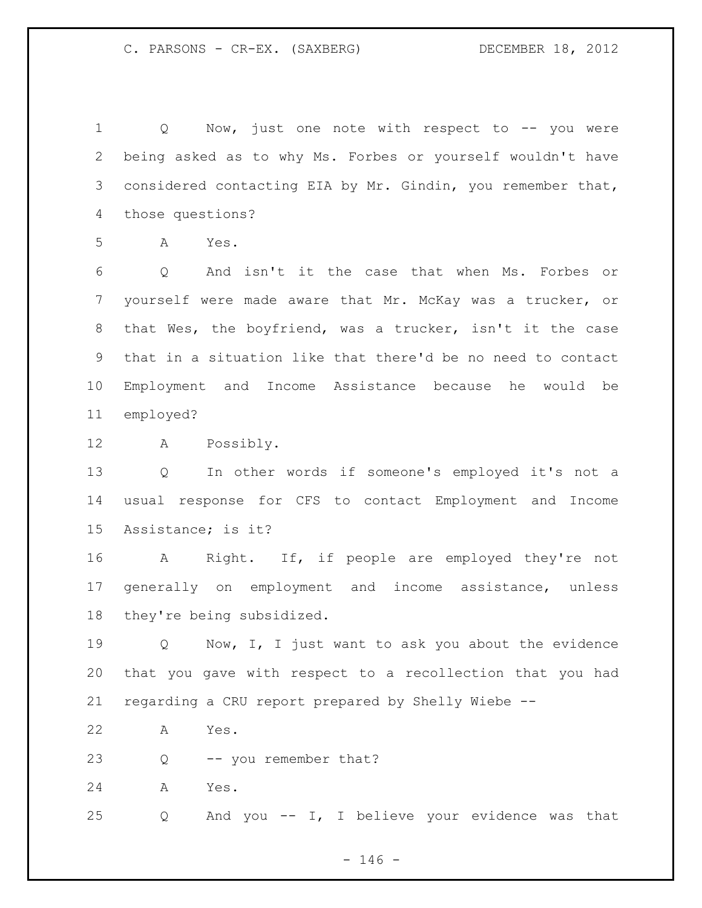1 Q Now, just one note with respect to -- you were being asked as to why Ms. Forbes or yourself wouldn't have 3 considered contacting EIA by Mr. Gindin, you remember that, those questions?

A Yes.

 Q And isn't it the case that when Ms. Forbes or yourself were made aware that Mr. McKay was a trucker, or that Wes, the boyfriend, was a trucker, isn't it the case that in a situation like that there'd be no need to contact Employment and Income Assistance because he would be employed?

A Possibly.

 Q In other words if someone's employed it's not a usual response for CFS to contact Employment and Income Assistance; is it?

 A Right. If, if people are employed they're not generally on employment and income assistance, unless they're being subsidized.

19 O Now, I, I just want to ask you about the evidence that you gave with respect to a recollection that you had regarding a CRU report prepared by Shelly Wiebe --

A Yes.

Q -- you remember that?

A Yes.

Q And you -- I, I believe your evidence was that

 $- 146 -$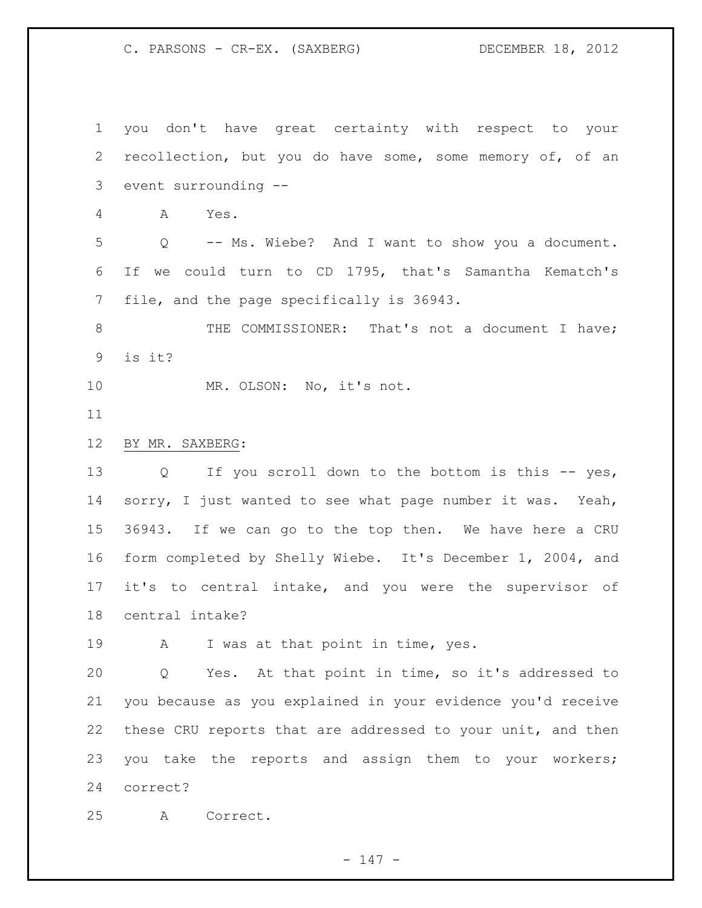C. PARSONS - CR-EX. (SAXBERG) DECEMBER 18, 2012

 you don't have great certainty with respect to your recollection, but you do have some, some memory of, of an event surrounding -- A Yes. Q -- Ms. Wiebe? And I want to show you a document. If we could turn to CD 1795, that's Samantha Kematch's file, and the page specifically is 36943. 8 THE COMMISSIONER: That's not a document I have; is it? 10 MR. OLSON: No, it's not. BY MR. SAXBERG: 13 Q If you scroll down to the bottom is this -- yes, 14 sorry, I just wanted to see what page number it was. Yeah, 36943. If we can go to the top then. We have here a CRU form completed by Shelly Wiebe. It's December 1, 2004, and it's to central intake, and you were the supervisor of central intake? 19 A I was at that point in time, yes. Q Yes. At that point in time, so it's addressed to you because as you explained in your evidence you'd receive these CRU reports that are addressed to your unit, and then you take the reports and assign them to your workers; correct? A Correct.

- 147 -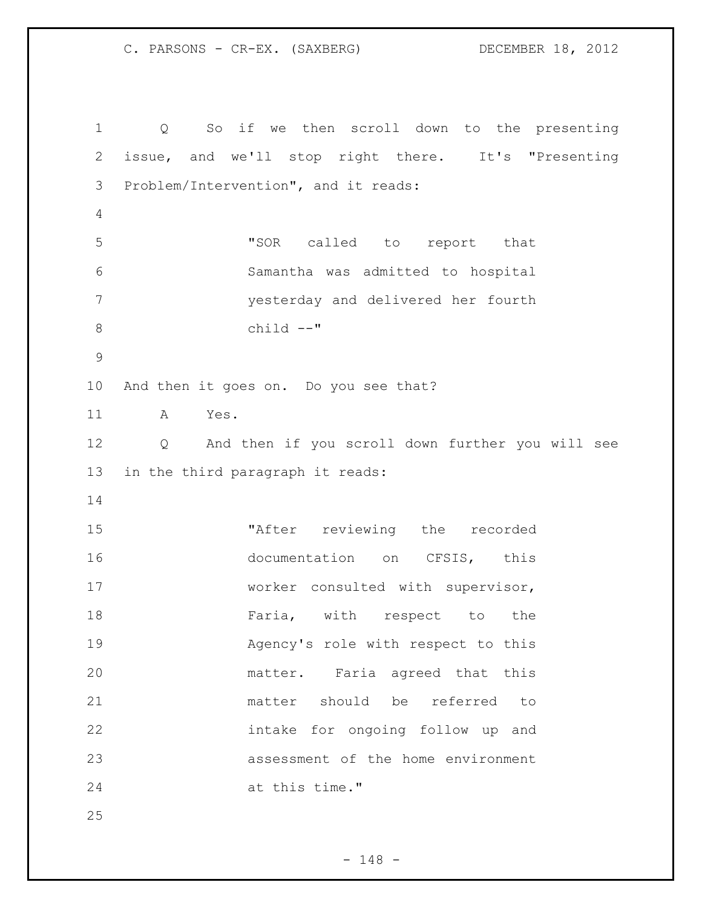C. PARSONS - CR-EX. (SAXBERG) DECEMBER 18, 2012

 Q So if we then scroll down to the presenting issue, and we'll stop right there. It's "Presenting Problem/Intervention", and it reads: "SOR called to report that Samantha was admitted to hospital yesterday and delivered her fourth child --" And then it goes on. Do you see that? A Yes. Q And then if you scroll down further you will see in the third paragraph it reads: "After reviewing the recorded 16 documentation on CFSIS, this 17 worker consulted with supervisor, 18 Faria, with respect to the Agency's role with respect to this matter. Faria agreed that this matter should be referred to intake for ongoing follow up and assessment of the home environment at this time."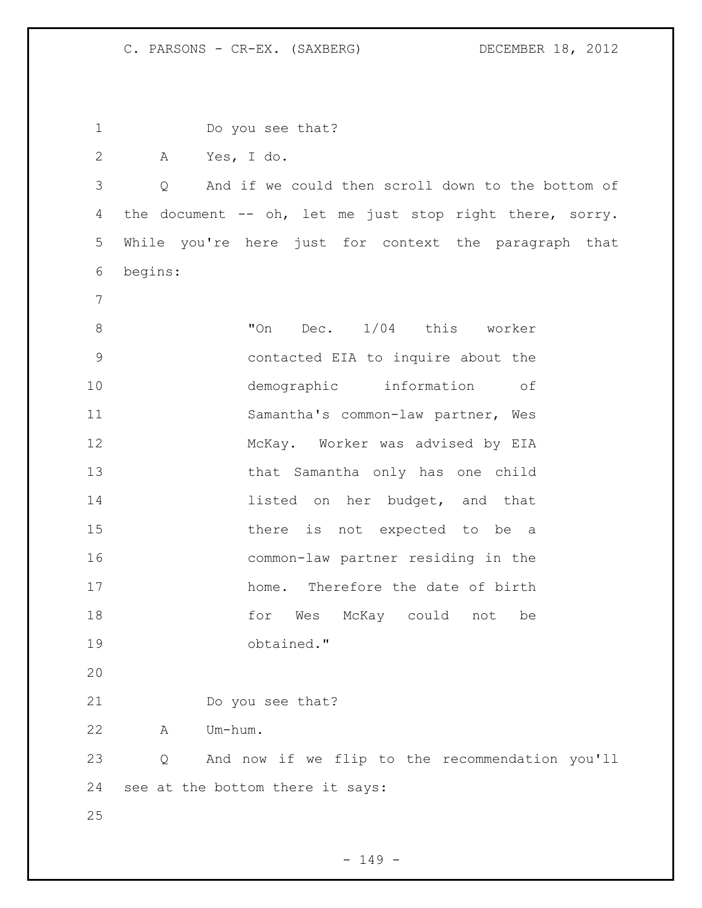| 1             | Do you see that?                                         |
|---------------|----------------------------------------------------------|
| $\mathbf{2}$  | Yes, I do.<br>A                                          |
| 3             | And if we could then scroll down to the bottom of<br>Q   |
| 4             | the document -- oh, let me just stop right there, sorry. |
| 5             | While you're here just for context the paragraph that    |
| 6             | begins:                                                  |
| 7             |                                                          |
| $\,8\,$       | "On<br>Dec. 1/04 this worker                             |
| $\mathcal{G}$ | contacted EIA to inquire about the                       |
| 10            | demographic information of                               |
| 11            | Samantha's common-law partner, Wes                       |
| 12            | McKay. Worker was advised by EIA                         |
| 13            | that Samantha only has one child                         |
| 14            | listed on her budget, and that                           |
| 15            | there is not expected to be a                            |
| 16            | common-law partner residing in the                       |
| 17            | home. Therefore the date of birth                        |
| 18            | McKay could<br>for Wes<br>not<br>be                      |
| 19            | obtained."                                               |
| 20            |                                                          |
| 21            | Do you see that?                                         |
| 22            | Um-hum.<br>A                                             |
| 23            | And now if we flip to the recommendation you'll<br>Q     |
| 24            | see at the bottom there it says:                         |
| 25            |                                                          |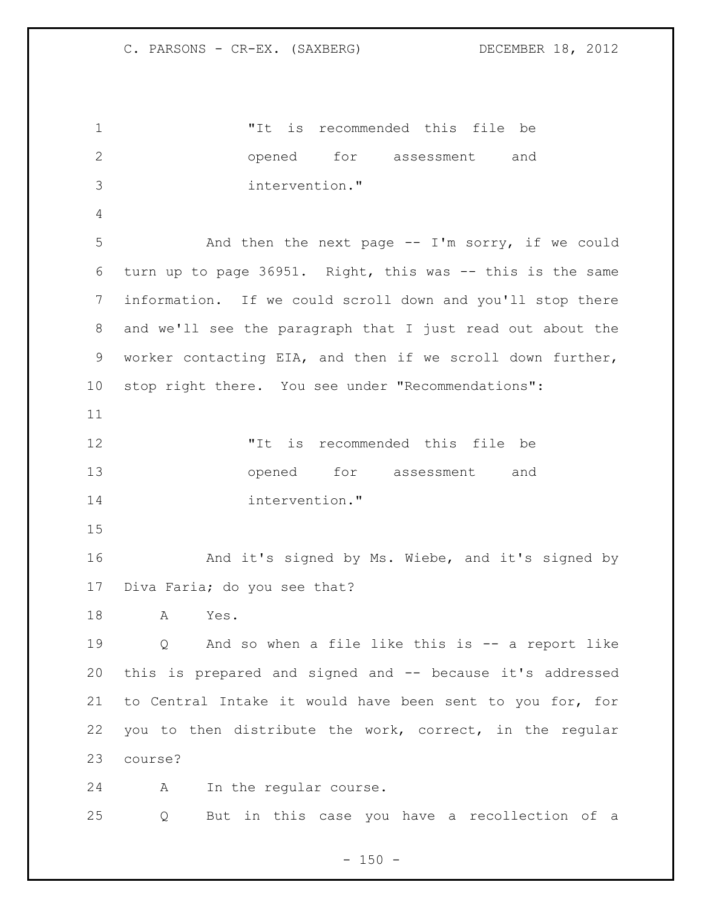"It is recommended this file be opened for assessment and intervention." And then the next page -- I'm sorry, if we could turn up to page 36951. Right, this was -- this is the same information. If we could scroll down and you'll stop there and we'll see the paragraph that I just read out about the worker contacting EIA, and then if we scroll down further, stop right there. You see under "Recommendations": "It is recommended this file be opened for assessment and intervention." And it's signed by Ms. Wiebe, and it's signed by Diva Faria; do you see that? A Yes. Q And so when a file like this is -- a report like this is prepared and signed and -- because it's addressed to Central Intake it would have been sent to you for, for you to then distribute the work, correct, in the regular course? A In the regular course. Q But in this case you have a recollection of a

 $- 150 -$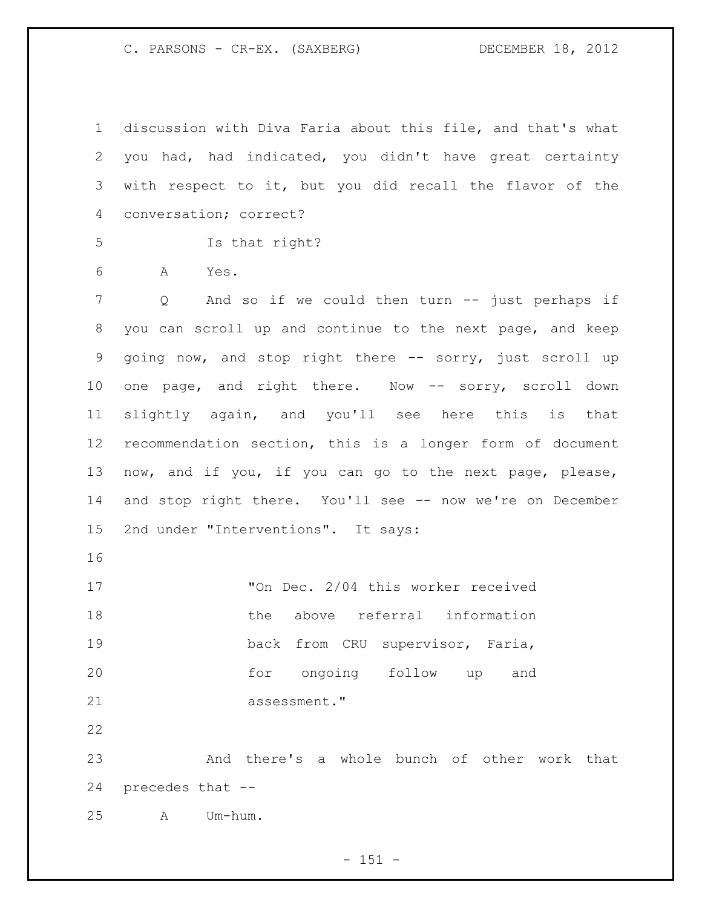C. PARSONS - CR-EX. (SAXBERG) DECEMBER 18, 2012

 discussion with Diva Faria about this file, and that's what you had, had indicated, you didn't have great certainty with respect to it, but you did recall the flavor of the conversation; correct? Is that right? A Yes. Q And so if we could then turn -- just perhaps if you can scroll up and continue to the next page, and keep going now, and stop right there -- sorry, just scroll up 10 one page, and right there. Now -- sorry, scroll down slightly again, and you'll see here this is that recommendation section, this is a longer form of document now, and if you, if you can go to the next page, please, 14 and stop right there. You'll see -- now we're on December 2nd under "Interventions". It says: 17 TOn Dec. 2/04 this worker received 18 the above referral information back from CRU supervisor, Faria, for ongoing follow up and

21 assessment." 

 And there's a whole bunch of other work that precedes that --

A Um-hum.

- 151 -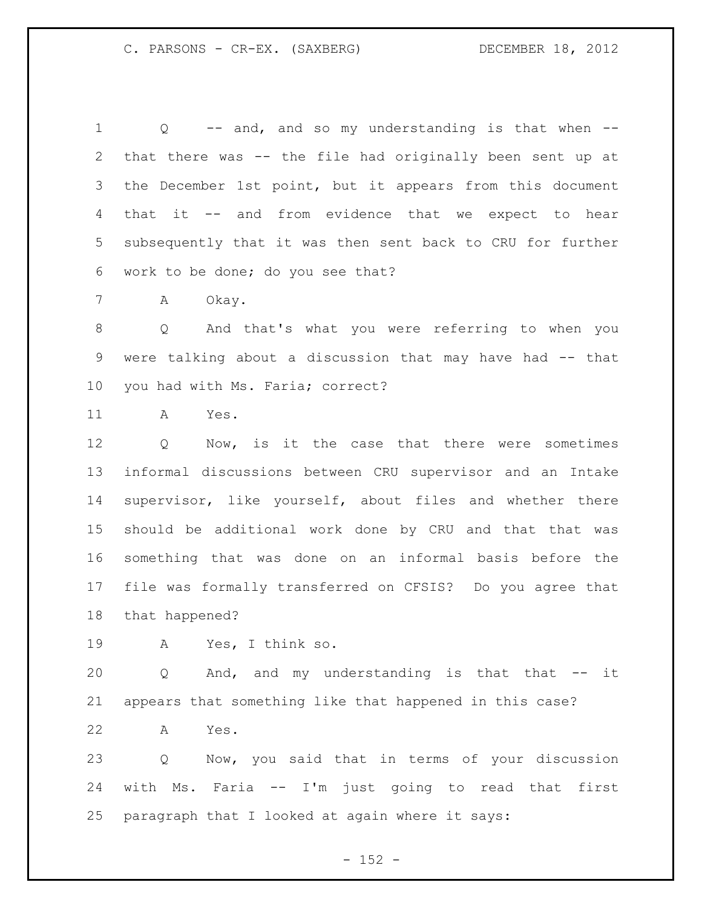Q -- and, and so my understanding is that when -- that there was -- the file had originally been sent up at the December 1st point, but it appears from this document that it -- and from evidence that we expect to hear subsequently that it was then sent back to CRU for further work to be done; do you see that?

A Okay.

 Q And that's what you were referring to when you were talking about a discussion that may have had -- that you had with Ms. Faria; correct?

A Yes.

 Q Now, is it the case that there were sometimes informal discussions between CRU supervisor and an Intake supervisor, like yourself, about files and whether there should be additional work done by CRU and that that was something that was done on an informal basis before the file was formally transferred on CFSIS? Do you agree that that happened?

A Yes, I think so.

20 Q And, and my understanding is that that -- it appears that something like that happened in this case?

A Yes.

 Q Now, you said that in terms of your discussion with Ms. Faria -- I'm just going to read that first paragraph that I looked at again where it says:

 $- 152 -$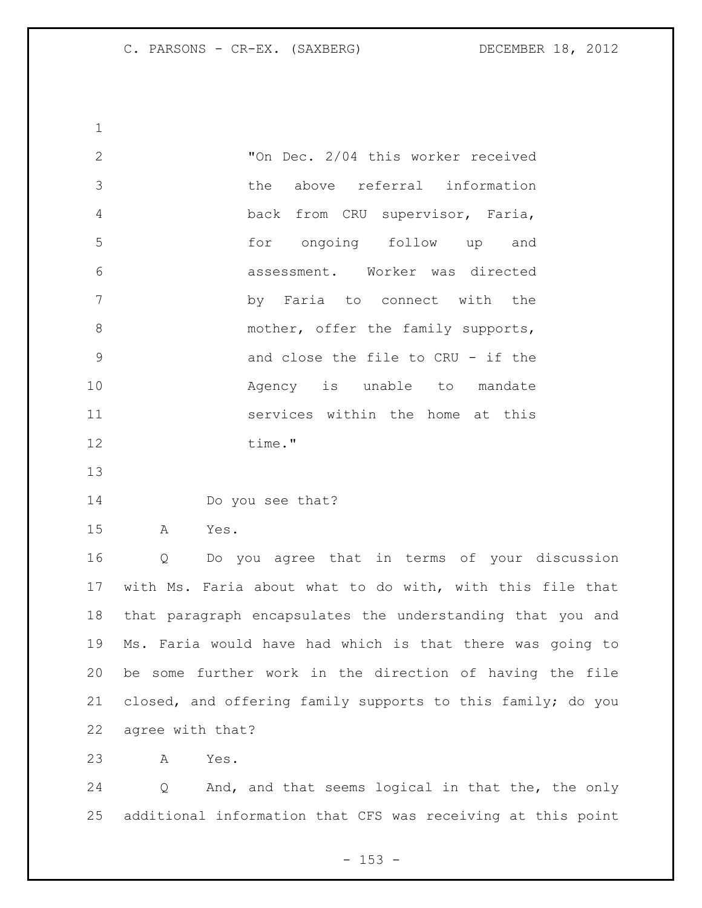"On Dec. 2/04 this worker received the above referral information back from CRU supervisor, Faria, for ongoing follow up and assessment. Worker was directed by Faria to connect with the 8 mother, offer the family supports, and close the file to CRU - if the **Agency** is unable to mandate services within the home at this 12 time." 

Do you see that?

A Yes.

 Q Do you agree that in terms of your discussion with Ms. Faria about what to do with, with this file that that paragraph encapsulates the understanding that you and Ms. Faria would have had which is that there was going to be some further work in the direction of having the file closed, and offering family supports to this family; do you agree with that?

A Yes.

 Q And, and that seems logical in that the, the only additional information that CFS was receiving at this point

 $- 153 -$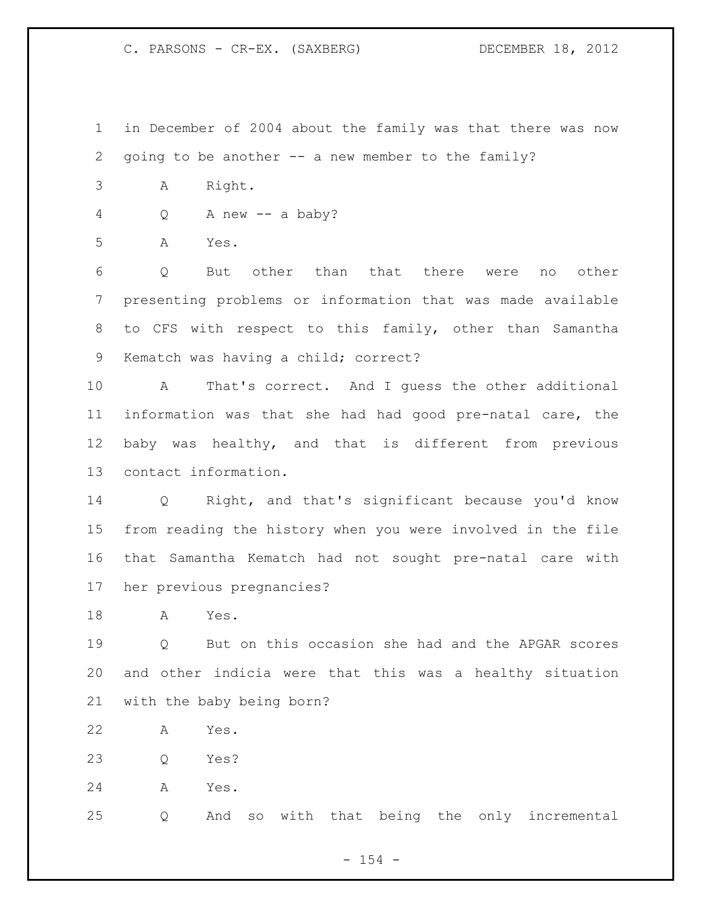C. PARSONS - CR-EX. (SAXBERG) DECEMBER 18, 2012

- in December of 2004 about the family was that there was now going to be another -- a new member to the family?
- A Right.
- Q A new -- a baby?

A Yes.

 Q But other than that there were no other presenting problems or information that was made available to CFS with respect to this family, other than Samantha Kematch was having a child; correct?

 A That's correct. And I guess the other additional information was that she had had good pre-natal care, the baby was healthy, and that is different from previous contact information.

 Q Right, and that's significant because you'd know from reading the history when you were involved in the file that Samantha Kematch had not sought pre-natal care with her previous pregnancies?

A Yes.

 Q But on this occasion she had and the APGAR scores and other indicia were that this was a healthy situation with the baby being born?

- A Yes.
- Q Yes?
- A Yes.

Q And so with that being the only incremental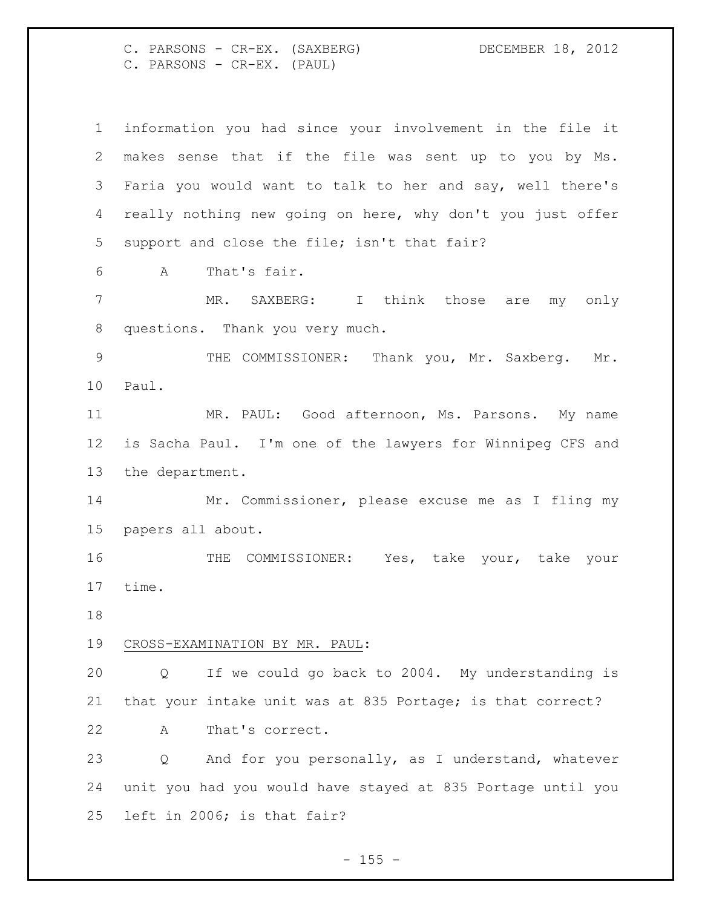C. PARSONS - CR-EX. (SAXBERG) DECEMBER 18, 2012 C. PARSONS - CR-EX. (PAUL)

 information you had since your involvement in the file it makes sense that if the file was sent up to you by Ms. Faria you would want to talk to her and say, well there's really nothing new going on here, why don't you just offer support and close the file; isn't that fair? A That's fair. MR. SAXBERG: I think those are my only questions. Thank you very much. THE COMMISSIONER: Thank you, Mr. Saxberg. Mr. Paul. MR. PAUL: Good afternoon, Ms. Parsons. My name is Sacha Paul. I'm one of the lawyers for Winnipeg CFS and the department. Mr. Commissioner, please excuse me as I fling my papers all about. 16 THE COMMISSIONER: Yes, take your, take your time. CROSS-EXAMINATION BY MR. PAUL: Q If we could go back to 2004. My understanding is that your intake unit was at 835 Portage; is that correct? A That's correct. Q And for you personally, as I understand, whatever unit you had you would have stayed at 835 Portage until you left in 2006; is that fair?

 $- 155 -$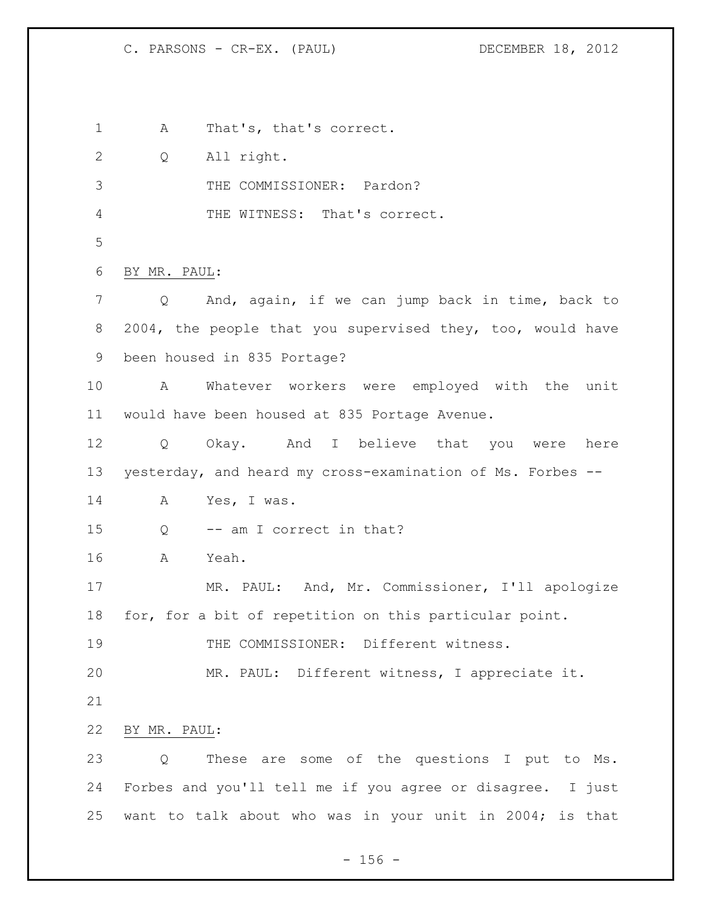A That's, that's correct. Q All right. THE COMMISSIONER: Pardon? THE WITNESS: That's correct. BY MR. PAUL: Q And, again, if we can jump back in time, back to 8 2004, the people that you supervised they, too, would have been housed in 835 Portage? A Whatever workers were employed with the unit would have been housed at 835 Portage Avenue. Q Okay. And I believe that you were here yesterday, and heard my cross-examination of Ms. Forbes -- A Yes, I was. Q -- am I correct in that? A Yeah. MR. PAUL: And, Mr. Commissioner, I'll apologize for, for a bit of repetition on this particular point. 19 THE COMMISSIONER: Different witness. MR. PAUL: Different witness, I appreciate it. BY MR. PAUL: Q These are some of the questions I put to Ms. Forbes and you'll tell me if you agree or disagree. I just want to talk about who was in your unit in 2004; is that

 $- 156 -$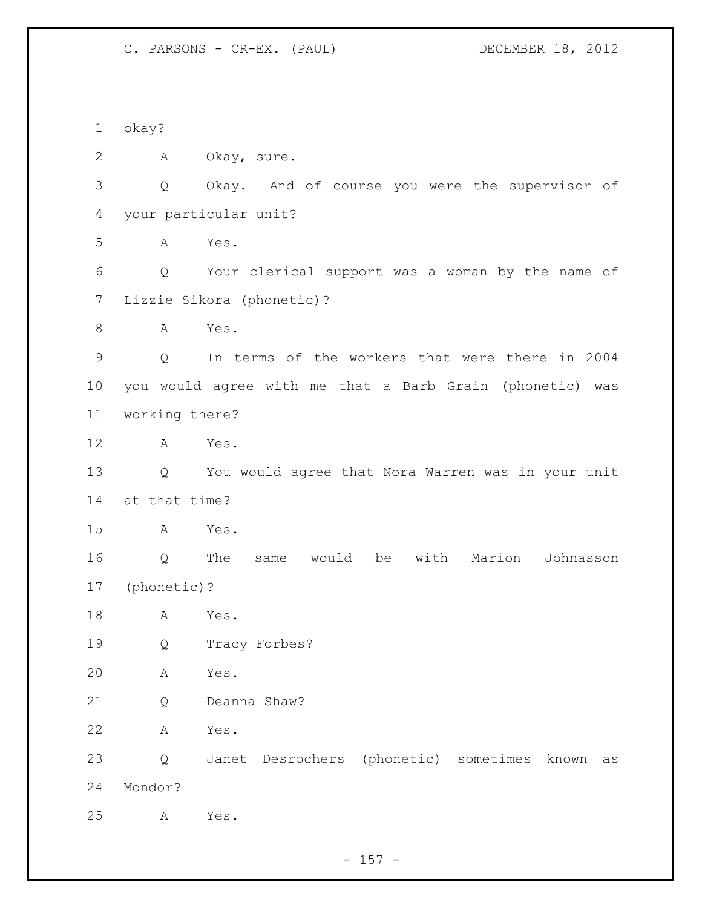okay? A Okay, sure. Q Okay. And of course you were the supervisor of your particular unit? A Yes. Q Your clerical support was a woman by the name of Lizzie Sikora (phonetic)? 8 A Yes. Q In terms of the workers that were there in 2004 you would agree with me that a Barb Grain (phonetic) was working there? A Yes. Q You would agree that Nora Warren was in your unit at that time? A Yes. Q The same would be with Marion Johnasson (phonetic)? A Yes. Q Tracy Forbes? A Yes. Q Deanna Shaw? A Yes. Q Janet Desrochers (phonetic) sometimes known as Mondor? A Yes.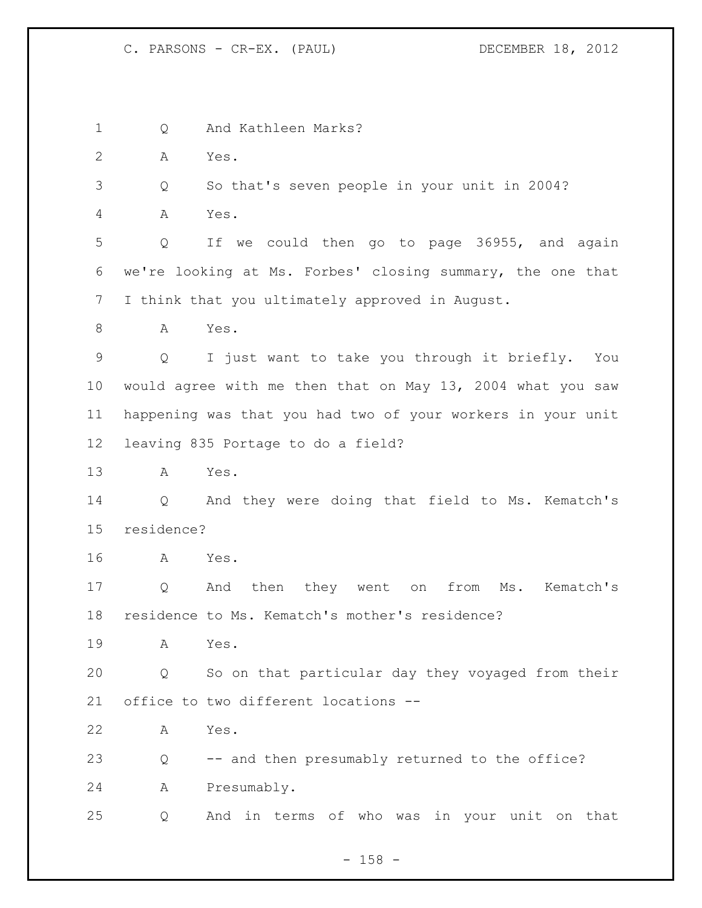Q And Kathleen Marks? A Yes. Q So that's seven people in your unit in 2004? A Yes. Q If we could then go to page 36955, and again we're looking at Ms. Forbes' closing summary, the one that I think that you ultimately approved in August. A Yes. Q I just want to take you through it briefly. You would agree with me then that on May 13, 2004 what you saw happening was that you had two of your workers in your unit leaving 835 Portage to do a field? A Yes. Q And they were doing that field to Ms. Kematch's residence? A Yes. Q And then they went on from Ms. Kematch's residence to Ms. Kematch's mother's residence? A Yes. Q So on that particular day they voyaged from their office to two different locations -- A Yes. Q -- and then presumably returned to the office? A Presumably. Q And in terms of who was in your unit on that

- 158 -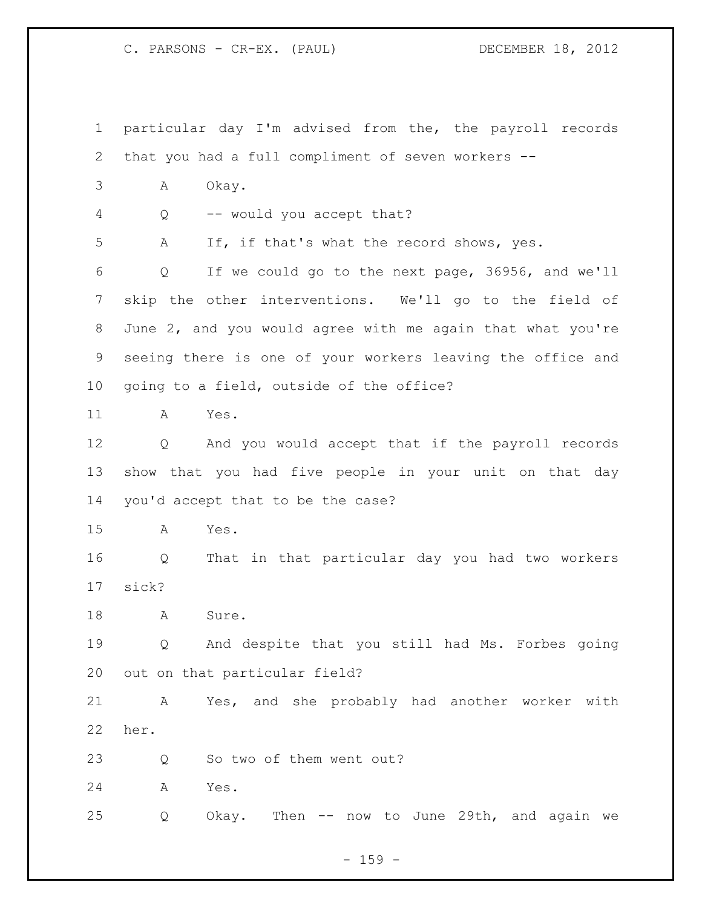particular day I'm advised from the, the payroll records that you had a full compliment of seven workers -- A Okay. Q -- would you accept that? A If, if that's what the record shows, yes. Q If we could go to the next page, 36956, and we'll skip the other interventions. We'll go to the field of June 2, and you would agree with me again that what you're seeing there is one of your workers leaving the office and going to a field, outside of the office? A Yes. Q And you would accept that if the payroll records show that you had five people in your unit on that day you'd accept that to be the case? A Yes. Q That in that particular day you had two workers sick? 18 A Sure. Q And despite that you still had Ms. Forbes going out on that particular field? A Yes, and she probably had another worker with her. 23 Q So two of them went out? A Yes. Q Okay. Then -- now to June 29th, and again we

 $- 159 -$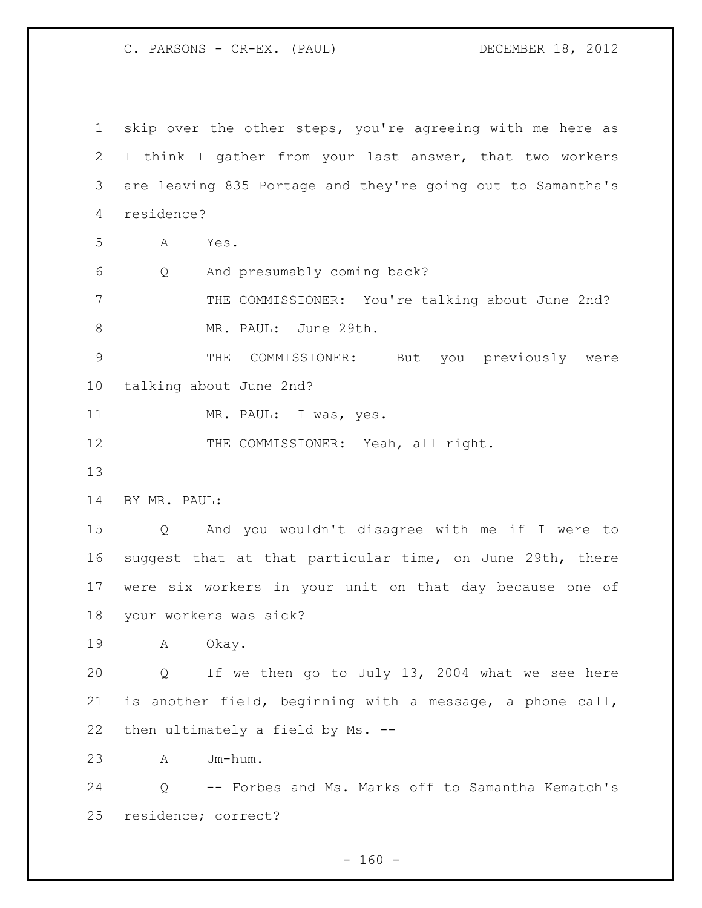skip over the other steps, you're agreeing with me here as I think I gather from your last answer, that two workers are leaving 835 Portage and they're going out to Samantha's residence? A Yes. Q And presumably coming back? THE COMMISSIONER: You're talking about June 2nd? 8 MR. PAUL: June 29th. THE COMMISSIONER: But you previously were talking about June 2nd? 11 MR. PAUL: I was, yes. 12 THE COMMISSIONER: Yeah, all right. BY MR. PAUL: Q And you wouldn't disagree with me if I were to suggest that at that particular time, on June 29th, there were six workers in your unit on that day because one of your workers was sick? A Okay. Q If we then go to July 13, 2004 what we see here is another field, beginning with a message, a phone call, then ultimately a field by Ms. -- A Um-hum. Q -- Forbes and Ms. Marks off to Samantha Kematch's residence; correct?

 $- 160 -$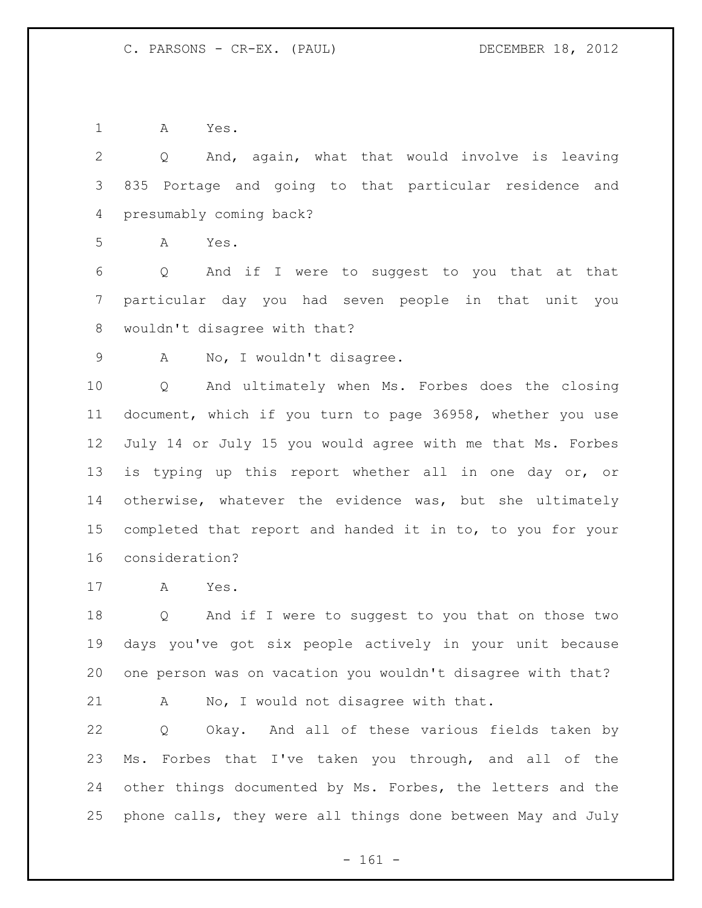A Yes.

 Q And, again, what that would involve is leaving 835 Portage and going to that particular residence and presumably coming back?

A Yes.

 Q And if I were to suggest to you that at that particular day you had seven people in that unit you wouldn't disagree with that?

A No, I wouldn't disagree.

 Q And ultimately when Ms. Forbes does the closing document, which if you turn to page 36958, whether you use July 14 or July 15 you would agree with me that Ms. Forbes is typing up this report whether all in one day or, or otherwise, whatever the evidence was, but she ultimately completed that report and handed it in to, to you for your consideration?

A Yes.

 Q And if I were to suggest to you that on those two days you've got six people actively in your unit because one person was on vacation you wouldn't disagree with that?

A No, I would not disagree with that.

 Q Okay. And all of these various fields taken by Ms. Forbes that I've taken you through, and all of the other things documented by Ms. Forbes, the letters and the phone calls, they were all things done between May and July

- 161 -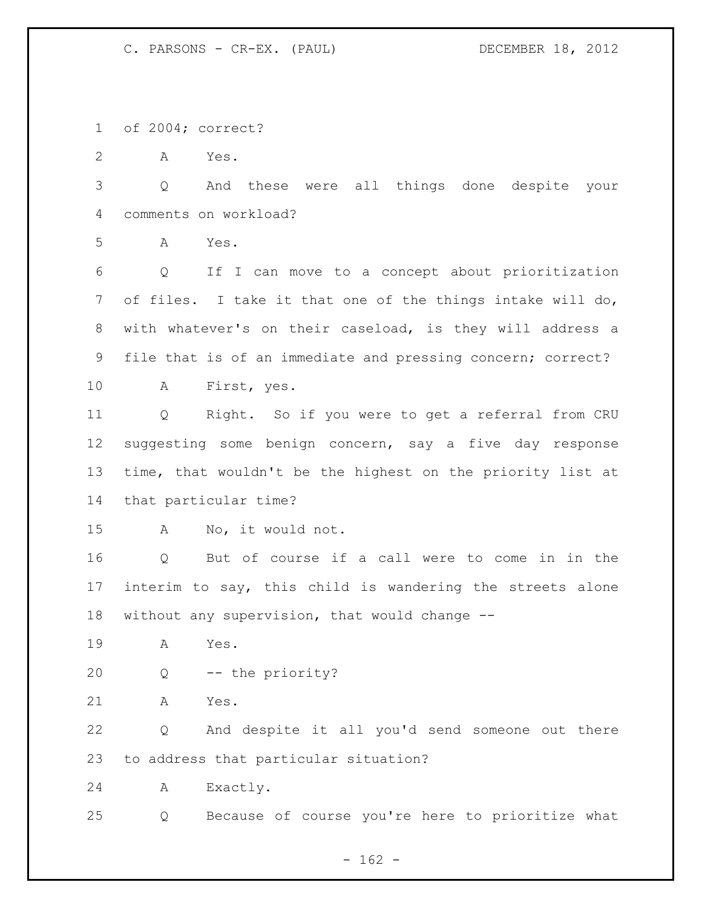of 2004; correct?

A Yes.

 Q And these were all things done despite your comments on workload?

A Yes.

 Q If I can move to a concept about prioritization of files. I take it that one of the things intake will do, with whatever's on their caseload, is they will address a file that is of an immediate and pressing concern; correct?

A First, yes.

 Q Right. So if you were to get a referral from CRU suggesting some benign concern, say a five day response time, that wouldn't be the highest on the priority list at that particular time?

A No, it would not.

 Q But of course if a call were to come in in the interim to say, this child is wandering the streets alone without any supervision, that would change --

- A Yes.
- Q -- the priority?
- A Yes.

 Q And despite it all you'd send someone out there to address that particular situation?

A Exactly.

Q Because of course you're here to prioritize what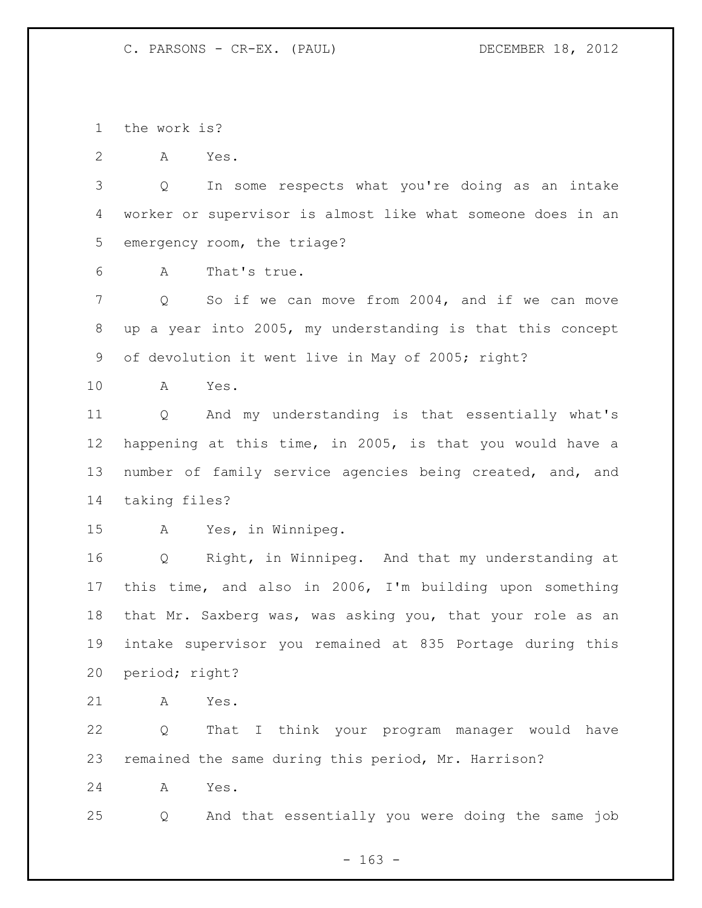the work is?

A Yes.

 Q In some respects what you're doing as an intake worker or supervisor is almost like what someone does in an emergency room, the triage?

A That's true.

 Q So if we can move from 2004, and if we can move up a year into 2005, my understanding is that this concept of devolution it went live in May of 2005; right?

A Yes.

 Q And my understanding is that essentially what's happening at this time, in 2005, is that you would have a number of family service agencies being created, and, and taking files?

A Yes, in Winnipeg.

 Q Right, in Winnipeg. And that my understanding at this time, and also in 2006, I'm building upon something that Mr. Saxberg was, was asking you, that your role as an intake supervisor you remained at 835 Portage during this period; right?

A Yes.

 Q That I think your program manager would have remained the same during this period, Mr. Harrison?

A Yes.

Q And that essentially you were doing the same job

- 163 -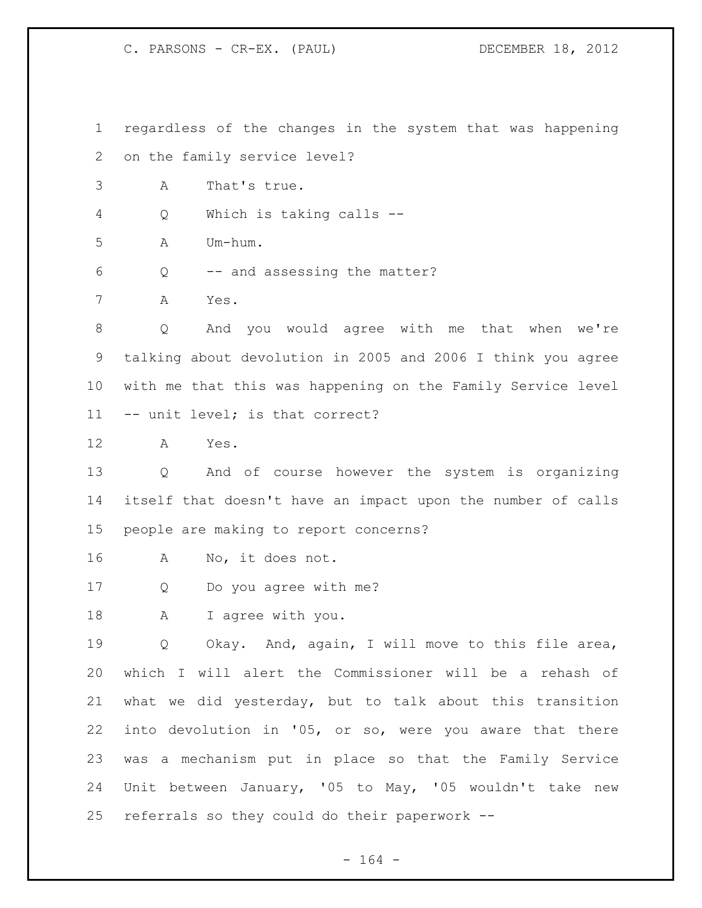regardless of the changes in the system that was happening on the family service level? A That's true. Q Which is taking calls -- A Um-hum. Q -- and assessing the matter? A Yes. Q And you would agree with me that when we're talking about devolution in 2005 and 2006 I think you agree with me that this was happening on the Family Service level -- unit level; is that correct? A Yes. Q And of course however the system is organizing itself that doesn't have an impact upon the number of calls people are making to report concerns? A No, it does not. Q Do you agree with me? A I agree with you. Q Okay. And, again, I will move to this file area, which I will alert the Commissioner will be a rehash of what we did yesterday, but to talk about this transition into devolution in '05, or so, were you aware that there was a mechanism put in place so that the Family Service Unit between January, '05 to May, '05 wouldn't take new referrals so they could do their paperwork --

- 164 -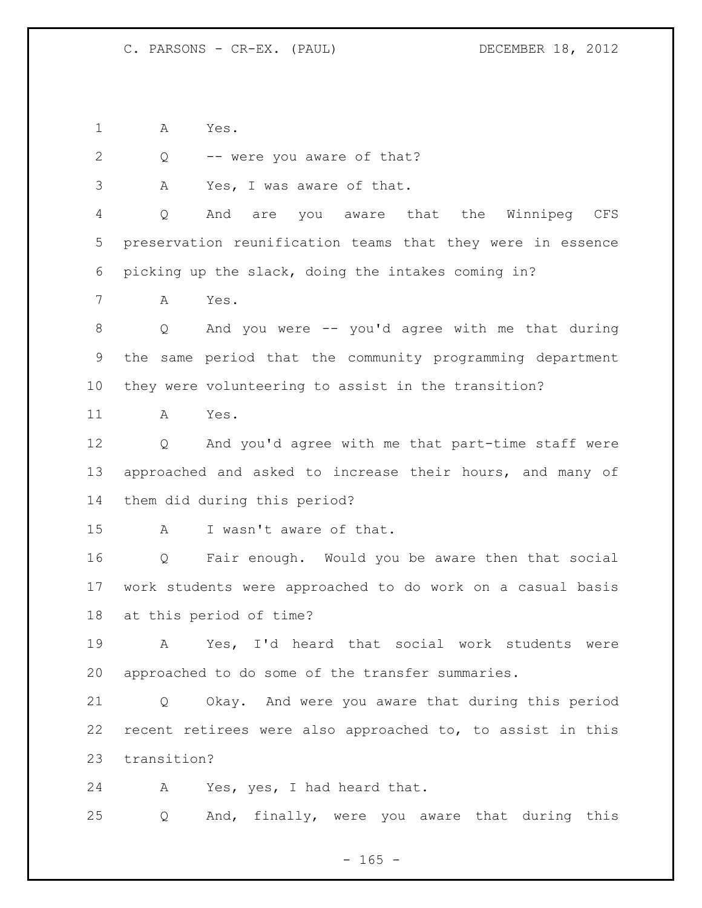A Yes.

Q -- were you aware of that?

A Yes, I was aware of that.

 Q And are you aware that the Winnipeg CFS preservation reunification teams that they were in essence picking up the slack, doing the intakes coming in?

A Yes.

 Q And you were -- you'd agree with me that during the same period that the community programming department they were volunteering to assist in the transition?

A Yes.

 Q And you'd agree with me that part-time staff were approached and asked to increase their hours, and many of them did during this period?

A I wasn't aware of that.

 Q Fair enough. Would you be aware then that social work students were approached to do work on a casual basis at this period of time?

 A Yes, I'd heard that social work students were approached to do some of the transfer summaries.

 Q Okay. And were you aware that during this period recent retirees were also approached to, to assist in this transition?

A Yes, yes, I had heard that.

Q And, finally, were you aware that during this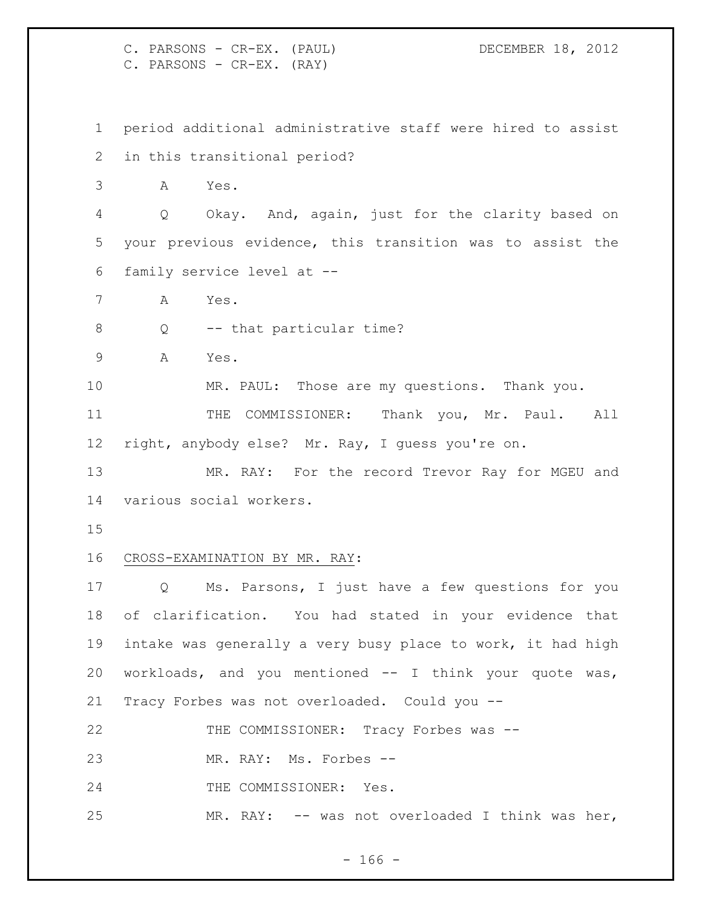C. PARSONS - CR-EX. (PAUL) DECEMBER 18, 2012 C. PARSONS - CR-EX. (RAY) period additional administrative staff were hired to assist in this transitional period? A Yes. Q Okay. And, again, just for the clarity based on your previous evidence, this transition was to assist the family service level at -- A Yes. 8 Q -- that particular time? A Yes. MR. PAUL: Those are my questions. Thank you. THE COMMISSIONER: Thank you, Mr. Paul. All right, anybody else? Mr. Ray, I guess you're on. 13 MR. RAY: For the record Trevor Ray for MGEU and various social workers. CROSS-EXAMINATION BY MR. RAY: Q Ms. Parsons, I just have a few questions for you of clarification. You had stated in your evidence that intake was generally a very busy place to work, it had high workloads, and you mentioned -- I think your quote was, Tracy Forbes was not overloaded. Could you -- THE COMMISSIONER: Tracy Forbes was -- MR. RAY: Ms. Forbes -- 24 THE COMMISSIONER: Yes. MR. RAY: -- was not overloaded I think was her,

- 166 -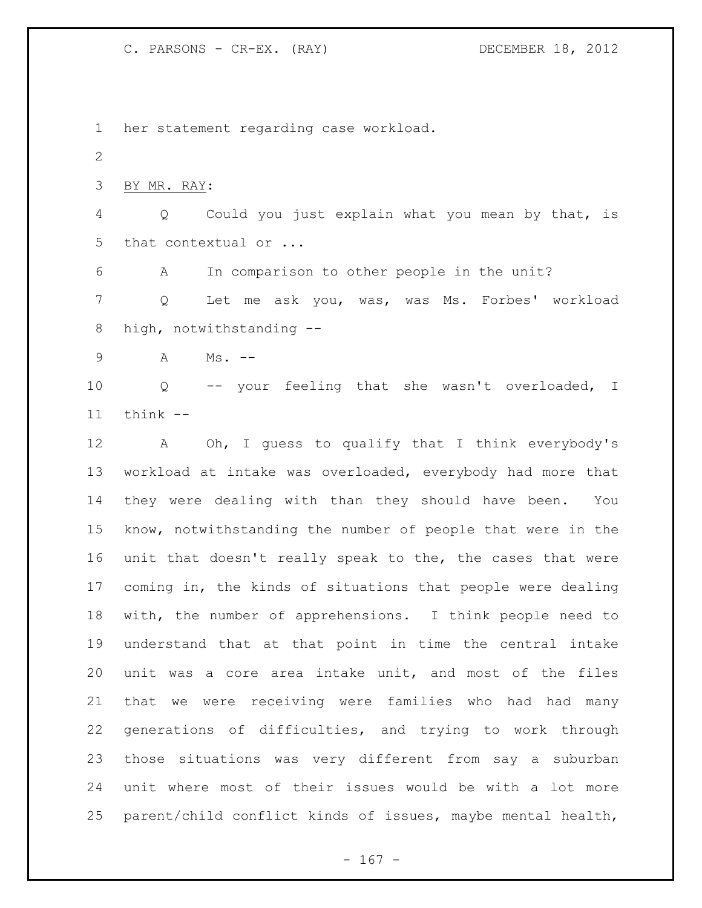her statement regarding case workload. BY MR. RAY: Q Could you just explain what you mean by that, is 5 that contextual or ... A In comparison to other people in the unit? Q Let me ask you, was, was Ms. Forbes' workload high, notwithstanding -- A Ms. -- Q -- your feeling that she wasn't overloaded, I think -- A Oh, I guess to qualify that I think everybody's workload at intake was overloaded, everybody had more that they were dealing with than they should have been. You know, notwithstanding the number of people that were in the unit that doesn't really speak to the, the cases that were coming in, the kinds of situations that people were dealing with, the number of apprehensions. I think people need to understand that at that point in time the central intake unit was a core area intake unit, and most of the files that we were receiving were families who had had many generations of difficulties, and trying to work through those situations was very different from say a suburban unit where most of their issues would be with a lot more parent/child conflict kinds of issues, maybe mental health,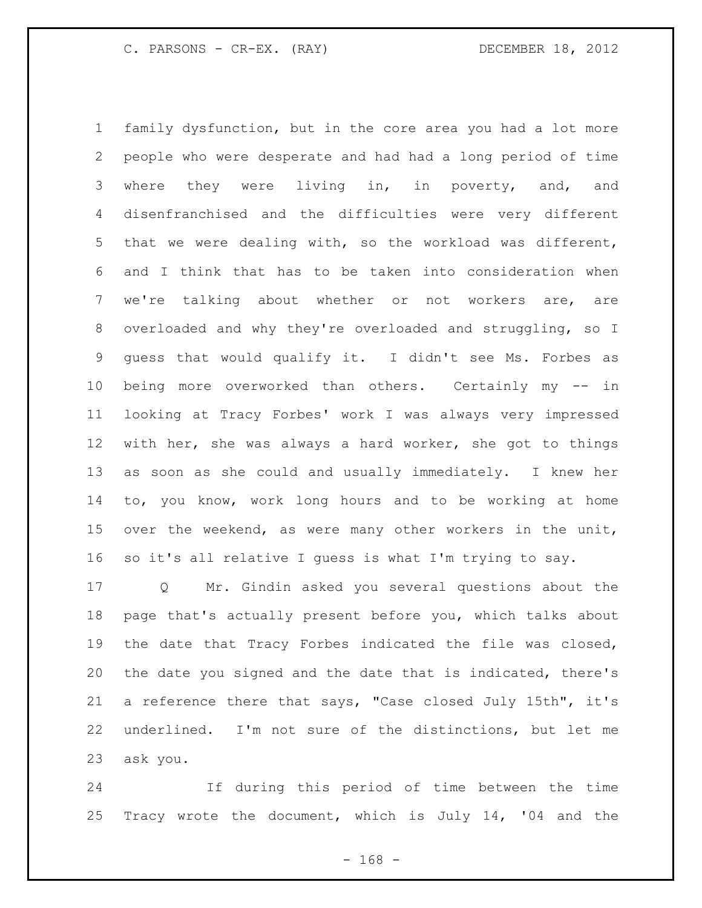family dysfunction, but in the core area you had a lot more people who were desperate and had had a long period of time 3 where they were living in, in poverty, and, and disenfranchised and the difficulties were very different that we were dealing with, so the workload was different, and I think that has to be taken into consideration when we're talking about whether or not workers are, are overloaded and why they're overloaded and struggling, so I guess that would qualify it. I didn't see Ms. Forbes as being more overworked than others. Certainly my -- in looking at Tracy Forbes' work I was always very impressed with her, she was always a hard worker, she got to things as soon as she could and usually immediately. I knew her to, you know, work long hours and to be working at home over the weekend, as were many other workers in the unit, so it's all relative I guess is what I'm trying to say.

 Q Mr. Gindin asked you several questions about the page that's actually present before you, which talks about the date that Tracy Forbes indicated the file was closed, the date you signed and the date that is indicated, there's a reference there that says, "Case closed July 15th", it's underlined. I'm not sure of the distinctions, but let me ask you.

 If during this period of time between the time Tracy wrote the document, which is July 14, '04 and the

- 168 -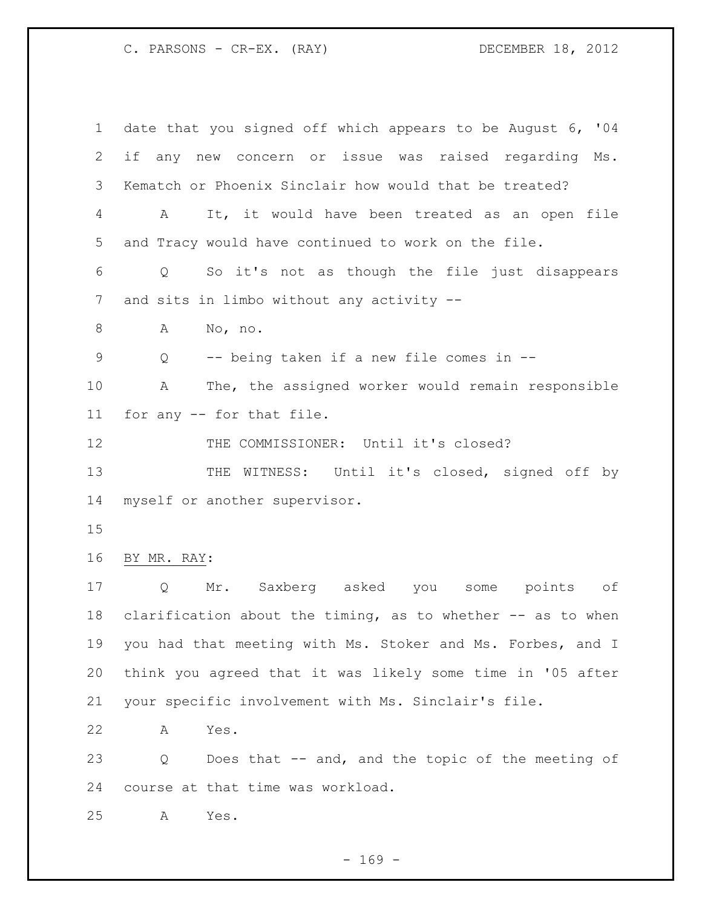date that you signed off which appears to be August 6, '04 if any new concern or issue was raised regarding Ms. Kematch or Phoenix Sinclair how would that be treated? A It, it would have been treated as an open file and Tracy would have continued to work on the file. Q So it's not as though the file just disappears and sits in limbo without any activity -- A No, no. Q -- being taken if a new file comes in -- A The, the assigned worker would remain responsible for any -- for that file. THE COMMISSIONER: Until it's closed? 13 THE WITNESS: Until it's closed, signed off by myself or another supervisor. BY MR. RAY: Q Mr. Saxberg asked you some points of clarification about the timing, as to whether -- as to when you had that meeting with Ms. Stoker and Ms. Forbes, and I think you agreed that it was likely some time in '05 after your specific involvement with Ms. Sinclair's file. A Yes. Q Does that -- and, and the topic of the meeting of course at that time was workload. A Yes.

- 169 -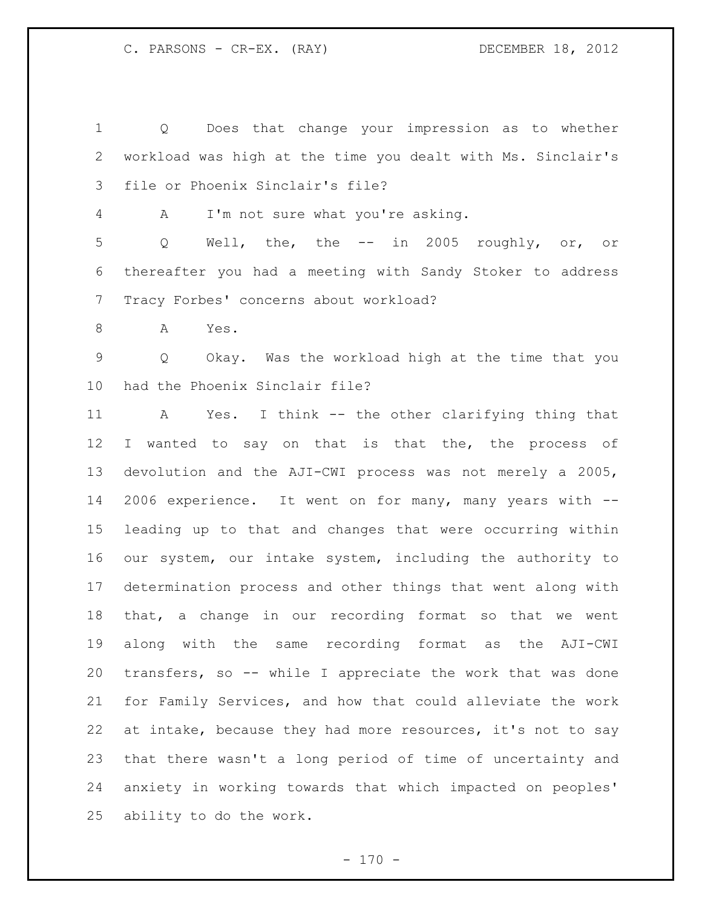Q Does that change your impression as to whether workload was high at the time you dealt with Ms. Sinclair's file or Phoenix Sinclair's file? A I'm not sure what you're asking. Q Well, the, the -- in 2005 roughly, or, or thereafter you had a meeting with Sandy Stoker to address Tracy Forbes' concerns about workload? 8 A Yes. Q Okay. Was the workload high at the time that you had the Phoenix Sinclair file? A Yes. I think -- the other clarifying thing that 12 I wanted to say on that is that the, the process of devolution and the AJI-CWI process was not merely a 2005, 2006 experience. It went on for many, many years with --

 leading up to that and changes that were occurring within our system, our intake system, including the authority to determination process and other things that went along with that, a change in our recording format so that we went along with the same recording format as the AJI-CWI transfers, so -- while I appreciate the work that was done for Family Services, and how that could alleviate the work at intake, because they had more resources, it's not to say that there wasn't a long period of time of uncertainty and anxiety in working towards that which impacted on peoples' ability to do the work.

 $- 170 -$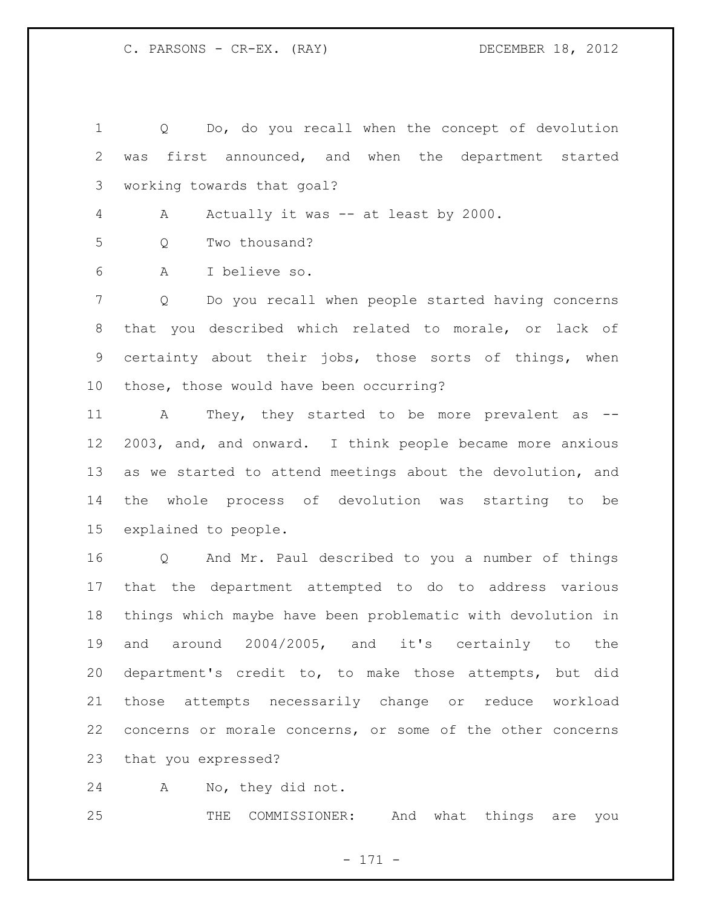Q Do, do you recall when the concept of devolution was first announced, and when the department started working towards that goal?

A Actually it was -- at least by 2000.

Q Two thousand?

A I believe so.

 Q Do you recall when people started having concerns that you described which related to morale, or lack of certainty about their jobs, those sorts of things, when those, those would have been occurring?

 A They, they started to be more prevalent as -- 2003, and, and onward. I think people became more anxious as we started to attend meetings about the devolution, and the whole process of devolution was starting to be explained to people.

 Q And Mr. Paul described to you a number of things that the department attempted to do to address various things which maybe have been problematic with devolution in and around 2004/2005, and it's certainly to the department's credit to, to make those attempts, but did those attempts necessarily change or reduce workload concerns or morale concerns, or some of the other concerns that you expressed?

A No, they did not.

THE COMMISSIONER: And what things are you

- 171 -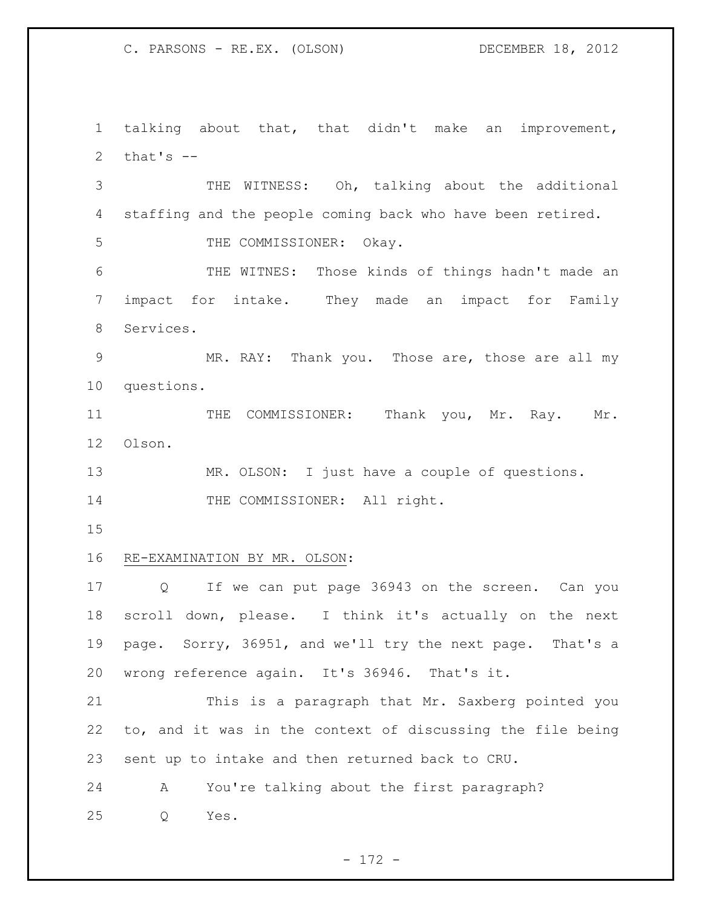C. PARSONS - RE.EX. (OLSON) DECEMBER 18, 2012

 talking about that, that didn't make an improvement, 2 that's  $-$ 

 THE WITNESS: Oh, talking about the additional staffing and the people coming back who have been retired.

5 THE COMMISSIONER: Okay.

 THE WITNES: Those kinds of things hadn't made an impact for intake. They made an impact for Family Services.

 MR. RAY: Thank you. Those are, those are all my questions.

11 THE COMMISSIONER: Thank you, Mr. Ray. Mr. Olson.

13 MR. OLSON: I just have a couple of questions. 14 THE COMMISSIONER: All right.

## RE-EXAMINATION BY MR. OLSON:

 Q If we can put page 36943 on the screen. Can you scroll down, please. I think it's actually on the next page. Sorry, 36951, and we'll try the next page. That's a wrong reference again. It's 36946. That's it.

 This is a paragraph that Mr. Saxberg pointed you to, and it was in the context of discussing the file being sent up to intake and then returned back to CRU.

A You're talking about the first paragraph?

Q Yes.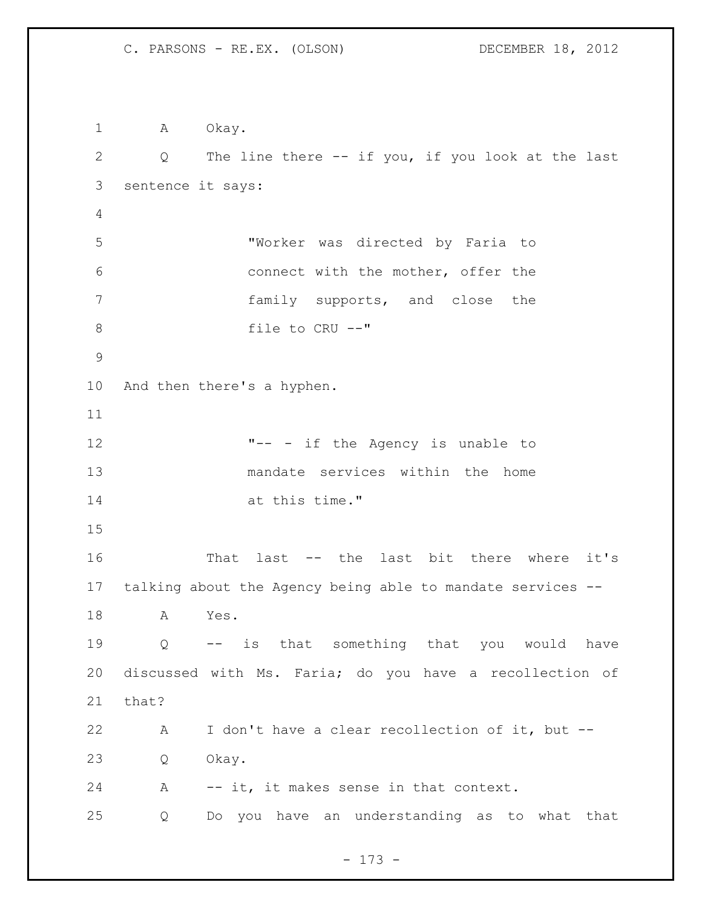1 A Okay. Q The line there -- if you, if you look at the last sentence it says: "Worker was directed by Faria to connect with the mother, offer the family supports, and close the file to CRU --" And then there's a hyphen. **"--** - if the Agency is unable to mandate services within the home at this time." That last -- the last bit there where it's talking about the Agency being able to mandate services -- A Yes. Q -- is that something that you would have discussed with Ms. Faria; do you have a recollection of that? A I don't have a clear recollection of it, but -- Q Okay. A -- it, it makes sense in that context. Q Do you have an understanding as to what that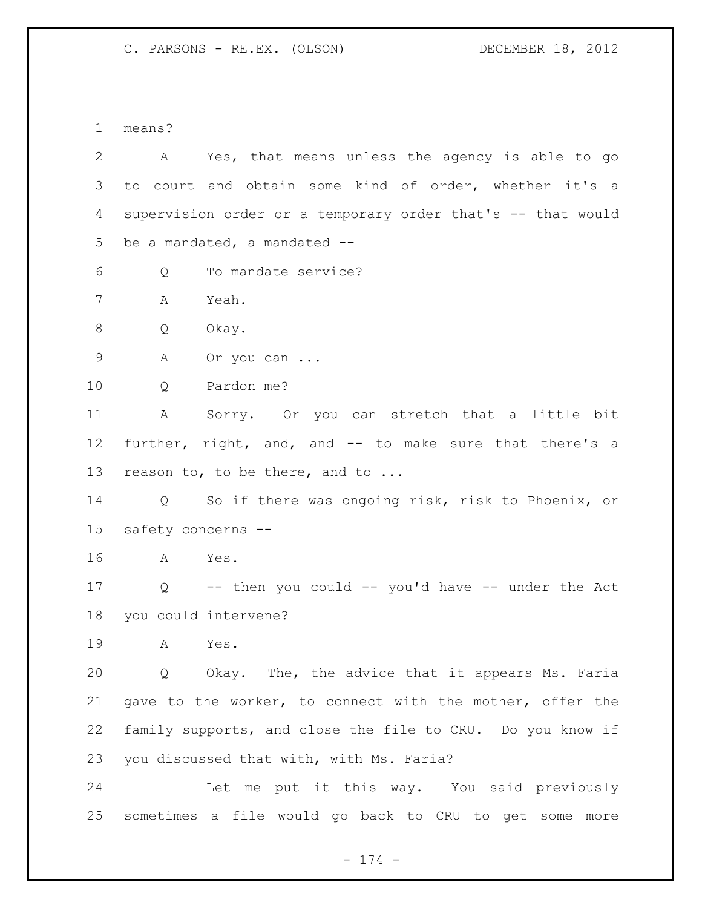C. PARSONS - RE.EX. (OLSON) DECEMBER 18, 2012

means?

| 2               | A Yes, that means unless the agency is able to go           |
|-----------------|-------------------------------------------------------------|
| 3               | to court and obtain some kind of order, whether it's a      |
| 4               | supervision order or a temporary order that's -- that would |
| 5               | be a mandated, a mandated --                                |
| 6               | To mandate service?<br>Q                                    |
| 7               | Yeah.<br>A                                                  |
| 8               | Q<br>Okay.                                                  |
| 9               | A<br>Or you can                                             |
| 10              | Pardon me?<br>Q                                             |
| 11              | Sorry. Or you can stretch that a little bit<br>A            |
| 12 <sup>°</sup> | further, right, and, and -- to make sure that there's a     |
| 13              | reason to, to be there, and to                              |
| 14              | Q So if there was ongoing risk, risk to Phoenix, or         |
| 15              | safety concerns --                                          |
| 16              | A<br>Yes.                                                   |
| 17              | Q -- then you could -- you'd have -- under the Act          |
| 18              | you could intervene?                                        |
| 19              | A<br>Yes.                                                   |
| 20              | Q Okay. The, the advice that it appears Ms. Faria           |
| 21              | gave to the worker, to connect with the mother, offer the   |
| 22              | family supports, and close the file to CRU. Do you know if  |
| 23              | you discussed that with, with Ms. Faria?                    |
| 24              | Let me put it this way. You said previously                 |
| 25              | sometimes a file would go back to CRU to get some<br>more   |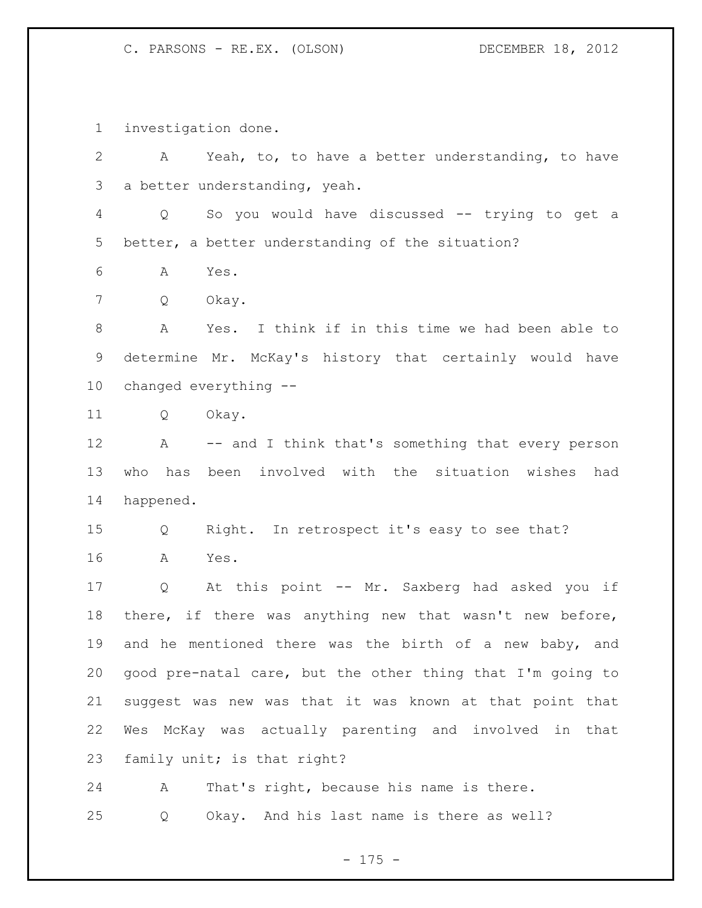C. PARSONS - RE.EX. (OLSON) DECEMBER 18, 2012

investigation done.

 A Yeah, to, to have a better understanding, to have a better understanding, yeah. Q So you would have discussed -- trying to get a better, a better understanding of the situation? A Yes. Q Okay. A Yes. I think if in this time we had been able to determine Mr. McKay's history that certainly would have changed everything -- Q Okay. A -- and I think that's something that every person who has been involved with the situation wishes had happened. Q Right. In retrospect it's easy to see that? A Yes. Q At this point -- Mr. Saxberg had asked you if there, if there was anything new that wasn't new before, and he mentioned there was the birth of a new baby, and good pre-natal care, but the other thing that I'm going to suggest was new was that it was known at that point that Wes McKay was actually parenting and involved in that family unit; is that right? A That's right, because his name is there.

Q Okay. And his last name is there as well?

- 175 -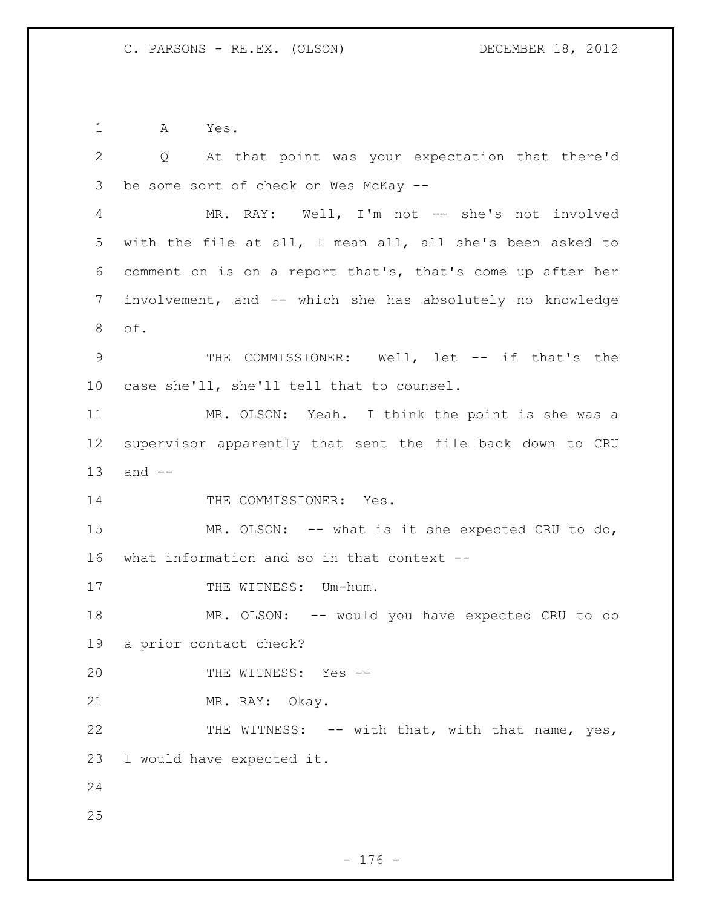A Yes.

 Q At that point was your expectation that there'd be some sort of check on Wes McKay -- MR. RAY: Well, I'm not -- she's not involved with the file at all, I mean all, all she's been asked to comment on is on a report that's, that's come up after her involvement, and -- which she has absolutely no knowledge of. 9 THE COMMISSIONER: Well, let -- if that's the case she'll, she'll tell that to counsel. MR. OLSON: Yeah. I think the point is she was a supervisor apparently that sent the file back down to CRU and -- 14 THE COMMISSIONER: Yes. MR. OLSON: -- what is it she expected CRU to do, what information and so in that context -- 17 THE WITNESS: Um-hum. MR. OLSON: -- would you have expected CRU to do a prior contact check? THE WITNESS: Yes -- MR. RAY: Okay. 22 THE WITNESS: -- with that, with that name, yes, I would have expected it.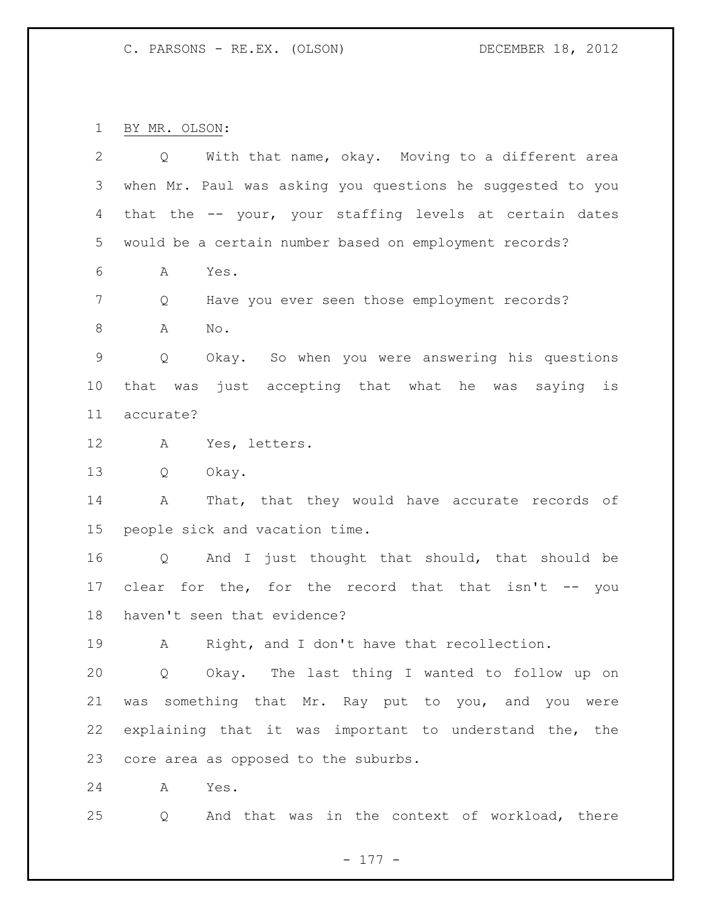C. PARSONS - RE.EX. (OLSON) DECEMBER 18, 2012

BY MR. OLSON:

| 2           | With that name, okay. Moving to a different area<br>Q      |
|-------------|------------------------------------------------------------|
| 3           | when Mr. Paul was asking you questions he suggested to you |
| 4           | that the -- your, your staffing levels at certain dates    |
| 5           | would be a certain number based on employment records?     |
| 6           | Α<br>Yes.                                                  |
| 7           | Have you ever seen those employment records?<br>Q          |
| 8           | Α<br>No.                                                   |
| $\mathsf 9$ | Okay. So when you were answering his questions<br>Q        |
| 10          | that was just accepting that what he was saying<br>is      |
| 11          | accurate?                                                  |
| 12          | A<br>Yes, letters.                                         |
| 13          | Q<br>Okay.                                                 |
| 14          | That, that they would have accurate records of<br>A        |
| 15          | people sick and vacation time.                             |
| 16          | And I just thought that should, that should be<br>Q        |
| 17          | clear for the, for the record that that isn't -- you       |
| 18          | haven't seen that evidence?                                |
| 19          | Right, and I don't have that recollection.<br>А            |
| 20          | Okay. The last thing I wanted to follow up on<br>Q         |
| 21          | something that Mr. Ray put to you, and you were<br>was     |
| 22          | explaining that it was important to understand the, the    |
| 23          | core area as opposed to the suburbs.                       |
| 24          | Yes.<br>A                                                  |

Q And that was in the context of workload, there

- 177 -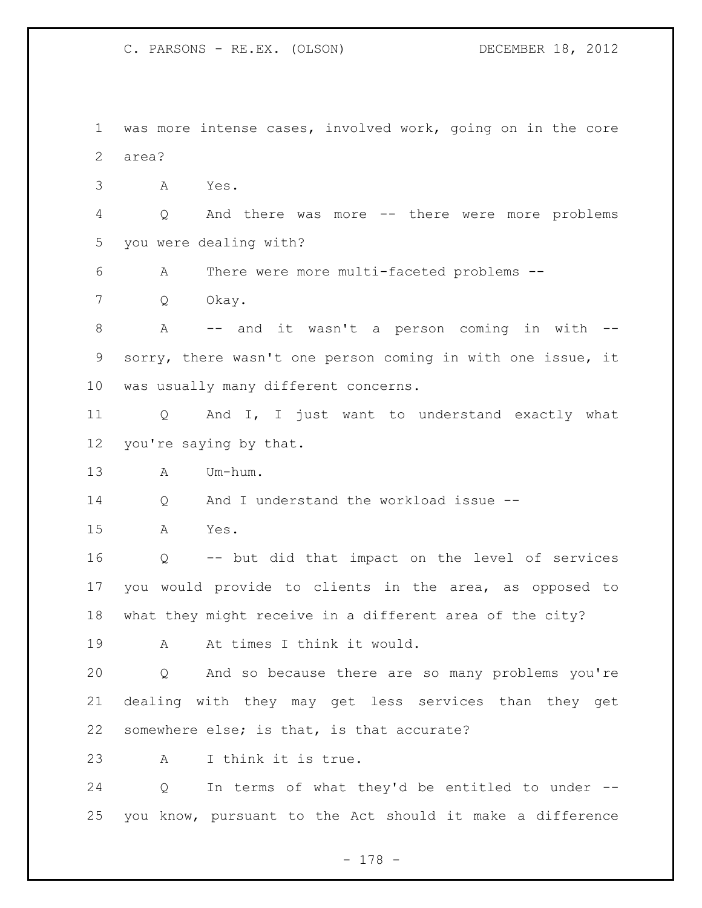C. PARSONS - RE.EX. (OLSON) DECEMBER 18, 2012

 was more intense cases, involved work, going on in the core area?

A Yes.

 Q And there was more -- there were more problems you were dealing with?

A There were more multi-faceted problems --

Q Okay.

 A -- and it wasn't a person coming in with -- sorry, there wasn't one person coming in with one issue, it was usually many different concerns.

 Q And I, I just want to understand exactly what you're saying by that.

A Um-hum.

Q And I understand the workload issue --

A Yes.

 Q -- but did that impact on the level of services you would provide to clients in the area, as opposed to what they might receive in a different area of the city?

19 A At times I think it would.

 Q And so because there are so many problems you're dealing with they may get less services than they get somewhere else; is that, is that accurate?

A I think it is true.

 Q In terms of what they'd be entitled to under -- you know, pursuant to the Act should it make a difference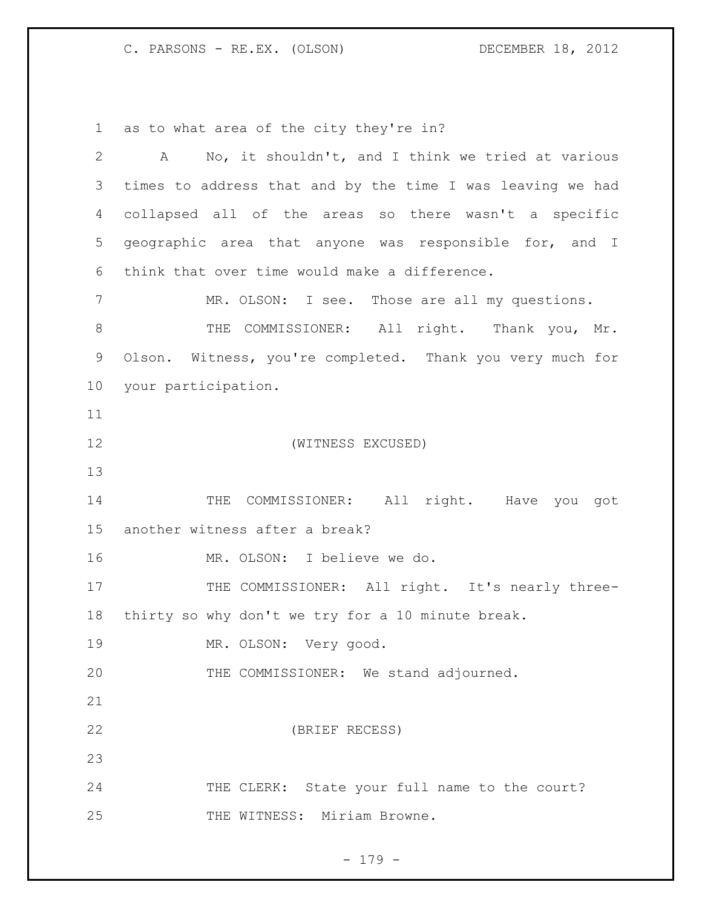C. PARSONS - RE.EX. (OLSON) DECEMBER 18, 2012

as to what area of the city they're in?

| $\overline{2}$ | A No, it shouldn't, and I think we tried at various        |
|----------------|------------------------------------------------------------|
| 3              | times to address that and by the time I was leaving we had |
| 4              | collapsed all of the areas so there wasn't a specific      |
| 5              | geographic area that anyone was responsible for, and I     |
| 6              | think that over time would make a difference.              |
| 7              | MR. OLSON: I see. Those are all my questions.              |
| 8              | THE COMMISSIONER: All right. Thank you, Mr.                |
| 9              | Olson. Witness, you're completed. Thank you very much for  |
| 10             | your participation.                                        |
| 11             |                                                            |
| 12             | (WITNESS EXCUSED)                                          |
| 13             |                                                            |
| 14             | THE COMMISSIONER: All right. Have you got                  |
| 15             | another witness after a break?                             |
| 16             | MR. OLSON: I believe we do.                                |
| 17             | THE COMMISSIONER: All right. It's nearly three-            |
| 18             | thirty so why don't we try for a 10 minute break.          |
| 19             | MR. OLSON: Very good.                                      |
| 20             | THE COMMISSIONER: We stand adjourned.                      |
| 21             |                                                            |
| 22             | (BRIEF RECESS)                                             |
| 23             |                                                            |
| 24             | THE CLERK: State your full name to the court?              |
| 25             | THE WITNESS: Miriam Browne.                                |

- 179 -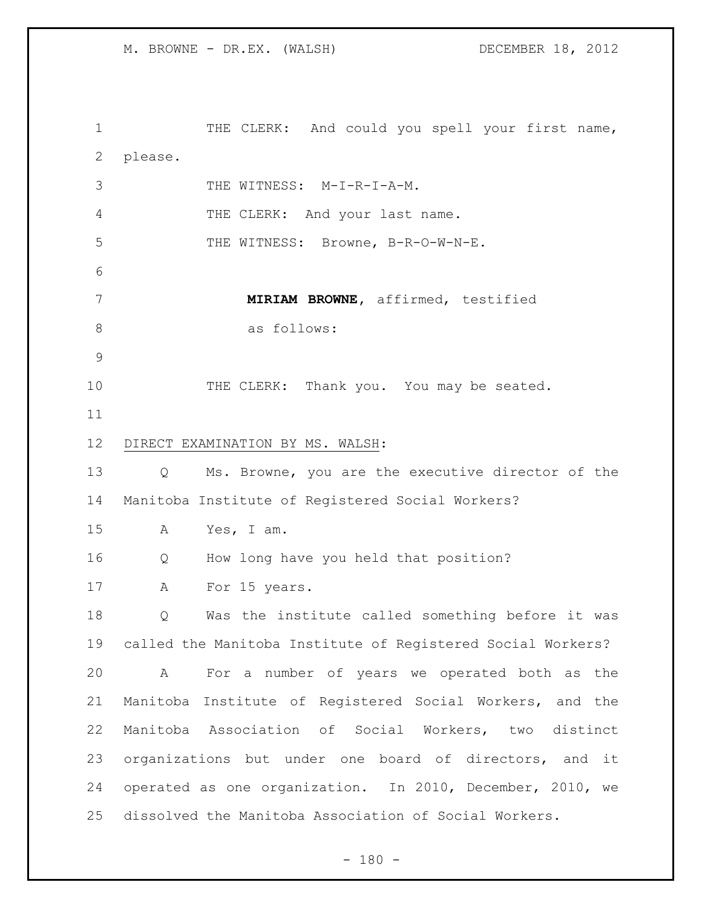1 THE CLERK: And could you spell your first name, please. 3 THE WITNESS: M-I-R-I-A-M. 4 THE CLERK: And your last name. 5 THE WITNESS: Browne, B-R-O-W-N-E. **MIRIAM BROWNE,** affirmed, testified as follows: 10 THE CLERK: Thank you. You may be seated. DIRECT EXAMINATION BY MS. WALSH: Q Ms. Browne, you are the executive director of the Manitoba Institute of Registered Social Workers? A Yes, I am. Q How long have you held that position? 17 A For 15 years. Q Was the institute called something before it was called the Manitoba Institute of Registered Social Workers? A For a number of years we operated both as the Manitoba Institute of Registered Social Workers, and the Manitoba Association of Social Workers, two distinct organizations but under one board of directors, and it operated as one organization. In 2010, December, 2010, we dissolved the Manitoba Association of Social Workers.

 $- 180 -$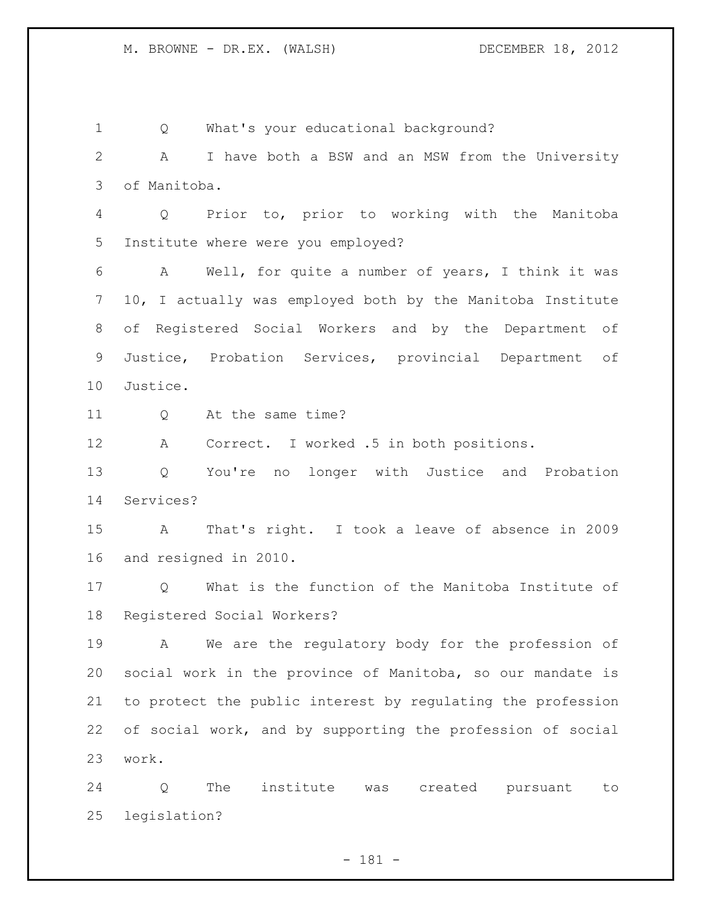Q What's your educational background? A I have both a BSW and an MSW from the University of Manitoba. Q Prior to, prior to working with the Manitoba Institute where were you employed? A Well, for quite a number of years, I think it was 10, I actually was employed both by the Manitoba Institute of Registered Social Workers and by the Department of Justice, Probation Services, provincial Department of Justice. Q At the same time? A Correct. I worked .5 in both positions. Q You're no longer with Justice and Probation Services? A That's right. I took a leave of absence in 2009 and resigned in 2010. Q What is the function of the Manitoba Institute of Registered Social Workers? A We are the regulatory body for the profession of social work in the province of Manitoba, so our mandate is to protect the public interest by regulating the profession of social work, and by supporting the profession of social work. Q The institute was created pursuant to legislation?

- 181 -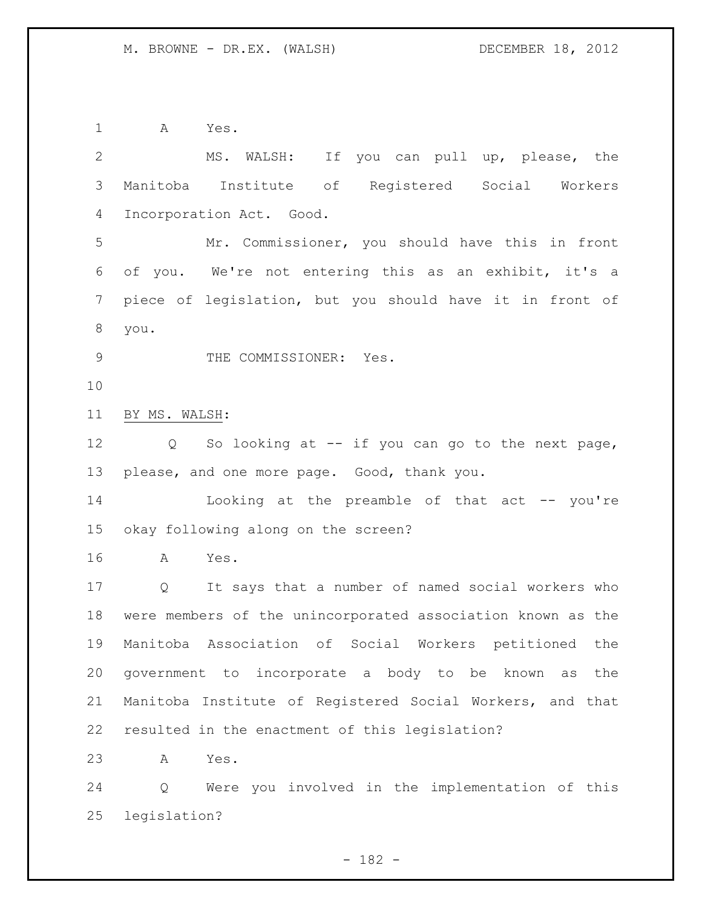A Yes. MS. WALSH: If you can pull up, please, the Manitoba Institute of Registered Social Workers Incorporation Act. Good. Mr. Commissioner, you should have this in front of you. We're not entering this as an exhibit, it's a piece of legislation, but you should have it in front of you. 9 THE COMMISSIONER: Yes. BY MS. WALSH: Q So looking at -- if you can go to the next page, please, and one more page. Good, thank you. 14 Looking at the preamble of that act -- you're okay following along on the screen? A Yes. Q It says that a number of named social workers who were members of the unincorporated association known as the Manitoba Association of Social Workers petitioned the government to incorporate a body to be known as the Manitoba Institute of Registered Social Workers, and that resulted in the enactment of this legislation? A Yes. Q Were you involved in the implementation of this legislation?

- 182 -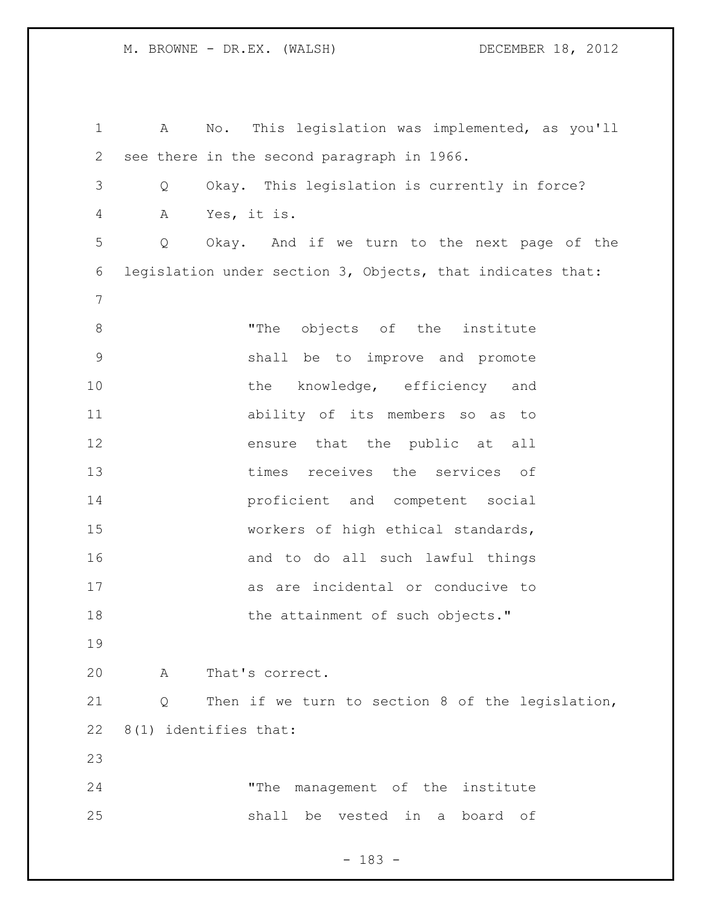A No. This legislation was implemented, as you'll see there in the second paragraph in 1966. Q Okay. This legislation is currently in force? A Yes, it is. Q Okay. And if we turn to the next page of the legislation under section 3, Objects, that indicates that: 8 The objects of the institute shall be to improve and promote 10 the knowledge, efficiency and ability of its members so as to ensure that the public at all times receives the services of proficient and competent social workers of high ethical standards, and to do all such lawful things as are incidental or conducive to 18 the attainment of such objects." A That's correct. Q Then if we turn to section 8 of the legislation, 8(1) identifies that: "The management of the institute shall be vested in a board of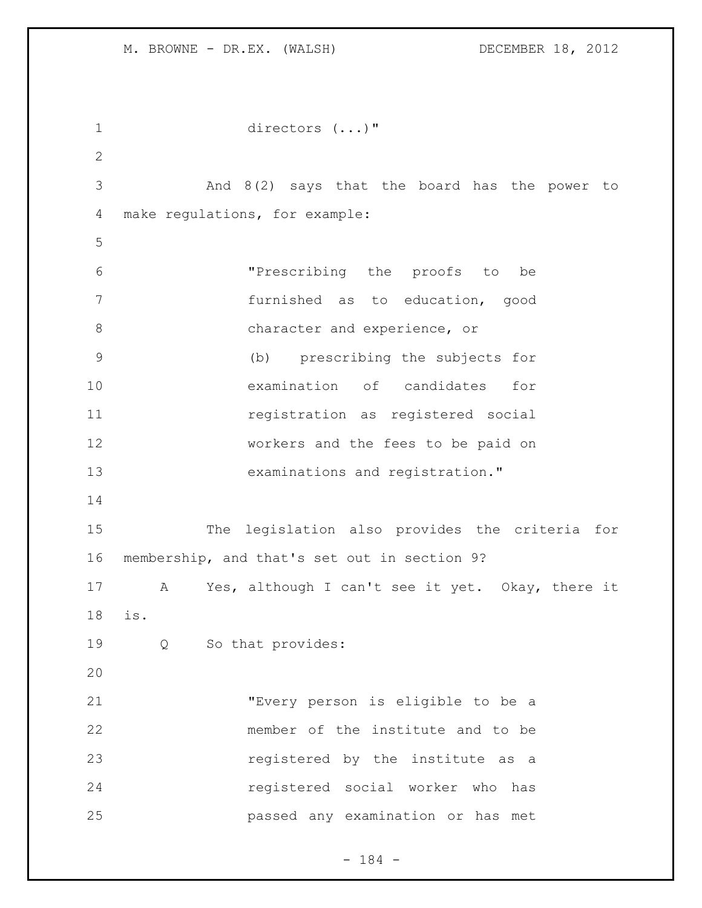```
1 directors (...)" 
2
3 And 8(2) says that the board has the power to 
4 make regulations, for example:
5
6 "Prescribing the proofs to be 
7 furnished as to education, good 
8 character and experience, or
9 (b) prescribing the subjects for 
10 examination of candidates for 
11 registration as registered social 
12 workers and the fees to be paid on 
13 examinations and registration."
14
15 The legislation also provides the criteria for 
16 membership, and that's set out in section 9?
17 A Yes, although I can't see it yet. Okay, there it 
18 is.
19 Q So that provides:
20
21 "Every person is eligible to be a 
22 member of the institute and to be 
23 registered by the institute as a
24 registered social worker who has 
25 passed any examination or has met
```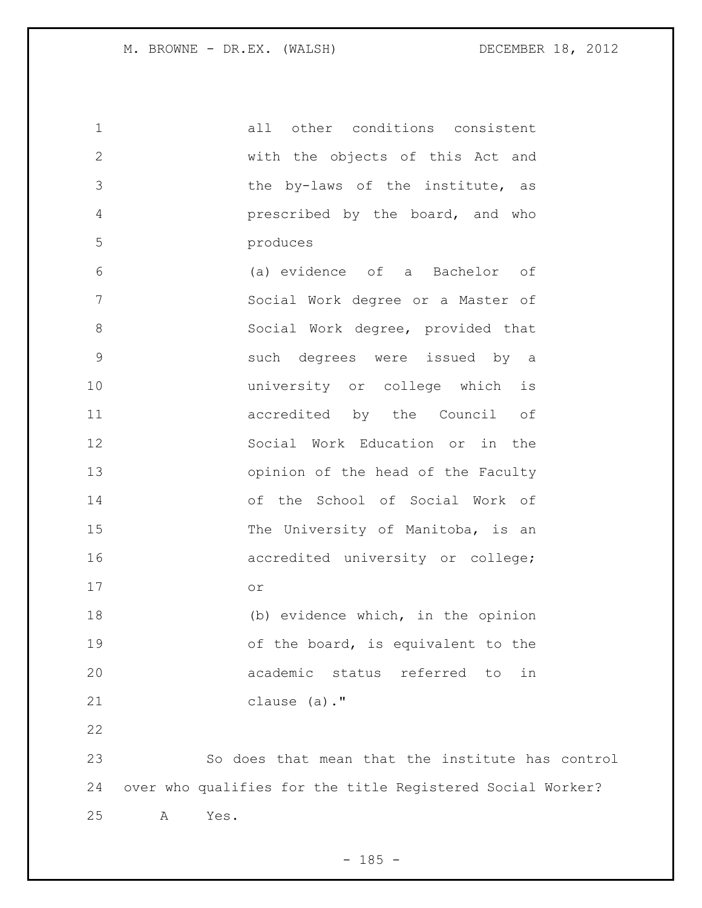| $\mathbf 1$    | all other conditions consistent                            |
|----------------|------------------------------------------------------------|
| $\mathbf{2}$   | with the objects of this Act and                           |
| 3              | the by-laws of the institute, as                           |
| $\overline{4}$ | prescribed by the board, and who                           |
| 5              | produces                                                   |
| 6              | (a) evidence of a Bachelor of                              |
| 7              | Social Work degree or a Master of                          |
| $8\,$          | Social Work degree, provided that                          |
| $\mathsf 9$    | such degrees were issued by a                              |
| 10             | university or college which is                             |
| 11             | accredited by the Council of                               |
| 12             | Social Work Education or in the                            |
| 13             | opinion of the head of the Faculty                         |
| 14             | of the School of Social Work of                            |
| 15             | The University of Manitoba, is an                          |
| 16             | accredited university or college;                          |
| 17             | O <sub>T</sub>                                             |
| 18             | (b) evidence which, in the opinion                         |
| 19             | of the board, is equivalent to the                         |
| 20             | academic status referred<br>in<br>to                       |
| 21             | clause (a)."                                               |
| 22             |                                                            |
| 23             | So does that mean that the institute has control           |
| 24             | over who qualifies for the title Registered Social Worker? |
| 25             | Yes.<br>Α                                                  |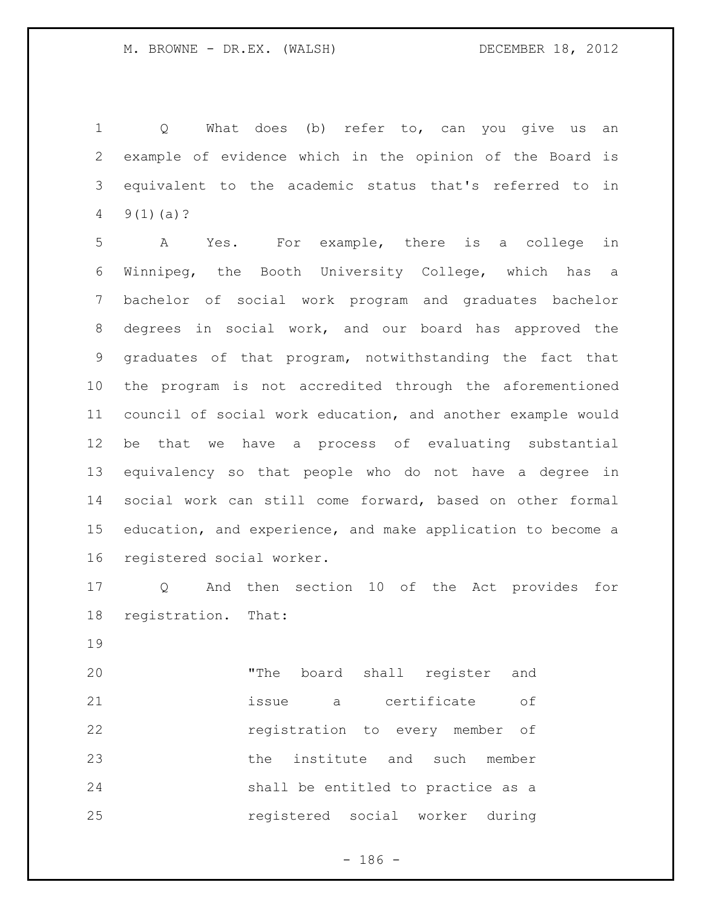Q What does (b) refer to, can you give us an example of evidence which in the opinion of the Board is equivalent to the academic status that's referred to in  $4 \quad 9(1)(a)?$ 

 A Yes. For example, there is a college in Winnipeg, the Booth University College, which has a bachelor of social work program and graduates bachelor degrees in social work, and our board has approved the graduates of that program, notwithstanding the fact that the program is not accredited through the aforementioned council of social work education, and another example would be that we have a process of evaluating substantial equivalency so that people who do not have a degree in social work can still come forward, based on other formal education, and experience, and make application to become a registered social worker.

 Q And then section 10 of the Act provides for registration. That:

 "The board shall register and issue a certificate of registration to every member of the institute and such member shall be entitled to practice as a registered social worker during

 $- 186 -$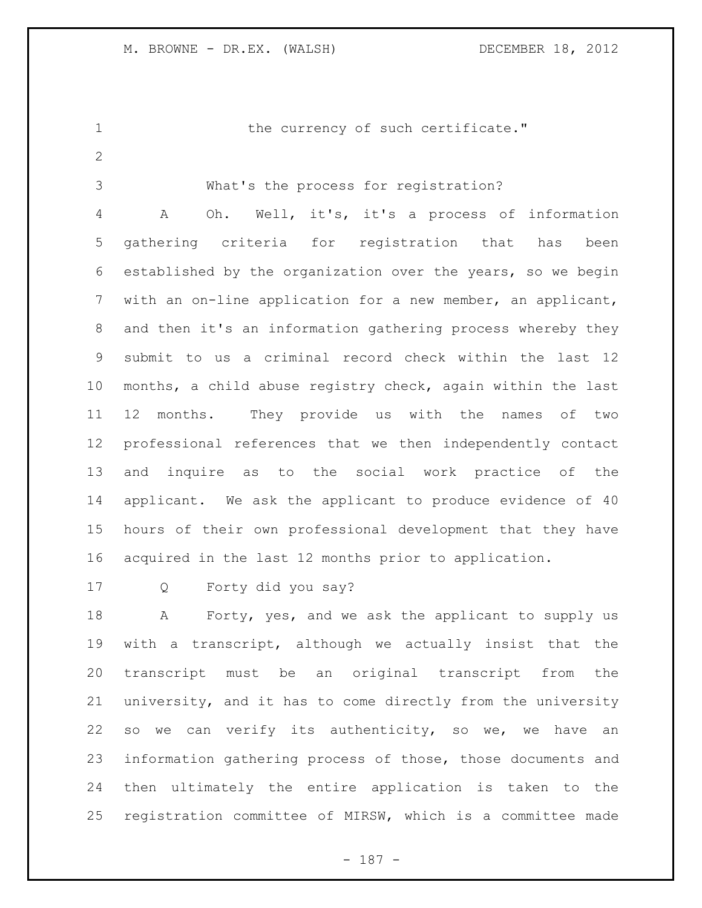1 the currency of such certificate."

What's the process for registration?

 A Oh. Well, it's, it's a process of information gathering criteria for registration that has been established by the organization over the years, so we begin with an on-line application for a new member, an applicant, and then it's an information gathering process whereby they submit to us a criminal record check within the last 12 months, a child abuse registry check, again within the last 12 months. They provide us with the names of two professional references that we then independently contact and inquire as to the social work practice of the applicant. We ask the applicant to produce evidence of 40 hours of their own professional development that they have acquired in the last 12 months prior to application.

Q Forty did you say?

18 A Forty, yes, and we ask the applicant to supply us with a transcript, although we actually insist that the transcript must be an original transcript from the university, and it has to come directly from the university so we can verify its authenticity, so we, we have an information gathering process of those, those documents and then ultimately the entire application is taken to the registration committee of MIRSW, which is a committee made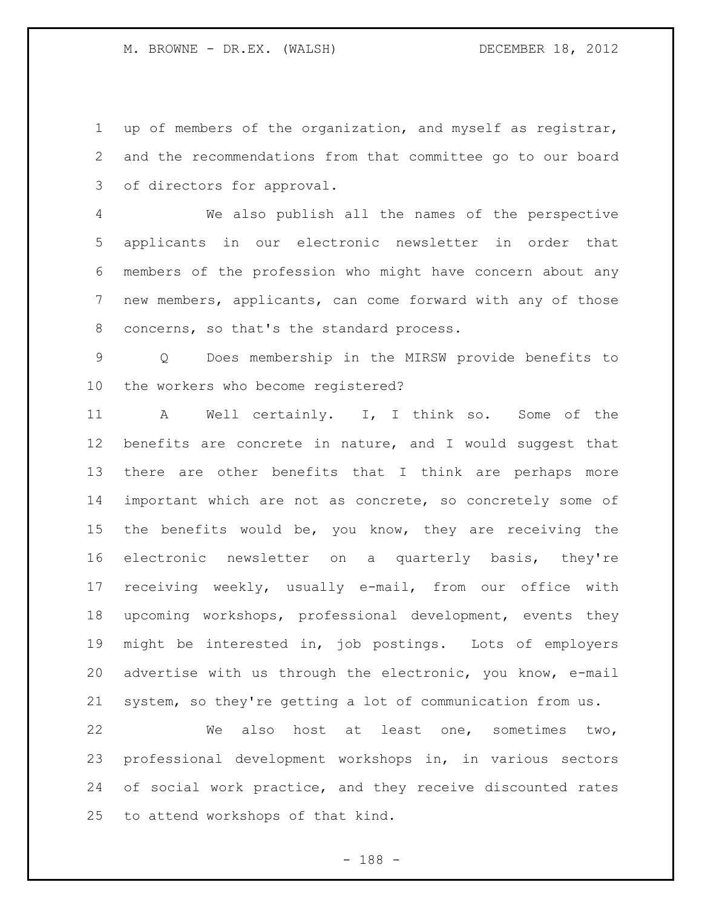up of members of the organization, and myself as registrar, and the recommendations from that committee go to our board of directors for approval.

 We also publish all the names of the perspective applicants in our electronic newsletter in order that members of the profession who might have concern about any new members, applicants, can come forward with any of those concerns, so that's the standard process.

 Q Does membership in the MIRSW provide benefits to the workers who become registered?

 A Well certainly. I, I think so. Some of the benefits are concrete in nature, and I would suggest that there are other benefits that I think are perhaps more important which are not as concrete, so concretely some of the benefits would be, you know, they are receiving the electronic newsletter on a quarterly basis, they're receiving weekly, usually e-mail, from our office with upcoming workshops, professional development, events they might be interested in, job postings. Lots of employers advertise with us through the electronic, you know, e-mail system, so they're getting a lot of communication from us.

 We also host at least one, sometimes two, professional development workshops in, in various sectors of social work practice, and they receive discounted rates to attend workshops of that kind.

- 188 -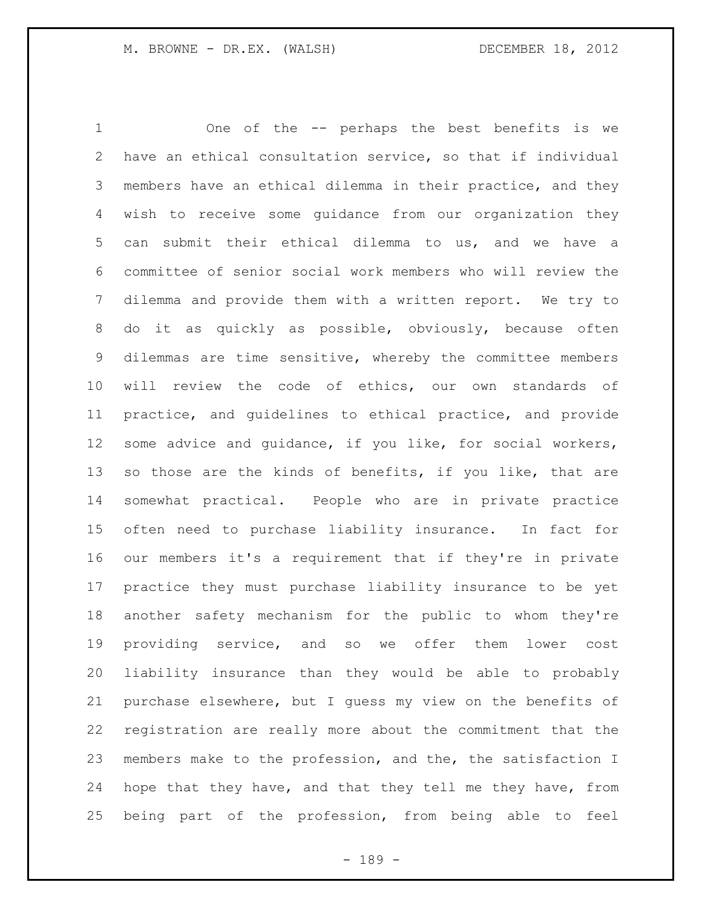One of the -- perhaps the best benefits is we have an ethical consultation service, so that if individual members have an ethical dilemma in their practice, and they wish to receive some guidance from our organization they can submit their ethical dilemma to us, and we have a committee of senior social work members who will review the dilemma and provide them with a written report. We try to do it as quickly as possible, obviously, because often dilemmas are time sensitive, whereby the committee members will review the code of ethics, our own standards of practice, and guidelines to ethical practice, and provide some advice and guidance, if you like, for social workers, so those are the kinds of benefits, if you like, that are somewhat practical. People who are in private practice often need to purchase liability insurance. In fact for our members it's a requirement that if they're in private practice they must purchase liability insurance to be yet another safety mechanism for the public to whom they're providing service, and so we offer them lower cost liability insurance than they would be able to probably purchase elsewhere, but I guess my view on the benefits of registration are really more about the commitment that the members make to the profession, and the, the satisfaction I hope that they have, and that they tell me they have, from being part of the profession, from being able to feel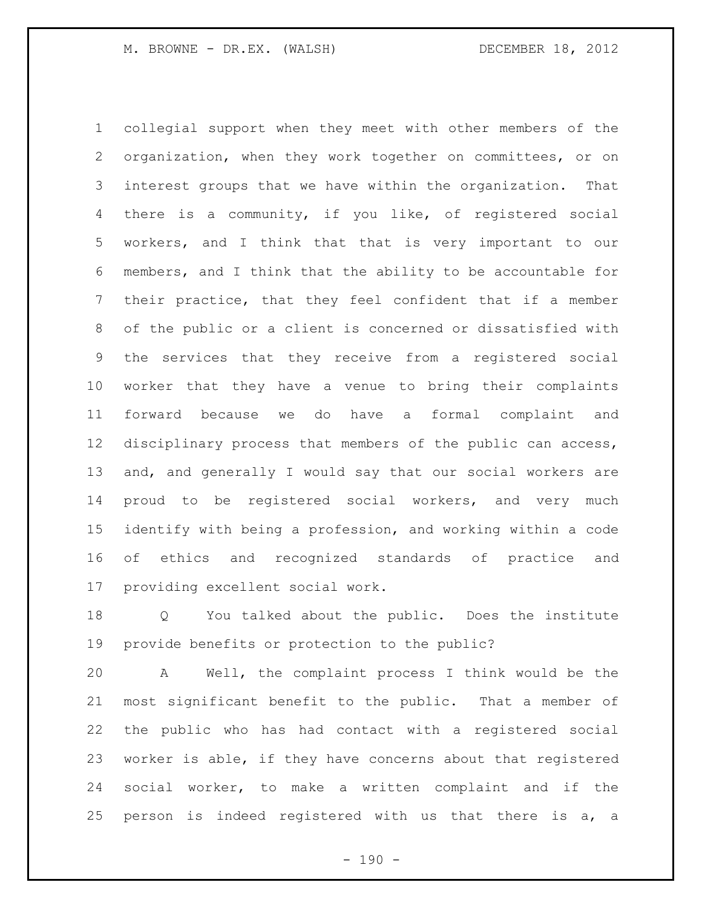collegial support when they meet with other members of the organization, when they work together on committees, or on interest groups that we have within the organization. That there is a community, if you like, of registered social workers, and I think that that is very important to our members, and I think that the ability to be accountable for their practice, that they feel confident that if a member of the public or a client is concerned or dissatisfied with the services that they receive from a registered social worker that they have a venue to bring their complaints forward because we do have a formal complaint and disciplinary process that members of the public can access, and, and generally I would say that our social workers are proud to be registered social workers, and very much identify with being a profession, and working within a code of ethics and recognized standards of practice and providing excellent social work.

 Q You talked about the public. Does the institute provide benefits or protection to the public?

 A Well, the complaint process I think would be the most significant benefit to the public. That a member of the public who has had contact with a registered social worker is able, if they have concerns about that registered social worker, to make a written complaint and if the person is indeed registered with us that there is a, a

 $- 190 -$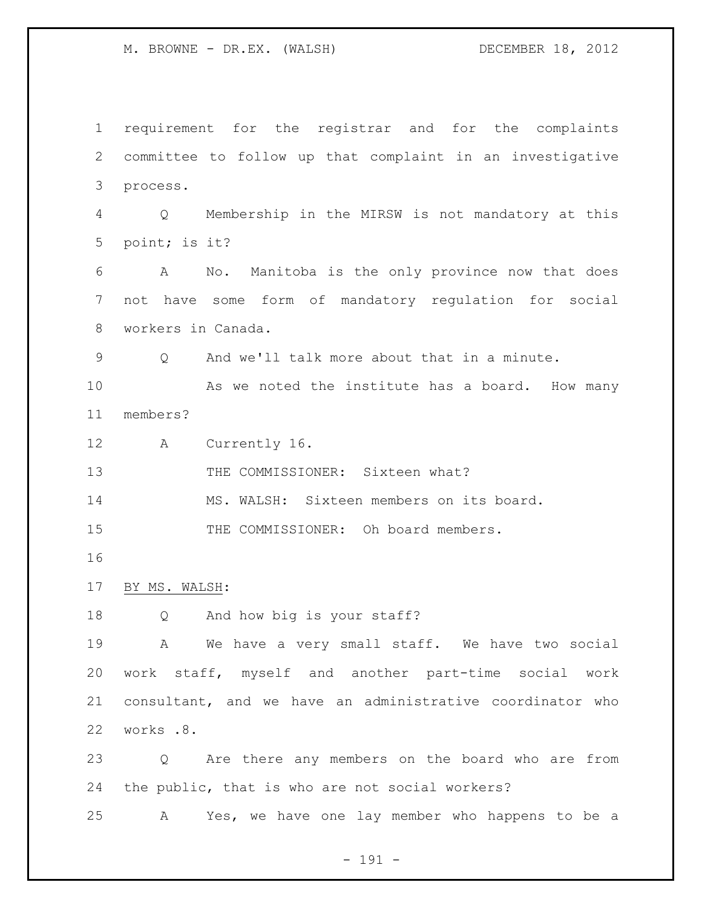requirement for the registrar and for the complaints committee to follow up that complaint in an investigative process. Q Membership in the MIRSW is not mandatory at this point; is it? A No. Manitoba is the only province now that does not have some form of mandatory regulation for social workers in Canada. Q And we'll talk more about that in a minute. 10 As we noted the institute has a board. How many members? A Currently 16. 13 THE COMMISSIONER: Sixteen what? MS. WALSH: Sixteen members on its board. 15 THE COMMISSIONER: Oh board members. BY MS. WALSH: Q And how big is your staff? A We have a very small staff. We have two social work staff, myself and another part-time social work consultant, and we have an administrative coordinator who works .8. Q Are there any members on the board who are from the public, that is who are not social workers? A Yes, we have one lay member who happens to be a

- 191 -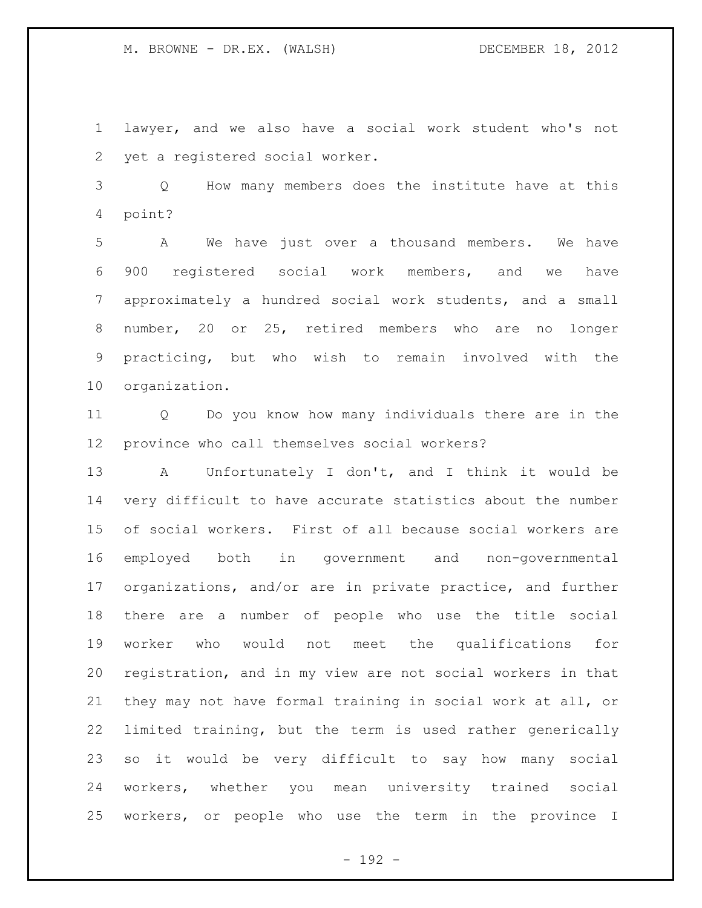lawyer, and we also have a social work student who's not yet a registered social worker.

 Q How many members does the institute have at this point?

 A We have just over a thousand members. We have 900 registered social work members, and we have approximately a hundred social work students, and a small number, 20 or 25, retired members who are no longer practicing, but who wish to remain involved with the organization.

 Q Do you know how many individuals there are in the province who call themselves social workers?

 A Unfortunately I don't, and I think it would be very difficult to have accurate statistics about the number of social workers. First of all because social workers are employed both in government and non-governmental organizations, and/or are in private practice, and further there are a number of people who use the title social worker who would not meet the qualifications for registration, and in my view are not social workers in that they may not have formal training in social work at all, or limited training, but the term is used rather generically so it would be very difficult to say how many social workers, whether you mean university trained social workers, or people who use the term in the province I

- 192 -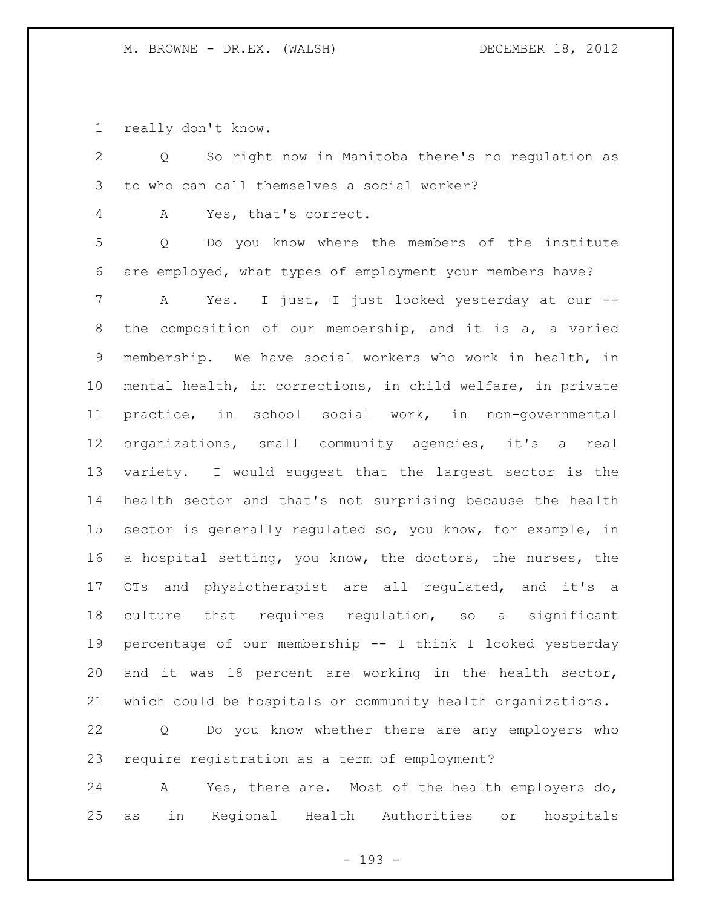really don't know.

 Q So right now in Manitoba there's no regulation as to who can call themselves a social worker?

A Yes, that's correct.

 Q Do you know where the members of the institute are employed, what types of employment your members have?

 A Yes. I just, I just looked yesterday at our -- the composition of our membership, and it is a, a varied membership. We have social workers who work in health, in mental health, in corrections, in child welfare, in private practice, in school social work, in non-governmental organizations, small community agencies, it's a real variety. I would suggest that the largest sector is the health sector and that's not surprising because the health sector is generally regulated so, you know, for example, in a hospital setting, you know, the doctors, the nurses, the OTs and physiotherapist are all regulated, and it's a culture that requires regulation, so a significant percentage of our membership -- I think I looked yesterday and it was 18 percent are working in the health sector, which could be hospitals or community health organizations.

 Q Do you know whether there are any employers who require registration as a term of employment?

 A Yes, there are. Most of the health employers do, as in Regional Health Authorities or hospitals

- 193 -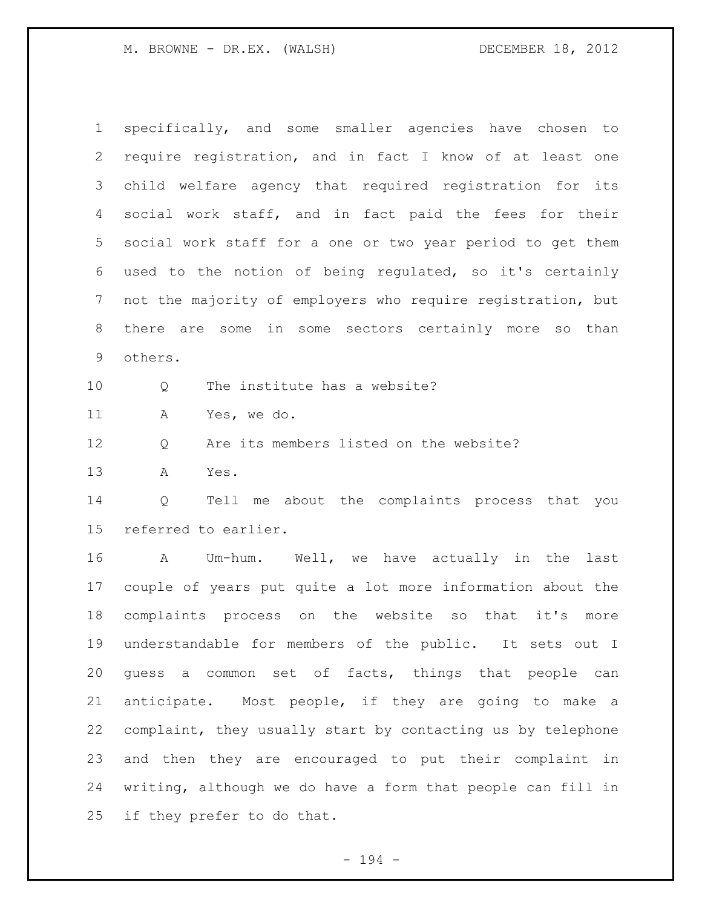specifically, and some smaller agencies have chosen to require registration, and in fact I know of at least one child welfare agency that required registration for its social work staff, and in fact paid the fees for their social work staff for a one or two year period to get them used to the notion of being regulated, so it's certainly not the majority of employers who require registration, but there are some in some sectors certainly more so than others. 10 0 The institute has a website? A Yes, we do. Q Are its members listed on the website? A Yes. Q Tell me about the complaints process that you referred to earlier. A Um-hum. Well, we have actually in the last couple of years put quite a lot more information about the complaints process on the website so that it's more understandable for members of the public. It sets out I guess a common set of facts, things that people can anticipate. Most people, if they are going to make a complaint, they usually start by contacting us by telephone and then they are encouraged to put their complaint in writing, although we do have a form that people can fill in if they prefer to do that.

- 194 -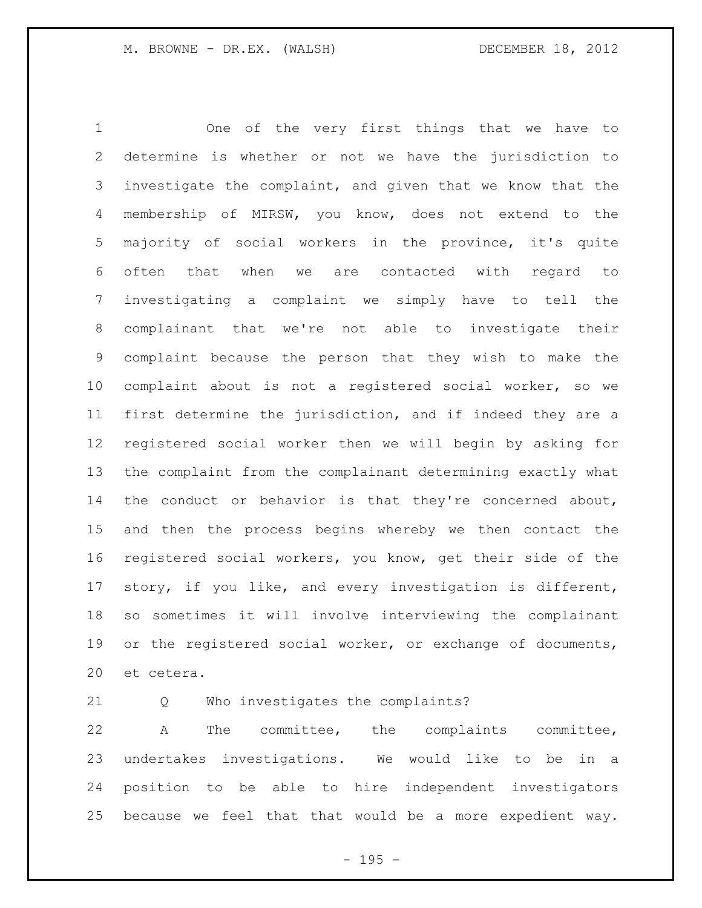One of the very first things that we have to determine is whether or not we have the jurisdiction to investigate the complaint, and given that we know that the membership of MIRSW, you know, does not extend to the majority of social workers in the province, it's quite often that when we are contacted with regard to investigating a complaint we simply have to tell the complainant that we're not able to investigate their complaint because the person that they wish to make the complaint about is not a registered social worker, so we first determine the jurisdiction, and if indeed they are a registered social worker then we will begin by asking for the complaint from the complainant determining exactly what the conduct or behavior is that they're concerned about, and then the process begins whereby we then contact the registered social workers, you know, get their side of the story, if you like, and every investigation is different, so sometimes it will involve interviewing the complainant 19 or the registered social worker, or exchange of documents, et cetera.

Q Who investigates the complaints?

 A The committee, the complaints committee, undertakes investigations. We would like to be in a position to be able to hire independent investigators because we feel that that would be a more expedient way.

- 195 -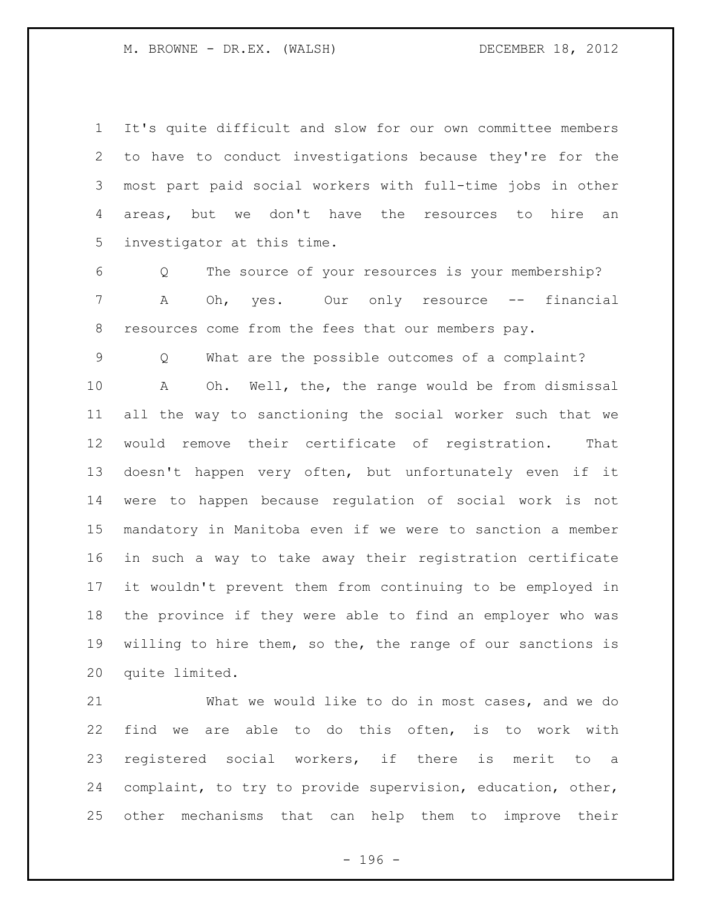It's quite difficult and slow for our own committee members to have to conduct investigations because they're for the most part paid social workers with full-time jobs in other areas, but we don't have the resources to hire an investigator at this time.

 Q The source of your resources is your membership? A Oh, yes. Our only resource -- financial 8 resources come from the fees that our members pay.

 Q What are the possible outcomes of a complaint? A Oh. Well, the, the range would be from dismissal all the way to sanctioning the social worker such that we would remove their certificate of registration. That doesn't happen very often, but unfortunately even if it were to happen because regulation of social work is not mandatory in Manitoba even if we were to sanction a member in such a way to take away their registration certificate it wouldn't prevent them from continuing to be employed in the province if they were able to find an employer who was willing to hire them, so the, the range of our sanctions is quite limited.

 What we would like to do in most cases, and we do find we are able to do this often, is to work with registered social workers, if there is merit to a complaint, to try to provide supervision, education, other, other mechanisms that can help them to improve their

- 196 -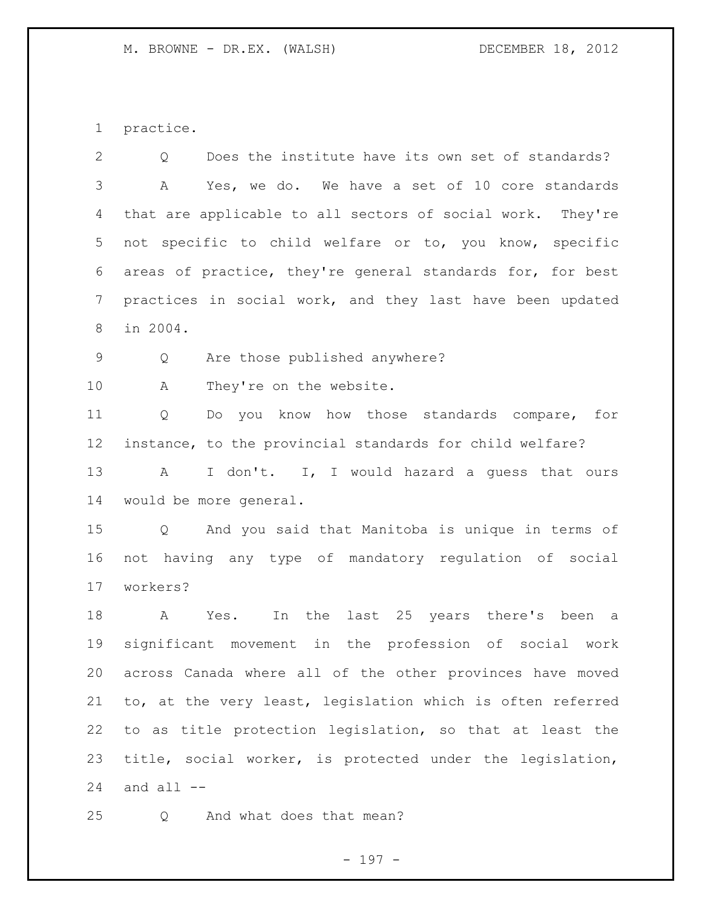practice.

 Q Does the institute have its own set of standards? A Yes, we do. We have a set of 10 core standards that are applicable to all sectors of social work. They're not specific to child welfare or to, you know, specific areas of practice, they're general standards for, for best practices in social work, and they last have been updated in 2004. Q Are those published anywhere? 10 A They're on the website. Q Do you know how those standards compare, for instance, to the provincial standards for child welfare? 13 A I don't. I, I would hazard a guess that ours would be more general. Q And you said that Manitoba is unique in terms of not having any type of mandatory regulation of social workers? A Yes. In the last 25 years there's been a significant movement in the profession of social work across Canada where all of the other provinces have moved to, at the very least, legislation which is often referred to as title protection legislation, so that at least the title, social worker, is protected under the legislation, and all  $-$ 

25 O And what does that mean?

- 197 -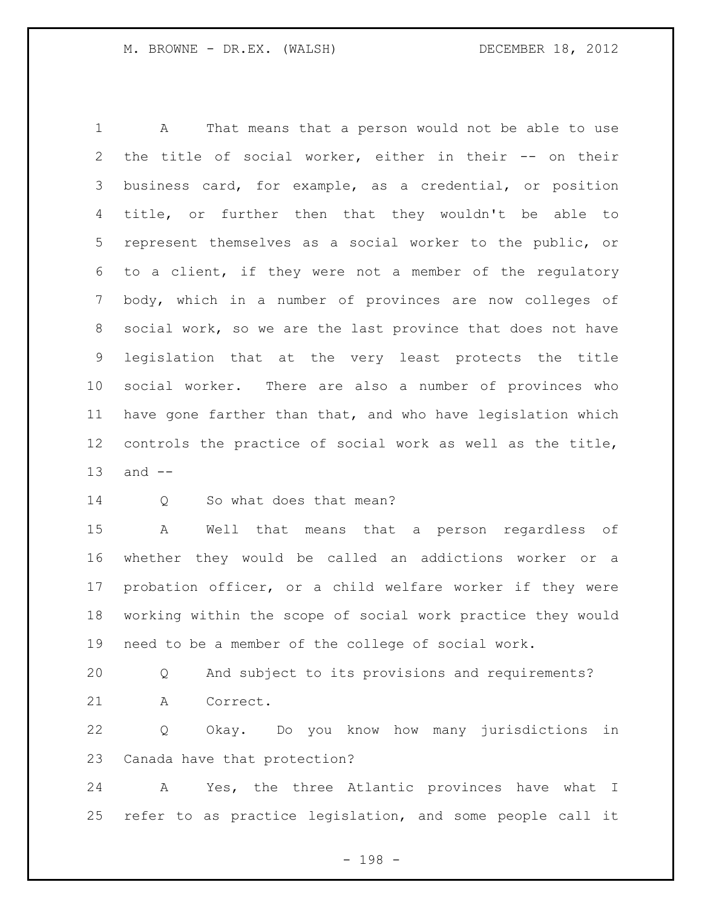A That means that a person would not be able to use 2 the title of social worker, either in their -- on their business card, for example, as a credential, or position title, or further then that they wouldn't be able to represent themselves as a social worker to the public, or to a client, if they were not a member of the regulatory body, which in a number of provinces are now colleges of social work, so we are the last province that does not have legislation that at the very least protects the title social worker. There are also a number of provinces who have gone farther than that, and who have legislation which controls the practice of social work as well as the title, and --

14 Q So what does that mean?

 A Well that means that a person regardless of whether they would be called an addictions worker or a probation officer, or a child welfare worker if they were working within the scope of social work practice they would need to be a member of the college of social work.

 Q And subject to its provisions and requirements? A Correct.

 Q Okay. Do you know how many jurisdictions in Canada have that protection?

 A Yes, the three Atlantic provinces have what I refer to as practice legislation, and some people call it

- 198 -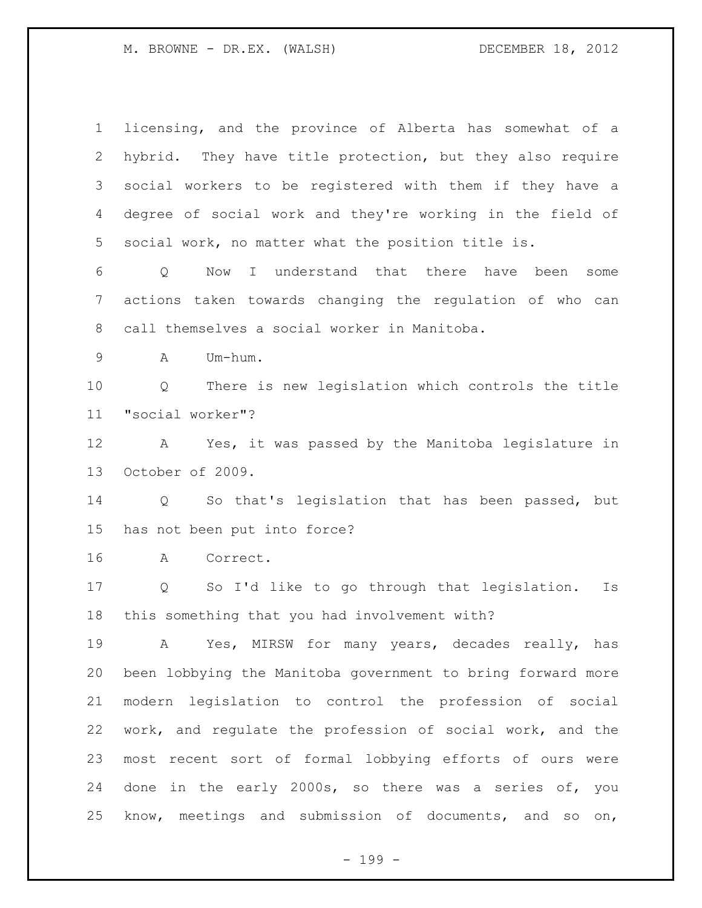licensing, and the province of Alberta has somewhat of a hybrid. They have title protection, but they also require social workers to be registered with them if they have a degree of social work and they're working in the field of social work, no matter what the position title is. Q Now I understand that there have been some actions taken towards changing the regulation of who can call themselves a social worker in Manitoba. A Um-hum. Q There is new legislation which controls the title "social worker"? A Yes, it was passed by the Manitoba legislature in October of 2009. Q So that's legislation that has been passed, but has not been put into force? A Correct. Q So I'd like to go through that legislation. Is this something that you had involvement with? A Yes, MIRSW for many years, decades really, has been lobbying the Manitoba government to bring forward more modern legislation to control the profession of social work, and regulate the profession of social work, and the most recent sort of formal lobbying efforts of ours were done in the early 2000s, so there was a series of, you know, meetings and submission of documents, and so on,

- 199 -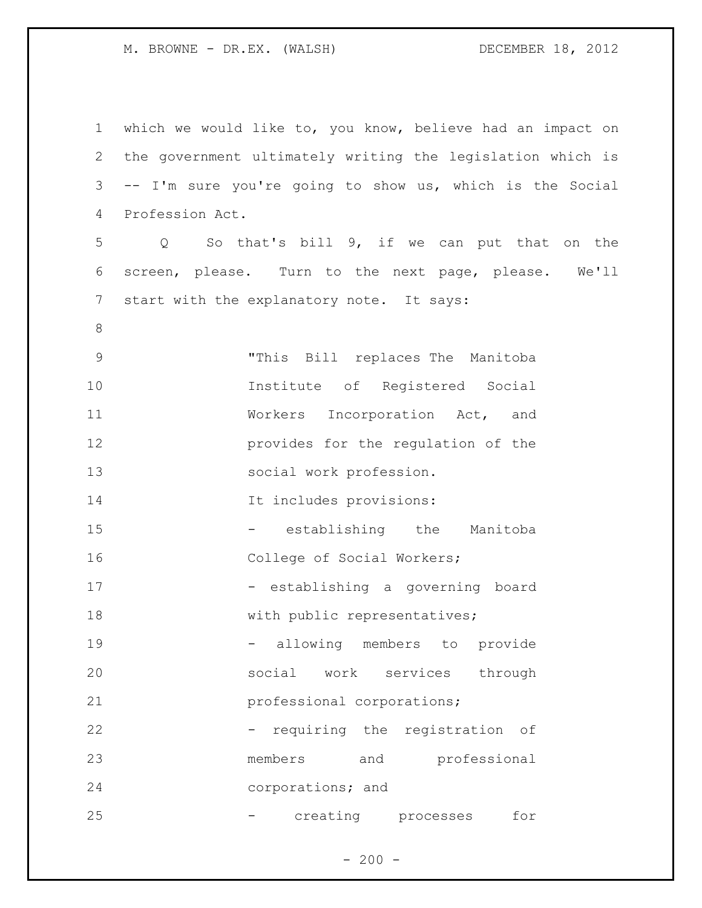| $\mathbf 1$ | which we would like to, you know, believe had an impact on |
|-------------|------------------------------------------------------------|
| 2           | the government ultimately writing the legislation which is |
| 3           | -- I'm sure you're going to show us, which is the Social   |
| 4           | Profession Act.                                            |
| 5           | Q So that's bill 9, if we can put that on the              |
| 6           | screen, please. Turn to the next page, please. We'll       |
| 7           | start with the explanatory note. It says:                  |
| 8           |                                                            |
| $\mathsf 9$ | "This Bill replaces The Manitoba                           |
| 10          | Institute of Registered Social                             |
| 11          | Workers Incorporation Act, and                             |
| 12          | provides for the regulation of the                         |
| 13          | social work profession.                                    |
| 14          | It includes provisions:                                    |
| 15          | establishing the Manitoba<br>$\sim$ $\sim$                 |
| 16          | College of Social Workers;                                 |
| 17          | - establishing a governing board                           |
| 18          | with public representatives;                               |
| 19          | allowing<br>members<br>provide<br>to                       |
| 20          | services<br>social<br>work<br>through                      |
| 21          | professional corporations;                                 |
| 22          | requiring the registration<br>of                           |
| 23          | members<br>professional<br>and                             |
| 24          | corporations; and                                          |
| 25          | creating<br>for<br>processes                               |

- 200 -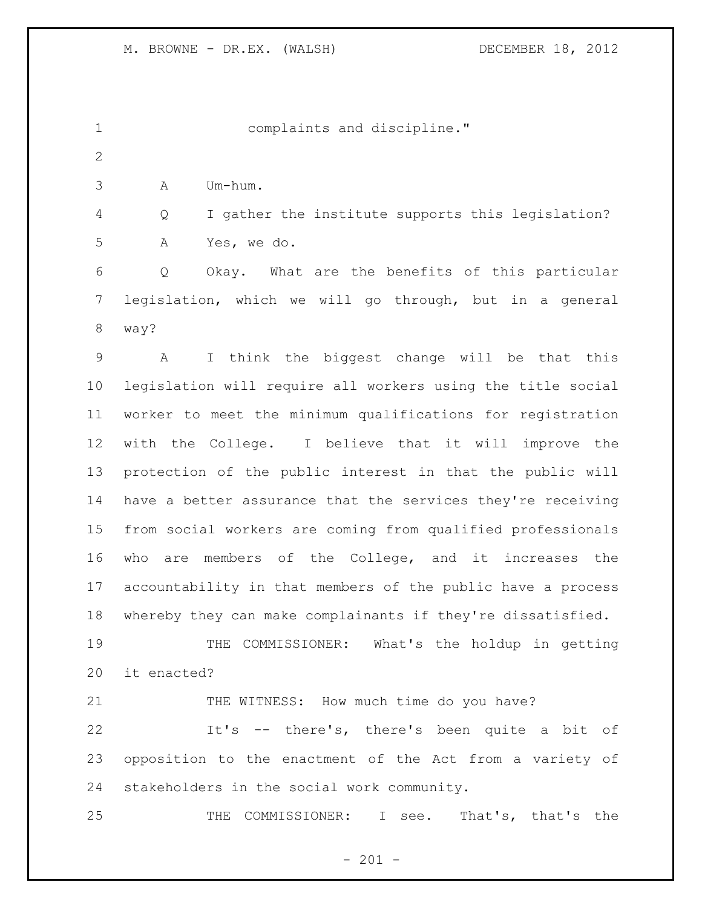| $\mathbf 1$    |             | complaints and discipline."                                 |
|----------------|-------------|-------------------------------------------------------------|
| $\mathbf{2}$   |             |                                                             |
| 3              | Α           | Um-hum.                                                     |
| 4              | Q           | I gather the institute supports this legislation?           |
| 5              | Α           | Yes, we do.                                                 |
| 6              | Q           | Okay. What are the benefits of this particular              |
| $\overline{7}$ |             | legislation, which we will go through, but in a general     |
| $\,8\,$        | way?        |                                                             |
| 9              | A           | I think the biggest change will be that this                |
| 10             |             | legislation will require all workers using the title social |
| 11             |             | worker to meet the minimum qualifications for registration  |
| 12             |             | with the College. I believe that it will improve the        |
| 13             |             | protection of the public interest in that the public will   |
| 14             |             | have a better assurance that the services they're receiving |
| 15             |             | from social workers are coming from qualified professionals |
| 16             | who         | are members of the College, and it increases the            |
| 17             |             | accountability in that members of the public have a process |
| 18             |             | whereby they can make complainants if they're dissatisfied. |
| 19             |             | THE COMMISSIONER: What's the holdup in getting              |
| 20             | it enacted? |                                                             |
| 21             |             | THE WITNESS: How much time do you have?                     |
| 22             |             | It's -- there's, there's been quite a bit of                |
| 23             |             | opposition to the enactment of the Act from a variety of    |
| 24             |             | stakeholders in the social work community.                  |
| 25             |             | THE COMMISSIONER: I see. That's, that's the                 |

- 201 -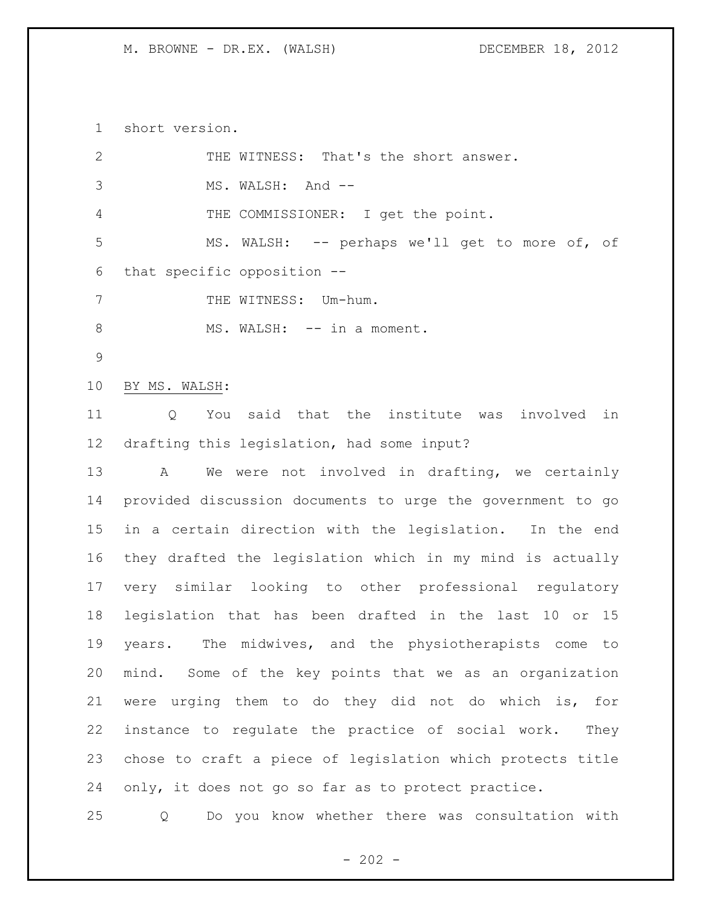short version.

| $\mathbf{2}$   | THE WITNESS: That's the short answer.                      |
|----------------|------------------------------------------------------------|
| 3              | MS. WALSH: And --                                          |
| $\overline{4}$ | THE COMMISSIONER: I get the point.                         |
| 5              | MS. WALSH: -- perhaps we'll get to more of, of             |
| 6              | that specific opposition --                                |
| 7              | THE WITNESS: Um-hum.                                       |
| $8\,$          | MS. WALSH: -- in a moment.                                 |
| $\mathsf 9$    |                                                            |
| 10             | BY MS. WALSH:                                              |
| 11             | You said that the institute was involved in<br>Q           |
| 12             | drafting this legislation, had some input?                 |
| 13             | We were not involved in drafting, we certainly<br>A        |
| 14             | provided discussion documents to urge the government to go |
| 15             | in a certain direction with the legislation. In the end    |
| 16             | they drafted the legislation which in my mind is actually  |
| 17             | very similar looking to other professional regulatory      |
| 18             | legislation that has been drafted in the last 10 or 15     |
| 19             | years. The midwives, and the physiotherapists come<br>to   |
| 20             | mind. Some of the key points that we as an organization    |
| 21             | were urging them to do they did not do which is, for       |
| 22             | instance to regulate the practice of social work.<br>They  |
| 23             | chose to craft a piece of legislation which protects title |
| 24             | only, it does not go so far as to protect practice.        |
| 25             | Do you know whether there was consultation with<br>Q       |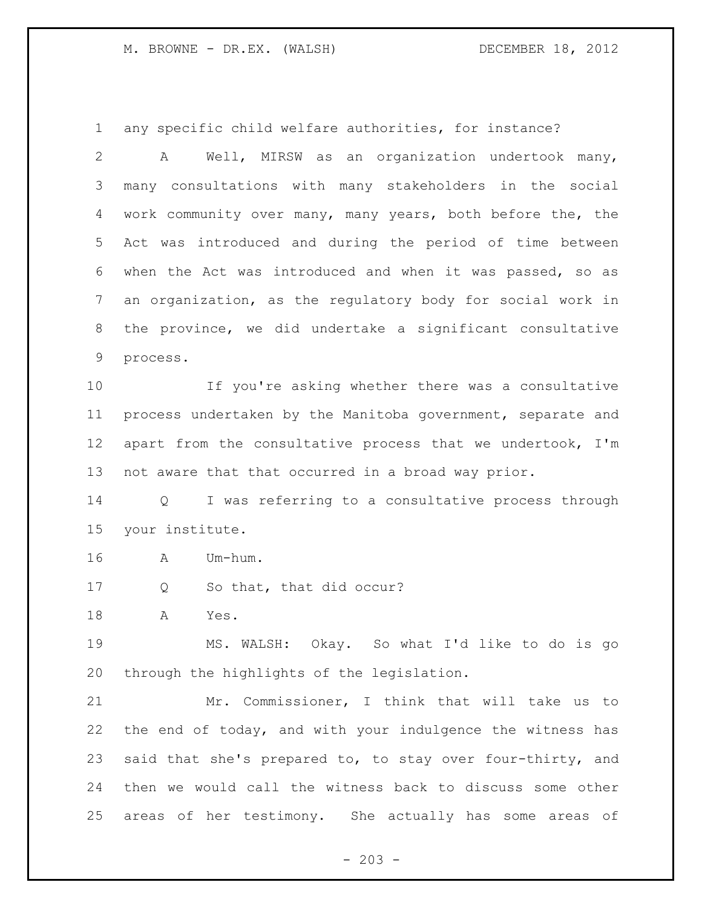any specific child welfare authorities, for instance?

 A Well, MIRSW as an organization undertook many, many consultations with many stakeholders in the social work community over many, many years, both before the, the Act was introduced and during the period of time between when the Act was introduced and when it was passed, so as an organization, as the regulatory body for social work in the province, we did undertake a significant consultative process.

 If you're asking whether there was a consultative process undertaken by the Manitoba government, separate and apart from the consultative process that we undertook, I'm not aware that that occurred in a broad way prior.

 Q I was referring to a consultative process through your institute.

A Um-hum.

17 Q So that, that did occur?

A Yes.

 MS. WALSH: Okay. So what I'd like to do is go through the highlights of the legislation.

 Mr. Commissioner, I think that will take us to the end of today, and with your indulgence the witness has said that she's prepared to, to stay over four-thirty, and then we would call the witness back to discuss some other areas of her testimony. She actually has some areas of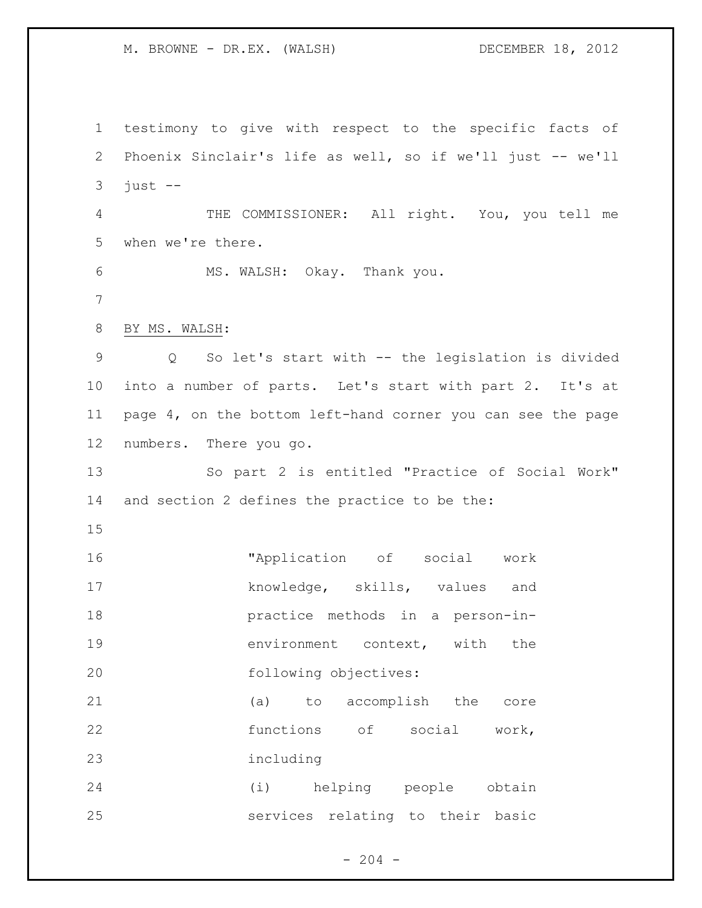testimony to give with respect to the specific facts of Phoenix Sinclair's life as well, so if we'll just -- we'll just  $-$  THE COMMISSIONER: All right. You, you tell me when we're there. MS. WALSH: Okay. Thank you. BY MS. WALSH: Q So let's start with -- the legislation is divided into a number of parts. Let's start with part 2. It's at page 4, on the bottom left-hand corner you can see the page numbers. There you go. So part 2 is entitled "Practice of Social Work" and section 2 defines the practice to be the: "Application of social work 17 knowledge, skills, values and practice methods in a person-in-**environment** context, with the following objectives: (a) to accomplish the core 22 functions of social work, including (i) helping people obtain services relating to their basic

 $-204 -$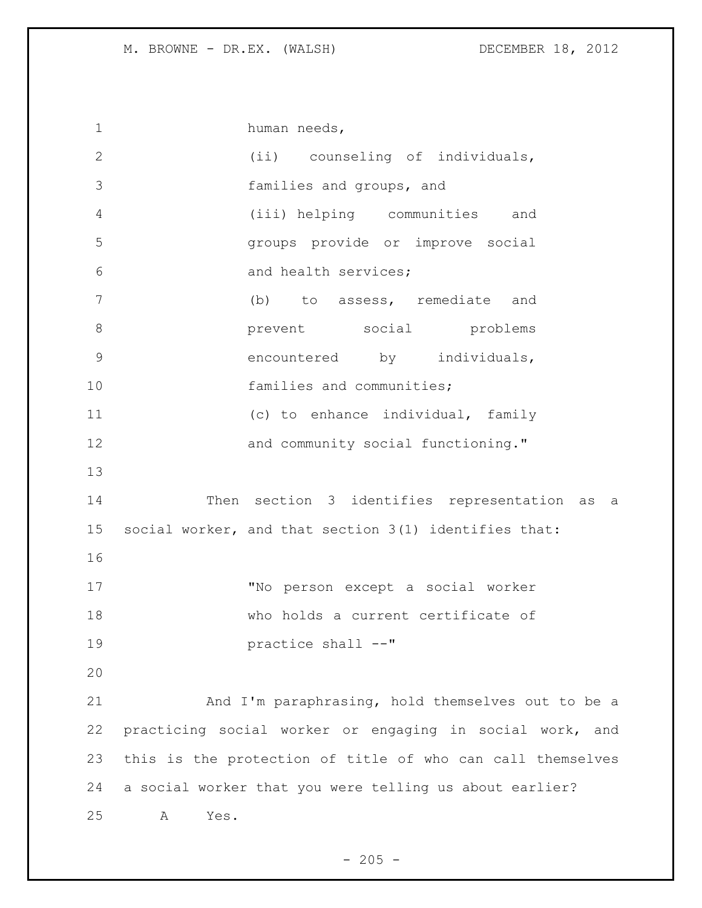| $\mathbf 1$     | human needs,                                               |
|-----------------|------------------------------------------------------------|
| $\overline{2}$  | (ii) counseling of individuals,                            |
| 3               | families and groups, and                                   |
| 4               | (iii) helping communities and                              |
| 5               | groups provide or improve social                           |
| 6               | and health services;                                       |
| $7\phantom{.0}$ | (b) to assess, remediate and                               |
| $8\,$           | prevent social problems                                    |
| 9               | encountered by individuals,                                |
| 10              | families and communities;                                  |
| 11              | (c) to enhance individual, family                          |
| 12              | and community social functioning."                         |
| 13              |                                                            |
| 14              | Then section 3 identifies representation as<br>a a         |
| 15              | social worker, and that section 3(1) identifies that:      |
| 16              |                                                            |
| 17              | "No person except a social worker                          |
| 18              | who holds a current certificate of                         |
| 19              | practice shall --"                                         |
| 20              |                                                            |
| 21              | And I'm paraphrasing, hold themselves out to be a          |
| 22              | practicing social worker or engaging in social work, and   |
| 23              | this is the protection of title of who can call themselves |
| 24              | a social worker that you were telling us about earlier?    |
| 25              | Yes.<br>Α                                                  |

- 205 -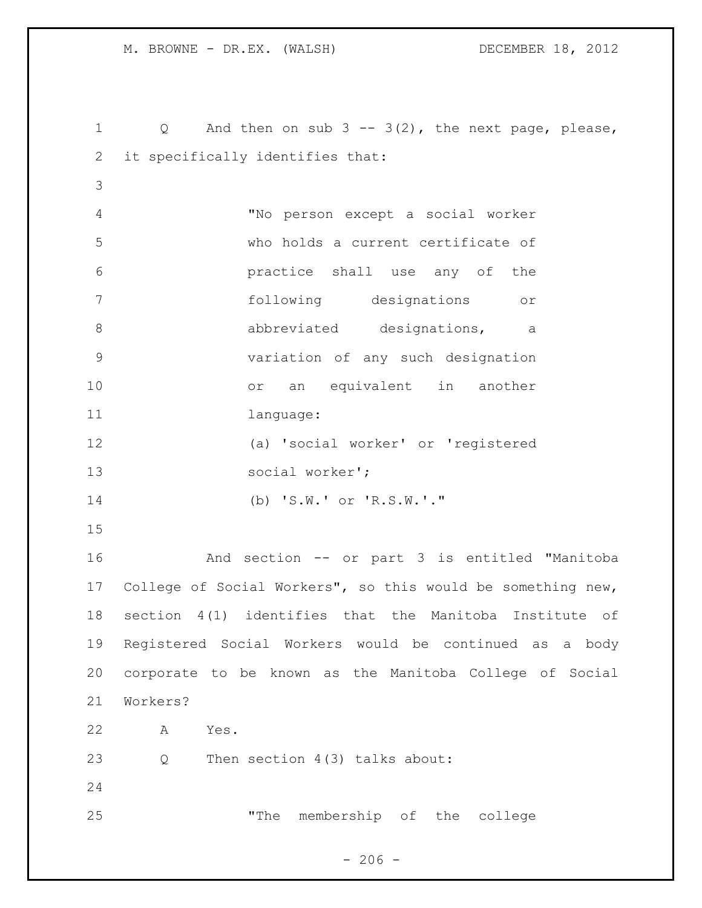Q And then on sub 3 -- 3(2), the next page, please, it specifically identifies that: "No person except a social worker who holds a current certificate of practice shall use any of the following designations or 8 abbreviated designations, a variation of any such designation or an equivalent in another 11 language: (a) 'social worker' or 'registered social worker'; (b) 'S.W.' or 'R.S.W.'." And section -- or part 3 is entitled "Manitoba College of Social Workers", so this would be something new, section 4(1) identifies that the Manitoba Institute of Registered Social Workers would be continued as a body corporate to be known as the Manitoba College of Social Workers? A Yes. 23 Q Then section 4(3) talks about: "The membership of the college

 $- 206 -$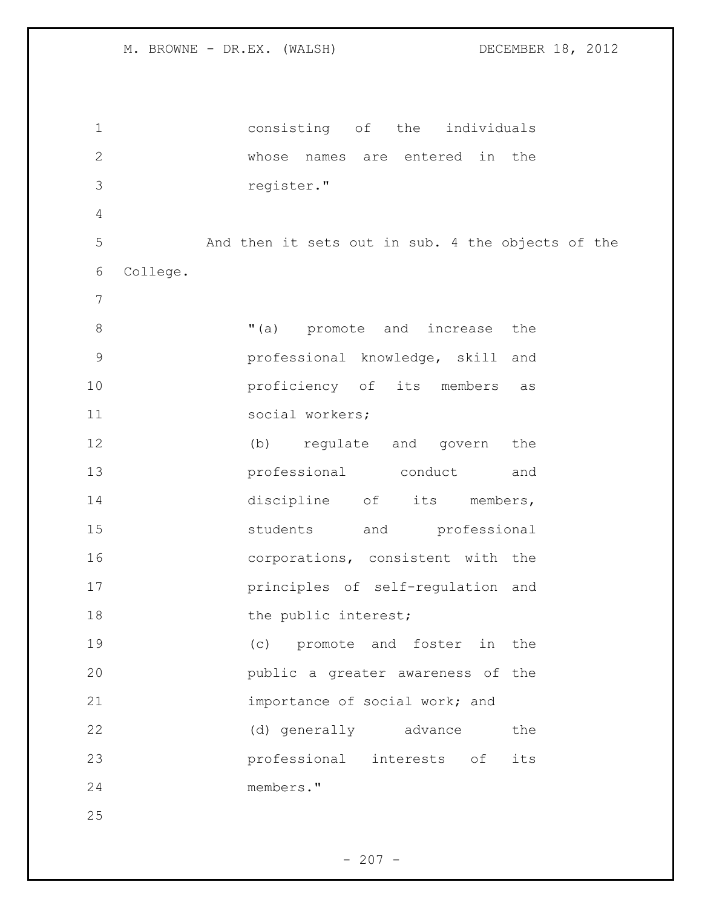consisting of the individuals whose names are entered in the register." And then it sets out in sub. 4 the objects of the College.  $(1)$   $(2)$  promote and increase the professional knowledge, skill and **proficiency** of its members as social workers; (b) regulate and govern the professional conduct and 14 discipline of its members, 15 students and professional corporations, consistent with the principles of self-regulation and 18 the public interest; (c) promote and foster in the public a greater awareness of the importance of social work; and (d) generally advance the professional interests of its members."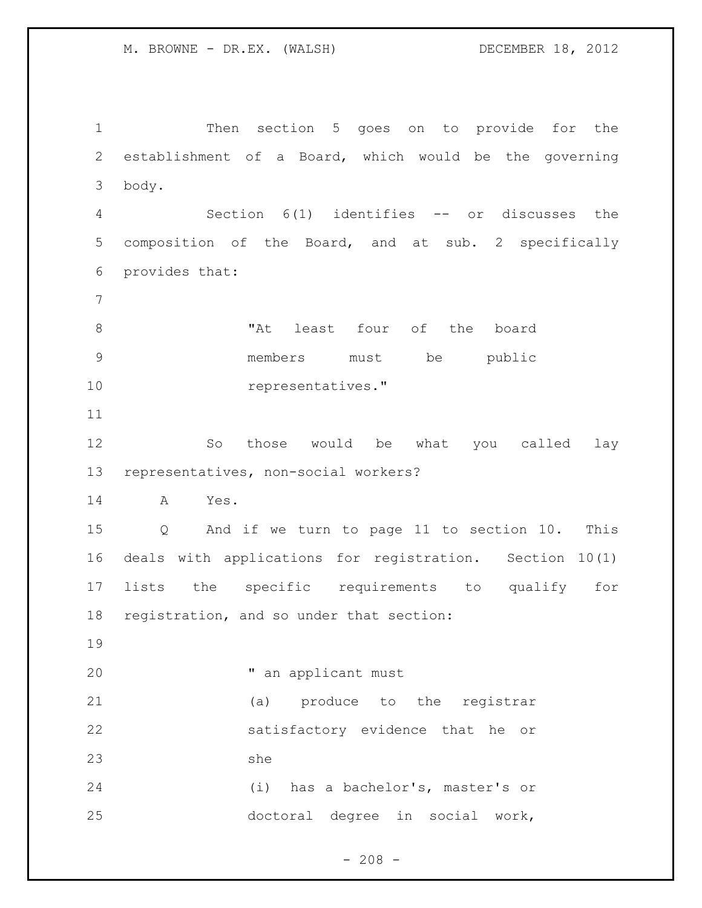Then section 5 goes on to provide for the establishment of a Board, which would be the governing body. Section 6(1) identifies -- or discusses the composition of the Board, and at sub. 2 specifically provides that: 8 The Mat least four of the board members must be public 10 representatives." So those would be what you called lay representatives, non-social workers? A Yes. Q And if we turn to page 11 to section 10. This deals with applications for registration. Section 10(1) lists the specific requirements to qualify for registration, and so under that section: " an applicant must (a) produce to the registrar satisfactory evidence that he or she (i) has a bachelor's, master's or doctoral degree in social work,

 $- 208 -$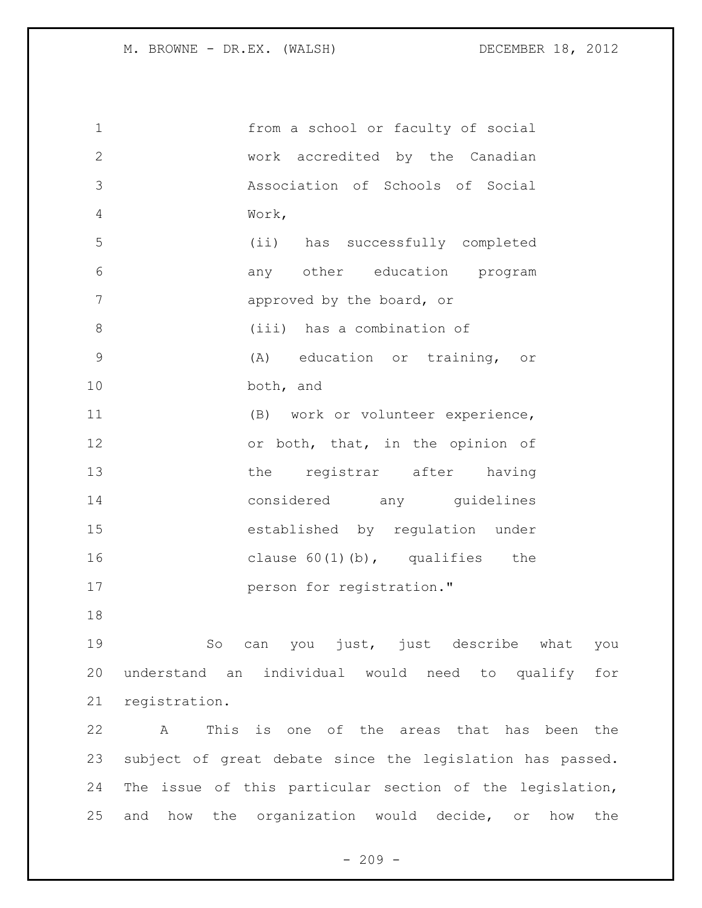| $1\,$        | from a school or faculty of social |
|--------------|------------------------------------|
| $\mathbf{2}$ | work accredited by the Canadian    |
| 3            | Association of Schools of Social   |
| 4            | Work,                              |
| 5            | (ii) has successfully completed    |
| 6            | any other education program        |
| 7            | approved by the board, or          |
| 8            | (iii) has a combination of         |
| 9            | (A) education or training, or      |
| 10           | both, and                          |
| 11           | (B) work or volunteer experience,  |
| 12           | or both, that, in the opinion of   |
| 13           | the registrar after having         |
| 14           | considered any guidelines          |
| 15           | established by regulation under    |
| 16           | clause $60(1)(b)$ , qualifies the  |
| 17           | person for registration."          |
| 18           |                                    |

 So can you just, just describe what you understand an individual would need to qualify for registration.

 A This is one of the areas that has been the subject of great debate since the legislation has passed. The issue of this particular section of the legislation, and how the organization would decide, or how the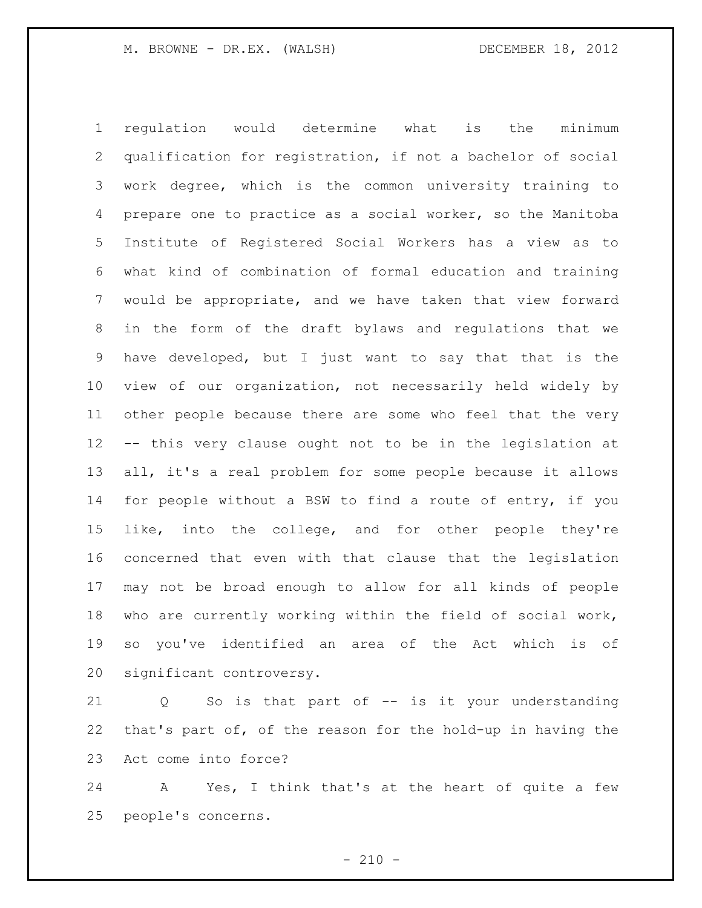regulation would determine what is the minimum qualification for registration, if not a bachelor of social work degree, which is the common university training to prepare one to practice as a social worker, so the Manitoba Institute of Registered Social Workers has a view as to what kind of combination of formal education and training would be appropriate, and we have taken that view forward in the form of the draft bylaws and regulations that we have developed, but I just want to say that that is the view of our organization, not necessarily held widely by other people because there are some who feel that the very -- this very clause ought not to be in the legislation at all, it's a real problem for some people because it allows for people without a BSW to find a route of entry, if you like, into the college, and for other people they're concerned that even with that clause that the legislation may not be broad enough to allow for all kinds of people who are currently working within the field of social work, so you've identified an area of the Act which is of significant controversy.

 Q So is that part of -- is it your understanding that's part of, of the reason for the hold-up in having the Act come into force?

 A Yes, I think that's at the heart of quite a few people's concerns.

 $- 210 -$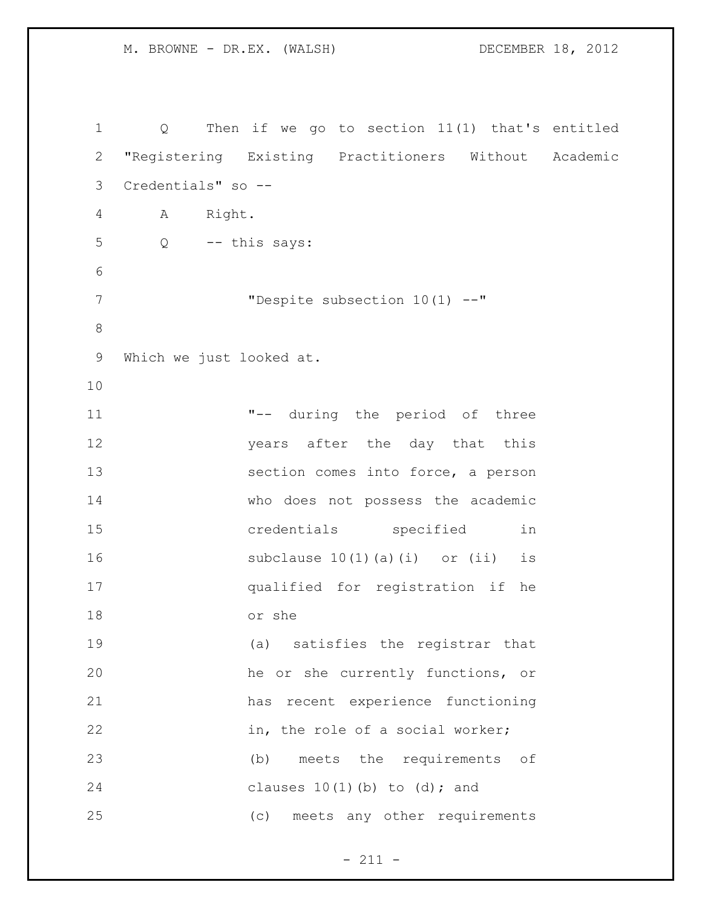```
1 Q Then if we go to section 11(1) that's entitled 
2 "Registering Existing Practitioners Without Academic 
3 Credentials" so --
4 A Right.
5 Q -- this says:
6
7 "Despite subsection 10(1) --"
8
9 Which we just looked at.
10
11 "-- during the period of three 
12 years after the day that this 
13 section comes into force, a person 
14 who does not possess the academic 
15 credentials specified in 
16 subclause 10(1)(a)(i) or (ii) is
17 qualified for registration if he 
18 or she
19 (a) satisfies the registrar that 
20 he or she currently functions, or 
21 has recent experience functioning 
22 in, the role of a social worker;
23 (b) meets the requirements of 
24 clauses 10(1)(b) to (d); and
25 (c) meets any other requirements
```
- 211 -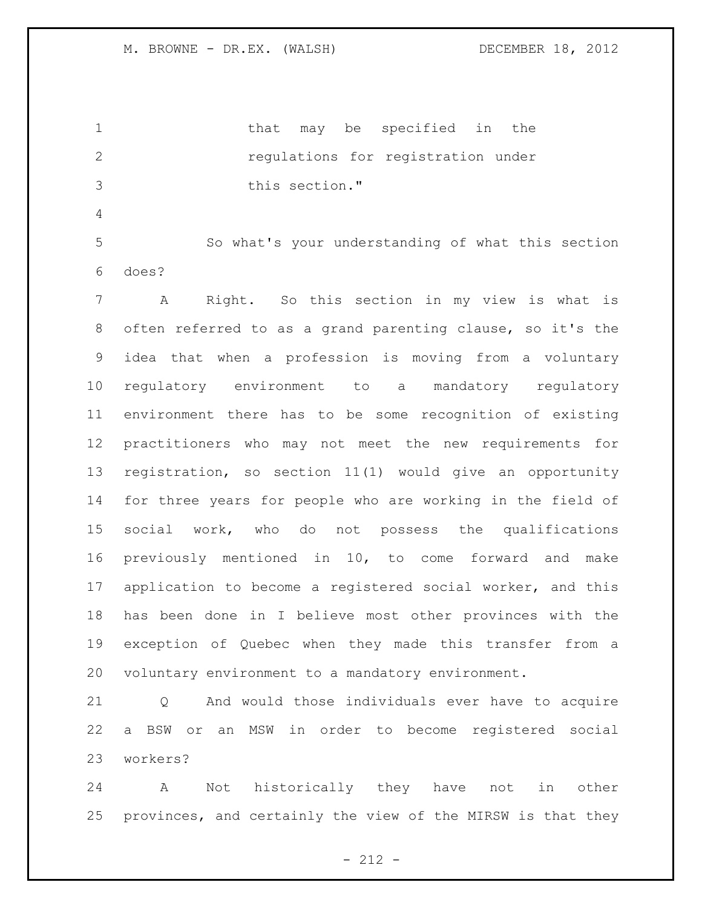1 that may be specified in the regulations for registration under this section."

 So what's your understanding of what this section does?

 A Right. So this section in my view is what is often referred to as a grand parenting clause, so it's the idea that when a profession is moving from a voluntary regulatory environment to a mandatory regulatory environment there has to be some recognition of existing practitioners who may not meet the new requirements for registration, so section 11(1) would give an opportunity for three years for people who are working in the field of social work, who do not possess the qualifications previously mentioned in 10, to come forward and make application to become a registered social worker, and this has been done in I believe most other provinces with the exception of Quebec when they made this transfer from a voluntary environment to a mandatory environment.

 Q And would those individuals ever have to acquire a BSW or an MSW in order to become registered social workers?

 A Not historically they have not in other provinces, and certainly the view of the MIRSW is that they

- 212 -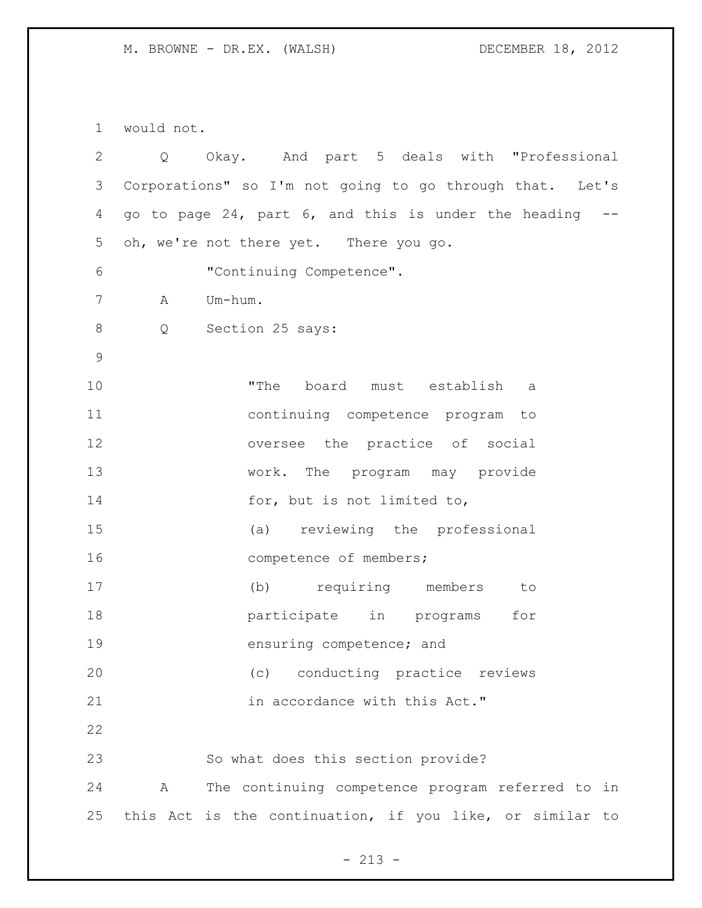would not.

| $\overline{2}$ |              | Q Okay. And part 5 deals with "Professional              |
|----------------|--------------|----------------------------------------------------------|
| 3              |              | Corporations" so I'm not going to go through that. Let's |
| 4              |              | go to page 24, part 6, and this is under the heading --  |
| 5              |              | oh, we're not there yet. There you go.                   |
| 6              |              | "Continuing Competence".                                 |
| 7              | A            | Um-hum.                                                  |
| 8              |              | Q Section 25 says:                                       |
| $\mathsf 9$    |              |                                                          |
| 10             |              | "The board must establish a                              |
| 11             |              | continuing competence program to                         |
| 12             |              | oversee the practice of social                           |
| 13             |              | work. The program may provide                            |
| 14             |              | for, but is not limited to,                              |
| 15             |              | (a) reviewing the professional                           |
| 16             |              | competence of members;                                   |
| 17             |              | (b) requiring members to                                 |
| 18             |              | participate in programs<br>for                           |
| 19             |              | ensuring competence; and                                 |
| 20             |              | (c) conducting practice reviews                          |
| 21             |              | in accordance with this Act."                            |
| 22             |              |                                                          |
| 23             |              | So what does this section provide?                       |
| 24             | $\mathbf{A}$ | The continuing competence program referred to in         |
| 25             |              | this Act is the continuation, if you like, or similar to |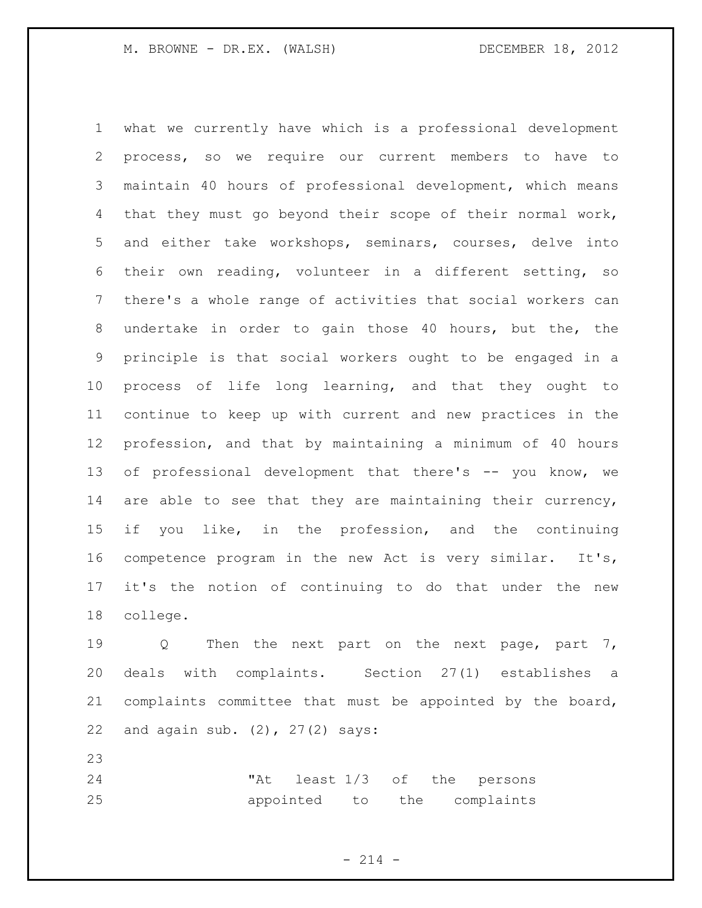what we currently have which is a professional development process, so we require our current members to have to maintain 40 hours of professional development, which means that they must go beyond their scope of their normal work, and either take workshops, seminars, courses, delve into their own reading, volunteer in a different setting, so there's a whole range of activities that social workers can undertake in order to gain those 40 hours, but the, the principle is that social workers ought to be engaged in a process of life long learning, and that they ought to continue to keep up with current and new practices in the profession, and that by maintaining a minimum of 40 hours of professional development that there's -- you know, we 14 are able to see that they are maintaining their currency, if you like, in the profession, and the continuing competence program in the new Act is very similar. It's, it's the notion of continuing to do that under the new college.

19 Q Then the next part on the next page, part 7, deals with complaints. Section 27(1) establishes a complaints committee that must be appointed by the board, and again sub. (2), 27(2) says:

 "At least 1/3 of the persons appointed to the complaints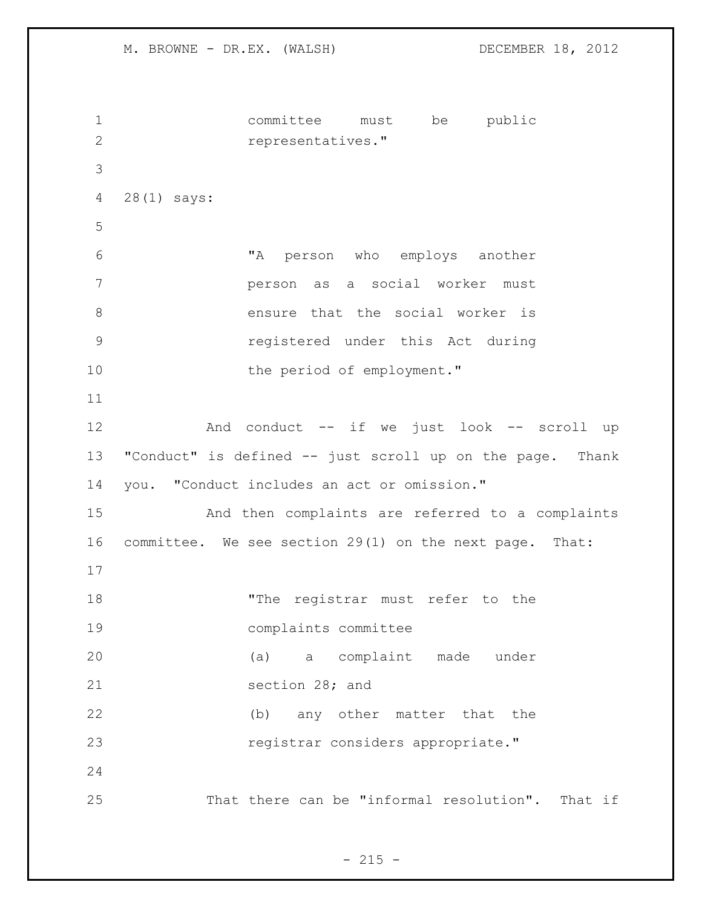M. BROWNE - DR.EX. (WALSH) DECEMBER 18, 2012 committee must be public representatives." 28(1) says: "A person who employs another person as a social worker must ensure that the social worker is registered under this Act during 10 the period of employment." 12 And conduct -- if we just look -- scroll up "Conduct" is defined -- just scroll up on the page. Thank you. "Conduct includes an act or omission." And then complaints are referred to a complaints committee. We see section 29(1) on the next page. That: 18 The registrar must refer to the complaints committee (a) a complaint made under section 28; and (b) any other matter that the **registrar** considers appropriate." That there can be "informal resolution". That if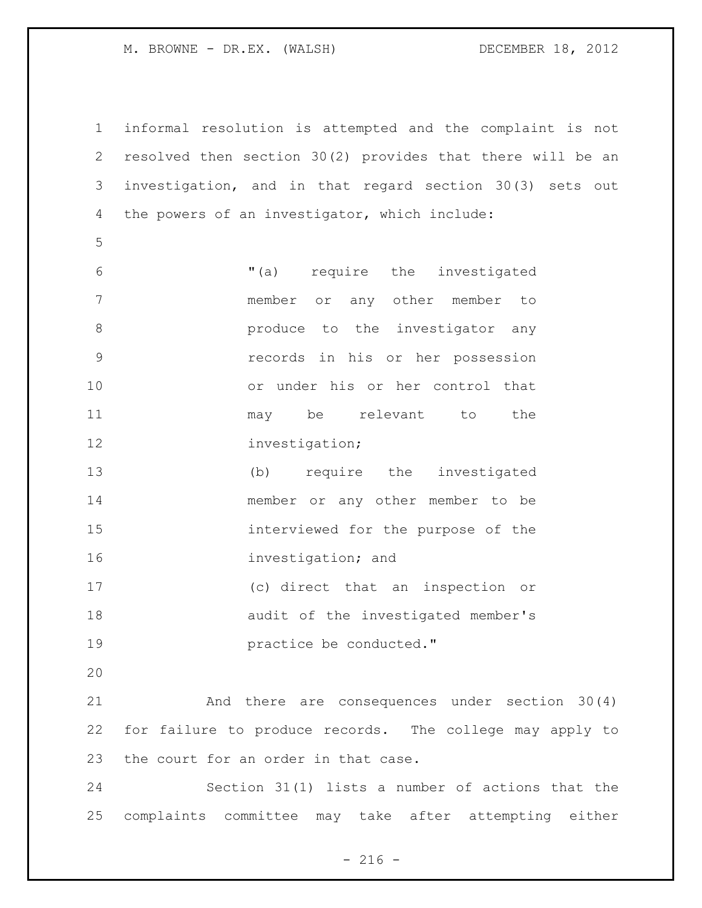informal resolution is attempted and the complaint is not resolved then section 30(2) provides that there will be an investigation, and in that regard section 30(3) sets out the powers of an investigator, which include: "(a) require the investigated member or any other member to **8 produce** to the investigator any records in his or her possession or under his or her control that 11 may be relevant to the 12 investigation; (b) require the investigated member or any other member to be interviewed for the purpose of the investigation; and (c) direct that an inspection or audit of the investigated member's **practice be conducted.**" And there are consequences under section 30(4) for failure to produce records. The college may apply to the court for an order in that case. Section 31(1) lists a number of actions that the

complaints committee may take after attempting either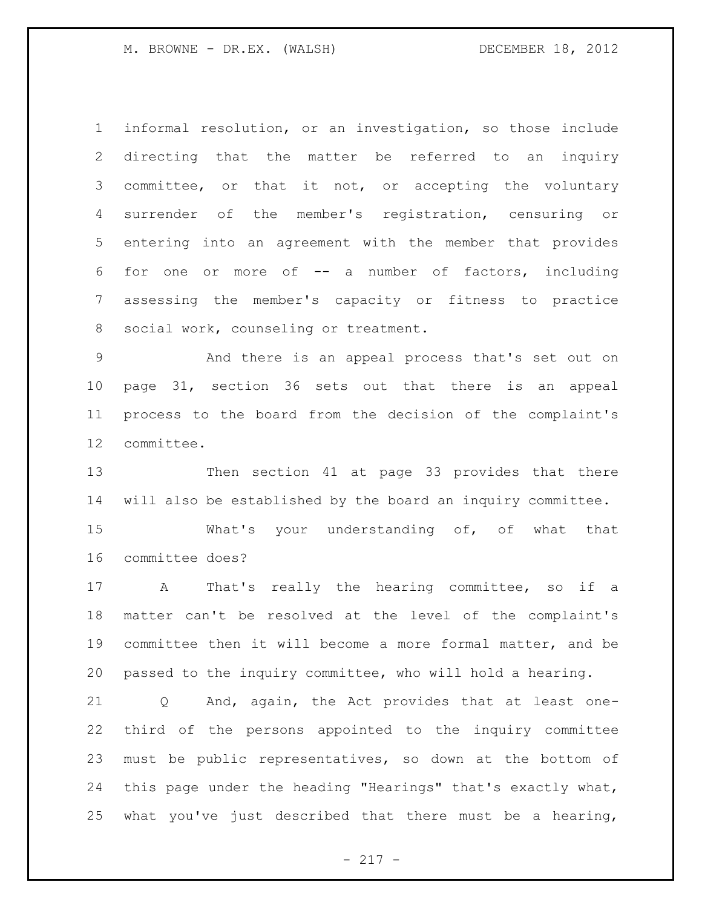informal resolution, or an investigation, so those include directing that the matter be referred to an inquiry committee, or that it not, or accepting the voluntary surrender of the member's registration, censuring or entering into an agreement with the member that provides for one or more of -- a number of factors, including assessing the member's capacity or fitness to practice social work, counseling or treatment.

 And there is an appeal process that's set out on page 31, section 36 sets out that there is an appeal process to the board from the decision of the complaint's committee.

 Then section 41 at page 33 provides that there will also be established by the board an inquiry committee.

 What's your understanding of, of what that committee does?

 A That's really the hearing committee, so if a matter can't be resolved at the level of the complaint's committee then it will become a more formal matter, and be passed to the inquiry committee, who will hold a hearing.

 Q And, again, the Act provides that at least one- third of the persons appointed to the inquiry committee must be public representatives, so down at the bottom of this page under the heading "Hearings" that's exactly what, 25 what you've just described that there must be a hearing,

 $- 217 -$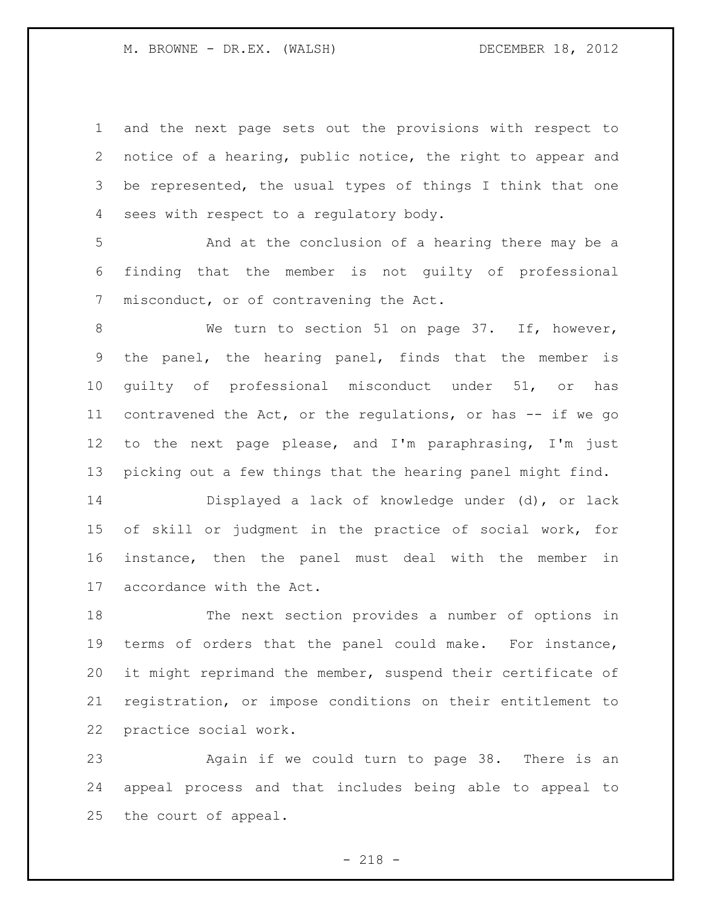and the next page sets out the provisions with respect to notice of a hearing, public notice, the right to appear and be represented, the usual types of things I think that one sees with respect to a regulatory body.

 And at the conclusion of a hearing there may be a finding that the member is not guilty of professional misconduct, or of contravening the Act.

8 We turn to section 51 on page 37. If, however, the panel, the hearing panel, finds that the member is guilty of professional misconduct under 51, or has contravened the Act, or the regulations, or has -- if we go to the next page please, and I'm paraphrasing, I'm just picking out a few things that the hearing panel might find.

 Displayed a lack of knowledge under (d), or lack of skill or judgment in the practice of social work, for instance, then the panel must deal with the member in accordance with the Act.

 The next section provides a number of options in terms of orders that the panel could make. For instance, it might reprimand the member, suspend their certificate of registration, or impose conditions on their entitlement to practice social work.

 Again if we could turn to page 38. There is an appeal process and that includes being able to appeal to the court of appeal.

- 218 -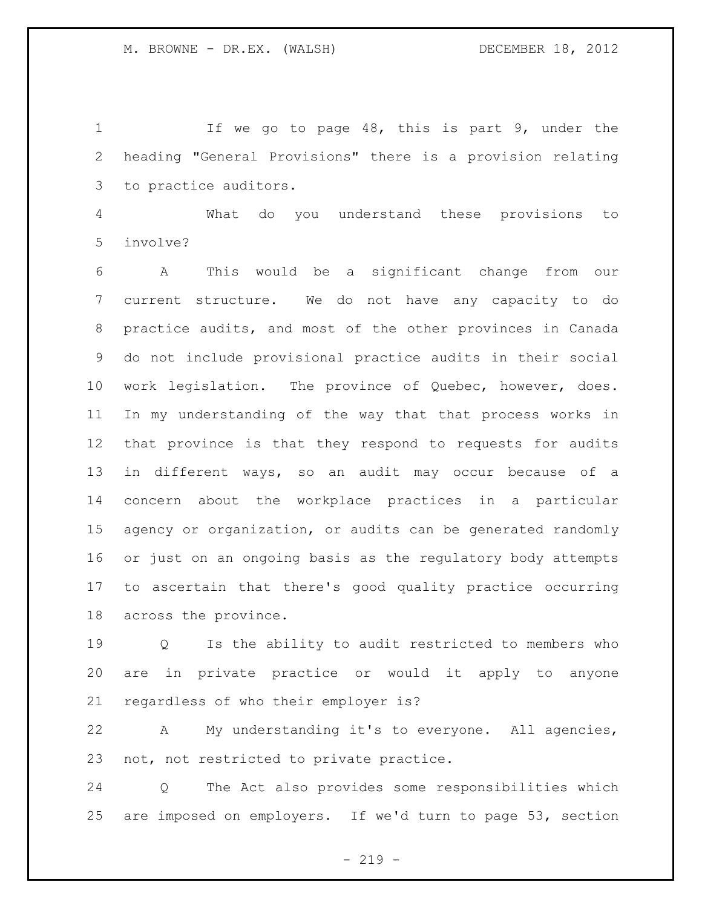1 If we go to page 48, this is part 9, under the heading "General Provisions" there is a provision relating to practice auditors.

 What do you understand these provisions to involve?

 A This would be a significant change from our current structure. We do not have any capacity to do practice audits, and most of the other provinces in Canada do not include provisional practice audits in their social work legislation. The province of Quebec, however, does. In my understanding of the way that that process works in that province is that they respond to requests for audits in different ways, so an audit may occur because of a concern about the workplace practices in a particular agency or organization, or audits can be generated randomly or just on an ongoing basis as the regulatory body attempts to ascertain that there's good quality practice occurring across the province.

 Q Is the ability to audit restricted to members who are in private practice or would it apply to anyone regardless of who their employer is?

 A My understanding it's to everyone. All agencies, not, not restricted to private practice.

 Q The Act also provides some responsibilities which are imposed on employers. If we'd turn to page 53, section

 $-219 -$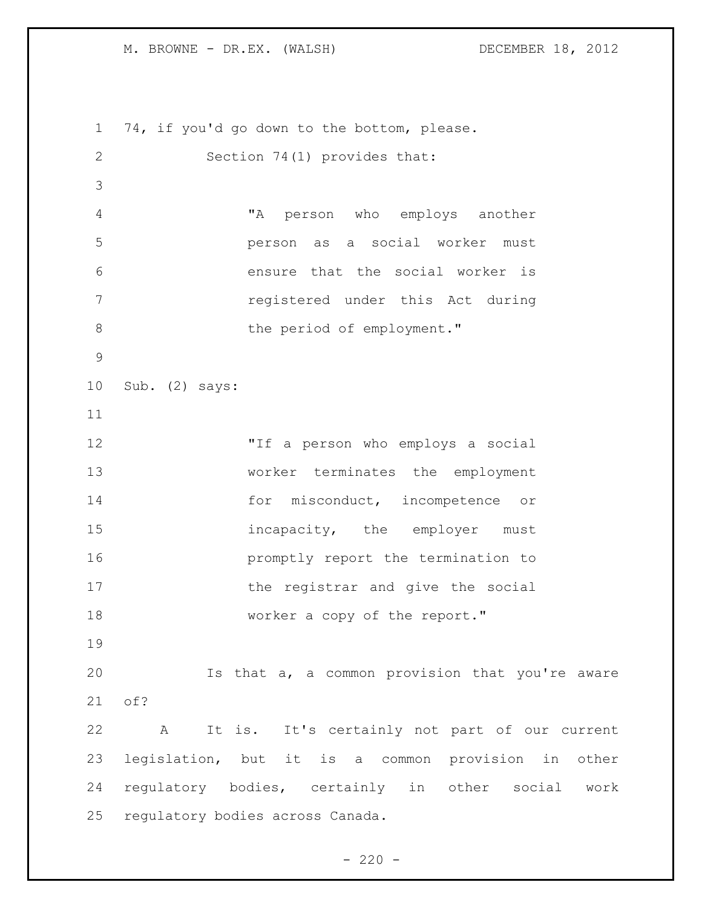74, if you'd go down to the bottom, please. Section 74(1) provides that: "A person who employs another person as a social worker must ensure that the social worker is registered under this Act during 8 the period of employment." Sub. (2) says: "If a person who employs a social worker terminates the employment 14 for misconduct, incompetence or 15 incapacity, the employer must **promptly report the termination to** 17 the registrar and give the social 18 worker a copy of the report." Is that a, a common provision that you're aware of? A It is. It's certainly not part of our current legislation, but it is a common provision in other regulatory bodies, certainly in other social work regulatory bodies across Canada.

 $- 220 -$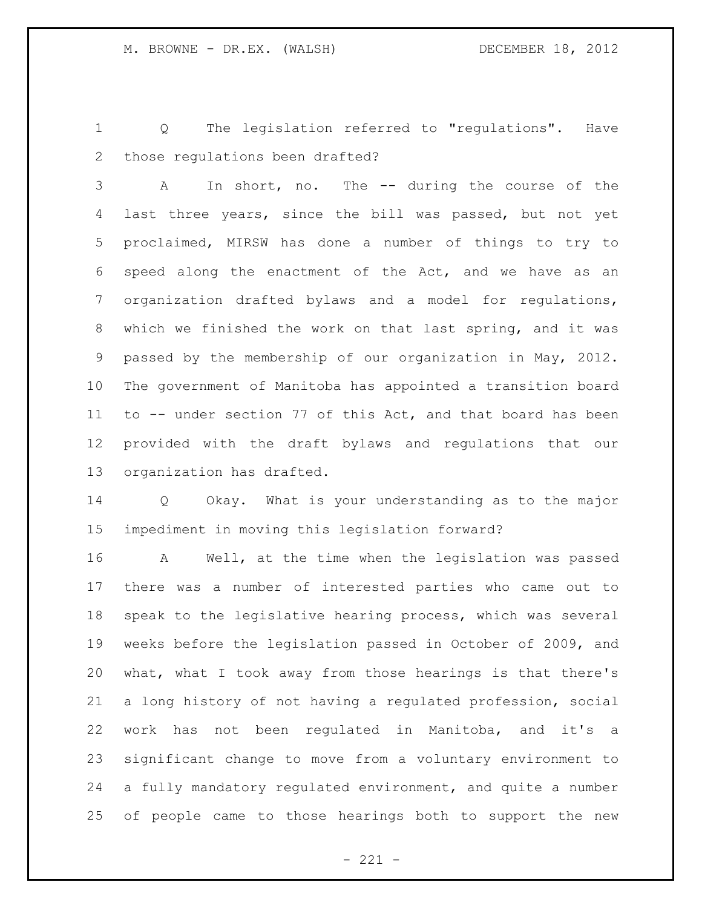Q The legislation referred to "regulations". Have those regulations been drafted?

 A In short, no. The -- during the course of the last three years, since the bill was passed, but not yet proclaimed, MIRSW has done a number of things to try to speed along the enactment of the Act, and we have as an organization drafted bylaws and a model for regulations, which we finished the work on that last spring, and it was passed by the membership of our organization in May, 2012. The government of Manitoba has appointed a transition board to -- under section 77 of this Act, and that board has been provided with the draft bylaws and regulations that our organization has drafted.

 Q Okay. What is your understanding as to the major impediment in moving this legislation forward?

 A Well, at the time when the legislation was passed there was a number of interested parties who came out to speak to the legislative hearing process, which was several weeks before the legislation passed in October of 2009, and what, what I took away from those hearings is that there's a long history of not having a regulated profession, social work has not been regulated in Manitoba, and it's a significant change to move from a voluntary environment to a fully mandatory regulated environment, and quite a number of people came to those hearings both to support the new

 $- 221 -$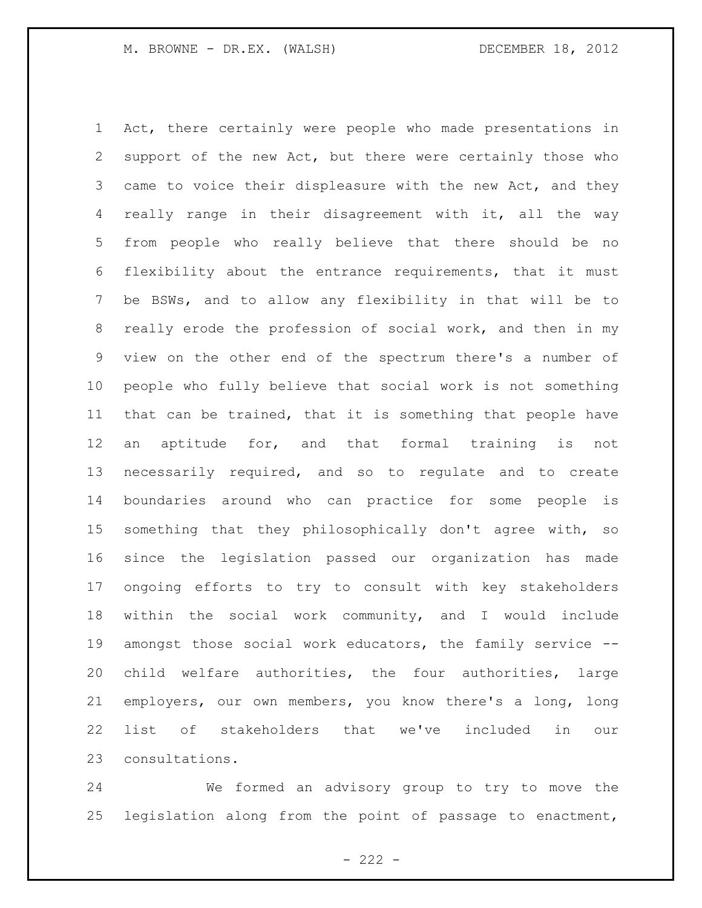Act, there certainly were people who made presentations in support of the new Act, but there were certainly those who 3 came to voice their displeasure with the new Act, and they really range in their disagreement with it, all the way from people who really believe that there should be no flexibility about the entrance requirements, that it must be BSWs, and to allow any flexibility in that will be to really erode the profession of social work, and then in my view on the other end of the spectrum there's a number of people who fully believe that social work is not something that can be trained, that it is something that people have an aptitude for, and that formal training is not necessarily required, and so to regulate and to create boundaries around who can practice for some people is something that they philosophically don't agree with, so since the legislation passed our organization has made ongoing efforts to try to consult with key stakeholders within the social work community, and I would include amongst those social work educators, the family service -- child welfare authorities, the four authorities, large employers, our own members, you know there's a long, long list of stakeholders that we've included in our consultations.

 We formed an advisory group to try to move the legislation along from the point of passage to enactment,

 $- 222 -$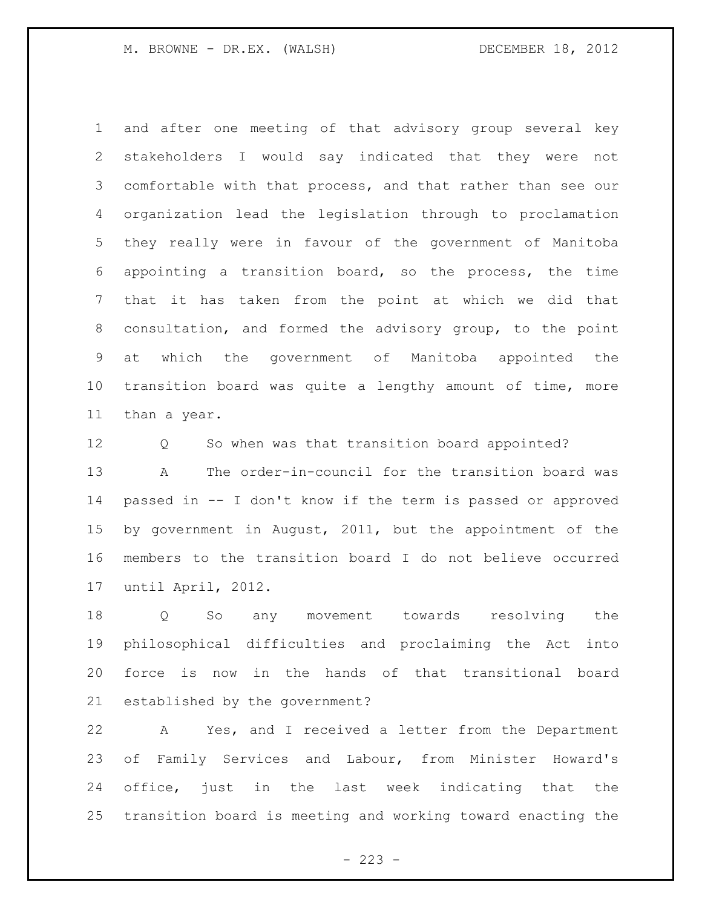and after one meeting of that advisory group several key stakeholders I would say indicated that they were not comfortable with that process, and that rather than see our organization lead the legislation through to proclamation they really were in favour of the government of Manitoba appointing a transition board, so the process, the time that it has taken from the point at which we did that consultation, and formed the advisory group, to the point at which the government of Manitoba appointed the transition board was quite a lengthy amount of time, more than a year.

 Q So when was that transition board appointed? A The order-in-council for the transition board was passed in -- I don't know if the term is passed or approved by government in August, 2011, but the appointment of the members to the transition board I do not believe occurred until April, 2012.

 Q So any movement towards resolving the philosophical difficulties and proclaiming the Act into force is now in the hands of that transitional board established by the government?

 A Yes, and I received a letter from the Department of Family Services and Labour, from Minister Howard's office, just in the last week indicating that the transition board is meeting and working toward enacting the

 $- 223 -$